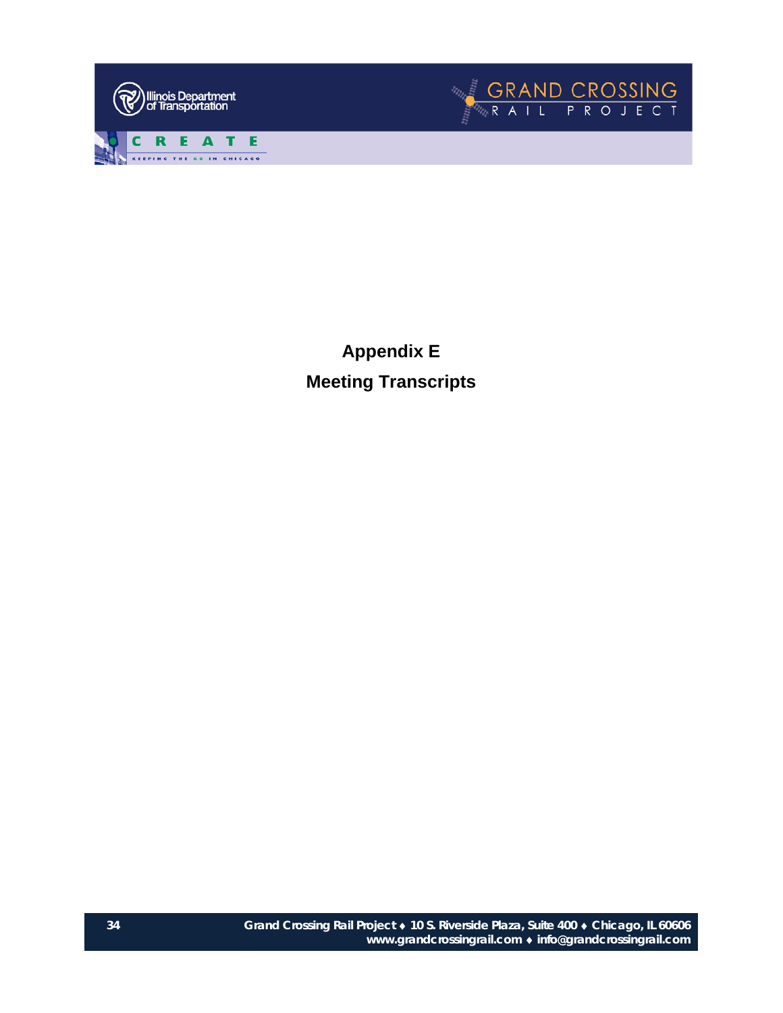



**Appendix E Meeting Transcripts**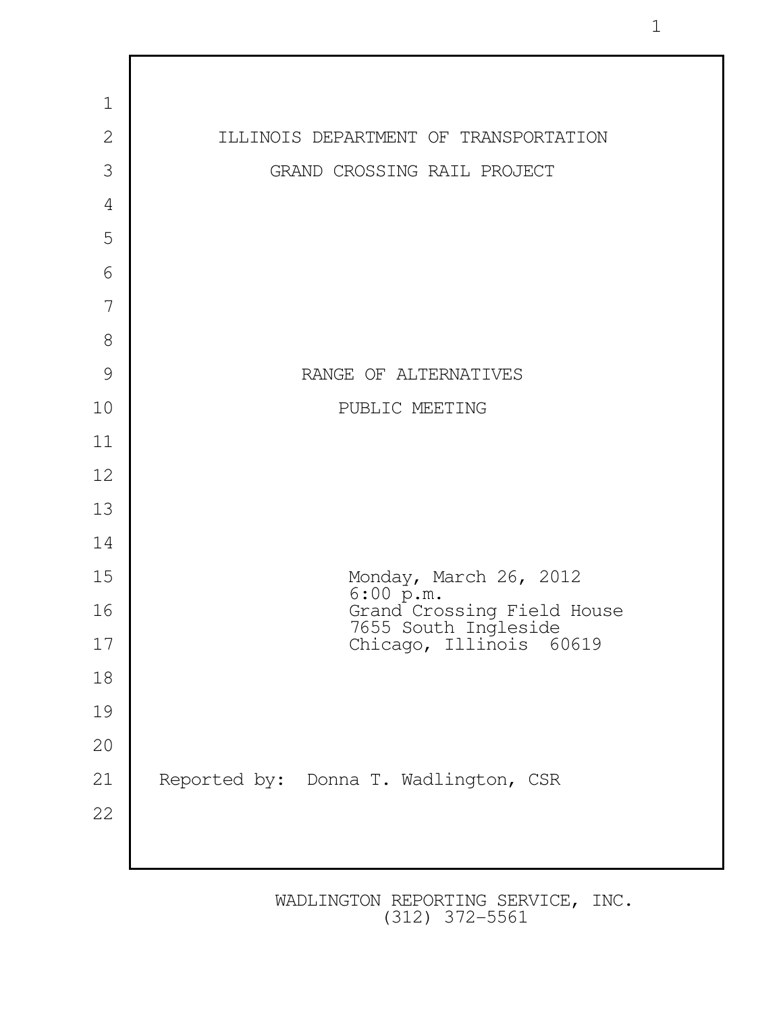| $\mathbf 1$    |                                                 |
|----------------|-------------------------------------------------|
| $\overline{2}$ | ILLINOIS DEPARTMENT OF TRANSPORTATION           |
| 3              | GRAND CROSSING RAIL PROJECT                     |
| $\overline{4}$ |                                                 |
| 5              |                                                 |
| 6              |                                                 |
| 7              |                                                 |
| 8              |                                                 |
| 9              | RANGE OF ALTERNATIVES                           |
| 10             | PUBLIC MEETING                                  |
| 11             |                                                 |
| 12             |                                                 |
| 13             |                                                 |
| 14             |                                                 |
| 15             | Monday, March 26, 2012                          |
| 16             | 6:00 p.m.<br>Grand Crossing Field House         |
| $17\,$         | 7655 South Ingleside<br>Chicago, Illinois 60619 |
| 18             |                                                 |
| 19             |                                                 |
| $20\,$         |                                                 |
| 21             | Reported by: Donna T. Wadlington, CSR           |
| 22             |                                                 |
|                |                                                 |
|                |                                                 |

1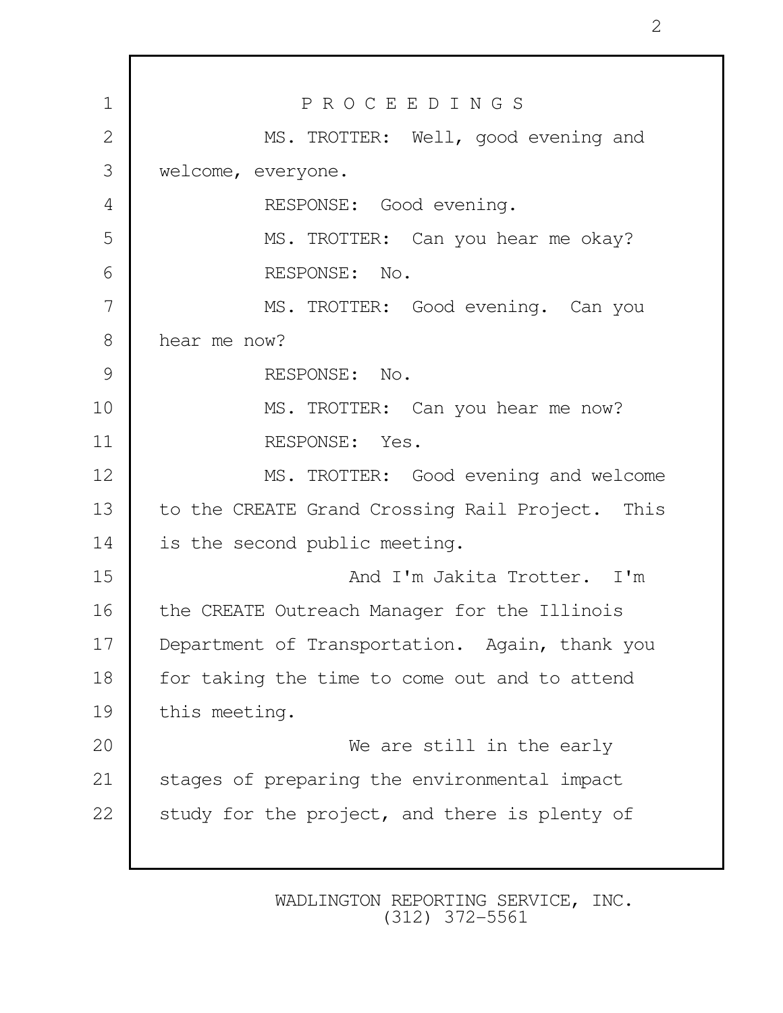1 P R O C E E D I N G S 2 MS. TROTTER: Well, good evening and 3 welcome, everyone. 4 RESPONSE: Good evening. 5 MS. TROTTER: Can you hear me okay? 6 RESPONSE: No. 7 MS. TROTTER: Good evening. Can you 8 hear me now? 9 RESPONSE: No. 10 MS. TROTTER: Can you hear me now? 11 RESPONSE: Yes. 12 MS. TROTTER: Good evening and welcome 13 to the CREATE Grand Crossing Rail Project. This 14 is the second public meeting. 15 and I'm Jakita Trotter. I'm 16 | the CREATE Outreach Manager for the Illinois 17 Department of Transportation. Again, thank you 18 for taking the time to come out and to attend 19 this meeting. 20 We are still in the early 21 stages of preparing the environmental impact 22 study for the project, and there is plenty of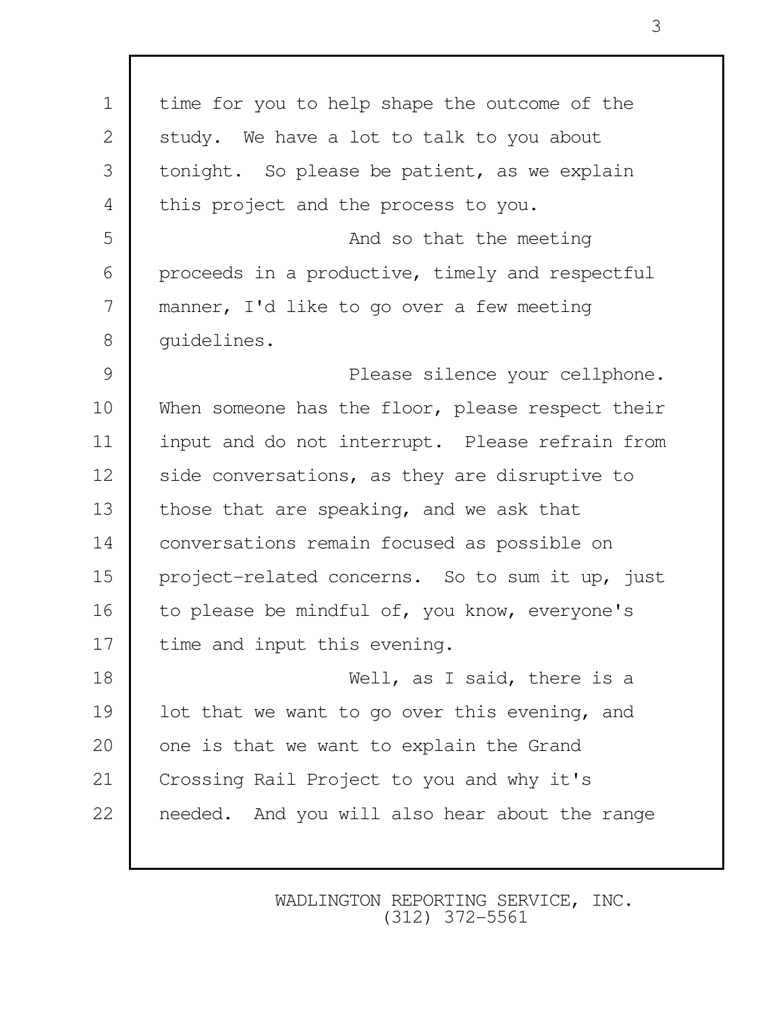| $\mathbf 1$ | time for you to help shape the outcome of the    |
|-------------|--------------------------------------------------|
| 2           | study. We have a lot to talk to you about        |
| 3           | tonight. So please be patient, as we explain     |
| 4           | this project and the process to you.             |
| 5           | And so that the meeting                          |
| 6           | proceeds in a productive, timely and respectful  |
| 7           | manner, I'd like to go over a few meeting        |
| 8           | quidelines.                                      |
| 9           | Please silence your cellphone.                   |
| 10          | When someone has the floor, please respect their |
| 11          | input and do not interrupt. Please refrain from  |
| 12          | side conversations, as they are disruptive to    |
| 13          | those that are speaking, and we ask that         |
| 14          | conversations remain focused as possible on      |
| 15          | project-related concerns. So to sum it up, just  |
| 16          | to please be mindful of, you know, everyone's    |
| 17          | time and input this evening.                     |
| 18          | Well, as I said, there is a                      |
| 19          | lot that we want to go over this evening, and    |
| 20          | one is that we want to explain the Grand         |
| 21          | Crossing Rail Project to you and why it's        |
| 22          | needed. And you will also hear about the range   |
|             |                                                  |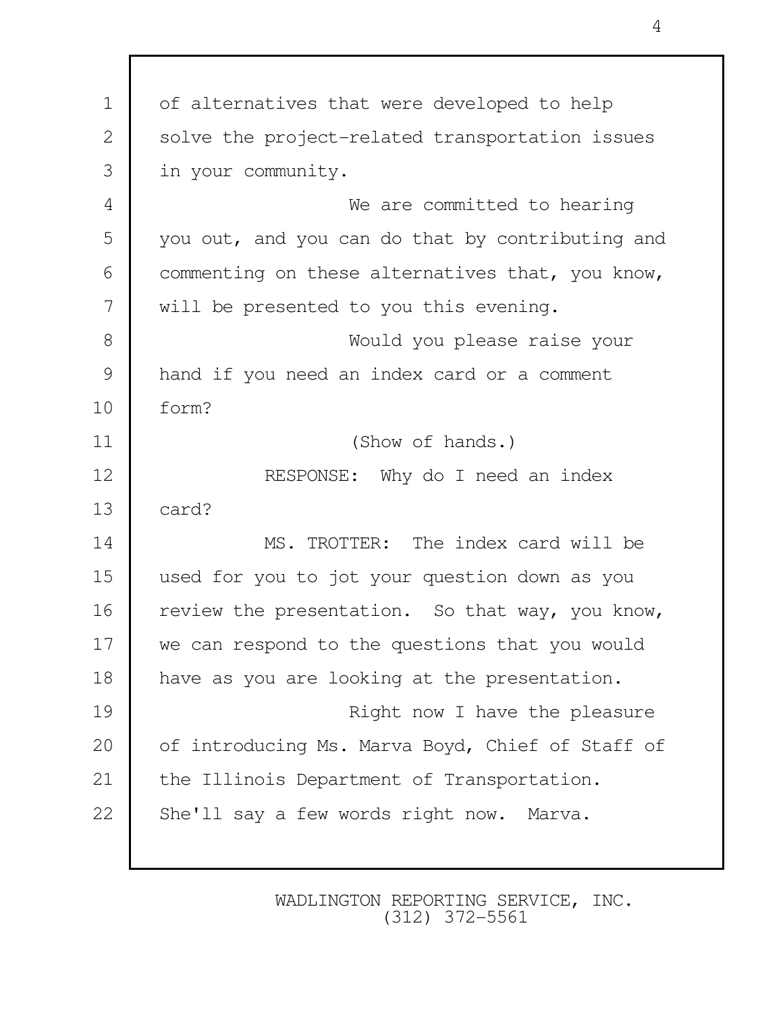1 of alternatives that were developed to help 2 solve the project-related transportation issues 3 in your community. 4 We are committed to hearing 5 you out, and you can do that by contributing and 6 commenting on these alternatives that, you know, 7 will be presented to you this evening. 8 Would you please raise your 9 hand if you need an index card or a comment 10 form? 11 (Show of hands.) 12 | RESPONSE: Why do I need an index  $13 \text{ l}$  card? 14 MS. TROTTER: The index card will be 15 used for you to jot your question down as you 16 review the presentation. So that way, you know, 17 we can respond to the questions that you would 18 | have as you are looking at the presentation. 19 **No. 2.** Right now I have the pleasure 20 of introducing Ms. Marva Boyd, Chief of Staff of 21 | the Illinois Department of Transportation. 22 | She'll say a few words right now. Marva.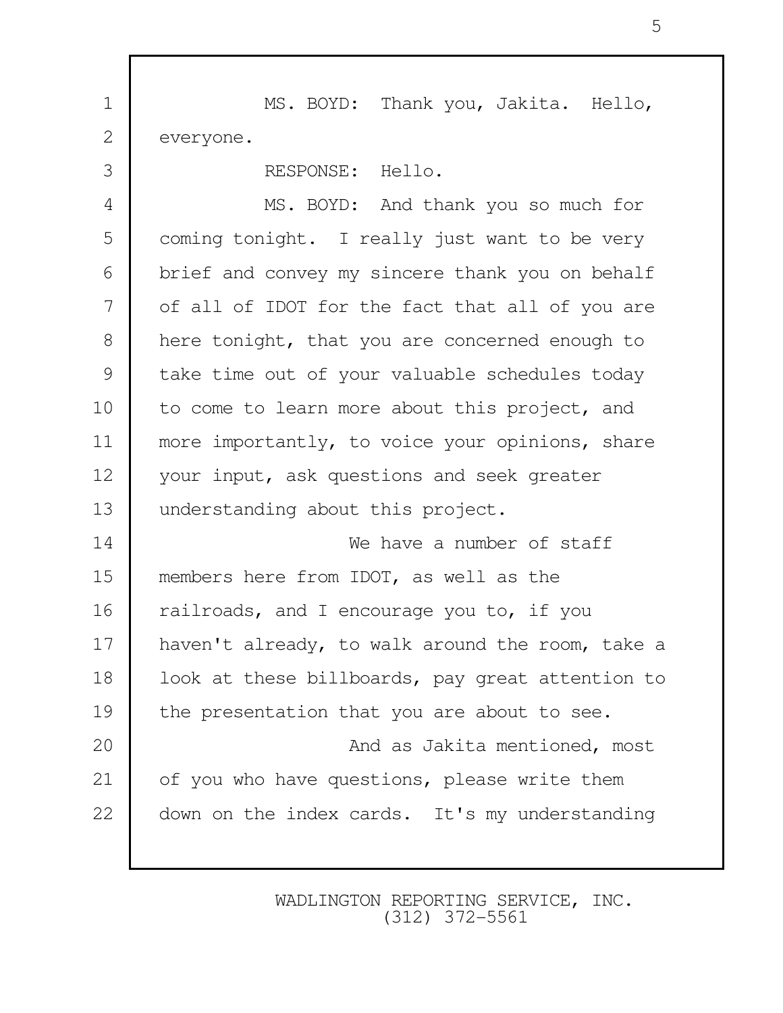1 MS. BOYD: Thank you, Jakita. Hello, 2 everyone.

 3 RESPONSE: Hello. 4 MS. BOYD: And thank you so much for 5 coming tonight. I really just want to be very 6 brief and convey my sincere thank you on behalf 7 | of all of IDOT for the fact that all of you are 8 here tonight, that you are concerned enough to 9 take time out of your valuable schedules today 10 to come to learn more about this project, and 11 | more importantly, to voice your opinions, share 12 | your input, ask questions and seek greater 13 understanding about this project. 14 We have a number of staff 15 members here from IDOT, as well as the 16 | railroads, and I encourage you to, if you 17 haven't already, to walk around the room, take a 18 | look at these billboards, pay great attention to 19 the presentation that you are about to see. 20 **And as Jakita mentioned, most** 21 | of you who have questions, please write them 22 down on the index cards. It's my understanding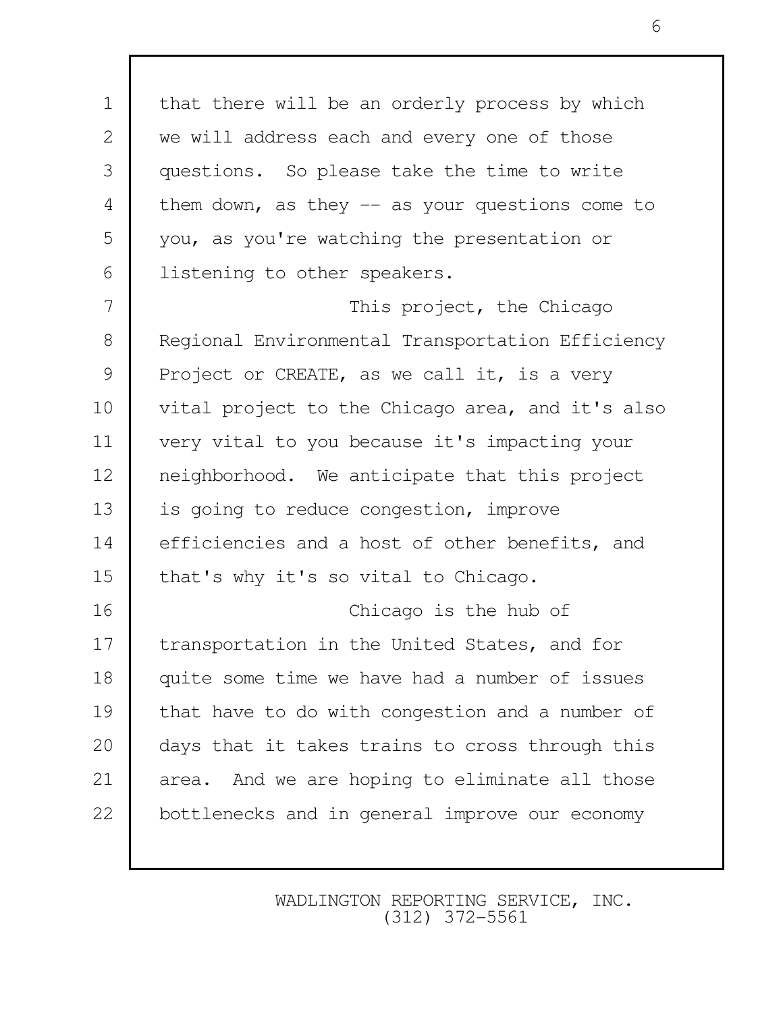1 | that there will be an orderly process by which 2 we will address each and every one of those 3 questions. So please take the time to write 4 | them down, as they -- as your questions come to 5 you, as you're watching the presentation or 6 | listening to other speakers. 7 This project, the Chicago 8 | Regional Environmental Transportation Efficiency 9 Project or CREATE, as we call it, is a very 10 vital project to the Chicago area, and it's also 11 very vital to you because it's impacting your 12 neighborhood. We anticipate that this project 13 is going to reduce congestion, improve 14 efficiencies and a host of other benefits, and 15 | that's why it's so vital to Chicago. 16 Chicago is the hub of 17 | transportation in the United States, and for 18 quite some time we have had a number of issues 19 that have to do with congestion and a number of 20 days that it takes trains to cross through this 21 | area. And we are hoping to eliminate all those 22 bottlenecks and in general improve our economy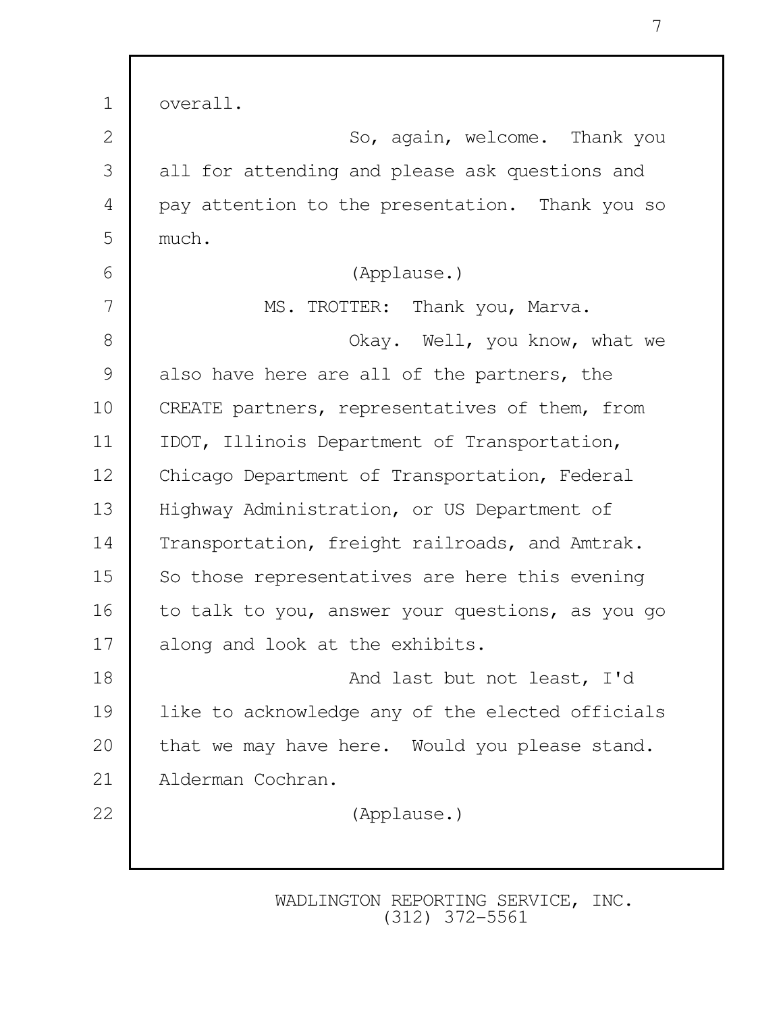1 overall. 2 So, again, welcome. Thank you 3 all for attending and please ask questions and 4 pay attention to the presentation. Thank you so 5 much. 6 (Applause.) 7 MS. TROTTER: Thank you, Marva. 8 No. 3 Okay. Well, you know, what we 9 also have here are all of the partners, the 10 CREATE partners, representatives of them, from 11 IDOT, Illinois Department of Transportation, 12 | Chicago Department of Transportation, Federal 13 | Highway Administration, or US Department of 14 Transportation, freight railroads, and Amtrak. 15 So those representatives are here this evening 16 | to talk to you, answer your questions, as you go 17 along and look at the exhibits. 18 and last but not least, I'd 19 like to acknowledge any of the elected officials 20 | that we may have here. Would you please stand. 21 | Alderman Cochran. 22 (Applause.)

> WADLINGTON REPORTING SERVICE, INC. (312) 372-5561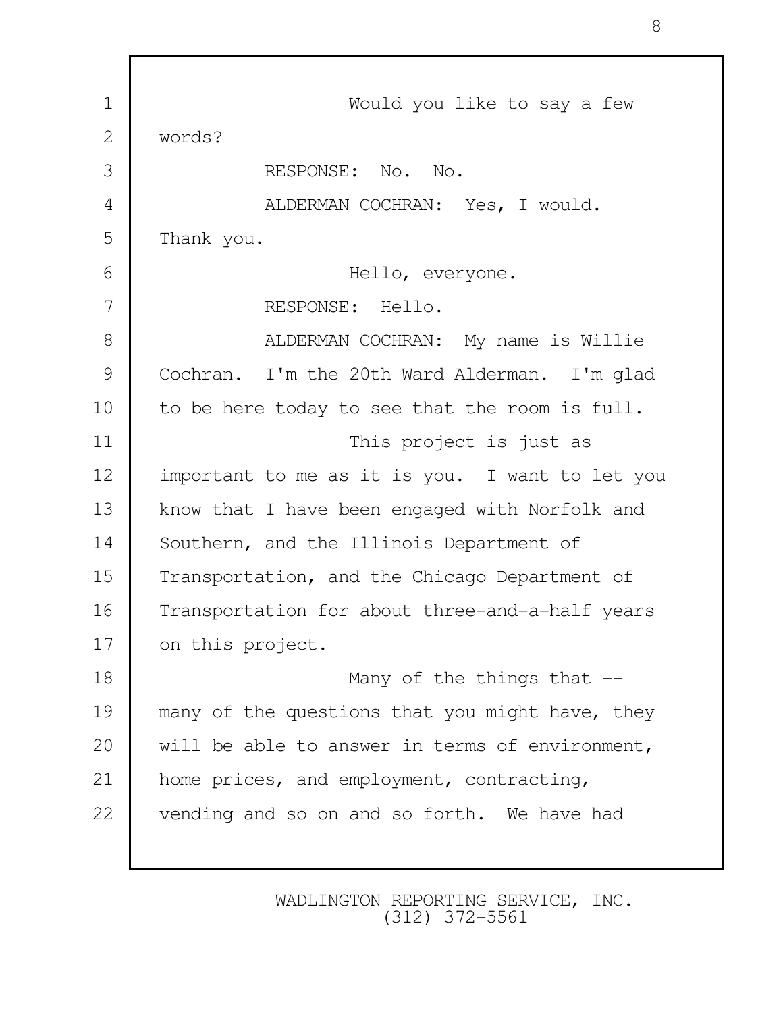1 Would you like to say a few 2 words? 3 RESPONSE: No. No. 4 | ALDERMAN COCHRAN: Yes, I would. 5 Thank you. 6 Hello, everyone. 7 RESPONSE: Hello. 8 | ALDERMAN COCHRAN: My name is Willie 9 Cochran. I'm the 20th Ward Alderman. I'm glad 10 to be here today to see that the room is full. 11 This project is just as 12 important to me as it is you. I want to let you 13 know that I have been engaged with Norfolk and 14 Southern, and the Illinois Department of 15 Transportation, and the Chicago Department of 16 Transportation for about three-and-a-half years 17 on this project. 18 | Many of the things that --19 many of the questions that you might have, they 20 will be able to answer in terms of environment, 21 home prices, and employment, contracting, 22 vending and so on and so forth. We have had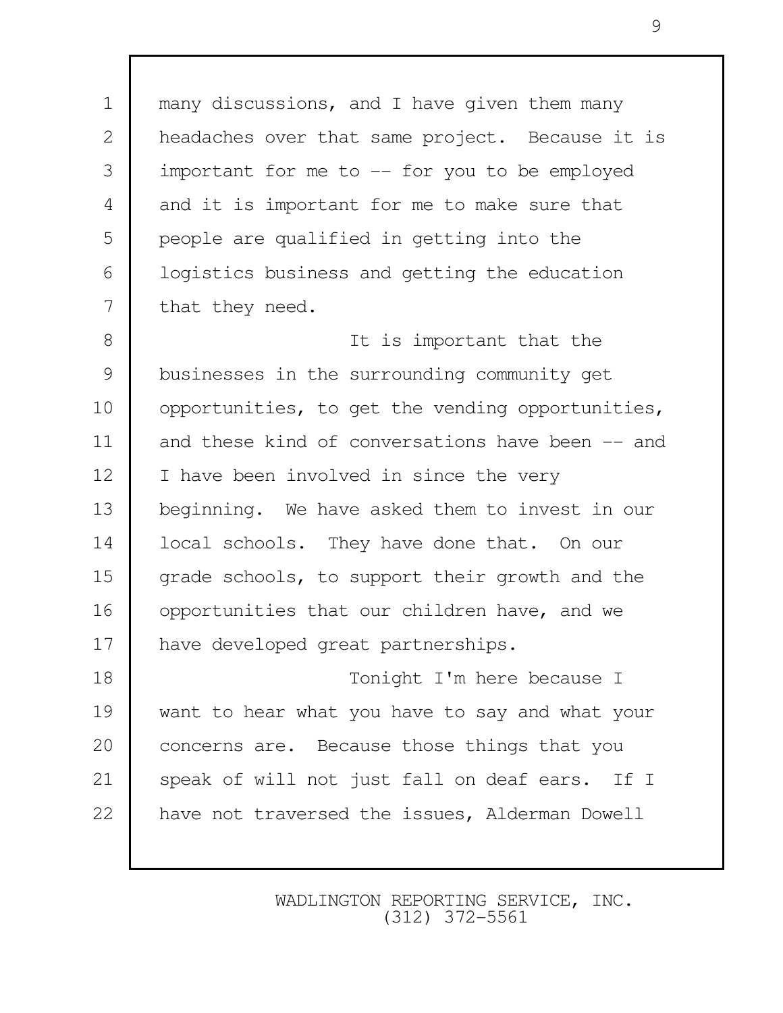1 many discussions, and I have given them many 2 headaches over that same project. Because it is 3 important for me to -- for you to be employed 4 and it is important for me to make sure that 5 people are qualified in getting into the 6 | logistics business and getting the education 7 that they need.

8 | Constant that the state of the state of the state of the state of the state of the state of the state of the state of the state of the state of the state of the state of the state of the state of the state of the state 9 businesses in the surrounding community get 10 | opportunities, to get the vending opportunities, 11 and these kind of conversations have been -- and 12 | I have been involved in since the very 13 beginning. We have asked them to invest in our 14 | local schools. They have done that. On our 15 grade schools, to support their growth and the 16 | opportunities that our children have, and we 17 | have developed great partnerships. 18 | Tonight I'm here because I 19 want to hear what you have to say and what your 20 concerns are. Because those things that you

21 | speak of will not just fall on deaf ears. If I 22 | have not traversed the issues, Alderman Dowell

> WADLINGTON REPORTING SERVICE, INC. (312) 372-5561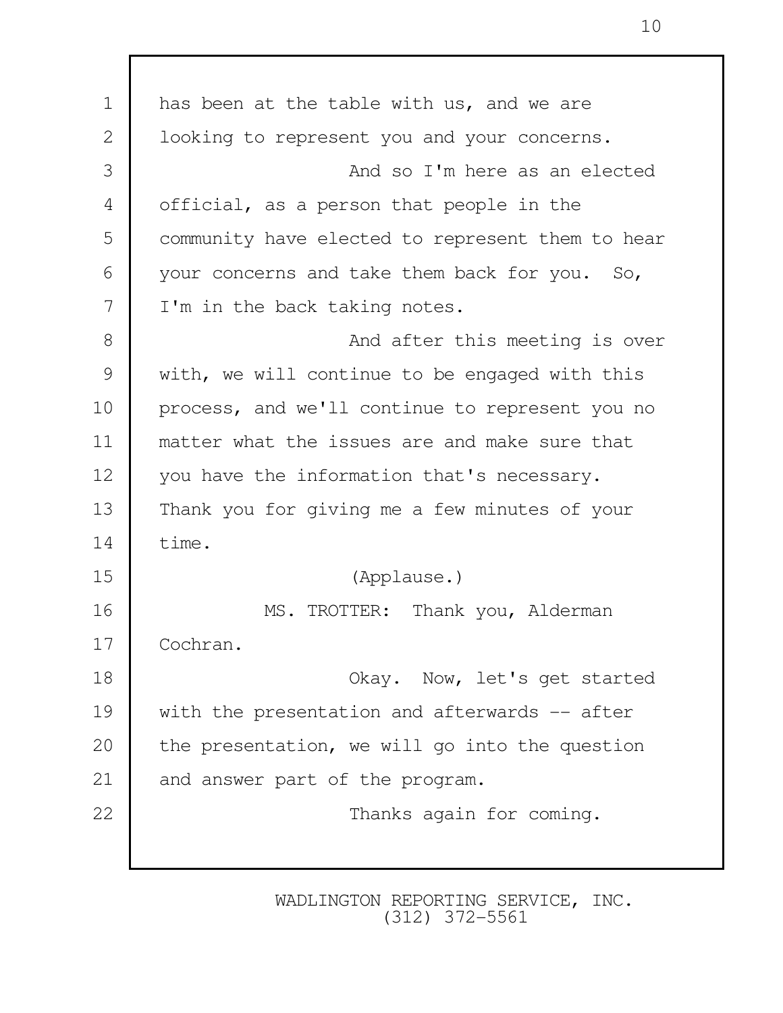1 has been at the table with us, and we are 2 | looking to represent you and your concerns. 3 And so I'm here as an elected 4 | official, as a person that people in the 5 community have elected to represent them to hear 6 your concerns and take them back for you. So, 7 I'm in the back taking notes. 8 and after this meeting is over 9 with, we will continue to be engaged with this 10 process, and we'll continue to represent you no 11 matter what the issues are and make sure that 12 you have the information that's necessary. 13 Thank you for giving me a few minutes of your 14 time. 15 (Applause.) 16 | MS. TROTTER: Thank you, Alderman 17 Cochran. 18 Okay. Now, let's get started 19 with the presentation and afterwards -- after 20 | the presentation, we will go into the question 21 and answer part of the program. 22 | Communication of thanks again for coming.

> WADLINGTON REPORTING SERVICE, INC. (312) 372-5561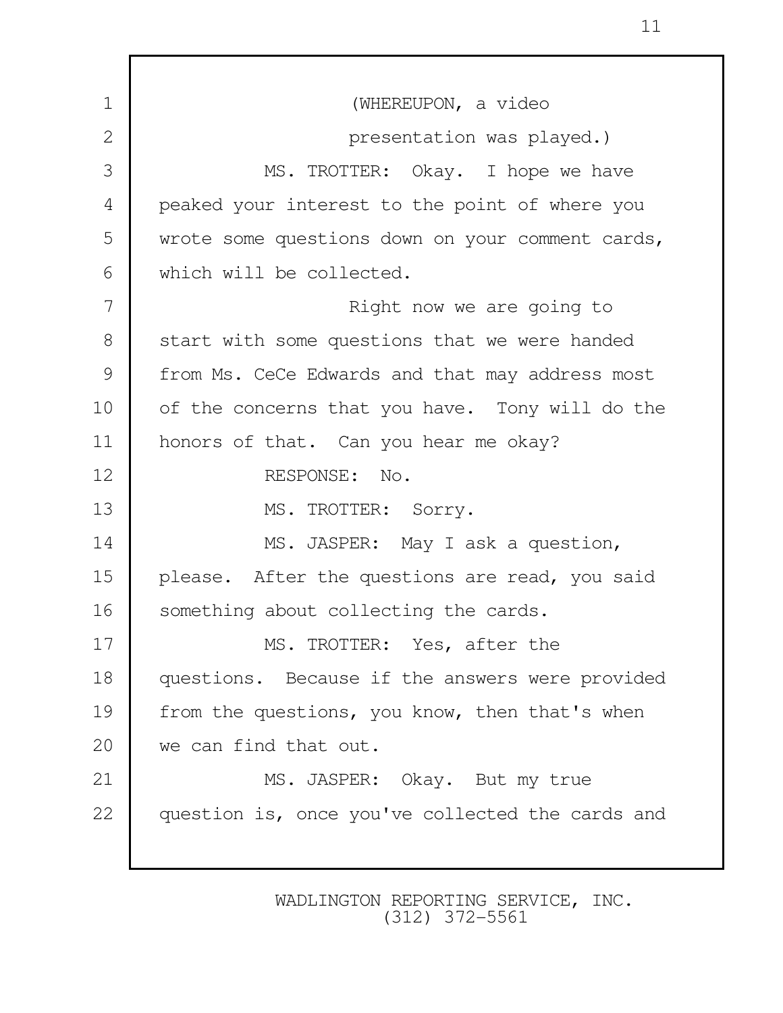1 (WHEREUPON, a video 2 **presentation was played.**) 3 MS. TROTTER: Okay. I hope we have 4 peaked your interest to the point of where you 5 wrote some questions down on your comment cards, 6 which will be collected. 7 Right now we are going to 8 Start with some questions that we were handed 9 | from Ms. CeCe Edwards and that may address most 10 | of the concerns that you have. Tony will do the 11 honors of that. Can you hear me okay? 12 RESPONSE: No. 13 MS. TROTTER: Sorry. 14 | MS. JASPER: May I ask a question, 15 please. After the questions are read, you said 16 Something about collecting the cards. 17 MS. TROTTER: Yes, after the 18 questions. Because if the answers were provided 19 from the questions, you know, then that's when 20 we can find that out. 21 | MS. JASPER: Okay. But my true 22 question is, once you've collected the cards and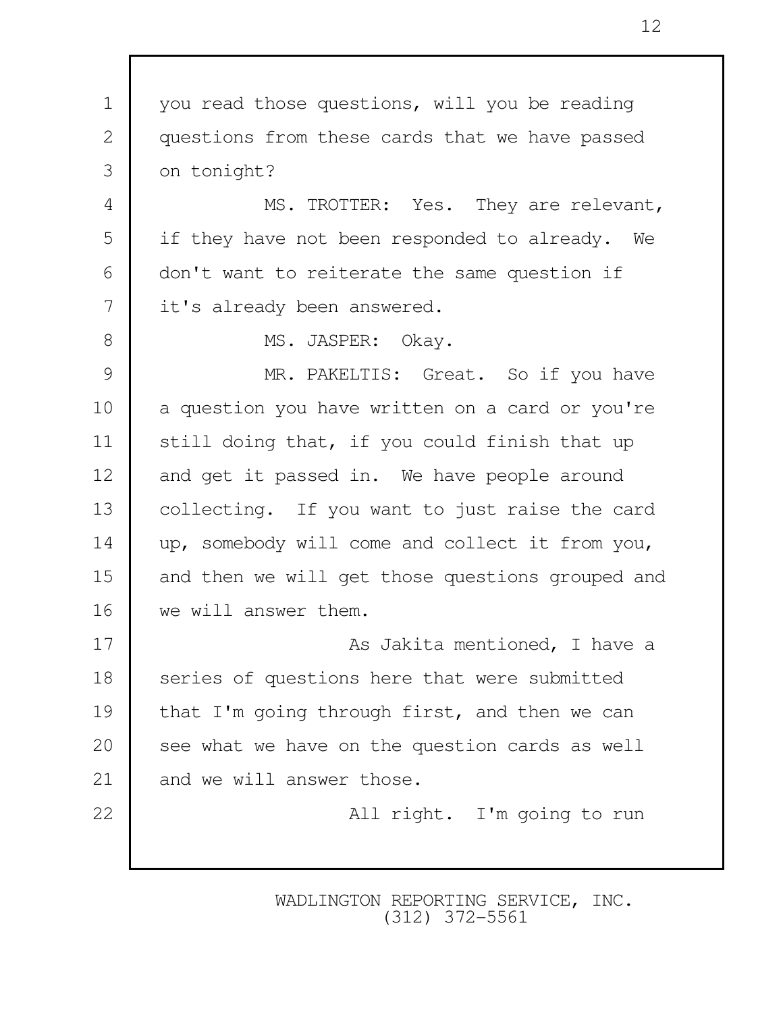1 you read those questions, will you be reading 2 questions from these cards that we have passed 3 on tonight? 4 MS. TROTTER: Yes. They are relevant, 5 if they have not been responded to already. We 6 don't want to reiterate the same question if 7 it's already been answered. 8 | MS. JASPER: Okay. 9 MR. PAKELTIS: Great. So if you have 10 a question you have written on a card or you're 11 | still doing that, if you could finish that up 12 and get it passed in. We have people around 13 | collecting. If you want to just raise the card 14 up, somebody will come and collect it from you, 15 and then we will get those questions grouped and 16 we will answer them. 17 | Chambridge Controller As Jakita mentioned, I have a 18 series of questions here that were submitted 19 that I'm going through first, and then we can 20 see what we have on the question cards as well 21 and we will answer those. 22 | **All right.** I'm going to run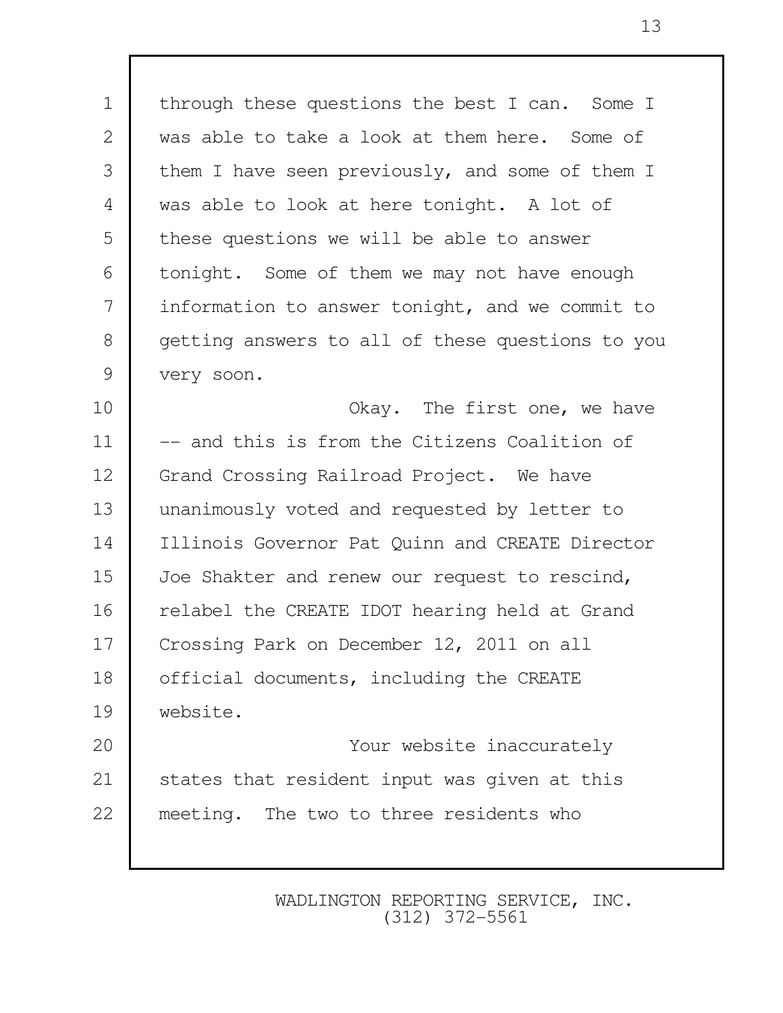1 | through these questions the best I can. Some I 2 was able to take a look at them here. Some of 3 them I have seen previously, and some of them I 4 was able to look at here tonight. A lot of 5 these questions we will be able to answer 6 tonight. Some of them we may not have enough 7 information to answer tonight, and we commit to 8 getting answers to all of these questions to you 9 very soon.

10 Next Chav. The first one, we have 11 -- and this is from the Citizens Coalition of 12 Grand Crossing Railroad Project. We have 13 unanimously voted and requested by letter to 14 Illinois Governor Pat Quinn and CREATE Director 15 | Joe Shakter and renew our request to rescind, 16 | relabel the CREATE IDOT hearing held at Grand 17 Crossing Park on December 12, 2011 on all 18 | official documents, including the CREATE 19 website. 20 Your website inaccurately

21 | states that resident input was given at this 22 meeting. The two to three residents who

> WADLINGTON REPORTING SERVICE, INC. (312) 372-5561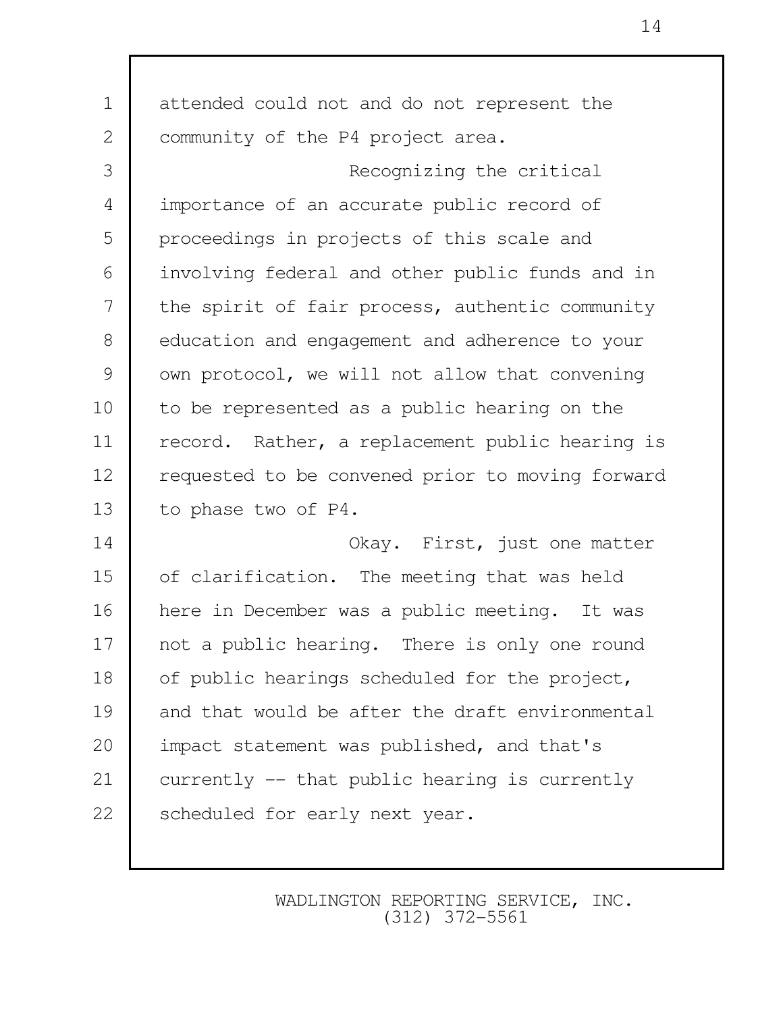1 attended could not and do not represent the 2 | community of the P4 project area. 3 Recognizing the critical 4 importance of an accurate public record of 5 proceedings in projects of this scale and 6 involving federal and other public funds and in 7 the spirit of fair process, authentic community 8 education and engagement and adherence to your 9 | own protocol, we will not allow that convening 10 | to be represented as a public hearing on the 11 | record. Rather, a replacement public hearing is 12 | requested to be convened prior to moving forward 13 | to phase two of P4. 14 **Okay.** First, just one matter

15 of clarification. The meeting that was held 16 here in December was a public meeting. It was 17 | not a public hearing. There is only one round 18 of public hearings scheduled for the project, 19 and that would be after the draft environmental 20 | impact statement was published, and that's 21 currently -- that public hearing is currently 22 | scheduled for early next year.

> WADLINGTON REPORTING SERVICE, INC. (312) 372-5561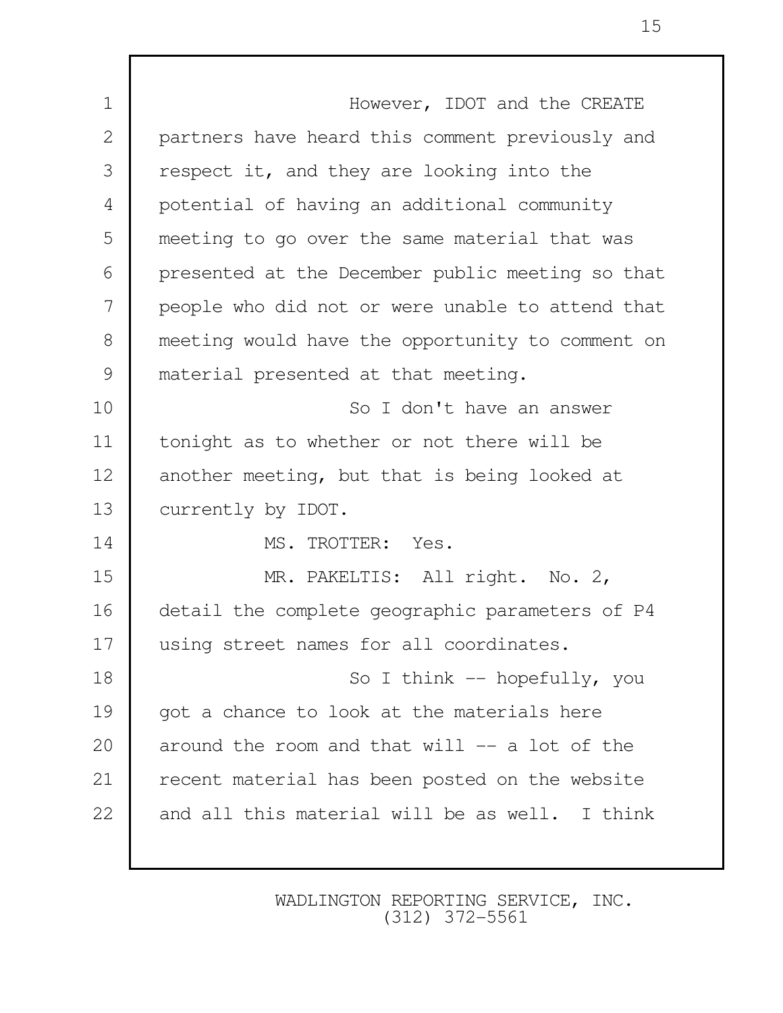1 **I** However, IDOT and the CREATE 2 partners have heard this comment previously and 3 respect it, and they are looking into the 4 potential of having an additional community 5 meeting to go over the same material that was 6 presented at the December public meeting so that 7 people who did not or were unable to attend that 8 meeting would have the opportunity to comment on 9 material presented at that meeting. 10 So I don't have an answer 11 tonight as to whether or not there will be 12 another meeting, but that is being looked at 13 currently by IDOT. 14 MS. TROTTER: Yes. 15 | MR. PAKELTIS: All right. No. 2, 16 detail the complete geographic parameters of P4 17 | using street names for all coordinates. 18 So I think -- hopefully, you 19 got a chance to look at the materials here 20  $\vert$  around the room and that will  $\vert$  -- a lot of the 21 recent material has been posted on the website 22 and all this material will be as well. I think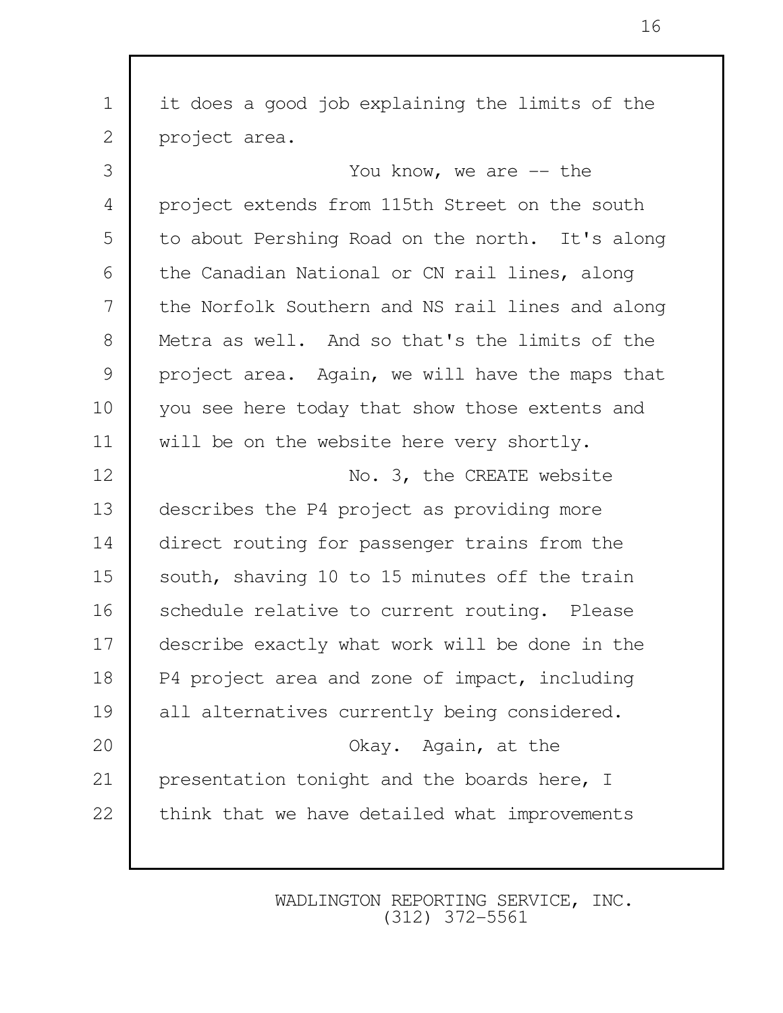| $\mathbf 1$ | it does a good job explaining the limits of the  |
|-------------|--------------------------------------------------|
| 2           | project area.                                    |
| 3           | You know, we are $--$ the                        |
| 4           | project extends from 115th Street on the south   |
| 5           | to about Pershing Road on the north. It's along  |
| 6           | the Canadian National or CN rail lines, along    |
| 7           | the Norfolk Southern and NS rail lines and along |
| 8           | Metra as well. And so that's the limits of the   |
| 9           | project area. Again, we will have the maps that  |
| 10          | you see here today that show those extents and   |
| 11          | will be on the website here very shortly.        |
| 12          | No. 3, the CREATE website                        |
| 13          | describes the P4 project as providing more       |
| 14          | direct routing for passenger trains from the     |
| 15          | south, shaving 10 to 15 minutes off the train    |
| 16          | schedule relative to current routing. Please     |
| 17          | describe exactly what work will be done in the   |
| 18          | P4 project area and zone of impact, including    |
| 19          | all alternatives currently being considered.     |
| 20          | Okay. Again, at the                              |
| 21          | presentation tonight and the boards here, I      |
| 22          | think that we have detailed what improvements    |
|             |                                                  |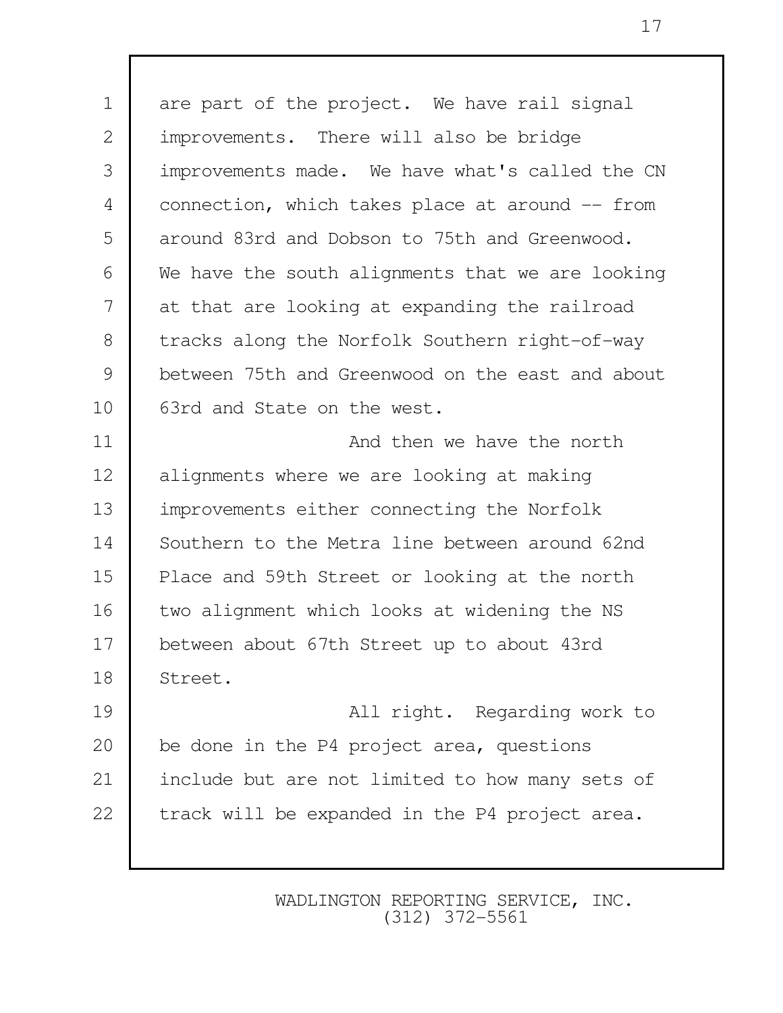1 are part of the project. We have rail signal 2 improvements. There will also be bridge 3 improvements made. We have what's called the CN 4 connection, which takes place at around -- from 5 around 83rd and Dobson to 75th and Greenwood.  $6$  We have the south alignments that we are looking 7 at that are looking at expanding the railroad 8 tracks along the Norfolk Southern right-of-way 9 between 75th and Greenwood on the east and about 10 | 63rd and State on the west. 11 and then we have the north 12 alignments where we are looking at making

13 improvements either connecting the Norfolk 14 Southern to the Metra line between around 62nd 15 Place and 59th Street or looking at the north 16 | two alignment which looks at widening the NS 17 between about 67th Street up to about 43rd 18 Street.

19 All right. Regarding work to 20 be done in the P4 project area, questions 21 include but are not limited to how many sets of 22 track will be expanded in the P4 project area.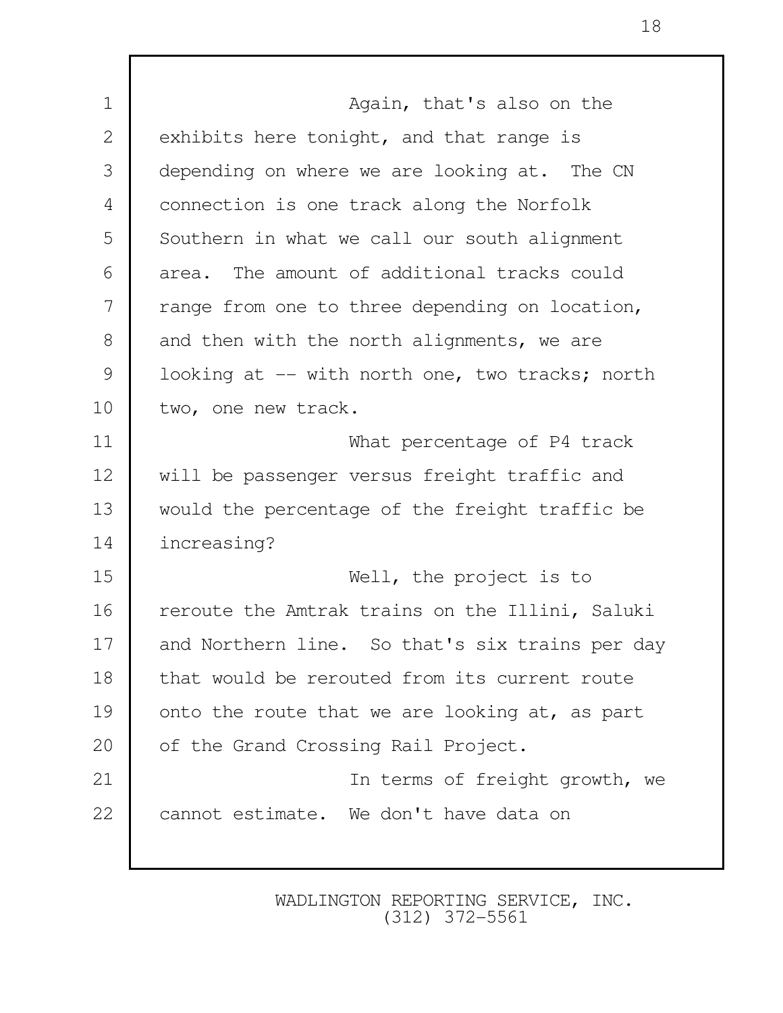1 **Again**, that's also on the 2 exhibits here tonight, and that range is 3 depending on where we are looking at. The CN 4 connection is one track along the Norfolk 5 Southern in what we call our south alignment 6 area. The amount of additional tracks could 7 | range from one to three depending on location, 8 and then with the north alignments, we are 9 | looking at -- with north one, two tracks; north 10 two, one new track. 11 What percentage of P4 track 12 will be passenger versus freight traffic and 13 would the percentage of the freight traffic be 14 increasing? 15 Well, the project is to 16 | reroute the Amtrak trains on the Illini, Saluki 17 and Northern line. So that's six trains per day 18 that would be rerouted from its current route 19 onto the route that we are looking at, as part 20 | of the Grand Crossing Rail Project. 21 | The terms of freight growth, we 22 cannot estimate. We don't have data on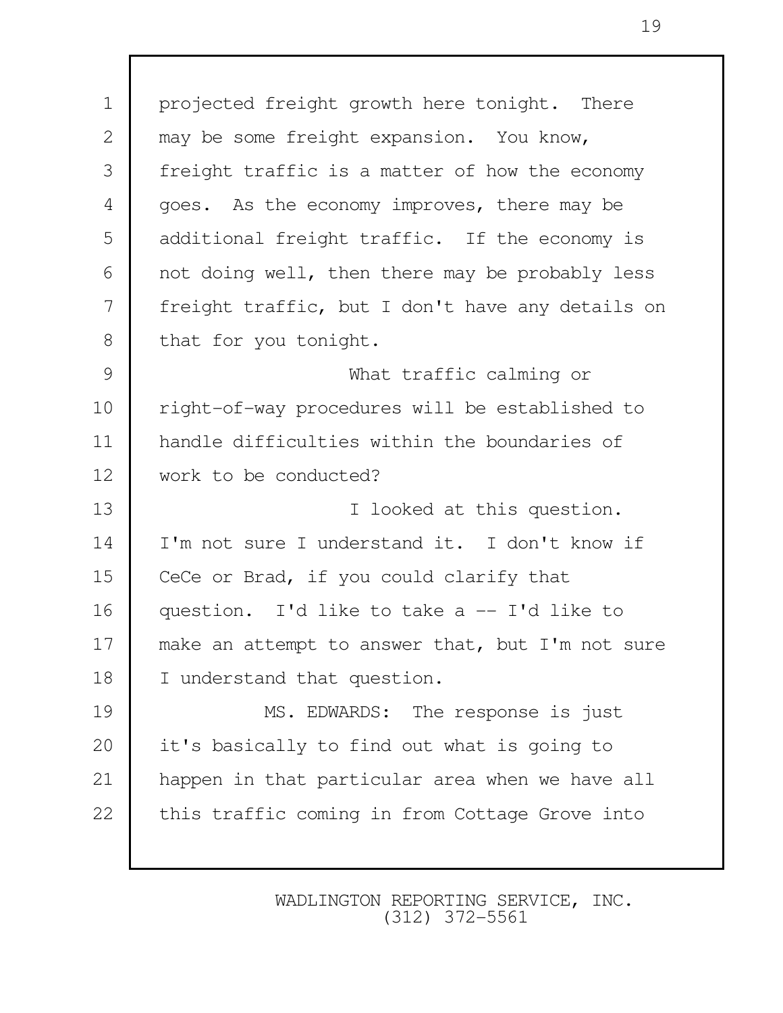1 projected freight growth here tonight. There 2 may be some freight expansion. You know, 3 freight traffic is a matter of how the economy 4 | goes. As the economy improves, there may be 5 additional freight traffic. If the economy is  $6$  not doing well, then there may be probably less 7 freight traffic, but I don't have any details on 8 that for you tonight. 9 What traffic calming or 10 right-of-way procedures will be established to 11 handle difficulties within the boundaries of 12 work to be conducted? 13 I looked at this question. 14 | I'm not sure I understand it. I don't know if 15 CeCe or Brad, if you could clarify that 16 question. I'd like to take a -- I'd like to 17 | make an attempt to answer that, but I'm not sure 18 | I understand that question. 19 MS. EDWARDS: The response is just 20 it's basically to find out what is going to 21 happen in that particular area when we have all 22 this traffic coming in from Cottage Grove into

> WADLINGTON REPORTING SERVICE, INC. (312) 372-5561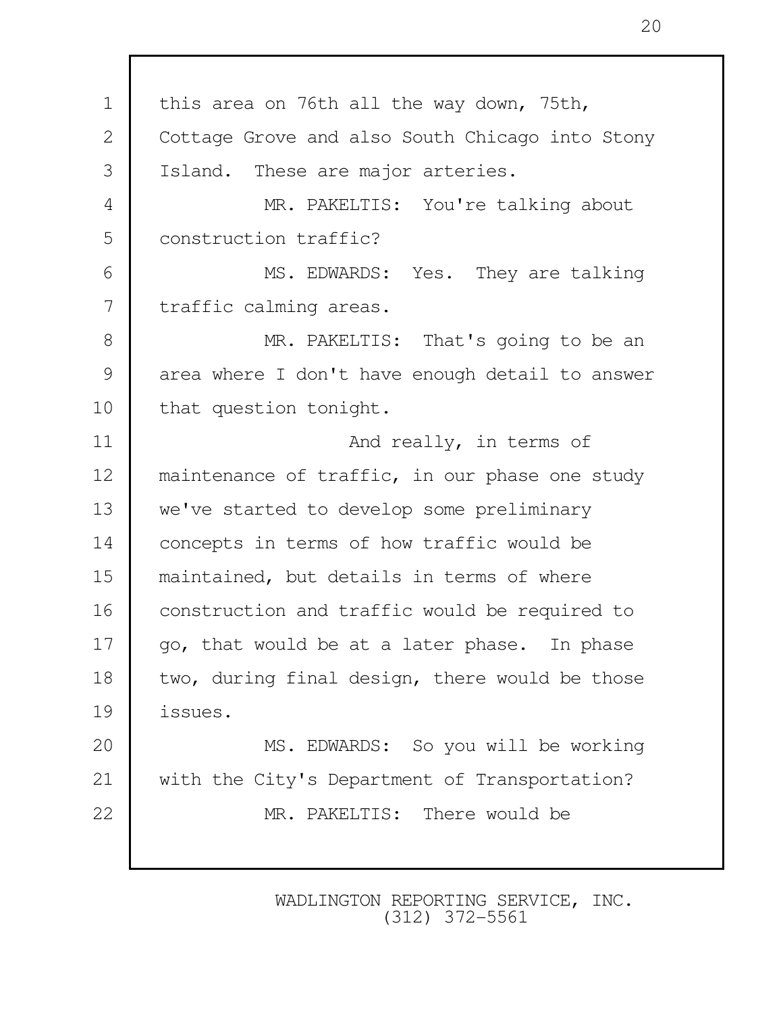1 | this area on 76th all the way down, 75th, 2 Cottage Grove and also South Chicago into Stony 3 | Island. These are major arteries. 4 MR. PAKELTIS: You're talking about 5 construction traffic? 6 MS. EDWARDS: Yes. They are talking 7 | traffic calming areas. 8 MR. PAKELTIS: That's going to be an 9 area where I don't have enough detail to answer 10 | that question tonight. 11 and really, in terms of 12 | maintenance of traffic, in our phase one study 13 we've started to develop some preliminary 14 concepts in terms of how traffic would be 15 maintained, but details in terms of where 16 | construction and traffic would be required to 17  $\vert$  go, that would be at a later phase. In phase 18 two, during final design, there would be those 19 issues. 20 | MS. EDWARDS: So you will be working 21 with the City's Department of Transportation? 22 MR. PAKELTIS: There would be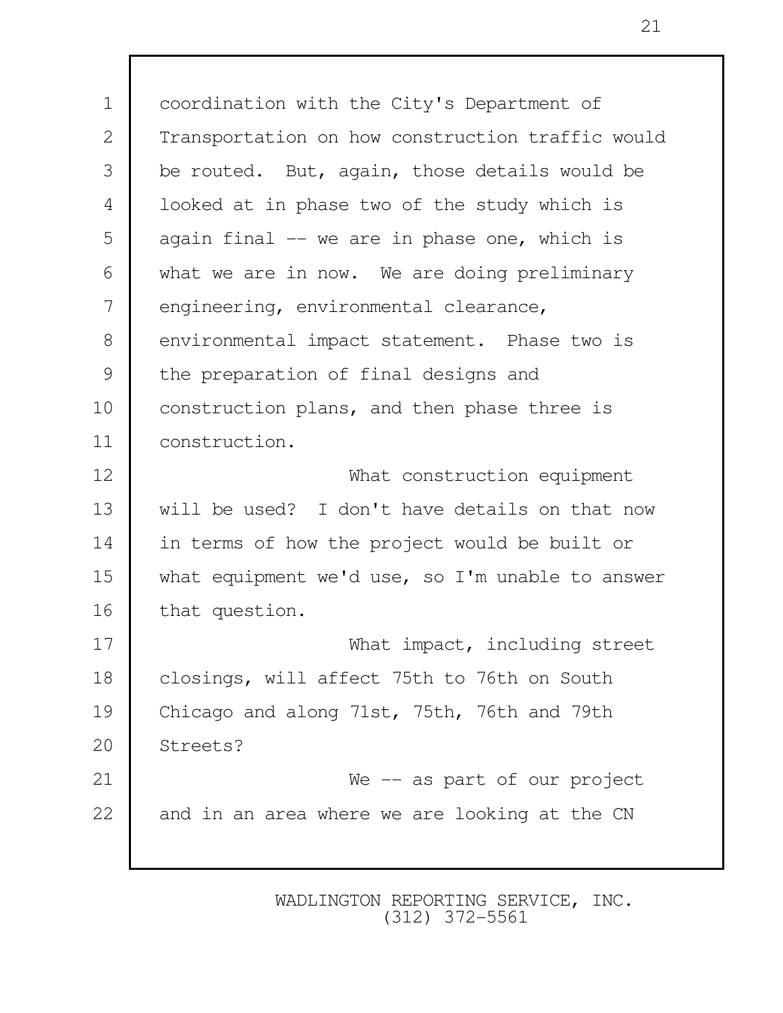1 coordination with the City's Department of 2 Transportation on how construction traffic would 3 be routed. But, again, those details would be 4 looked at in phase two of the study which is 5 aqain final -- we are in phase one, which is 6 what we are in now. We are doing preliminary 7 engineering, environmental clearance, 8 environmental impact statement. Phase two is 9 the preparation of final designs and 10 | construction plans, and then phase three is 11 construction. 12 | What construction equipment 13 will be used? I don't have details on that now 14 in terms of how the project would be built or 15 what equipment we'd use, so I'm unable to answer 16 that question. 17 | What impact, including street 18 | closings, will affect 75th to 76th on South 19 Chicago and along 71st, 75th, 76th and 79th 20 Streets? 21 We -- as part of our project  $22$  and in an area where we are looking at the CN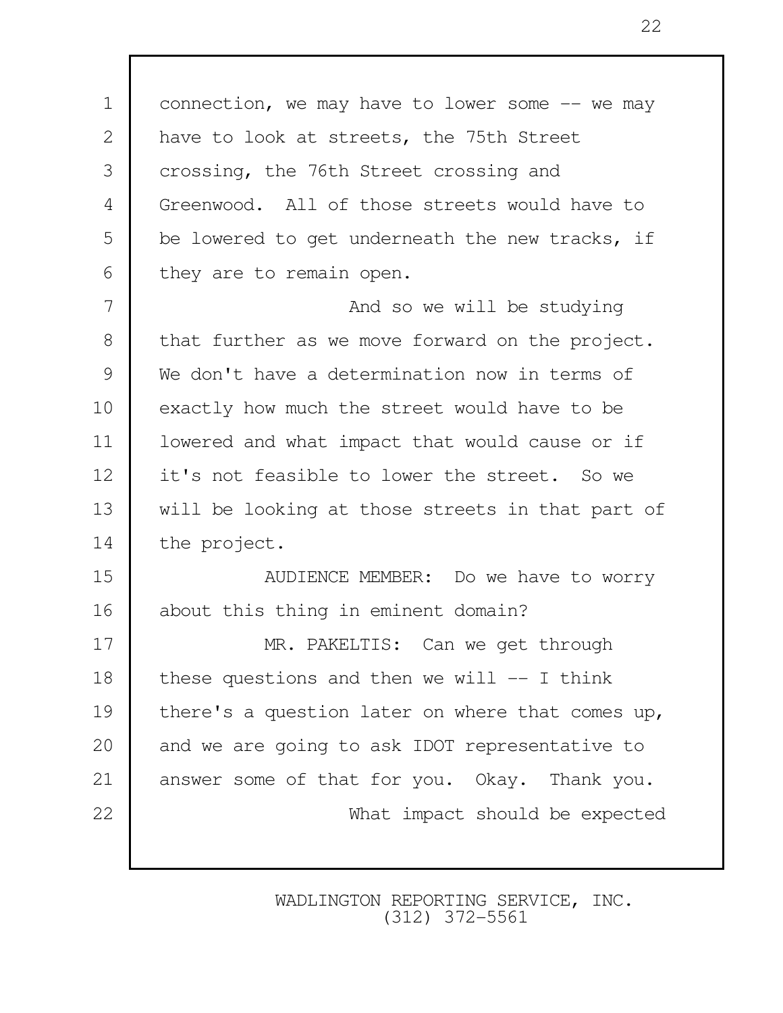1 connection, we may have to lower some -- we may 2 | have to look at streets, the 75th Street 3 crossing, the 76th Street crossing and 4 Greenwood. All of those streets would have to 5 be lowered to get underneath the new tracks, if 6 they are to remain open. 7 and so we will be studying 8 that further as we move forward on the project. 9 We don't have a determination now in terms of 10 exactly how much the street would have to be 11 lowered and what impact that would cause or if 12 it's not feasible to lower the street. So we 13 will be looking at those streets in that part of 14 the project. 15 **I** AUDIENCE MEMBER: Do we have to worry 16 about this thing in eminent domain? 17 | MR. PAKELTIS: Can we get through 18 | these questions and then we will  $-$  I think 19 | there's a question later on where that comes up, 20 and we are going to ask IDOT representative to 21 answer some of that for you. Okay. Thank you. 22 What impact should be expected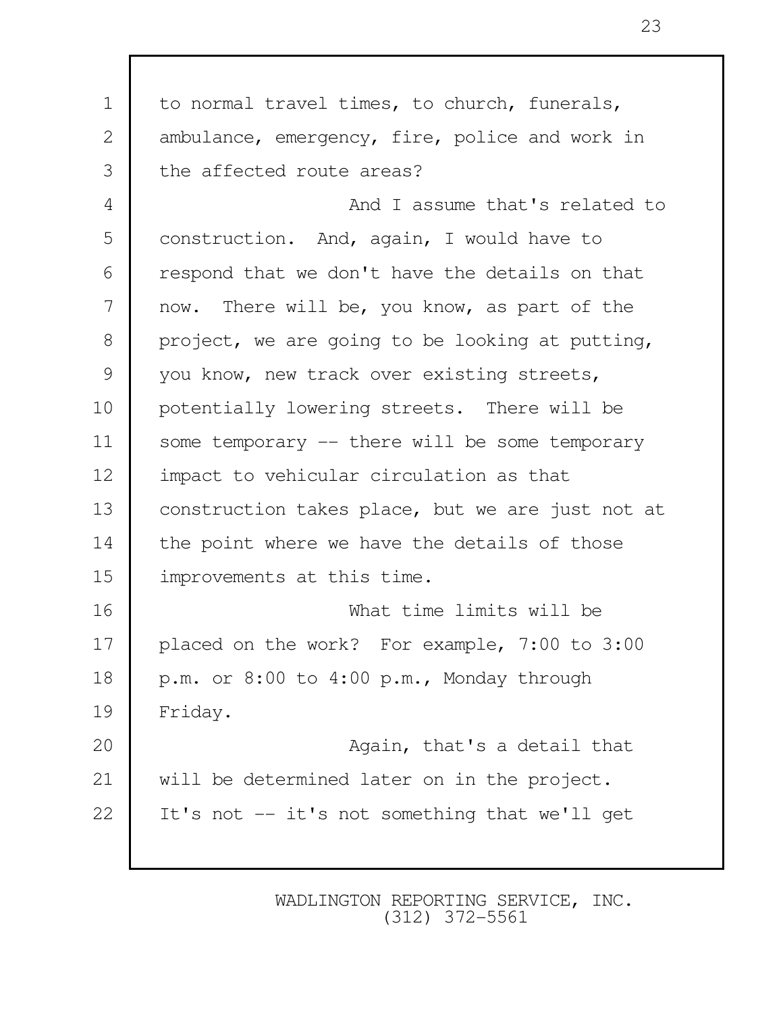| $\mathbf 1$ | to normal travel times, to church, funerals,     |
|-------------|--------------------------------------------------|
| 2           | ambulance, emergency, fire, police and work in   |
| 3           | the affected route areas?                        |
| 4           | And I assume that's related to                   |
| 5           | construction. And, again, I would have to        |
| 6           | respond that we don't have the details on that   |
| 7           | now. There will be, you know, as part of the     |
| 8           | project, we are going to be looking at putting,  |
| 9           | you know, new track over existing streets,       |
| 10          | potentially lowering streets. There will be      |
| 11          | some temporary -- there will be some temporary   |
| 12          | impact to vehicular circulation as that          |
| 13          | construction takes place, but we are just not at |
| 14          | the point where we have the details of those     |
| 15          | improvements at this time.                       |
| 16          | What time limits will be                         |
| 17          | placed on the work? For example, 7:00 to 3:00    |
| 18          | p.m. or 8:00 to 4:00 p.m., Monday through        |
| 19          | Friday.                                          |
| 20          | Again, that's a detail that                      |
| 21          | will be determined later on in the project.      |
| 22          | It's not -- it's not something that we'll get    |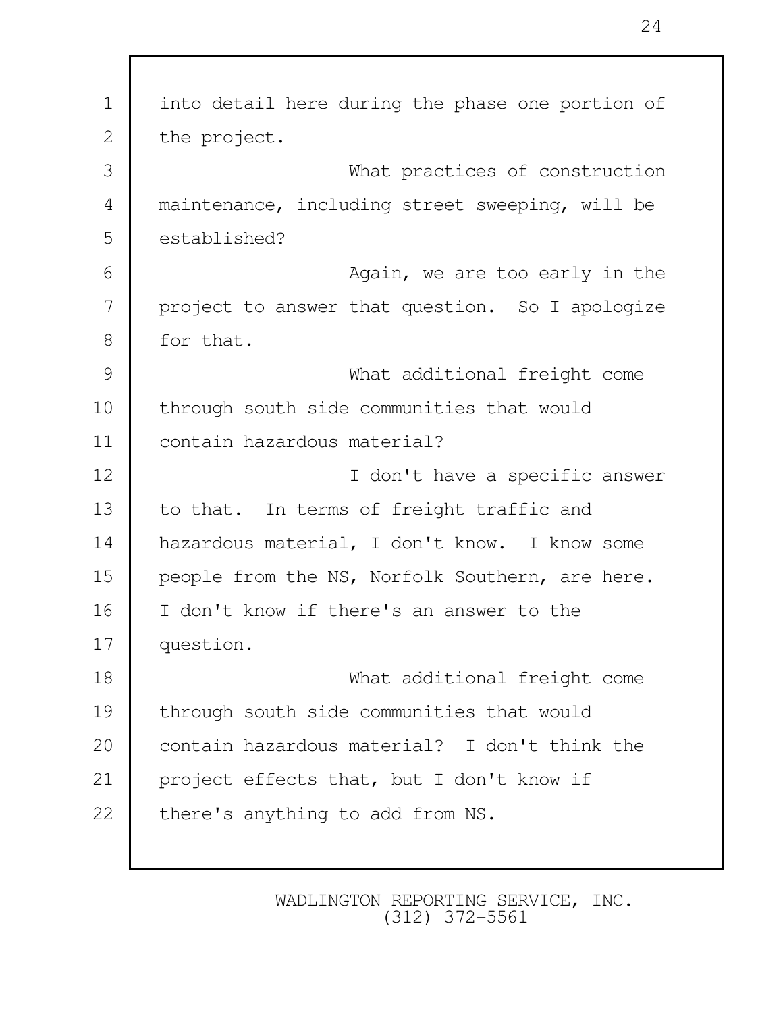| $\mathbf 1$    | into detail here during the phase one portion of |
|----------------|--------------------------------------------------|
| 2              | the project.                                     |
| 3              | What practices of construction                   |
| $\overline{4}$ | maintenance, including street sweeping, will be  |
| 5              | established?                                     |
| 6              | Again, we are too early in the                   |
| 7              | project to answer that question. So I apologize  |
| 8              | for that.                                        |
| $\mathcal{G}$  | What additional freight come                     |
| 10             | through south side communities that would        |
| 11             | contain hazardous material?                      |
| 12             | I don't have a specific answer                   |
| 13             | to that. In terms of freight traffic and         |
| 14             | hazardous material, I don't know. I know some    |
| 15             | people from the NS, Norfolk Southern, are here.  |
| 16             | I don't know if there's an answer to the         |
| 17             | question.                                        |
| 18             | What additional freight come                     |
| 19             | through south side communities that would        |
| 20             | contain hazardous material? I don't think the    |
| 21             | project effects that, but I don't know if        |
| 22             | there's anything to add from NS.                 |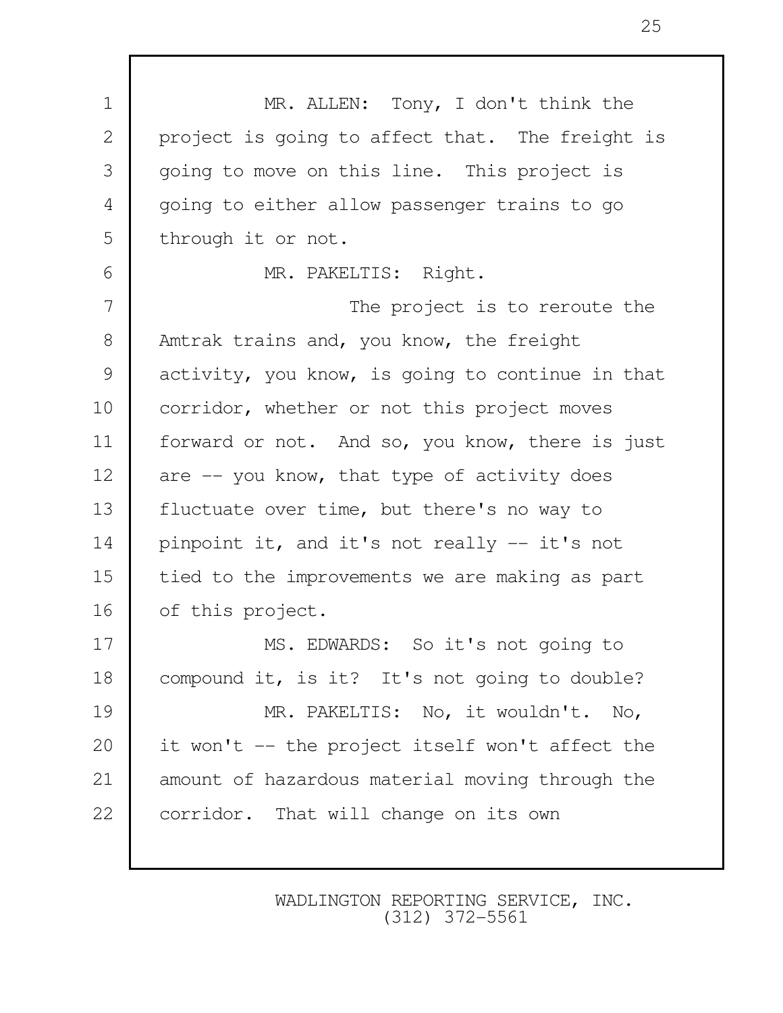1 MR. ALLEN: Tony, I don't think the 2 project is going to affect that. The freight is 3 going to move on this line. This project is 4 | going to either allow passenger trains to go 5 | through it or not. 6 MR. PAKELTIS: Right. 7 The project is to reroute the 8 Amtrak trains and, you know, the freight 9 activity, you know, is going to continue in that 10 corridor, whether or not this project moves 11 | forward or not. And so, you know, there is just 12 are -- you know, that type of activity does 13 fluctuate over time, but there's no way to 14 pinpoint it, and it's not really -- it's not 15 tied to the improvements we are making as part 16 of this project. 17 | MS. EDWARDS: So it's not going to 18 compound it, is it? It's not going to double? 19 MR. PAKELTIS: No, it wouldn't. No, 20 | it won't -- the project itself won't affect the 21 amount of hazardous material moving through the 22 corridor. That will change on its own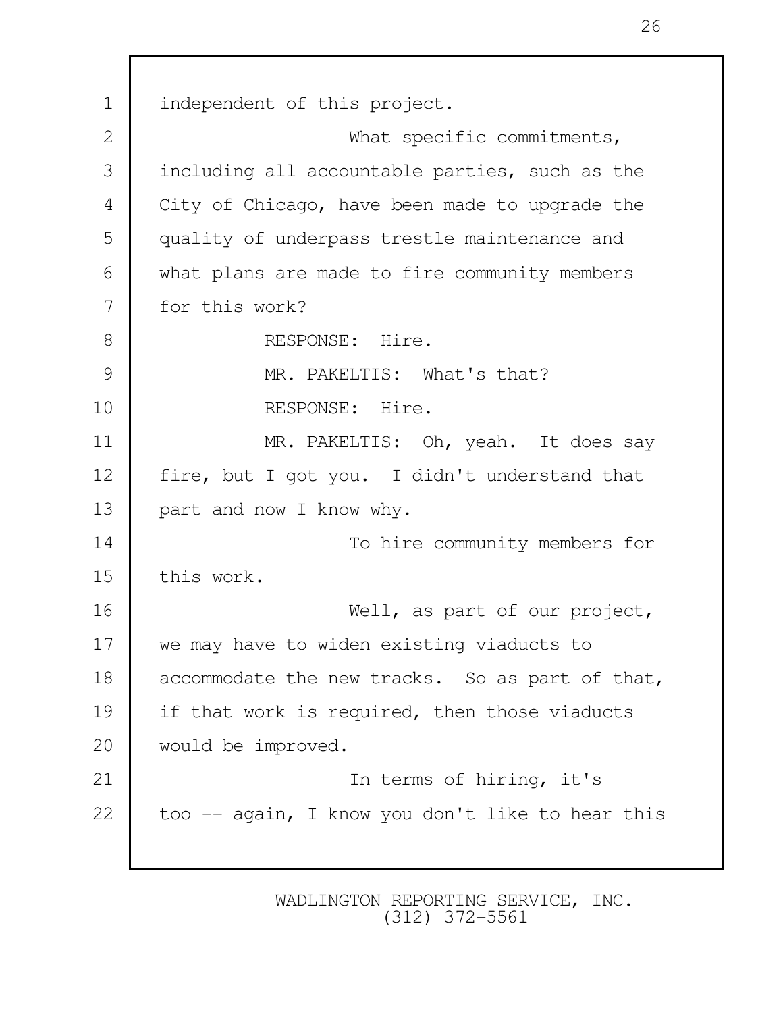1 independent of this project. 2 What specific commitments, 3 including all accountable parties, such as the 4 City of Chicago, have been made to upgrade the 5 quality of underpass trestle maintenance and 6 what plans are made to fire community members 7 for this work? 8 RESPONSE: Hire. 9 MR. PAKELTIS: What's that? 10 | RESPONSE: Hire. 11 | MR. PAKELTIS: Oh, yeah. It does say 12 fire, but I got you. I didn't understand that 13 part and now I know why. 14 To hire community members for 15 this work. 16 Well, as part of our project, 17 we may have to widen existing viaducts to 18 accommodate the new tracks. So as part of that, 19 if that work is required, then those viaducts 20 would be improved. 21 In terms of hiring, it's 22 too  $-$  again, I know you don't like to hear this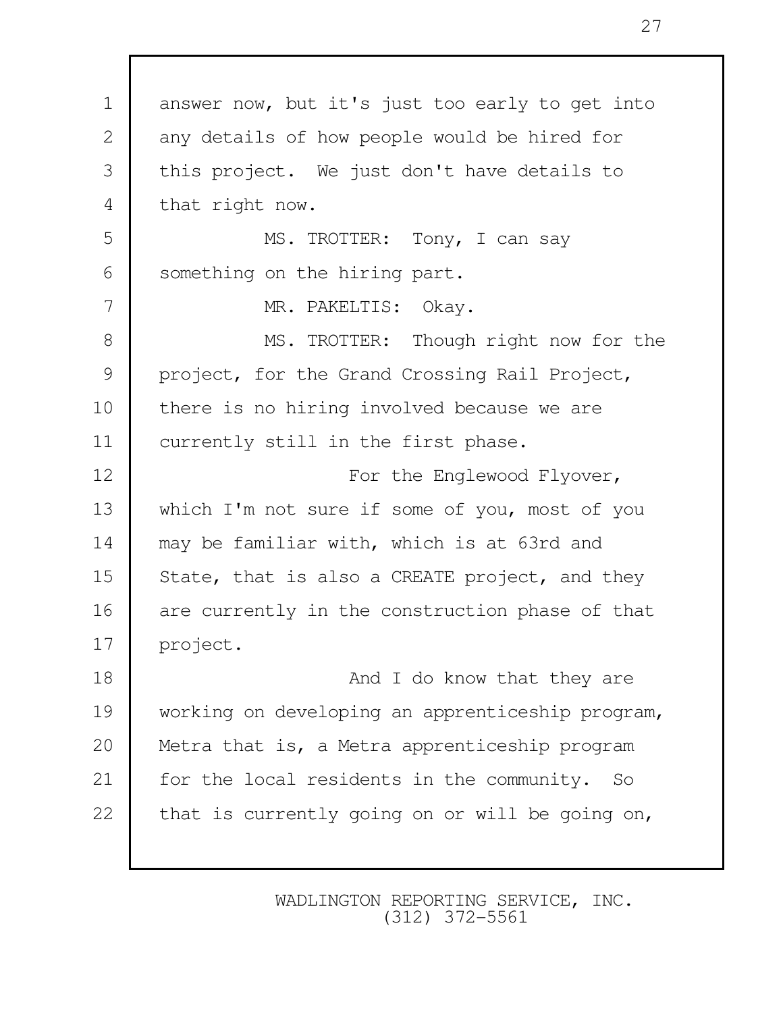1 answer now, but it's just too early to get into 2 any details of how people would be hired for 3 this project. We just don't have details to 4 | that right now. 5 MS. TROTTER: Tony, I can say 6 something on the hiring part. 7 MR. PAKELTIS: Okav. 8 MS. TROTTER: Though right now for the 9 project, for the Grand Crossing Rail Project, 10 there is no hiring involved because we are 11 | currently still in the first phase. 12 | For the Englewood Flyover, 13 which I'm not sure if some of you, most of you 14 may be familiar with, which is at 63rd and 15 | State, that is also a CREATE project, and they 16 are currently in the construction phase of that 17 | project. 18 and I do know that they are 19 working on developing an apprenticeship program, 20 Metra that is, a Metra apprenticeship program 21 for the local residents in the community. So 22 that is currently going on or will be going on,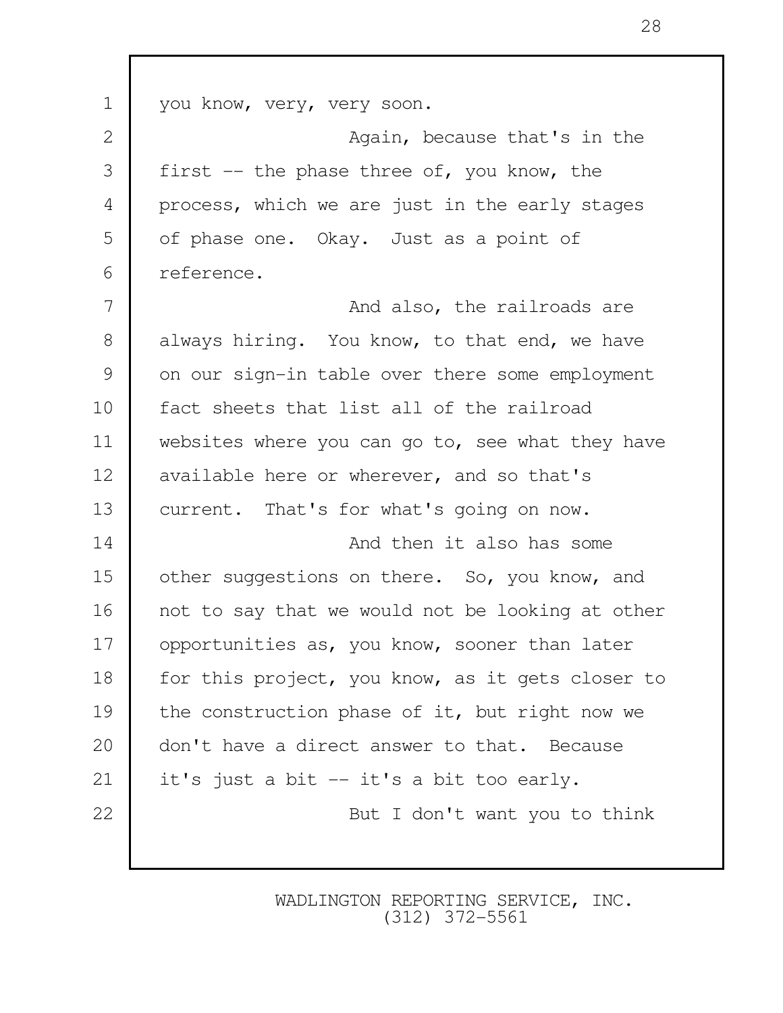1 you know, very, very soon. 2 **Again**, because that's in the 3 first -- the phase three of, you know, the 4 process, which we are just in the early stages 5 of phase one. Okay. Just as a point of 6 reference. 7 and also, the railroads are 8 always hiring. You know, to that end, we have 9 on our sign-in table over there some employment 10 fact sheets that list all of the railroad 11 websites where you can go to, see what they have 12 available here or wherever, and so that's 13 current. That's for what's going on now. 14 **And then it also has some** 15 other suggestions on there. So, you know, and 16 not to say that we would not be looking at other 17 | opportunities as, you know, sooner than later 18 | for this project, you know, as it gets closer to 19 the construction phase of it, but right now we 20 don't have a direct answer to that. Because 21 | it's just a bit -- it's a bit too early. 22 | Rut I don't want you to think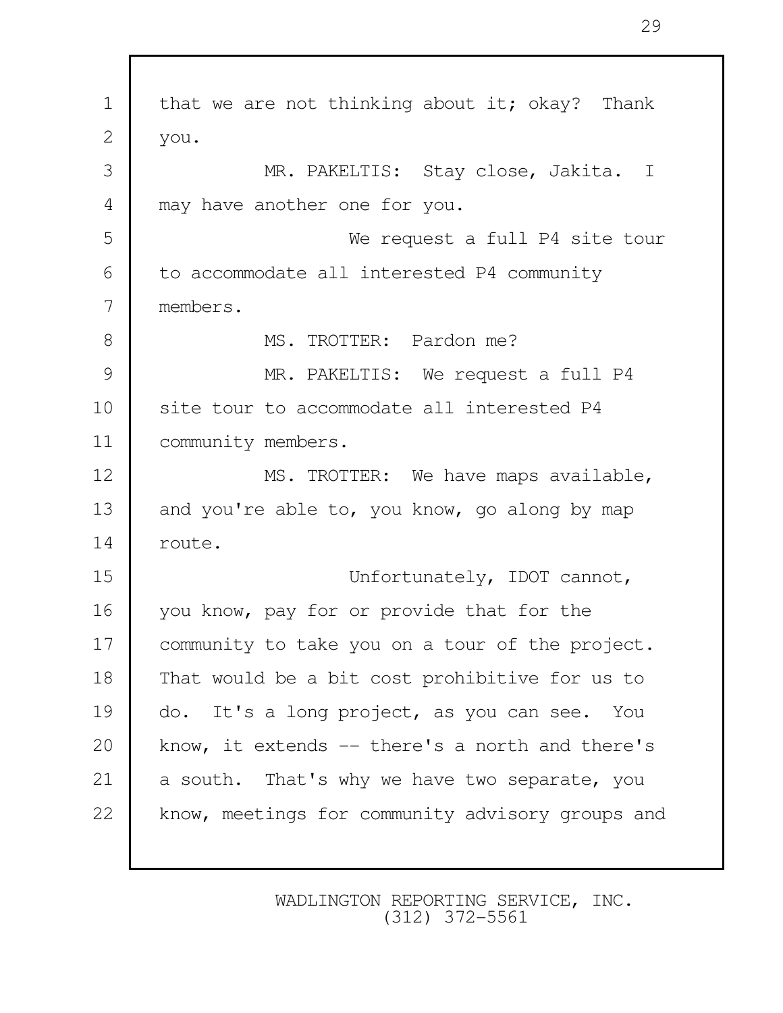| $\mathbf 1$    | that we are not thinking about it; okay? Thank   |
|----------------|--------------------------------------------------|
| 2              | you.                                             |
| 3              | MR. PAKELTIS: Stay close, Jakita. I              |
| $\overline{4}$ | may have another one for you.                    |
| 5              | We request a full P4 site tour                   |
| 6              | to accommodate all interested P4 community       |
| 7              | members.                                         |
| 8              | MS. TROTTER: Pardon me?                          |
| 9              | MR. PAKELTIS: We request a full P4               |
| 10             | site tour to accommodate all interested P4       |
| 11             | community members.                               |
| 12             | MS. TROTTER: We have maps available,             |
| 13             | and you're able to, you know, go along by map    |
| 14             | route.                                           |
| 15             | Unfortunately, IDOT cannot,                      |
| 16             | you know, pay for or provide that for the        |
| 17             | community to take you on a tour of the project.  |
| 18             | That would be a bit cost prohibitive for us to   |
| 19             | do. It's a long project, as you can see. You     |
| 20             | know, it extends -- there's a north and there's  |
| 21             | a south. That's why we have two separate, you    |
| 22             | know, meetings for community advisory groups and |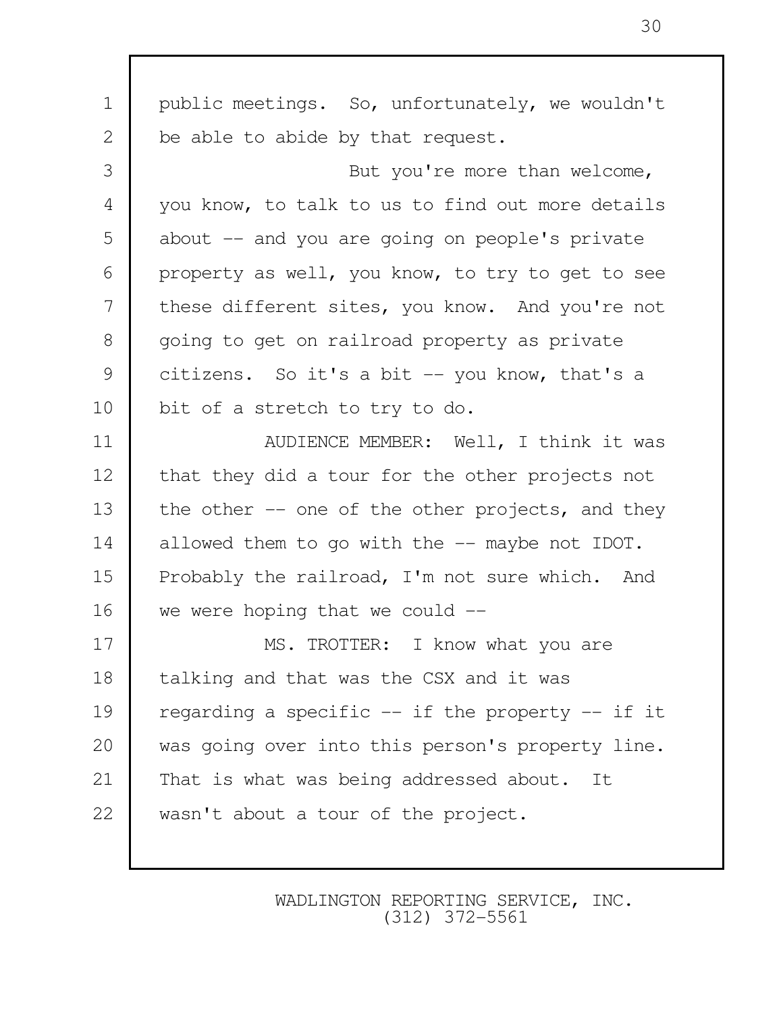1 | public meetings. So, unfortunately, we wouldn't 2 be able to abide by that request. 3 But you're more than welcome, 4 you know, to talk to us to find out more details 5 about -- and you are going on people's private 6 | property as well, you know, to try to get to see 7 these different sites, you know. And you're not 8 going to get on railroad property as private 9 citizens. So it's a bit -- you know, that's a 10 bit of a stretch to try to do. 11 NUDIENCE MEMBER: Well, I think it was 12 | that they did a tour for the other projects not 13 the other  $-$  one of the other projects, and they 14 allowed them to go with the -- maybe not IDOT. 15 Probably the railroad, I'm not sure which. And 16 we were hoping that we could  $-$ 17 MS. TROTTER: I know what you are 18 talking and that was the CSX and it was 19 | regarding a specific  $-$  if the property  $-$  if it 20 was going over into this person's property line. 21 That is what was being addressed about. It 22 wasn't about a tour of the project.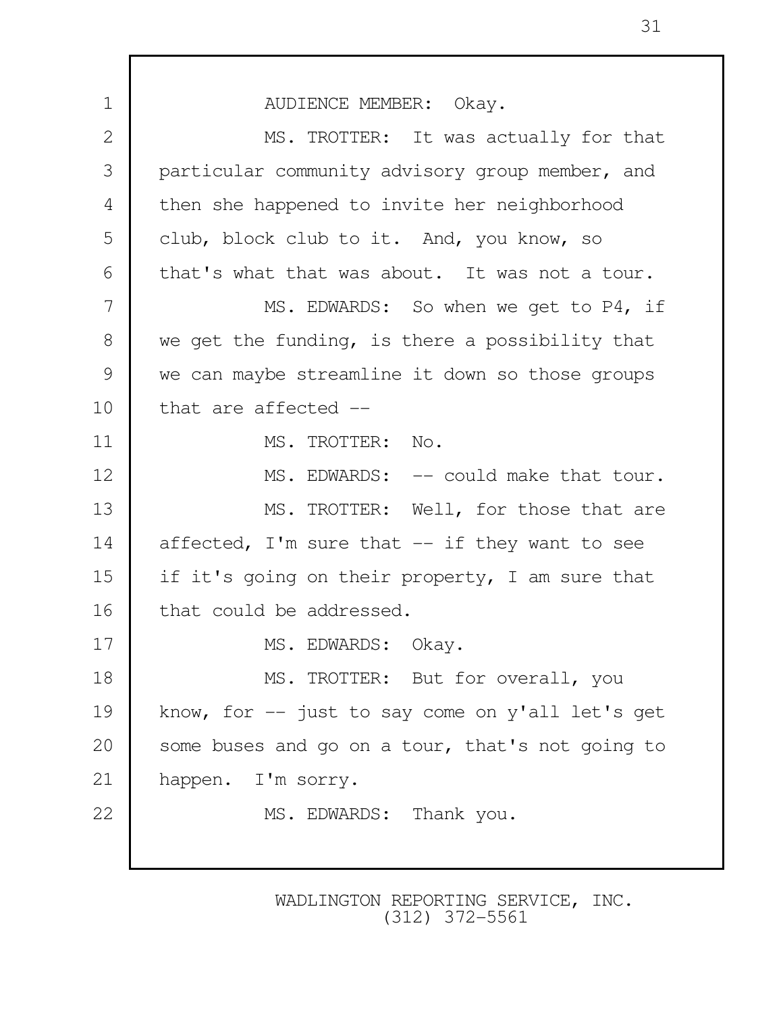1 AUDIENCE MEMBER: Okay. 2 MS. TROTTER: It was actually for that 3 particular community advisory group member, and 4 then she happened to invite her neighborhood 5 club, block club to it. And, you know, so 6 that's what that was about. It was not a tour. 7 MS. EDWARDS: So when we get to P4, if 8 we get the funding, is there a possibility that 9 we can maybe streamline it down so those groups 10 that are affected --11 | MS. TROTTER: No. 12 MS. EDWARDS: -- could make that tour. 13 MS. TROTTER: Well, for those that are 14 affected, I'm sure that -- if they want to see 15 | if it's going on their property, I am sure that 16 that could be addressed. 17 MS. EDWARDS: Okay. 18 | MS. TROTTER: But for overall, you 19 know, for -- just to say come on y'all let's get 20 | some buses and go on a tour, that's not going to 21 happen. I'm sorry. 22 MS. EDWARDS: Thank you.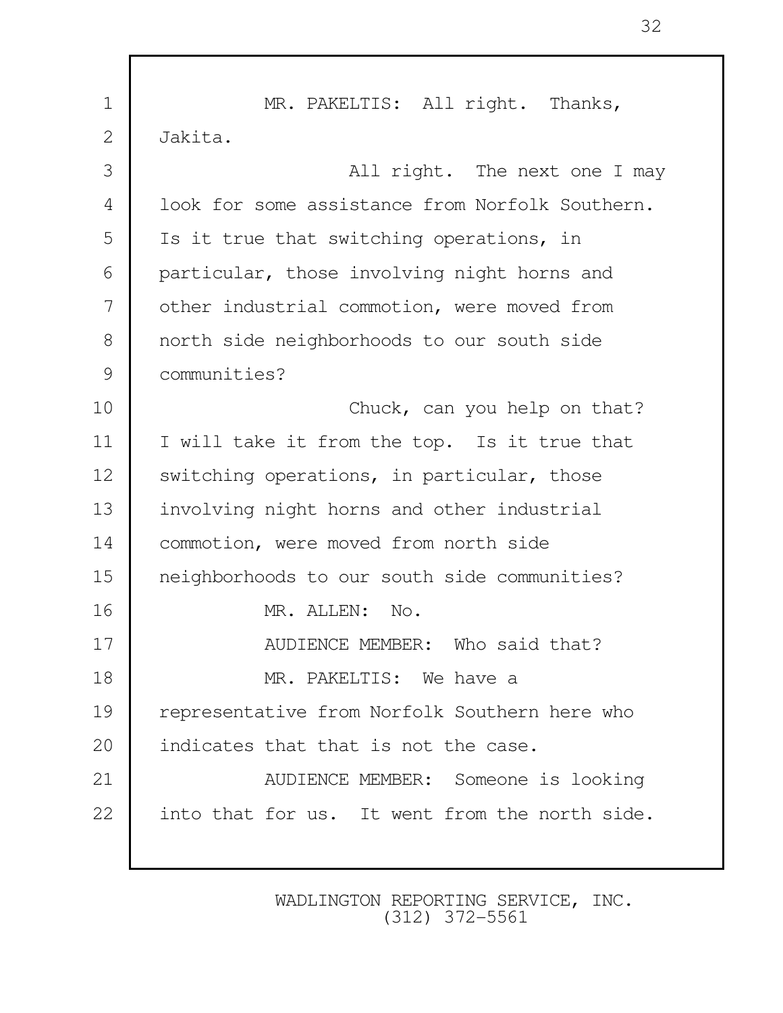| $\mathbf 1$    | MR. PAKELTIS: All right. Thanks,                |
|----------------|-------------------------------------------------|
| $\mathbf{2}$   | Jakita.                                         |
| 3              | All right. The next one I may                   |
| $\overline{4}$ | look for some assistance from Norfolk Southern. |
| 5              | Is it true that switching operations, in        |
| 6              | particular, those involving night horns and     |
| 7              | other industrial commotion, were moved from     |
| 8              | north side neighborhoods to our south side      |
| 9              | communities?                                    |
| 10             | Chuck, can you help on that?                    |
| 11             | I will take it from the top. Is it true that    |
| 12             | switching operations, in particular, those      |
| 13             | involving night horns and other industrial      |
| 14             | commotion, were moved from north side           |
| 15             | neighborhoods to our south side communities?    |
| 16             | MR. ALLEN:<br>No.                               |
| 17             | AUDIENCE MEMBER: Who said that?                 |
| 18             | MR. PAKELTIS: We have a                         |
| 19             | representative from Norfolk Southern here who   |
| 20             | indicates that that is not the case.            |
| 21             | AUDIENCE MEMBER: Someone is looking             |
| 22             | into that for us. It went from the north side.  |
|                |                                                 |

WADLINGTON REPORTING SERVICE, INC. (312) 372-5561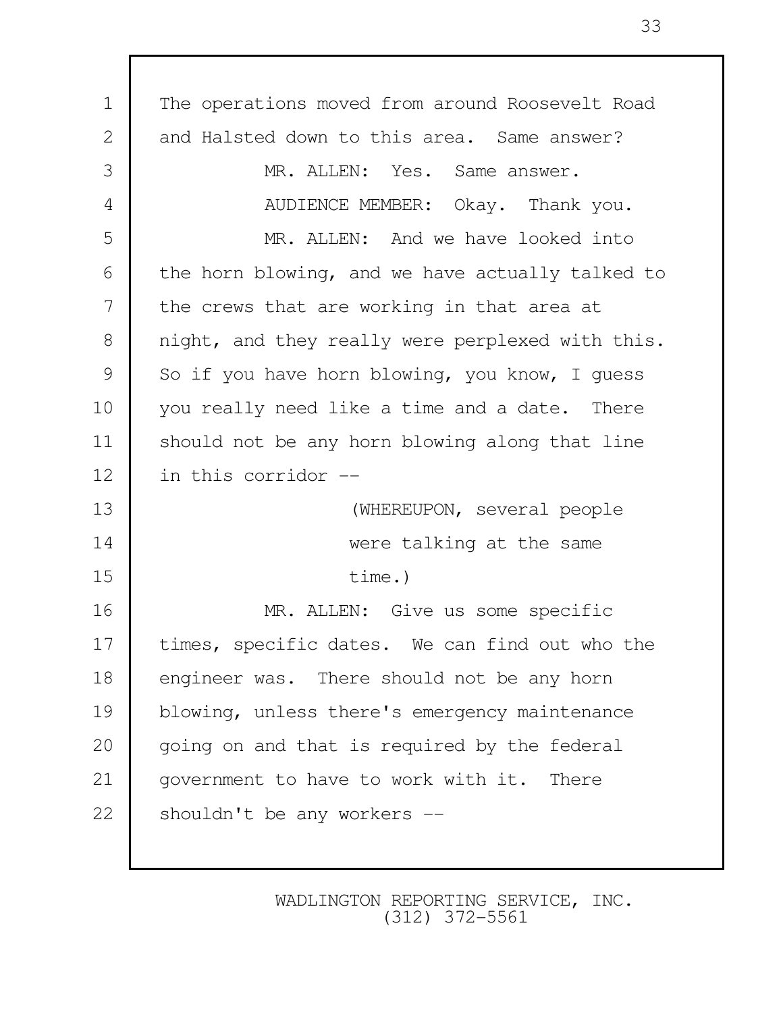| $\mathbf 1$ | The operations moved from around Roosevelt Road  |
|-------------|--------------------------------------------------|
| 2           | and Halsted down to this area. Same answer?      |
| 3           | MR. ALLEN: Yes. Same answer.                     |
| 4           | AUDIENCE MEMBER: Okay. Thank you.                |
| 5           | MR. ALLEN: And we have looked into               |
| 6           | the horn blowing, and we have actually talked to |
| 7           | the crews that are working in that area at       |
| 8           | night, and they really were perplexed with this. |
| 9           | So if you have horn blowing, you know, I quess   |
| 10          | you really need like a time and a date. There    |
| 11          | should not be any horn blowing along that line   |
| 12          | in this corridor --                              |
| 13          | (WHEREUPON, several people                       |
| 14          | were talking at the same                         |
| 15          | time.)                                           |
| 16          | MR. ALLEN: Give us some specific                 |
| 17          | times, specific dates. We can find out who the   |
| 18          | engineer was. There should not be any horn       |
| 19          | blowing, unless there's emergency maintenance    |
| 20          | going on and that is required by the federal     |
| 21          | government to have to work with it. There        |
| 22          | shouldn't be any workers --                      |
|             |                                                  |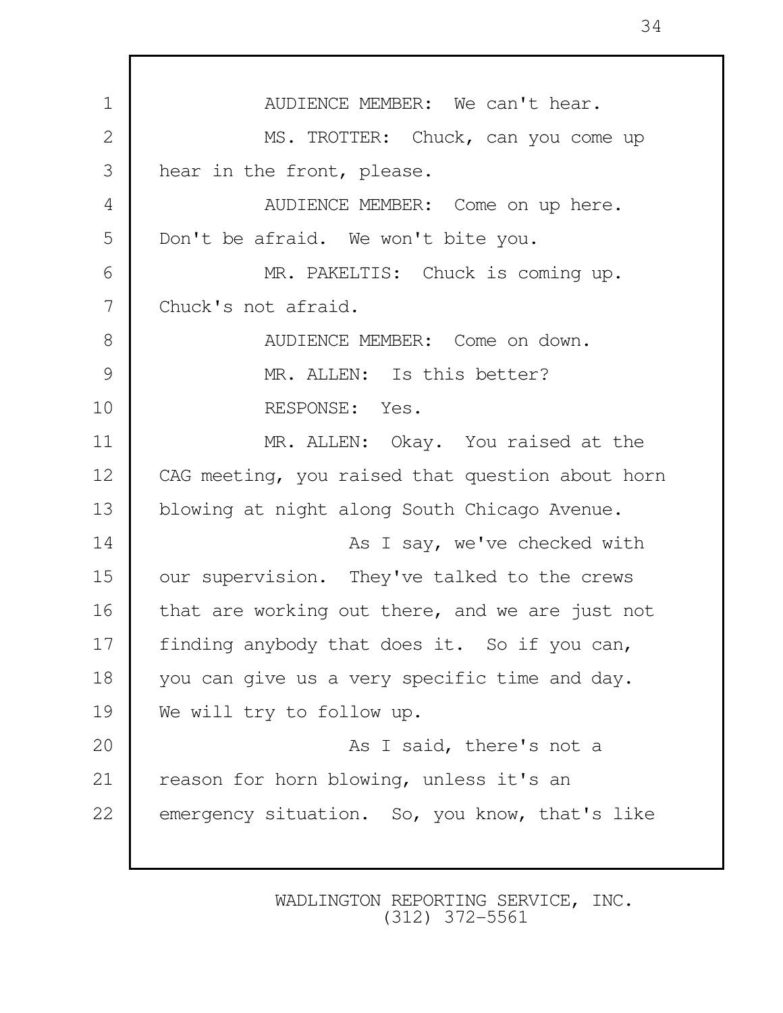1 **I** AUDIENCE MEMBER: We can't hear. 2 MS. TROTTER: Chuck, can you come up 3 hear in the front, please. 4 | AUDIENCE MEMBER: Come on up here. 5 Don't be afraid. We won't bite you. 6 MR. PAKELTIS: Chuck is coming up. 7 Chuck's not afraid. 8 AUDIENCE MEMBER: Come on down. 9 MR. ALLEN: Is this better? 10 RESPONSE: Yes. 11 MR. ALLEN: Okay. You raised at the 12 | CAG meeting, you raised that question about horn 13 | blowing at night along South Chicago Avenue. 14 **As I say, we've checked with** 15 | our supervision. They've talked to the crews 16 | that are working out there, and we are just not 17 | finding anybody that does it. So if you can, 18 you can give us a very specific time and day. 19 We will try to follow up. 20 As I said, there's not a 21 | reason for horn blowing, unless it's an 22 emergency situation. So, you know, that's like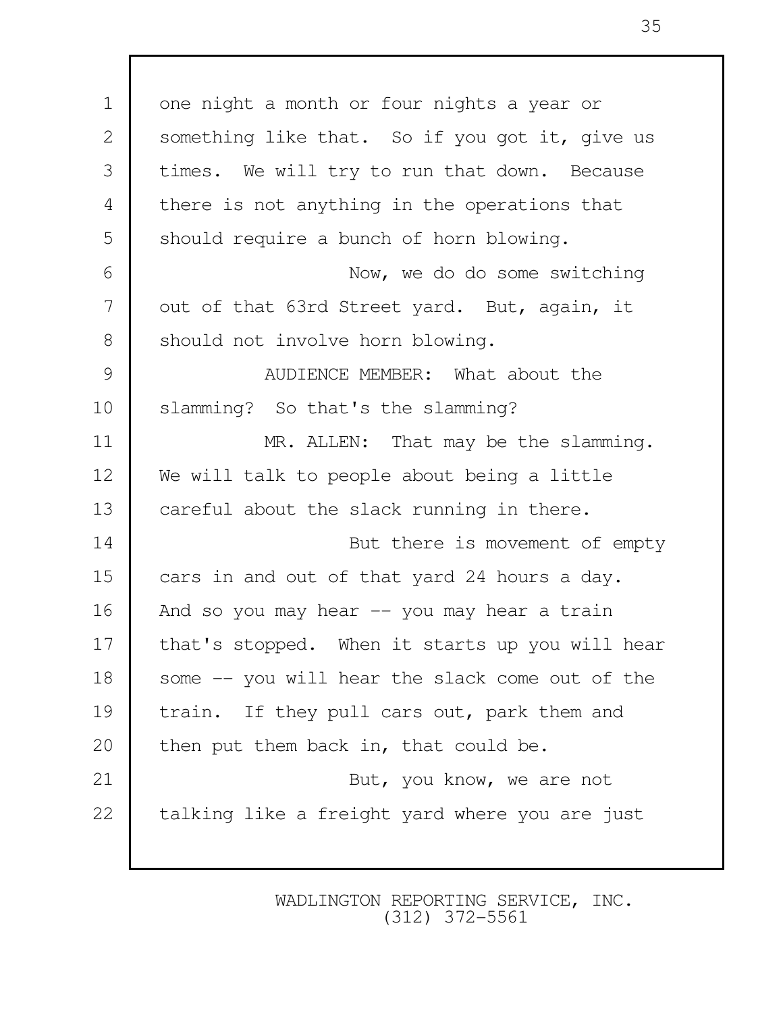1 one night a month or four nights a year or 2 Something like that. So if you got it, give us 3 times. We will try to run that down. Because 4 there is not anything in the operations that 5 Should require a bunch of horn blowing. 6 Now, we do do some switching 7 out of that 63rd Street yard. But, again, it 8 should not involve horn blowing. 9 AUDIENCE MEMBER: What about the 10 slamming? So that's the slamming? 11 MR. ALLEN: That may be the slamming. 12 We will talk to people about being a little 13 careful about the slack running in there. 14 **But there is movement of empty** 15 cars in and out of that yard 24 hours a day. 16 And so you may hear -- you may hear a train 17 | that's stopped. When it starts up you will hear 18 | some -- you will hear the slack come out of the 19 train. If they pull cars out, park them and 20 then put them back in, that could be. 21 | But, you know, we are not 22 talking like a freight yard where you are just

> WADLINGTON REPORTING SERVICE, INC. (312) 372-5561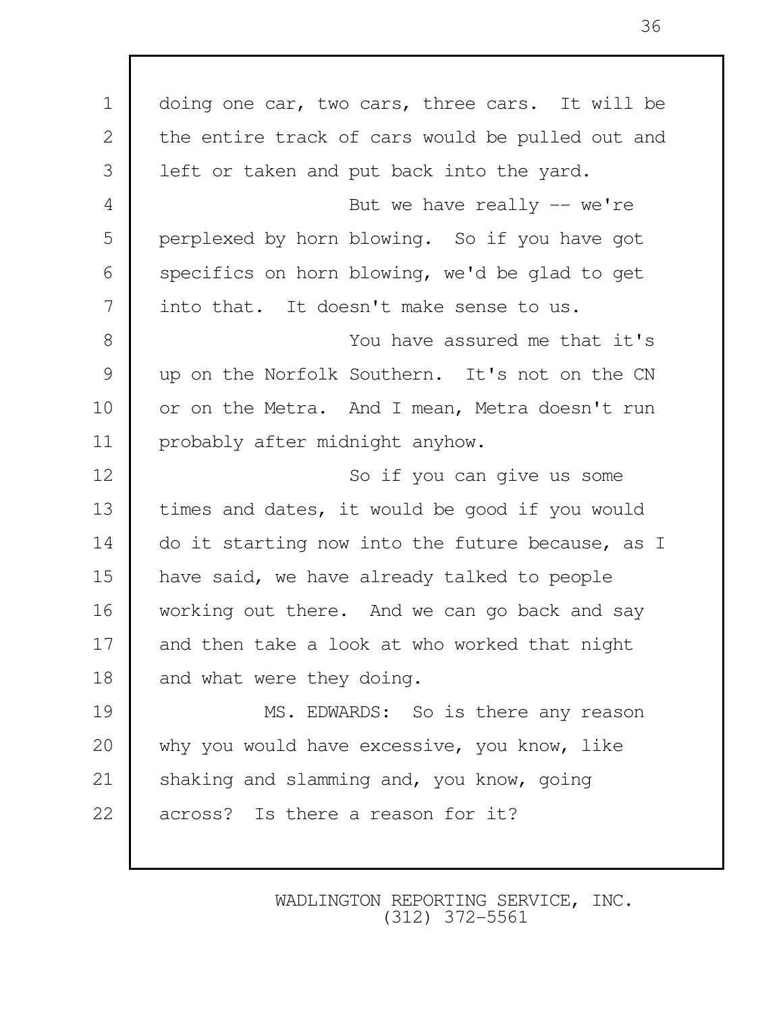1 doing one car, two cars, three cars. It will be 2 the entire track of cars would be pulled out and 3 l left or taken and put back into the vard. 4 But we have really -- we're 5 perplexed by horn blowing. So if you have got 6 specifics on horn blowing, we'd be glad to get 7 into that. It doesn't make sense to us. 8 You have assured me that it's 9 up on the Norfolk Southern. It's not on the CN 10 or on the Metra. And I mean, Metra doesn't run 11 probably after midnight anyhow. 12 So if you can give us some 13 times and dates, it would be good if you would 14 | do it starting now into the future because, as I 15 have said, we have already talked to people 16 working out there. And we can go back and say 17 and then take a look at who worked that night 18 and what were they doing. 19 MS. EDWARDS: So is there any reason 20 why you would have excessive, you know, like 21 Shaking and slamming and, you know, going 22 across? Is there a reason for it?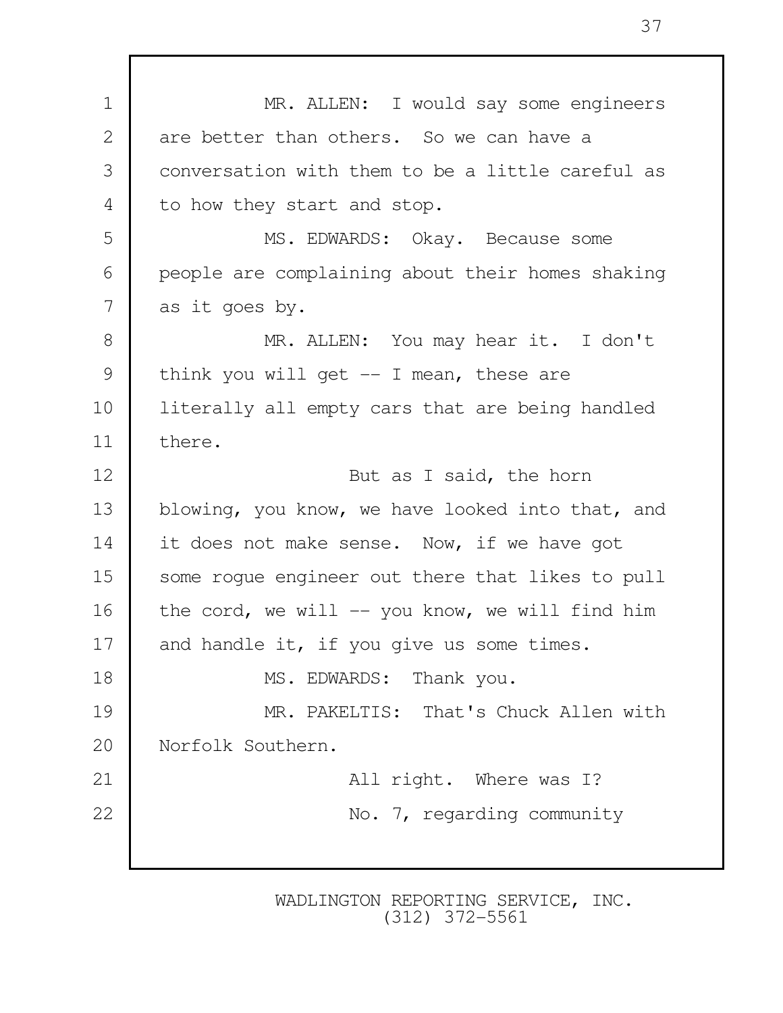1 MR. ALLEN: I would say some engineers 2 are better than others. So we can have a 3 conversation with them to be a little careful as 4 to how they start and stop. 5 | MS. EDWARDS: Okay. Because some 6 people are complaining about their homes shaking 7 as it goes by. 8 MR. ALLEN: You may hear it. I don't 9 | think you will get -- I mean, these are 10 literally all empty cars that are being handled 11 there. 12 **But as I said, the horn** 13 blowing, you know, we have looked into that, and 14 it does not make sense. Now, if we have got 15 Some roque engineer out there that likes to pull 16 | the cord, we will  $-$  you know, we will find him 17 and handle it, if you give us some times. 18 MS. EDWARDS: Thank you. 19 MR. PAKELTIS: That's Chuck Allen with 20 Norfolk Southern. 21 | Reference Contract All right. Where was I? 22 No. 7, regarding community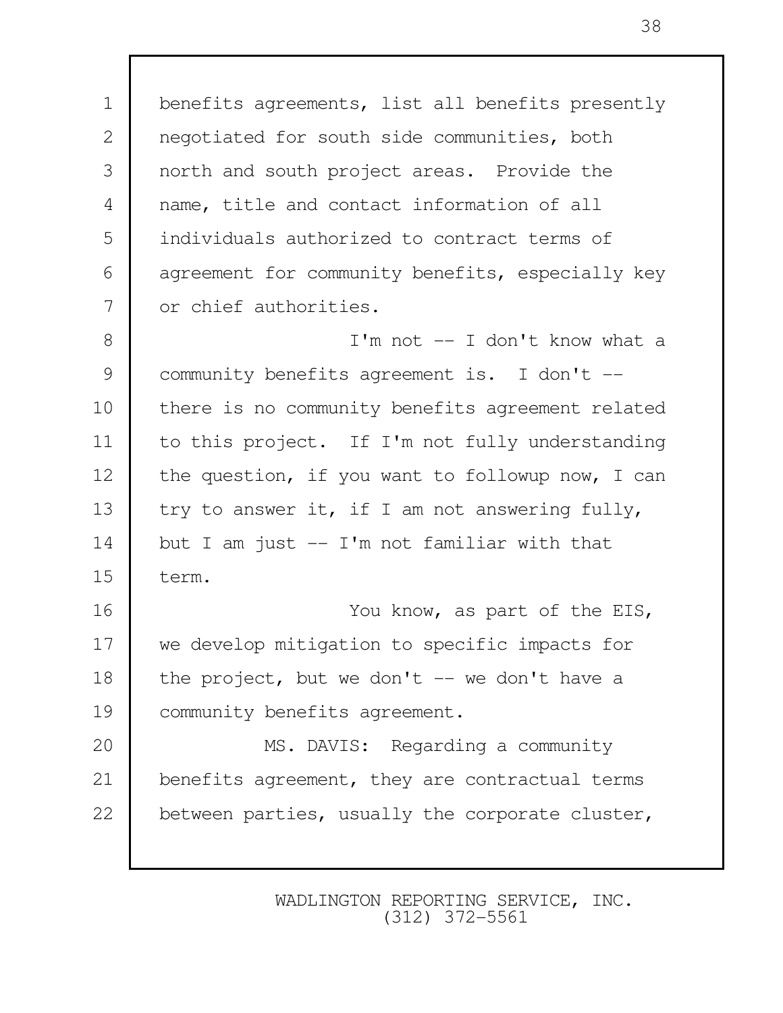1 | benefits agreements, list all benefits presently 2 | negotiated for south side communities, both 3 north and south project areas. Provide the 4 | name, title and contact information of all 5 individuals authorized to contract terms of 6 agreement for community benefits, especially key 7 or chief authorities. 8 I'm not -- I don't know what a 9 | community benefits agreement is. I don't --10 | there is no community benefits agreement related 11 to this project. If I'm not fully understanding 12 | the question, if you want to followup now, I can 13 try to answer it, if I am not answering fully, 14 but I am just -- I'm not familiar with that 15 term. 16 | You know, as part of the EIS, 17 we develop mitigation to specific impacts for 18 | the project, but we don't  $-$  we don't have a 19 | community benefits agreement. 20 MS. DAVIS: Regarding a community 21 benefits agreement, they are contractual terms 22 between parties, usually the corporate cluster,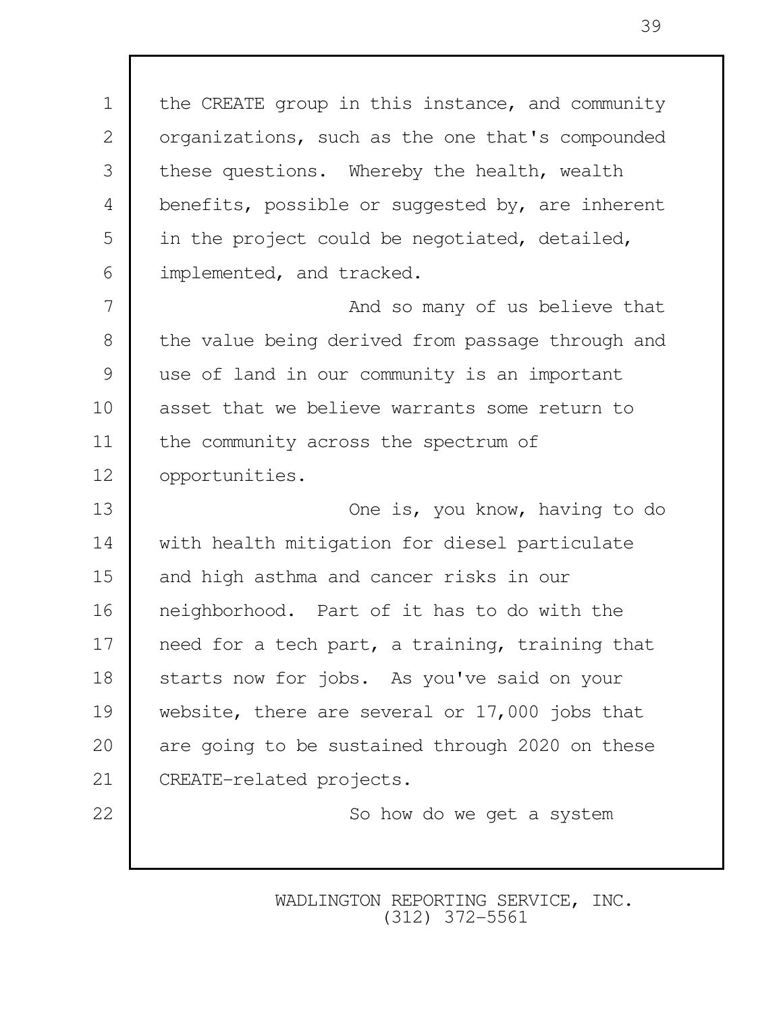1 the CREATE group in this instance, and community 2 | organizations, such as the one that's compounded 3 these questions. Whereby the health, wealth 4 benefits, possible or suggested by, are inherent 5 in the project could be negotiated, detailed, 6 implemented, and tracked.

7 and so many of us believe that 8 the value being derived from passage through and 9 use of land in our community is an important 10 asset that we believe warrants some return to 11 | the community across the spectrum of 12 opportunities.

13 **One is, you know, having to do** 14 with health mitigation for diesel particulate 15 and high asthma and cancer risks in our 16 neighborhood. Part of it has to do with the 17 | need for a tech part, a training, training that 18 Starts now for jobs. As you've said on your 19 website, there are several or 17,000 jobs that 20 | are going to be sustained through 2020 on these 21 CREATE-related projects.

22 So how do we get a system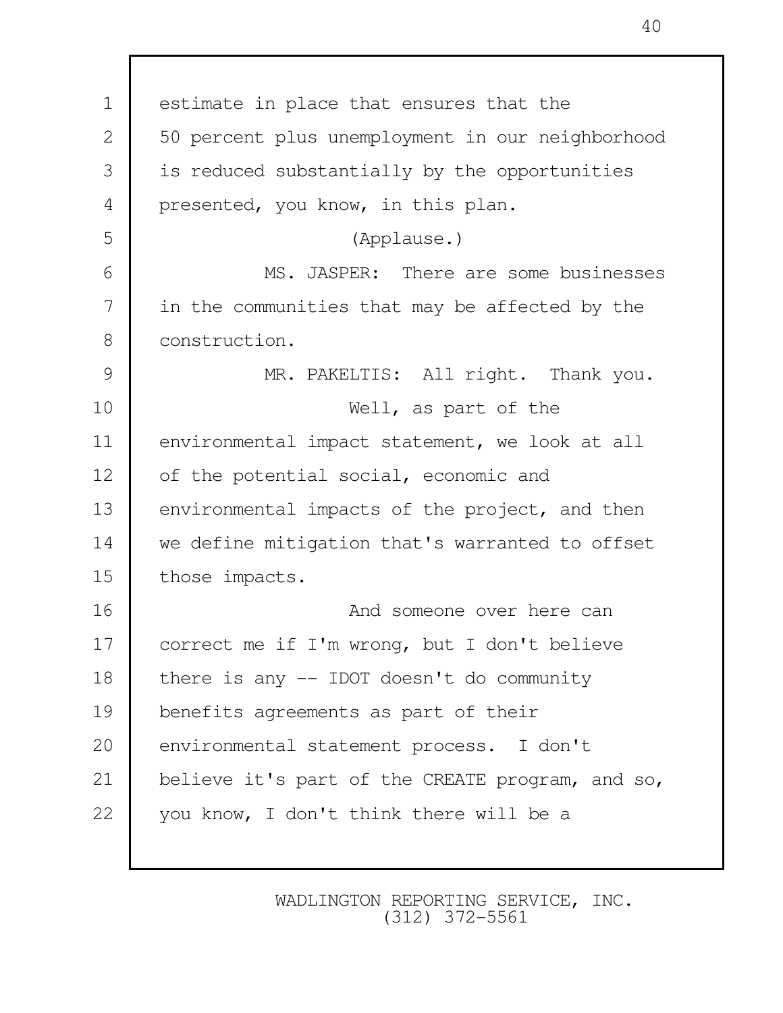| $\mathbf 1$   | estimate in place that ensures that the          |
|---------------|--------------------------------------------------|
| $\mathbf{2}$  | 50 percent plus unemployment in our neighborhood |
| 3             | is reduced substantially by the opportunities    |
| 4             | presented, you know, in this plan.               |
| 5             | (Applause.)                                      |
| 6             | MS. JASPER: There are some businesses            |
| 7             | in the communities that may be affected by the   |
| 8             | construction.                                    |
| $\mathcal{G}$ | MR. PAKELTIS: All right. Thank you.              |
| 10            | Well, as part of the                             |
| 11            | environmental impact statement, we look at all   |
| 12            | of the potential social, economic and            |
| 13            | environmental impacts of the project, and then   |
| 14            | we define mitigation that's warranted to offset  |
| 15            | those impacts.                                   |
| 16            | And someone over here can                        |
| 17            | correct me if I'm wrong, but I don't believe     |
| 18            | there is any $-$ IDOT doesn't do community       |
| 19            | benefits agreements as part of their             |
| 20            | environmental statement process. I don't         |
| 21            | believe it's part of the CREATE program, and so, |
| 22            | you know, I don't think there will be a          |
|               |                                                  |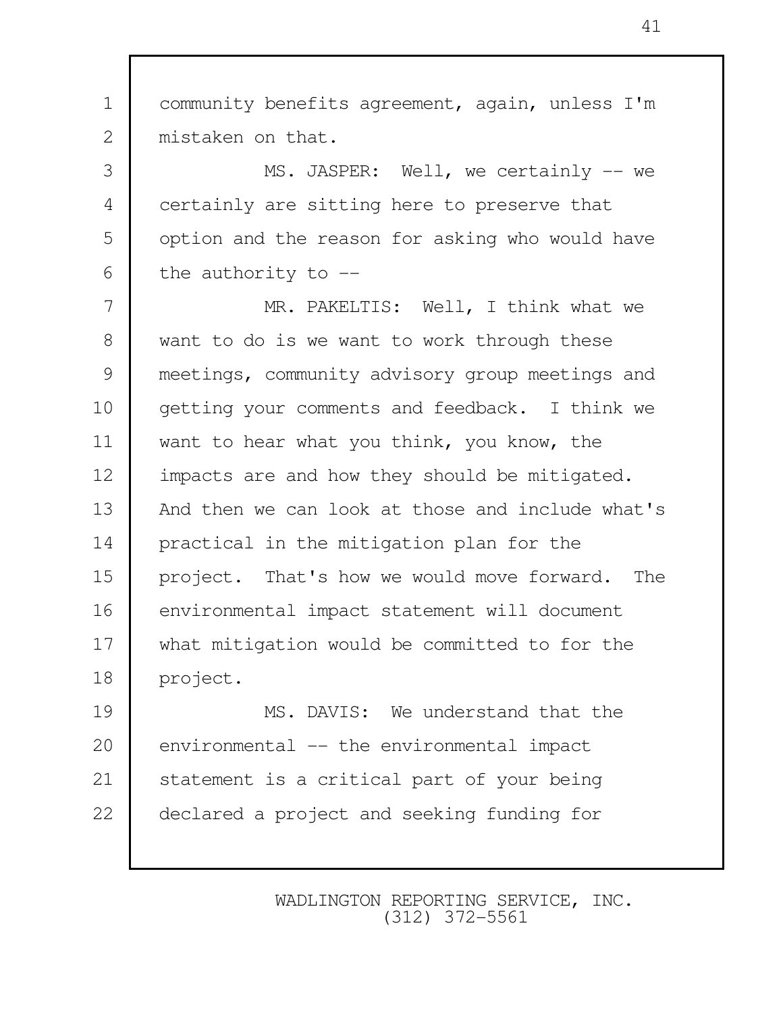1 community benefits agreement, again, unless I'm 2 mistaken on that.

3 MS. JASPER: Well, we certainly -- we 4 certainly are sitting here to preserve that 5 | option and the reason for asking who would have  $6$  the authority to  $-$ 

7 MR. PAKELTIS: Well, I think what we 8 want to do is we want to work through these 9 meetings, community advisory group meetings and 10 | getting your comments and feedback. I think we 11 want to hear what you think, you know, the 12 | impacts are and how they should be mitigated. 13 And then we can look at those and include what's 14 practical in the mitigation plan for the 15 project. That's how we would move forward. The 16 environmental impact statement will document 17 what mitigation would be committed to for the 18 project.

19 MS. DAVIS: We understand that the 20 environmental -- the environmental impact 21 statement is a critical part of your being 22 declared a project and seeking funding for

> WADLINGTON REPORTING SERVICE, INC. (312) 372-5561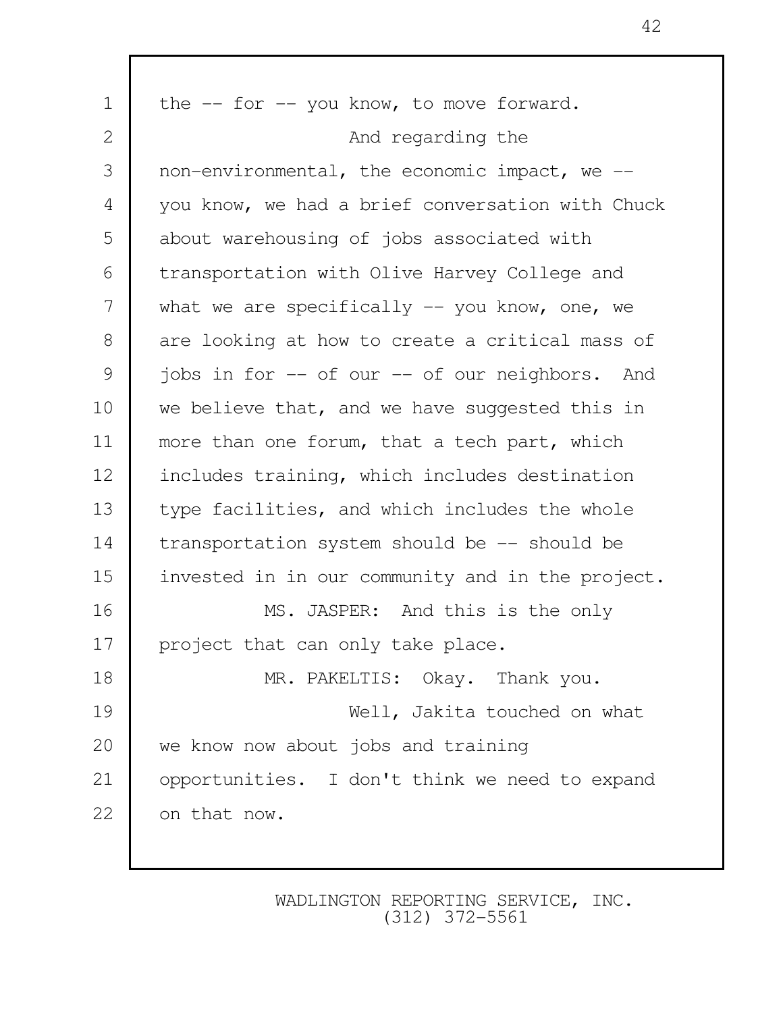| $\mathbf 1$   | the $-$ for $-$ you know, to move forward.       |
|---------------|--------------------------------------------------|
| $\mathbf{2}$  | And regarding the                                |
| 3             | non-environmental, the economic impact, we --    |
| 4             | you know, we had a brief conversation with Chuck |
| 5             | about warehousing of jobs associated with        |
| 6             | transportation with Olive Harvey College and     |
| 7             | what we are specifically $--$ you know, one, we  |
| 8             | are looking at how to create a critical mass of  |
| $\mathcal{G}$ | jobs in for -- of our -- of our neighbors. And   |
| 10            | we believe that, and we have suggested this in   |
| 11            | more than one forum, that a tech part, which     |
| 12            | includes training, which includes destination    |
| 13            | type facilities, and which includes the whole    |
| 14            | transportation system should be -- should be     |
| 15            | invested in in our community and in the project. |
| 16            | MS. JASPER: And this is the only                 |
| 17            | project that can only take place.                |
| 18            | MR. PAKELTIS: Okay. Thank you.                   |
| 19            | Well, Jakita touched on what                     |
| 20            | we know now about jobs and training              |
| 21            | opportunities. I don't think we need to expand   |
| 22            | on that now.                                     |
|               |                                                  |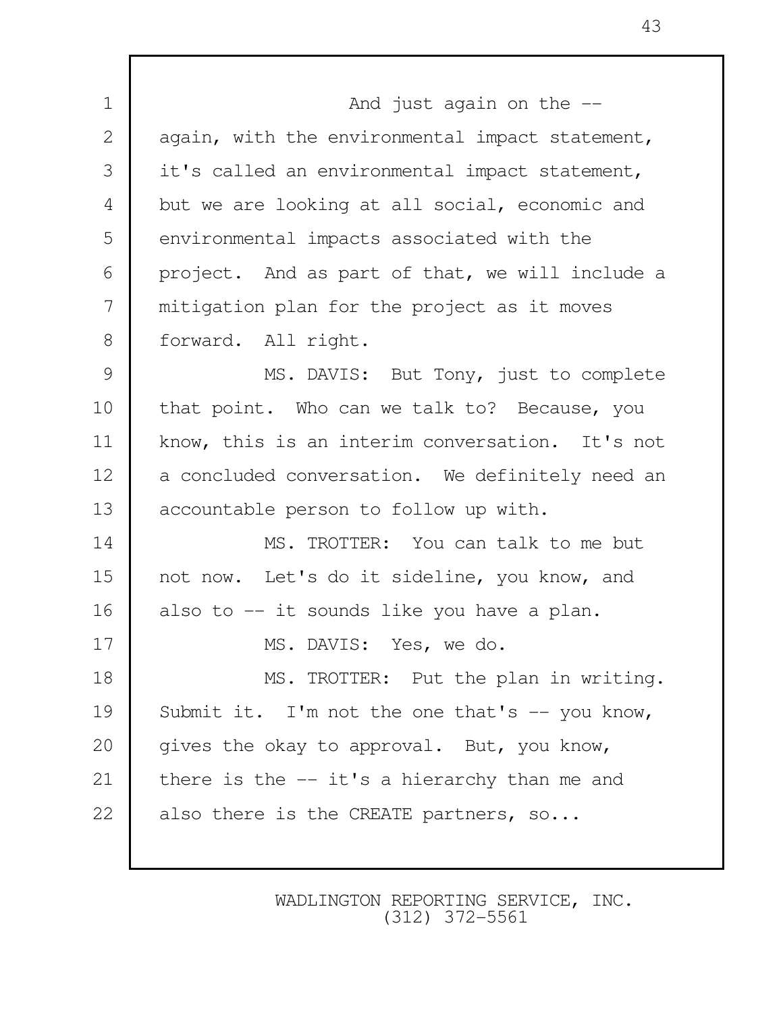1 and just again on the  $-$ 2 again, with the environmental impact statement, 3 it's called an environmental impact statement, 4 but we are looking at all social, economic and 5 environmental impacts associated with the 6 project. And as part of that, we will include a 7 mitigation plan for the project as it moves 8 forward. All right. 9 MS. DAVIS: But Tony, just to complete 10 | that point. Who can we talk to? Because, you 11 know, this is an interim conversation. It's not 12 a concluded conversation. We definitely need an 13 accountable person to follow up with. 14 MS. TROTTER: You can talk to me but 15 | not now. Let's do it sideline, you know, and 16 also to -- it sounds like you have a plan. 17 MS. DAVIS: Yes, we do. 18 | MS. TROTTER: Put the plan in writing. 19 Submit it. I'm not the one that's -- you know, 20 | gives the okay to approval. But, you know, 21 | there is the  $-$  it's a hierarchy than me and 22 also there is the CREATE partners, so...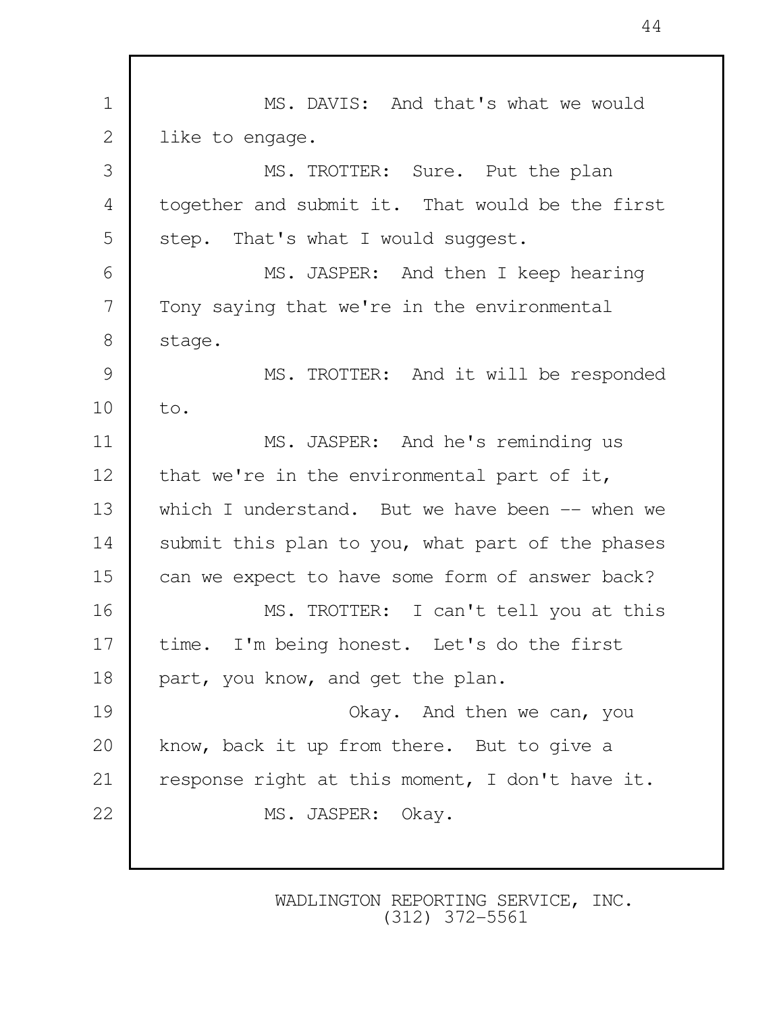1 MS. DAVIS: And that's what we would 2 like to engage. 3 MS. TROTTER: Sure. Put the plan 4 together and submit it. That would be the first 5 step. That's what I would suggest. 6 | MS. JASPER: And then I keep hearing 7 Tony saying that we're in the environmental 8 | stage. 9 MS. TROTTER: And it will be responded 10 to. 11 MS. JASPER: And he's reminding us 12 | that we're in the environmental part of it, 13 which I understand. But we have been -- when we 14 submit this plan to you, what part of the phases 15 can we expect to have some form of answer back? 16 MS. TROTTER: I can't tell you at this 17 | time. I'm being honest. Let's do the first 18 part, you know, and get the plan. 19 Okay. And then we can, you 20 | know, back it up from there. But to give a 21 | response right at this moment, I don't have it. 22 MS. JASPER: Okay.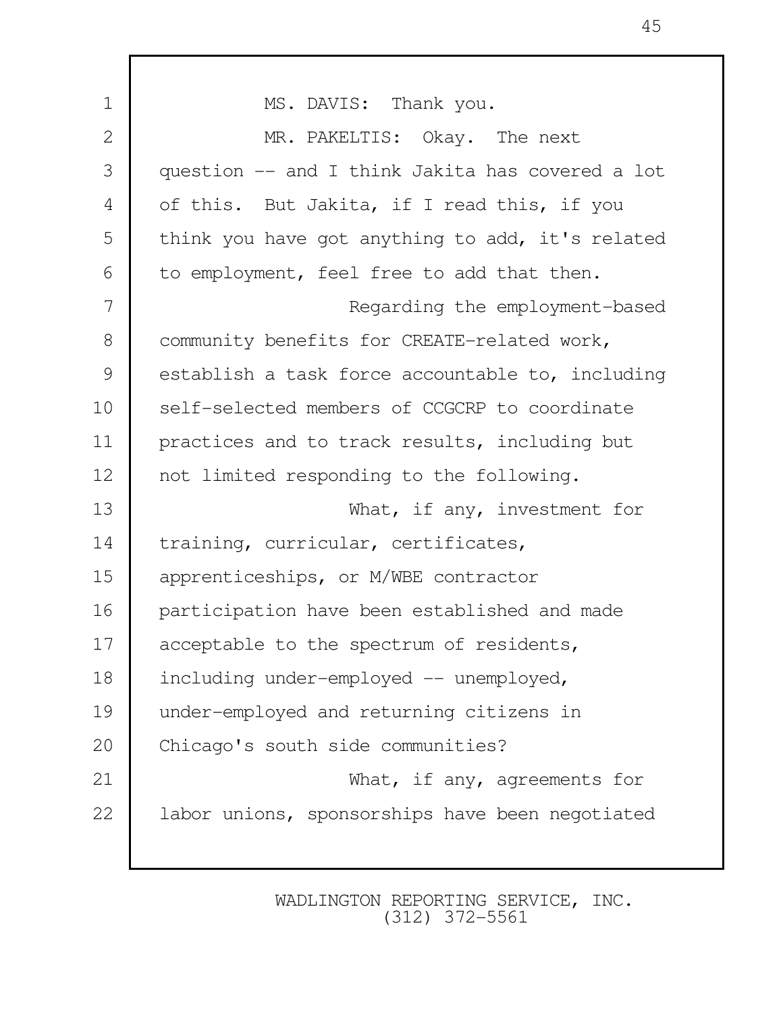| $\mathbf 1$  | MS. DAVIS: Thank you.                            |
|--------------|--------------------------------------------------|
| $\mathbf{2}$ | MR. PAKELTIS: Okay. The next                     |
| 3            | question -- and I think Jakita has covered a lot |
| 4            | of this. But Jakita, if I read this, if you      |
| 5            | think you have got anything to add, it's related |
| 6            | to employment, feel free to add that then.       |
| 7            | Regarding the employment-based                   |
| 8            | community benefits for CREATE-related work,      |
| 9            | establish a task force accountable to, including |
| 10           | self-selected members of CCGCRP to coordinate    |
| 11           | practices and to track results, including but    |
| 12           | not limited responding to the following.         |
| 13           | What, if any, investment for                     |
| 14           | training, curricular, certificates,              |
| 15           | apprenticeships, or M/WBE contractor             |
| 16           | participation have been established and made     |
| 17           | acceptable to the spectrum of residents,         |
| 18           | including under-employed -- unemployed,          |
| 19           | under-employed and returning citizens in         |
| 20           | Chicago's south side communities?                |
| 21           | What, if any, agreements for                     |
| 22           | labor unions, sponsorships have been negotiated  |
|              |                                                  |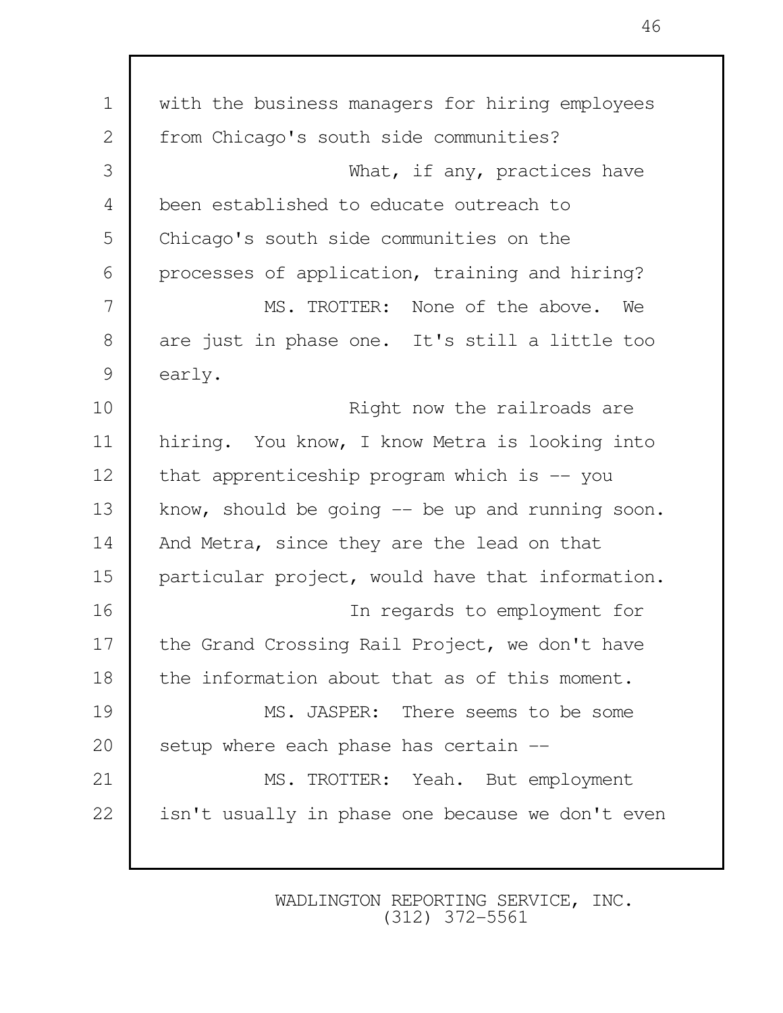1 with the business managers for hiring employees 2 from Chicago's south side communities? 3 What, if any, practices have 4 been established to educate outreach to 5 Chicago's south side communities on the 6 processes of application, training and hiring? 7 | MS. TROTTER: None of the above. We 8 are just in phase one. It's still a little too 9 early. 10 | Right now the railroads are 11 hiring. You know, I know Metra is looking into 12 | that apprenticeship program which is -- you 13 know, should be going -- be up and running soon. 14 | And Metra, since they are the lead on that 15 particular project, would have that information. 16 In regards to employment for 17 | the Grand Crossing Rail Project, we don't have 18 the information about that as of this moment. 19 MS. JASPER: There seems to be some  $20$  setup where each phase has certain  $-$ 21 | MS. TROTTER: Yeah. But employment 22 | isn't usually in phase one because we don't even

> WADLINGTON REPORTING SERVICE, INC. (312) 372-5561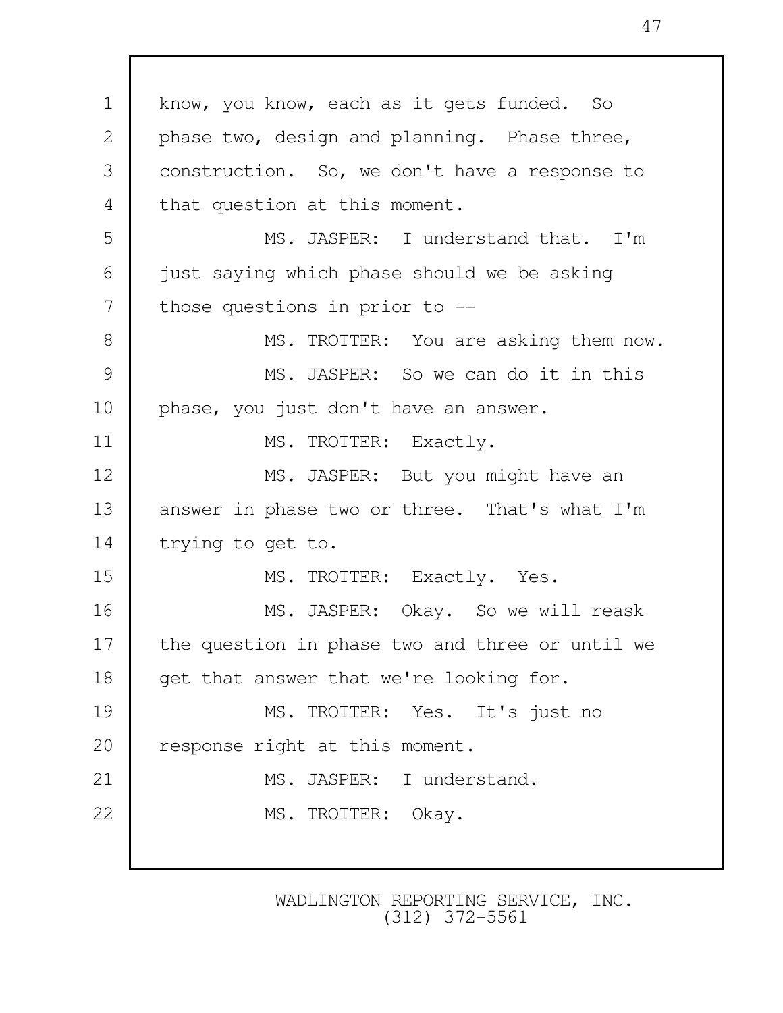| $\mathbf 1$ | know, you know, each as it gets funded. So      |
|-------------|-------------------------------------------------|
| 2           | phase two, design and planning. Phase three,    |
| 3           | construction. So, we don't have a response to   |
| 4           | that question at this moment.                   |
| 5           | MS. JASPER: I understand that. I'm              |
| 6           | just saying which phase should we be asking     |
| 7           | those questions in prior to --                  |
| $8\,$       | MS. TROTTER: You are asking them now.           |
| 9           | MS. JASPER: So we can do it in this             |
| 10          | phase, you just don't have an answer.           |
| 11          | MS. TROTTER: Exactly.                           |
| 12          | MS. JASPER: But you might have an               |
| 13          | answer in phase two or three. That's what I'm   |
| 14          | trying to get to.                               |
| 15          | MS. TROTTER: Exactly. Yes.                      |
| 16          | MS. JASPER: Okay. So we will reask              |
| 17          | the question in phase two and three or until we |
| 18          | get that answer that we're looking for.         |
| 19          | MS. TROTTER: Yes. It's just no                  |
| 20          | response right at this moment.                  |
| 21          | MS. JASPER: I understand.                       |
| 22          | MS. TROTTER: Okay.                              |
|             |                                                 |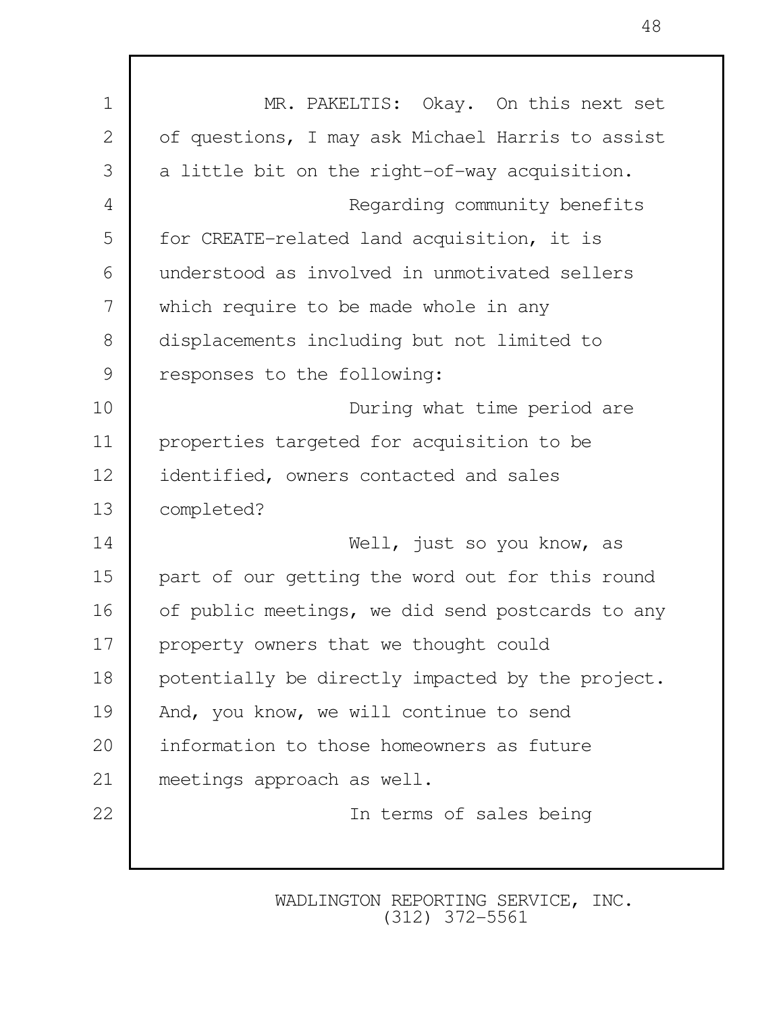| $\mathbf 1$  | MR. PAKELTIS: Okay. On this next set             |
|--------------|--------------------------------------------------|
| $\mathbf{2}$ | of questions, I may ask Michael Harris to assist |
| 3            | a little bit on the right-of-way acquisition.    |
| 4            | Regarding community benefits                     |
| 5            | for CREATE-related land acquisition, it is       |
| 6            | understood as involved in unmotivated sellers    |
| 7            | which require to be made whole in any            |
| 8            | displacements including but not limited to       |
| 9            | responses to the following:                      |
| 10           | During what time period are                      |
| 11           | properties targeted for acquisition to be        |
| 12           | identified, owners contacted and sales           |
| 13           | completed?                                       |
| 14           | Well, just so you know, as                       |
| 15           | part of our getting the word out for this round  |
| 16           | of public meetings, we did send postcards to any |
| 17           | property owners that we thought could            |
| 18           | potentially be directly impacted by the project. |
| 19           | And, you know, we will continue to send          |
| 20           | information to those homeowners as future        |
| 21           | meetings approach as well.                       |
| 22           | In terms of sales being                          |
|              |                                                  |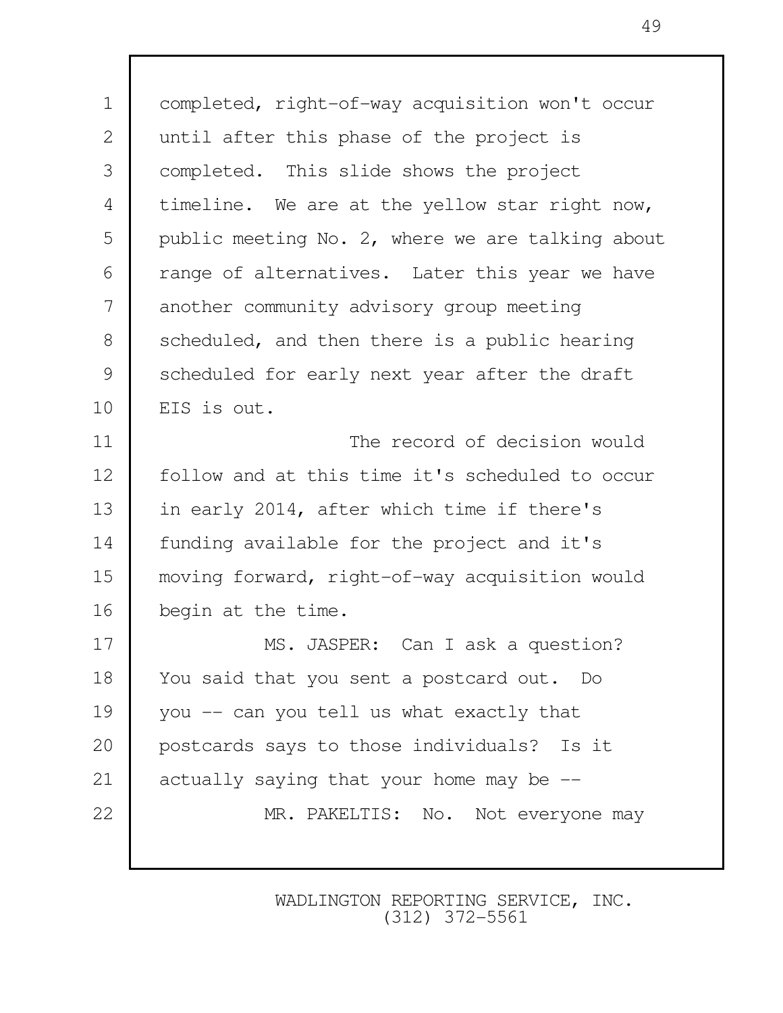1 completed, right-of-way acquisition won't occur 2 until after this phase of the project is 3 completed. This slide shows the project 4 timeline. We are at the yellow star right now, 5 public meeting No. 2, where we are talking about 6 T range of alternatives. Later this year we have 7 another community advisory group meeting 8 Scheduled, and then there is a public hearing 9 Scheduled for early next year after the draft 10 EIS is out. 11 **The record of decision would** 12 follow and at this time it's scheduled to occur 13 in early 2014, after which time if there's 14 funding available for the project and it's 15 moving forward, right-of-way acquisition would 16 begin at the time. 17 | MS. JASPER: Can I ask a question? 18 You said that you sent a postcard out. Do 19 you -- can you tell us what exactly that 20 postcards says to those individuals? Is it 21 | actually saying that your home may be  $-$ 22 MR. PAKELTIS: No. Not everyone may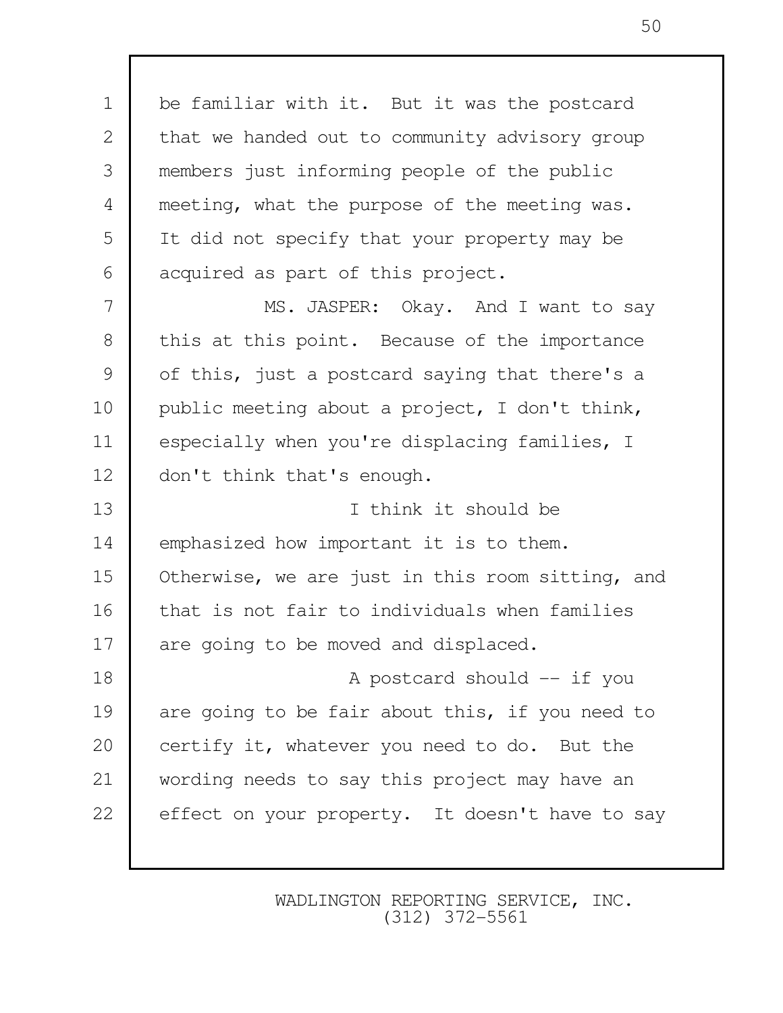1 be familiar with it. But it was the postcard 2 that we handed out to community advisory group 3 members just informing people of the public 4 meeting, what the purpose of the meeting was. 5 It did not specify that your property may be 6 acquired as part of this project.

7 MS. JASPER: Okay. And I want to say 8 this at this point. Because of the importance 9 of this, just a postcard saying that there's a 10 | public meeting about a project, I don't think, 11 | especially when you're displacing families, I 12 | don't think that's enough.

13 I think it should be 14 emphasized how important it is to them. 15 Otherwise, we are just in this room sitting, and 16 that is not fair to individuals when families 17 are going to be moved and displaced. 18 a postcard should  $-$  if you 19 are going to be fair about this, if you need to 20 certify it, whatever you need to do. But the 21 wording needs to say this project may have an 22 effect on your property. It doesn't have to say

> WADLINGTON REPORTING SERVICE, INC. (312) 372-5561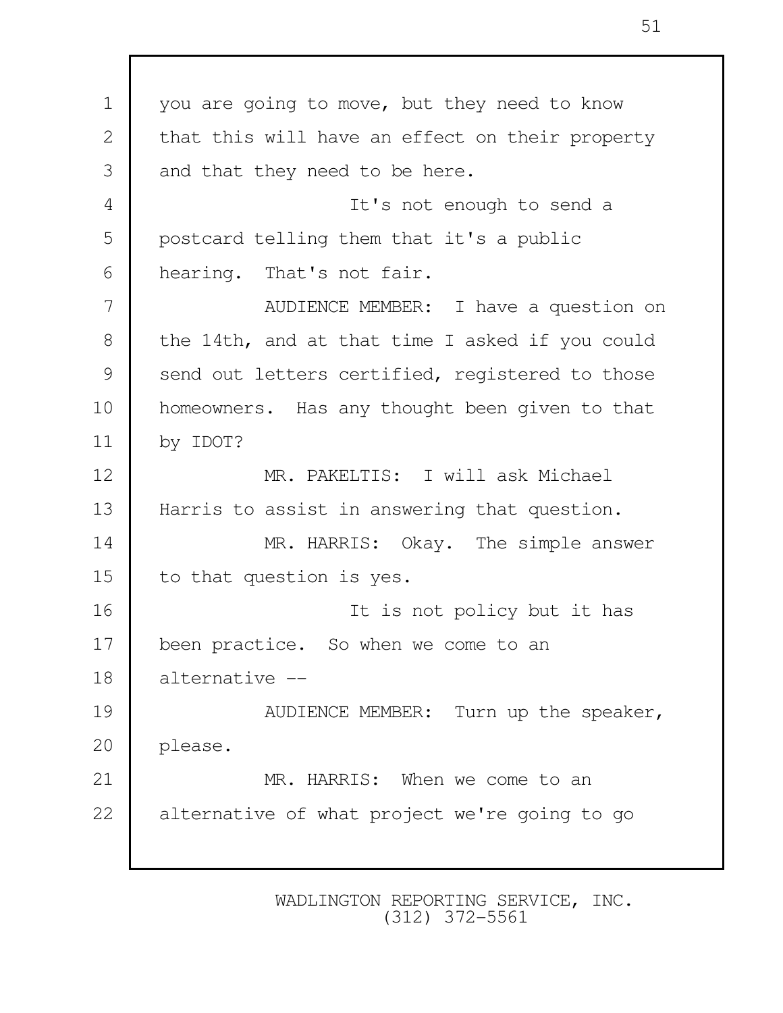1 you are going to move, but they need to know 2 that this will have an effect on their property 3 and that they need to be here. 4 It's not enough to send a 5 postcard telling them that it's a public 6 hearing. That's not fair. 7 AUDIENCE MEMBER: I have a question on 8 the 14th, and at that time I asked if you could 9 send out letters certified, registered to those 10 | homeowners. Has any thought been given to that 11 by IDOT? 12 MR. PAKELTIS: I will ask Michael 13 Harris to assist in answering that question. 14 MR. HARRIS: Okay. The simple answer 15 to that question is yes. 16 It is not policy but it has 17 been practice. So when we come to an 18 alternative -- 19 **AUDIENCE MEMBER:** Turn up the speaker, 20 | please. 21 MR. HARRIS: When we come to an 22 alternative of what project we're going to go

> WADLINGTON REPORTING SERVICE, INC. (312) 372-5561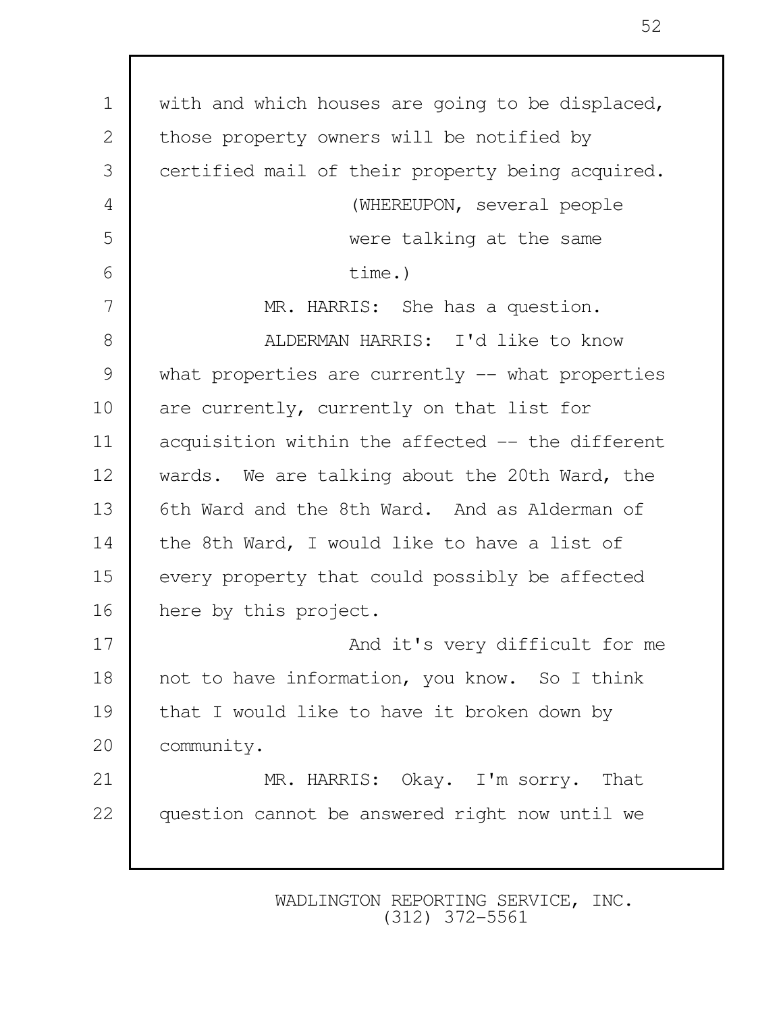| $\mathbf 1$ | with and which houses are going to be displaced, |
|-------------|--------------------------------------------------|
| 2           | those property owners will be notified by        |
| 3           | certified mail of their property being acquired. |
| 4           | (WHEREUPON, several people                       |
| 5           | were talking at the same                         |
| 6           | time.)                                           |
| 7           | MR. HARRIS: She has a question.                  |
| 8           | ALDERMAN HARRIS: I'd like to know                |
| 9           | what properties are currently -- what properties |
| 10          | are currently, currently on that list for        |
| 11          | acquisition within the affected -- the different |
| 12          | wards. We are talking about the 20th Ward, the   |
| 13          | 6th Ward and the 8th Ward. And as Alderman of    |
| 14          | the 8th Ward, I would like to have a list of     |
| 15          | every property that could possibly be affected   |
| 16          | here by this project.                            |
| 17          | And it's very difficult for me                   |
| 18          | not to have information, you know. So I think    |
| 19          | that I would like to have it broken down by      |
| 20          | community.                                       |
| 21          | MR. HARRIS: Okay. I'm sorry. That                |
| 22          | question cannot be answered right now until we   |
|             |                                                  |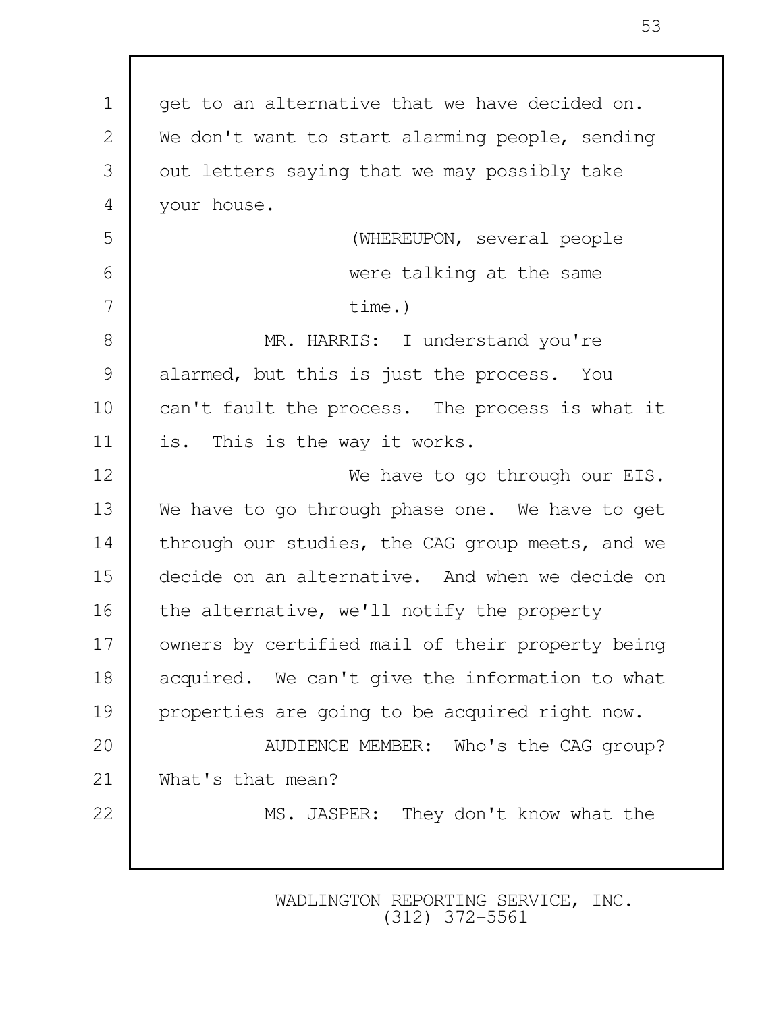| $\mathbf 1$  | get to an alternative that we have decided on.   |
|--------------|--------------------------------------------------|
| $\mathbf{2}$ | We don't want to start alarming people, sending  |
| 3            | out letters saying that we may possibly take     |
| 4            | your house.                                      |
| 5            | (WHEREUPON, several people                       |
| 6            | were talking at the same                         |
| 7            | time.)                                           |
| 8            | MR. HARRIS: I understand you're                  |
| 9            | alarmed, but this is just the process. You       |
| 10           | can't fault the process. The process is what it  |
| 11           | is. This is the way it works.                    |
| 12           | We have to go through our EIS.                   |
| 13           | We have to go through phase one. We have to get  |
| 14           | through our studies, the CAG group meets, and we |
| 15           | decide on an alternative. And when we decide on  |
| 16           | the alternative, we'll notify the property       |
| 17           | owners by certified mail of their property being |
| 18           | acquired. We can't give the information to what  |
| 19           | properties are going to be acquired right now.   |
| 20           | AUDIENCE MEMBER: Who's the CAG group?            |
| 21           | What's that mean?                                |
| 22           | MS. JASPER: They don't know what the             |
|              |                                                  |
|              |                                                  |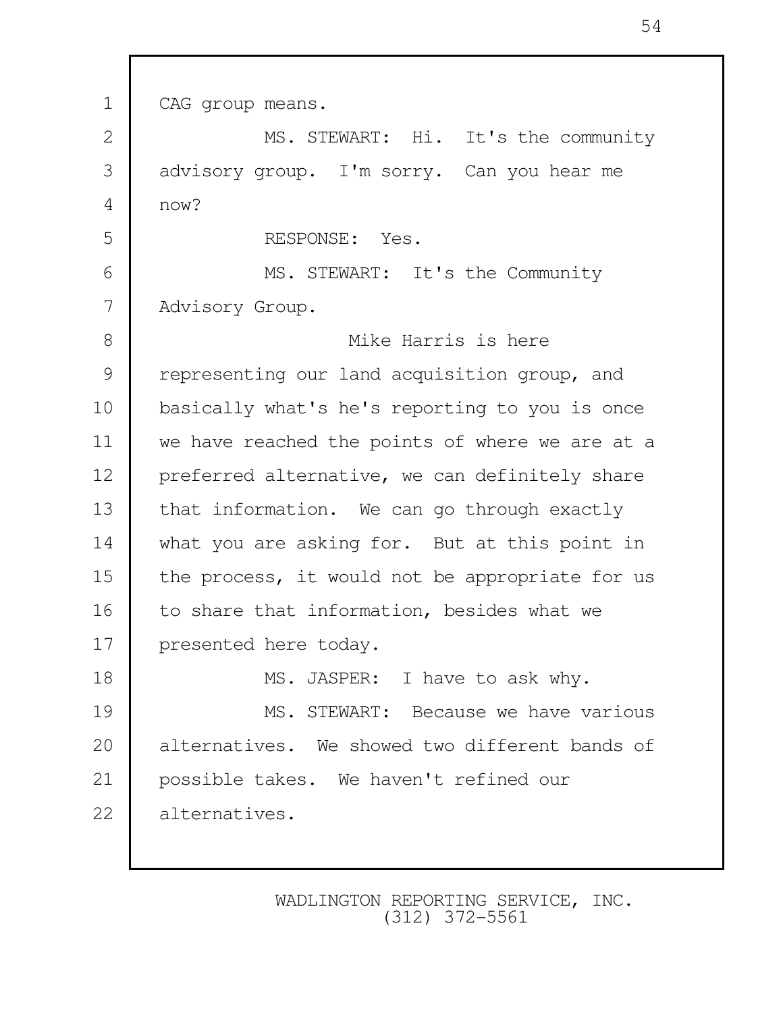1 | CAG group means. 2 MS. STEWART: Hi. It's the community 3 advisory group. I'm sorry. Can you hear me 4 now? 5 RESPONSE: Yes. 6 MS. STEWART: It's the Community 7 Advisory Group. 8 Mike Harris is here 9 representing our land acquisition group, and 10 basically what's he's reporting to you is once 11 we have reached the points of where we are at a 12 | preferred alternative, we can definitely share 13 that information. We can go through exactly 14 what you are asking for. But at this point in 15 the process, it would not be appropriate for us 16 | to share that information, besides what we 17 | presented here today. 18 MS. JASPER: I have to ask why. 19 MS. STEWART: Because we have various 20 alternatives. We showed two different bands of 21 possible takes. We haven't refined our 22 alternatives.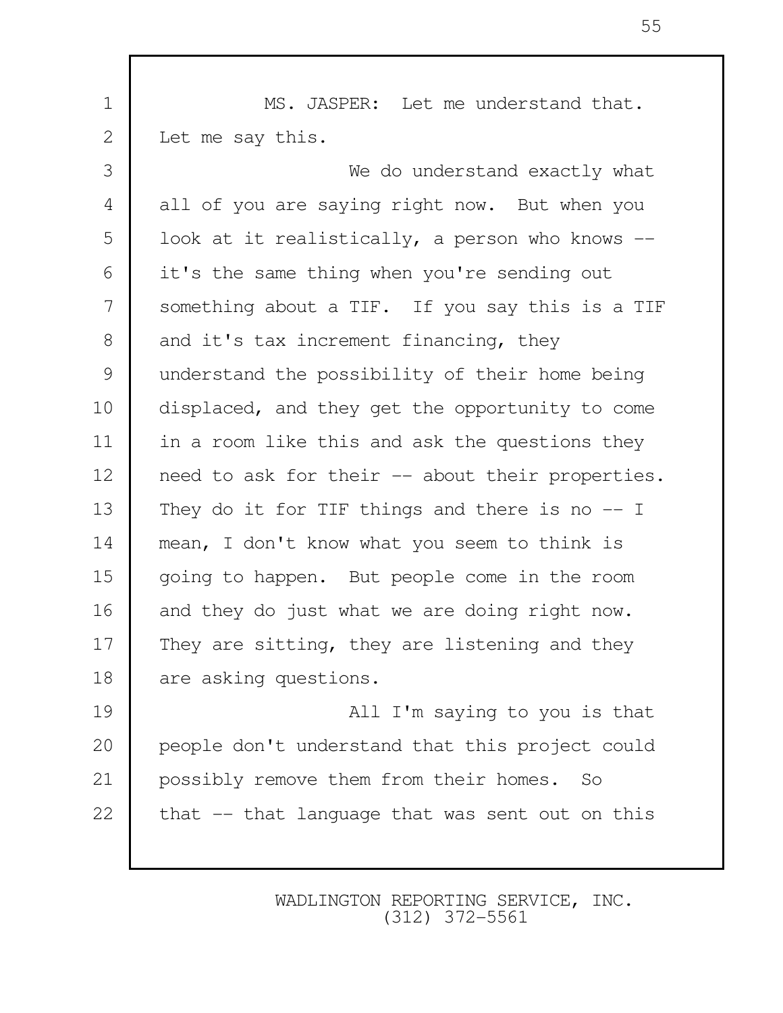1 MS. JASPER: Let me understand that. 2 Let me say this. 3 We do understand exactly what 4 all of you are saying right now. But when you 5 | look at it realistically, a person who knows -- 6 it's the same thing when you're sending out 7 Something about a TIF. If you say this is a TIF 8 and it's tax increment financing, they 9 understand the possibility of their home being 10 displaced, and they get the opportunity to come 11 | in a room like this and ask the questions they 12 | need to ask for their -- about their properties. 13 They do it for TIF things and there is no -- I 14 mean, I don't know what you seem to think is 15 qoing to happen. But people come in the room 16 and they do just what we are doing right now. 17 They are sitting, they are listening and they 18 are asking questions. 19 **All I'm saying to you is that** 20 people don't understand that this project could 21 | possibly remove them from their homes. So 22  $\vert$  that  $-$  that language that was sent out on this

> WADLINGTON REPORTING SERVICE, INC. (312) 372-5561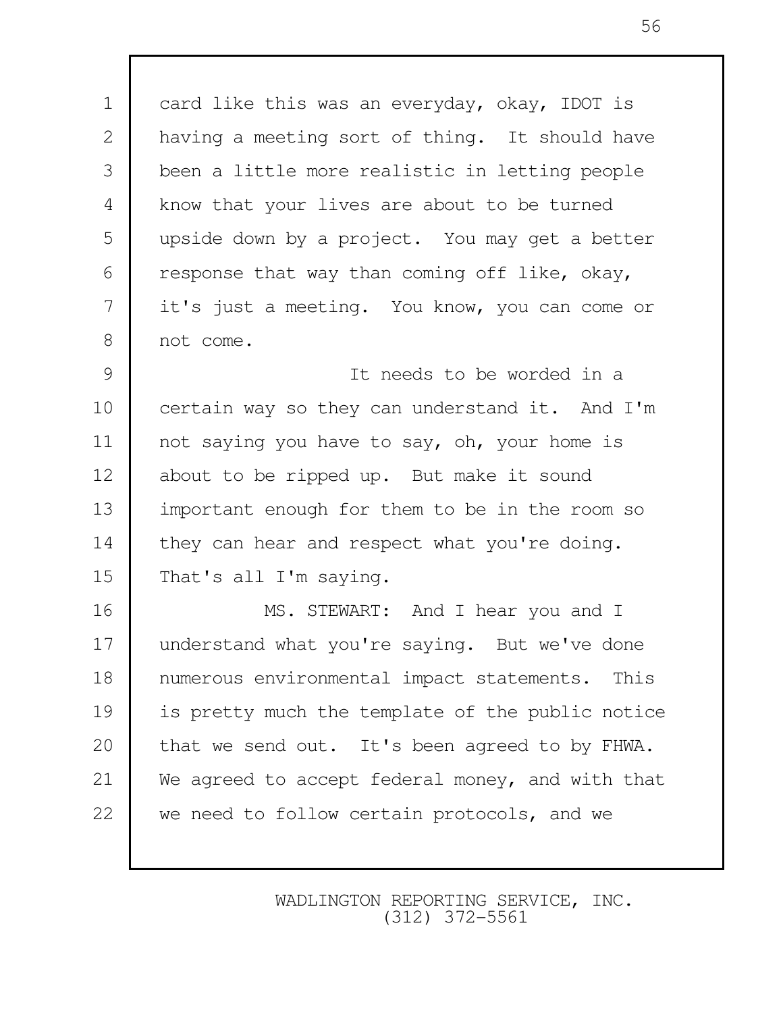1 card like this was an everyday, okay, IDOT is 2 having a meeting sort of thing. It should have 3 been a little more realistic in letting people 4 know that your lives are about to be turned 5 upside down by a project. You may get a better 6 esponse that way than coming off like, okay, 7 it's just a meeting. You know, you can come or 8 not come.

 9 It needs to be worded in a 10 certain way so they can understand it. And I'm 11 | not saying you have to say, oh, your home is 12 about to be ripped up. But make it sound 13 important enough for them to be in the room so 14 they can hear and respect what you're doing. 15 That's all I'm saying.

16 | MS. STEWART: And I hear you and I 17 understand what you're saying. But we've done 18 numerous environmental impact statements. This 19 is pretty much the template of the public notice 20 that we send out. It's been agreed to by FHWA. 21 We agreed to accept federal money, and with that 22 we need to follow certain protocols, and we

> WADLINGTON REPORTING SERVICE, INC. (312) 372-5561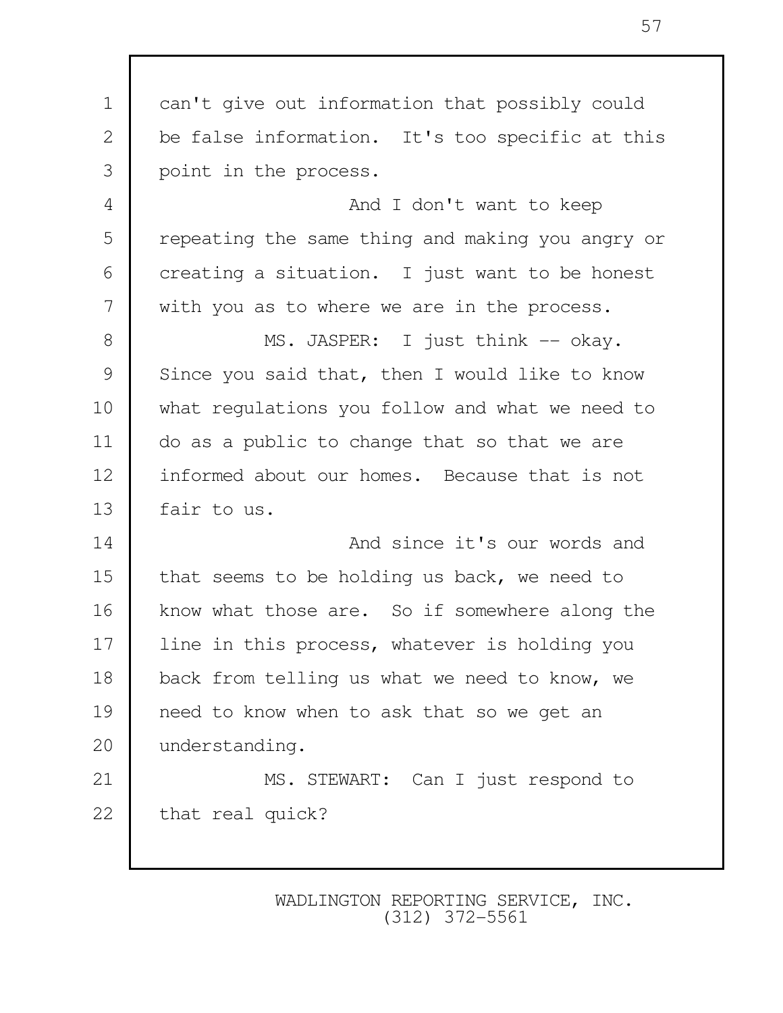1 can't give out information that possibly could 2 be false information. It's too specific at this 3 point in the process. 4 and I don't want to keep 5 Tepeating the same thing and making you angry or  $6$  creating a situation. I just want to be honest 7 with you as to where we are in the process. 8 MS. JASPER: I just think -- okay. 9 Since you said that, then I would like to know 10 what regulations you follow and what we need to 11 do as a public to change that so that we are 12 informed about our homes. Because that is not 13 fair to us. 14 **And since it's our words and** 15 that seems to be holding us back, we need to 16 | know what those are. So if somewhere along the 17 | line in this process, whatever is holding you 18 back from telling us what we need to know, we 19 need to know when to ask that so we get an 20 understanding. 21 | MS. STEWART: Can I just respond to 22 that real quick?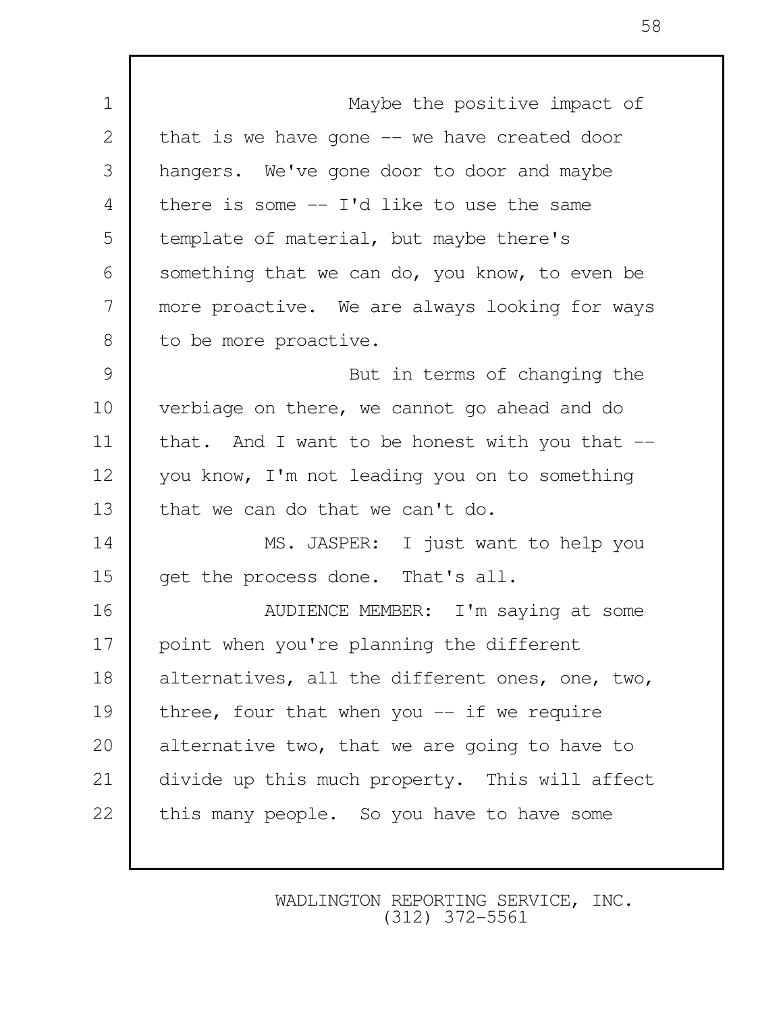1 | Maybe the positive impact of 2 that is we have gone -- we have created door 3 hangers. We've gone door to door and maybe 4 there is some -- I'd like to use the same 5 template of material, but maybe there's 6 something that we can do, you know, to even be 7 more proactive. We are always looking for ways 8 | to be more proactive. 9 But in terms of changing the 10 verbiage on there, we cannot go ahead and do 11 | that. And I want to be honest with you that --12 | you know, I'm not leading you on to something 13 that we can do that we can't do. 14 MS. JASPER: I just want to help you 15 qet the process done. That's all. 16 | AUDIENCE MEMBER: I'm saying at some 17 | point when you're planning the different 18 alternatives, all the different ones, one, two, 19 | three, four that when you  $-$  if we require 20 alternative two, that we are going to have to 21 divide up this much property. This will affect 22 this many people. So you have to have some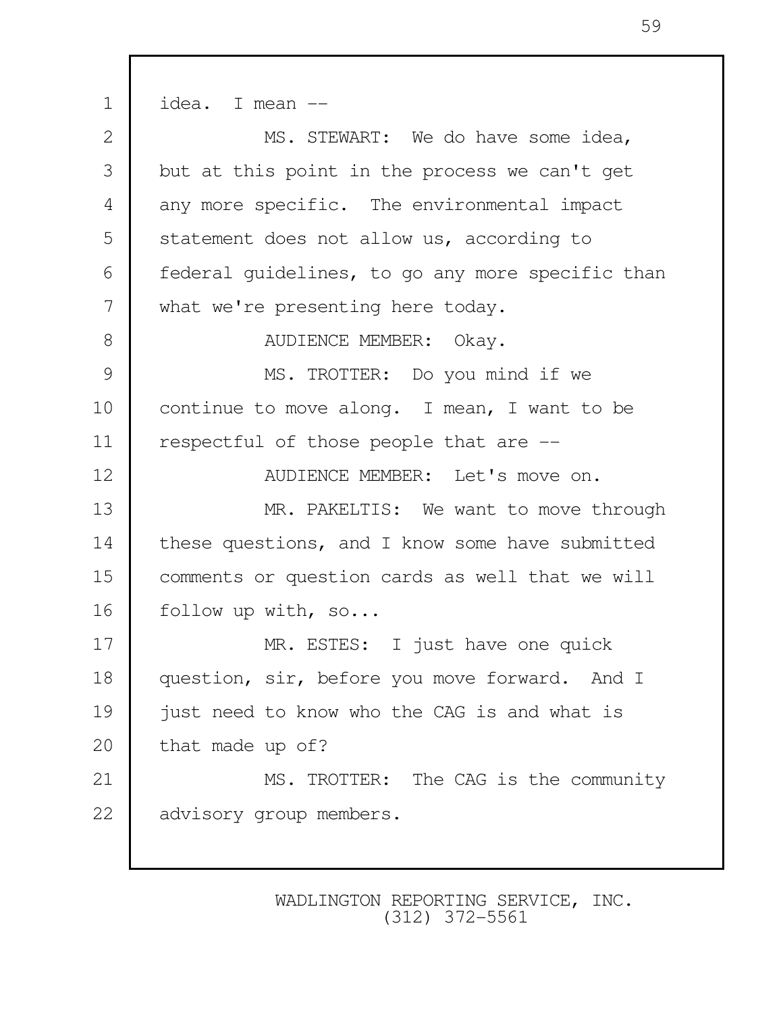1 idea. I mean -- 2 MS. STEWART: We do have some idea, 3 but at this point in the process we can't get 4 any more specific. The environmental impact 5 Statement does not allow us, according to 6 | federal quidelines, to go any more specific than 7 what we're presenting here today. 8 | AUDIENCE MEMBER: Okay. 9 MS. TROTTER: Do you mind if we 10 continue to move along. I mean, I want to be 11 respectful of those people that are -- 12 | AUDIENCE MEMBER: Let's move on. 13 MR. PAKELTIS: We want to move through 14 | these questions, and I know some have submitted 15 comments or question cards as well that we will 16 follow up with, so... 17 | MR. ESTES: I just have one quick 18 question, sir, before you move forward. And I 19 iust need to know who the CAG is and what is 20 that made up of? 21 | MS. TROTTER: The CAG is the community 22 advisory group members.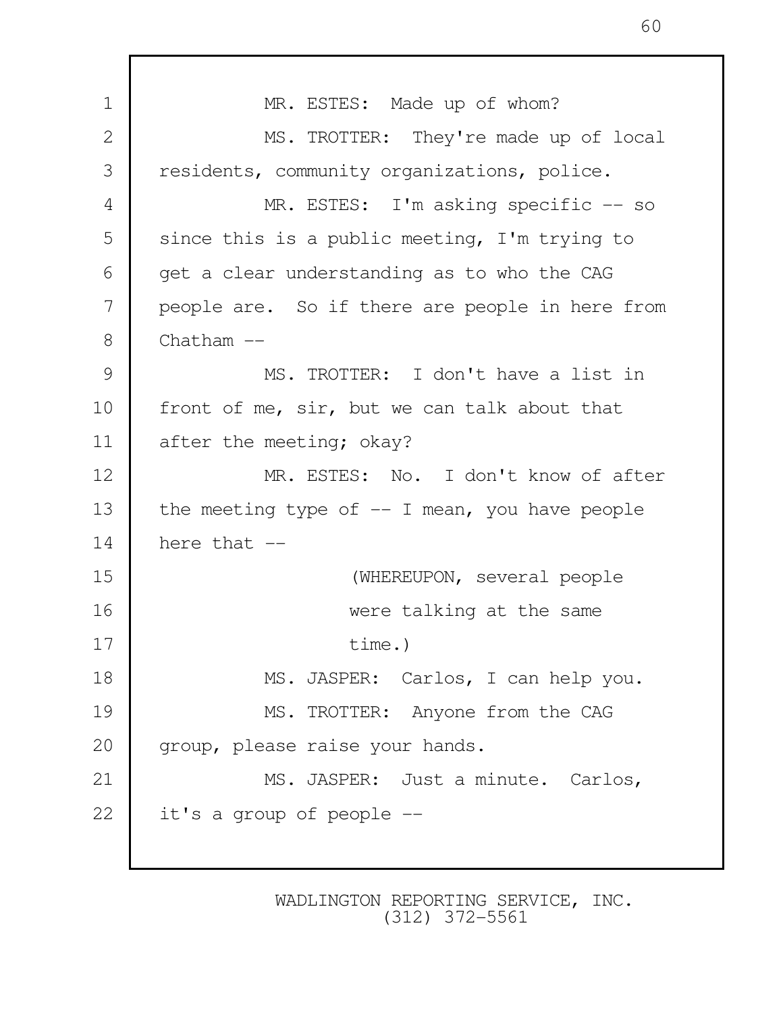1 MR. ESTES: Made up of whom? 2 MS. TROTTER: They're made up of local 3 residents, community organizations, police. 4 MR. ESTES: I'm asking specific -- so 5 since this is a public meeting, I'm trying to 6 get a clear understanding as to who the CAG 7 people are. So if there are people in here from  $8 \mid$  Chatham  $-$ 9 | MS. TROTTER: I don't have a list in 10 front of me, sir, but we can talk about that 11 after the meeting; okay? 12 MR. ESTES: No. I don't know of after 13 the meeting type of  $-$  I mean, you have people  $14$  here that  $-$ 15 (WHEREUPON, several people 16 were talking at the same 17 degree time.) 18 MS. JASPER: Carlos, I can help you. 19 MS. TROTTER: Anyone from the CAG 20 | group, please raise your hands. 21 | MS. JASPER: Just a minute. Carlos, 22 it's a group of people --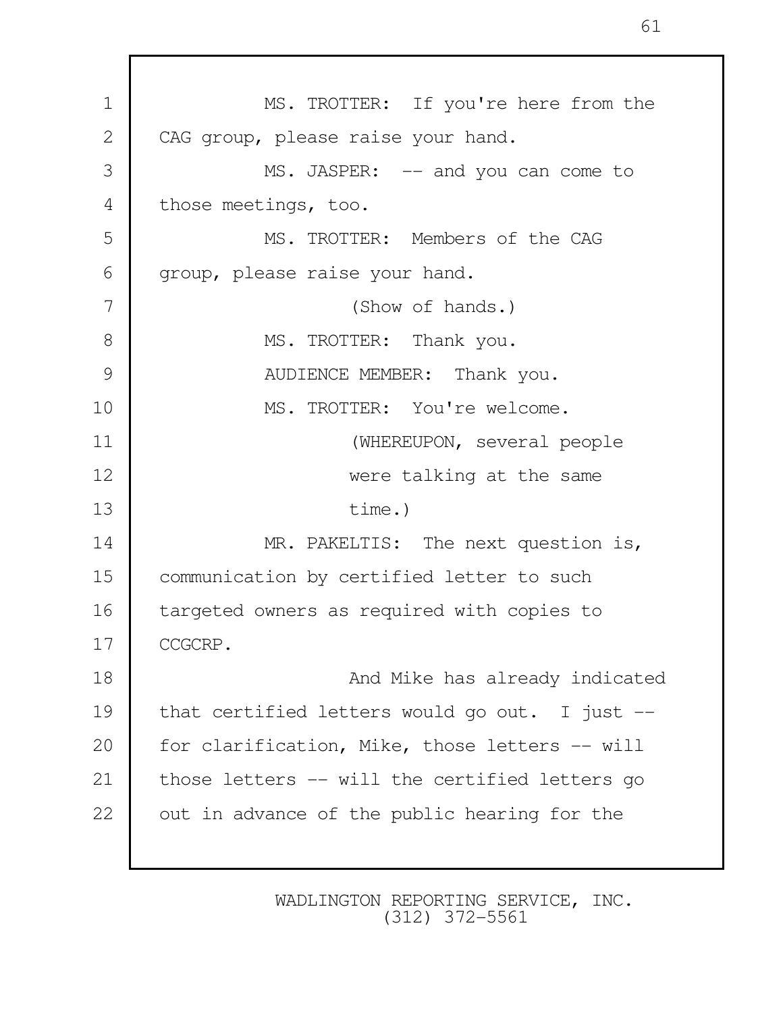1 MS. TROTTER: If you're here from the 2 CAG group, please raise your hand. 3 MS. JASPER:  $--$  and you can come to 4 those meetings, too. 5 MS. TROTTER: Members of the CAG 6 group, please raise your hand. 7 (Show of hands.) 8 MS. TROTTER: Thank you. 9 NUDIENCE MEMBER: Thank you. 10 | MS. TROTTER: You're welcome. 11 (WHEREUPON, several people 12 were talking at the same 13 time.) 14 MR. PAKELTIS: The next question is, 15 communication by certified letter to such 16 targeted owners as required with copies to 17 CCGCRP. 18 | Contract Mand Mike has already indicated 19 that certified letters would go out. I just -- 20 | for clarification, Mike, those letters -- will 21 | those letters -- will the certified letters go 22 | out in advance of the public hearing for the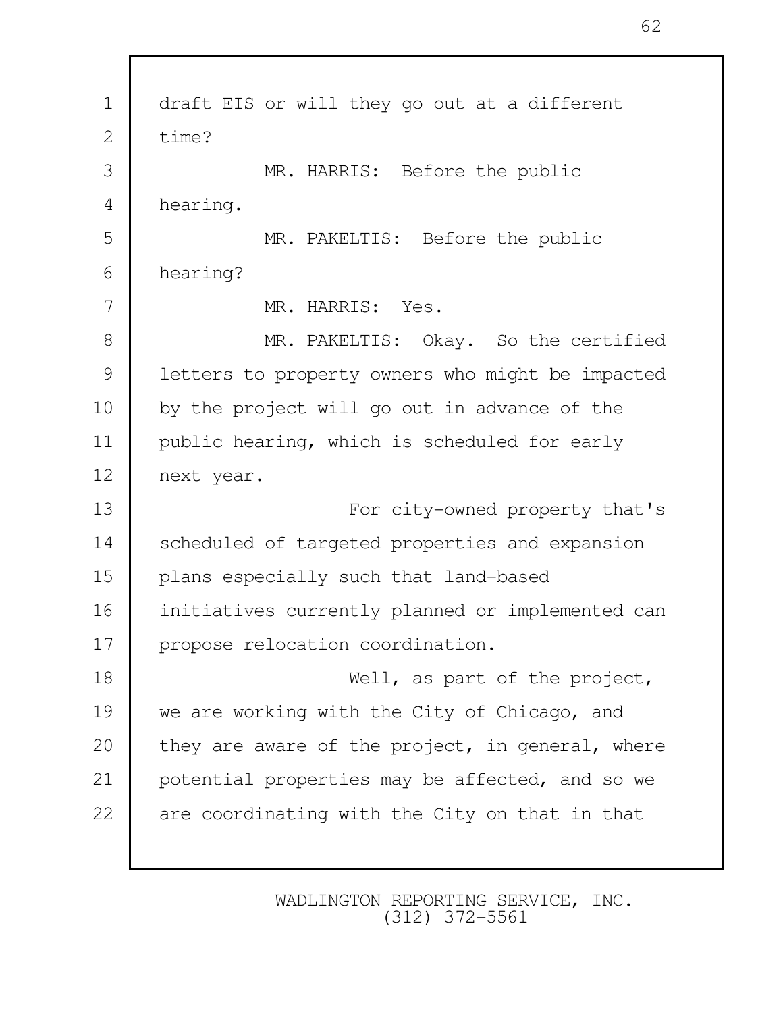| $\mathbf 1$  | draft EIS or will they go out at a different     |
|--------------|--------------------------------------------------|
| $\mathbf{2}$ | time?                                            |
| 3            | MR. HARRIS: Before the public                    |
| 4            | hearing.                                         |
| 5            | MR. PAKELTIS: Before the public                  |
| 6            | hearing?                                         |
| 7            | MR. HARRIS: Yes.                                 |
| 8            | MR. PAKELTIS: Okay. So the certified             |
| 9            | letters to property owners who might be impacted |
| 10           | by the project will go out in advance of the     |
| 11           | public hearing, which is scheduled for early     |
| 12           | next year.                                       |
| 13           | For city-owned property that's                   |
| 14           | scheduled of targeted properties and expansion   |
| 15           | plans especially such that land-based            |
| 16           | initiatives currently planned or implemented can |
| 17           | propose relocation coordination.                 |
| 18           | Well, as part of the project,                    |
| 19           | we are working with the City of Chicago, and     |
| 20           | they are aware of the project, in general, where |
| 21           | potential properties may be affected, and so we  |
| 22           | are coordinating with the City on that in that   |
|              |                                                  |

 $\mathsf I$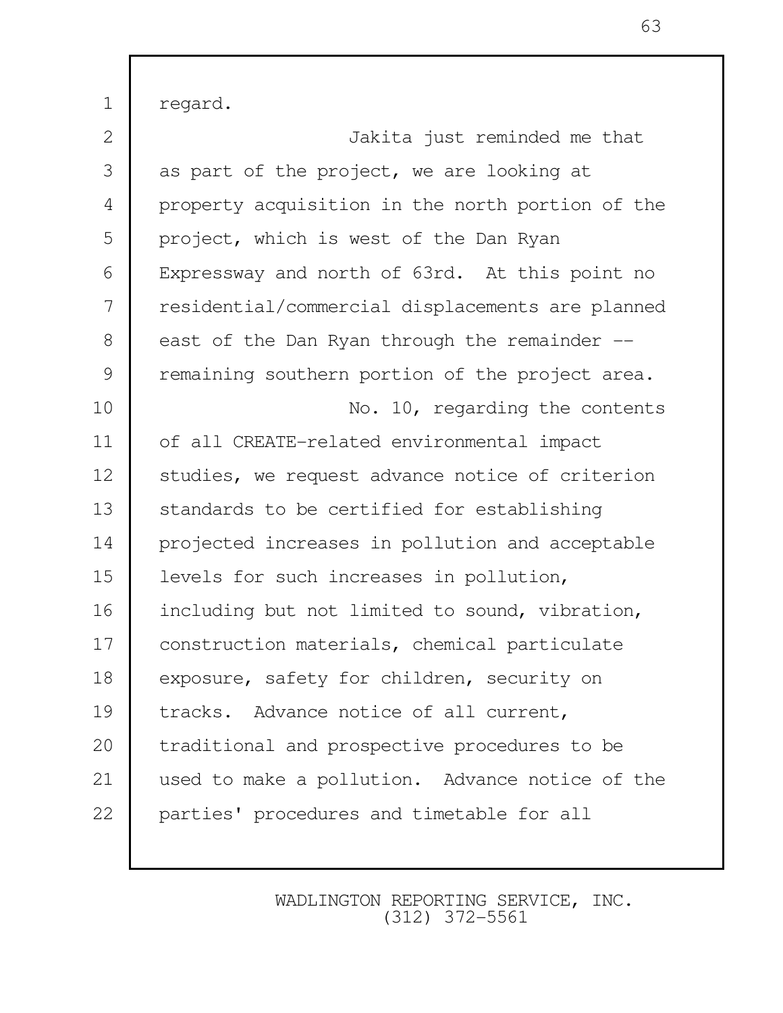1 regard.

 2 Jakita just reminded me that 3 as part of the project, we are looking at 4 property acquisition in the north portion of the 5 project, which is west of the Dan Ryan 6 Expressway and north of 63rd. At this point no 7 residential/commercial displacements are planned 8 east of the Dan Ryan through the remainder  $-$ 9 remaining southern portion of the project area. 10 | No. 10, regarding the contents 11 of all CREATE-related environmental impact 12 Studies, we request advance notice of criterion 13 Standards to be certified for establishing 14 projected increases in pollution and acceptable 15 levels for such increases in pollution, 16 including but not limited to sound, vibration, 17 construction materials, chemical particulate 18 exposure, safety for children, security on 19 tracks. Advance notice of all current, 20 traditional and prospective procedures to be 21 used to make a pollution. Advance notice of the 22 | parties' procedures and timetable for all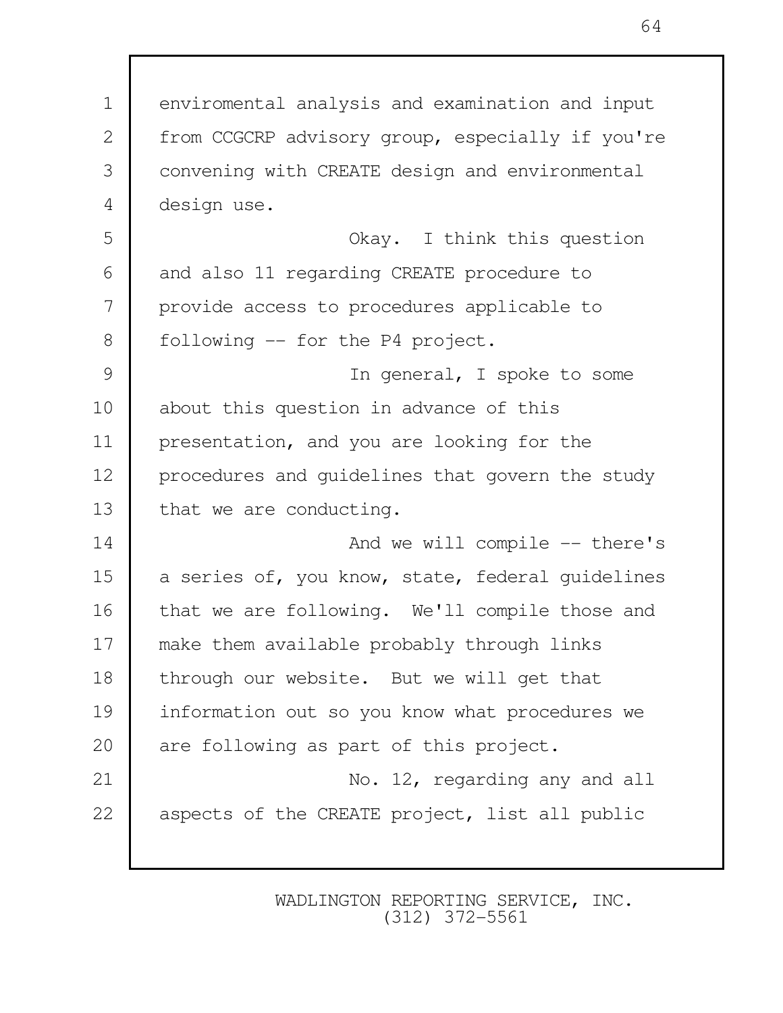1 enviromental analysis and examination and input 2 from CCGCRP advisory group, especially if you're 3 convening with CREATE design and environmental 4 design use. 5 Okay. I think this question 6 and also 11 regarding CREATE procedure to 7 provide access to procedures applicable to 8 | following -- for the P4 project. 9 | Contract Contract Contractor In general, I spoke to some 10 about this question in advance of this 11 presentation, and you are looking for the 12 procedures and guidelines that govern the study 13 that we are conducting. 14 | And we will compile -- there's 15 a series of, you know, state, federal quidelines 16 | that we are following. We'll compile those and 17 make them available probably through links 18 through our website. But we will get that 19 information out so you know what procedures we 20 are following as part of this project. 21 | No. 12, regarding any and all 22 aspects of the CREATE project, list all public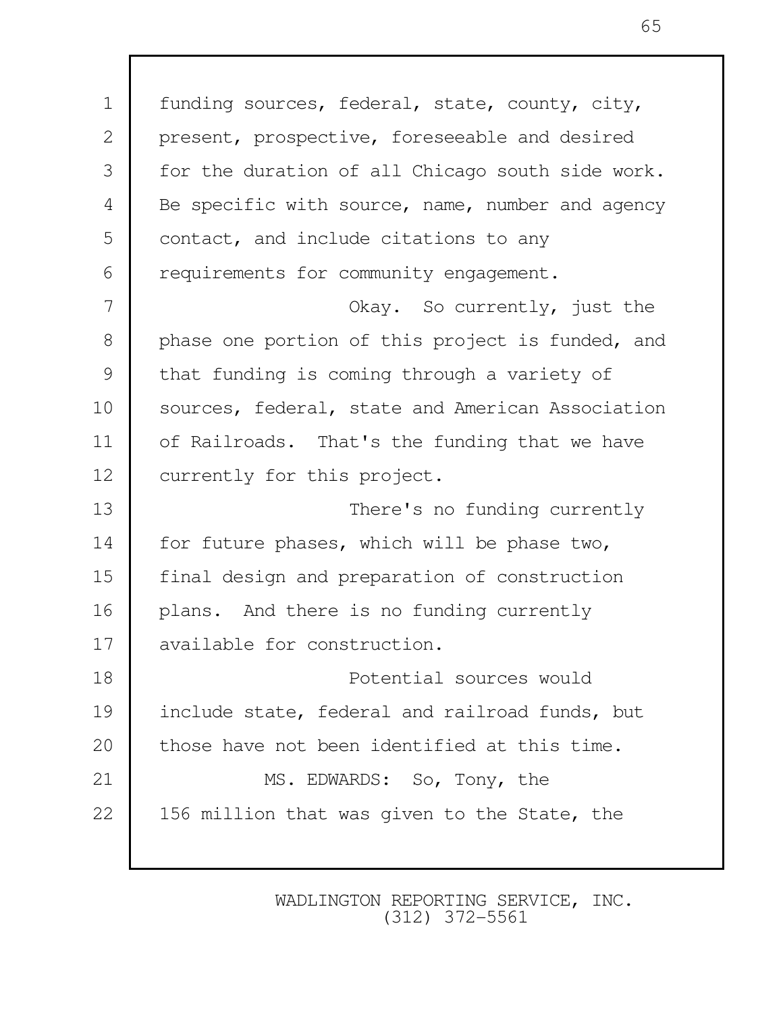1 | funding sources, federal, state, county, city, 2 | present, prospective, foreseeable and desired 3 for the duration of all Chicago south side work. 4 Be specific with source, name, number and agency 5 contact, and include citations to any 6 requirements for community engagement. 7 Okay. So currently, just the 8 phase one portion of this project is funded, and 9 that funding is coming through a variety of 10 sources, federal, state and American Association 11 | of Railroads. That's the funding that we have 12 | currently for this project. 13 There's no funding currently 14 for future phases, which will be phase two, 15 final design and preparation of construction 16 | plans. And there is no funding currently 17 available for construction. 18 Potential sources would 19 include state, federal and railroad funds, but 20 those have not been identified at this time. 21 | MS. EDWARDS: So, Tony, the 22 | 156 million that was given to the State, the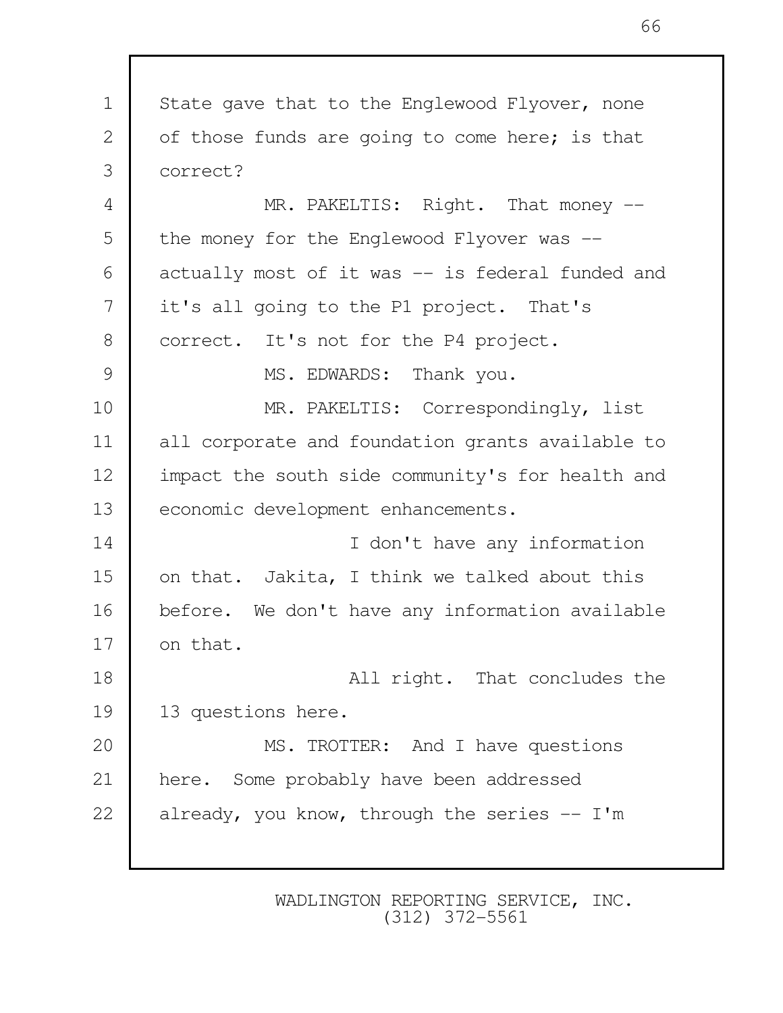1 State gave that to the Englewood Flyover, none 2 of those funds are going to come here; is that 3 correct? 4 MR. PAKELTIS: Right. That money --5 the money for the Englewood Flyover was --6 actually most of it was -- is federal funded and 7 it's all going to the P1 project. That's 8 correct. It's not for the P4 project. 9 MS. EDWARDS: Thank you. 10 | MR. PAKELTIS: Correspondingly, list 11 all corporate and foundation grants available to 12 | impact the south side community's for health and 13 economic development enhancements. 14 | I don't have any information 15 on that. Jakita, I think we talked about this 16 before. We don't have any information available  $17 \parallel$  on that. 18 all right. That concludes the 19 13 questions here. 20 | MS. TROTTER: And I have questions 21 here. Some probably have been addressed 22 already, you know, through the series  $-$  I'm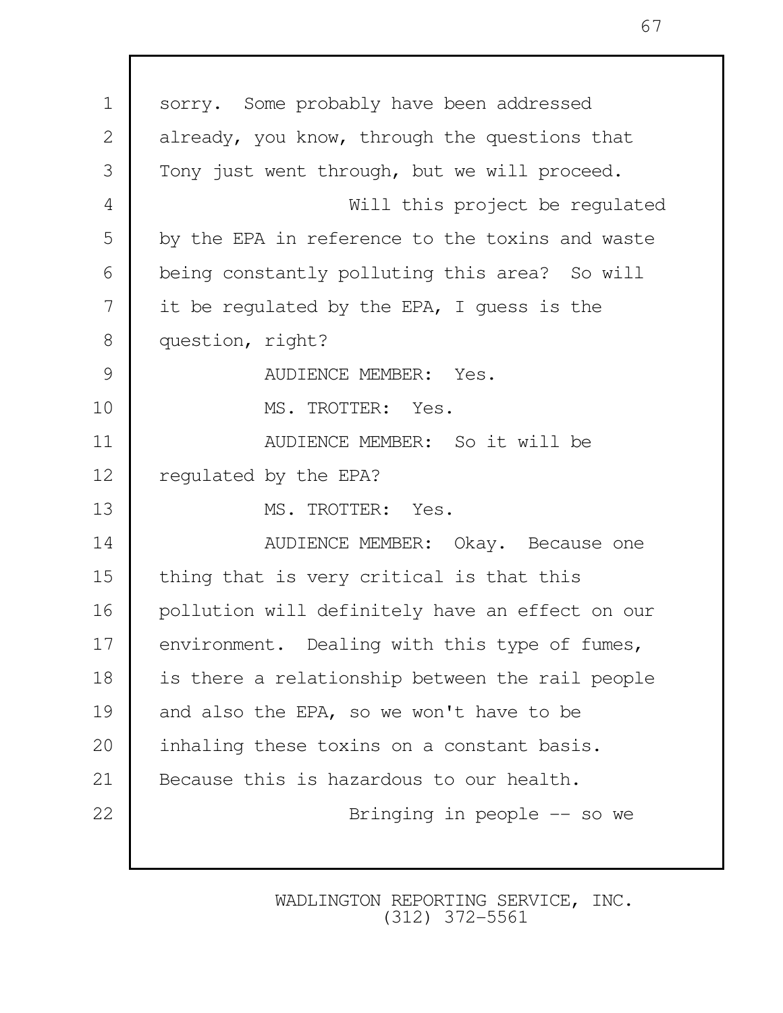1 sorry. Some probably have been addressed 2 already, you know, through the questions that 3 Tony just went through, but we will proceed. 4 Will this project be regulated 5 by the EPA in reference to the toxins and waste 6 being constantly polluting this area? So will 7 it be regulated by the EPA, I guess is the 8 question, right? 9 | AUDIENCE MEMBER: Yes. 10 MS. TROTTER: Yes. 11 AUDIENCE MEMBER: So it will be 12 | regulated by the EPA? 13 MS. TROTTER: Yes. 14 AUDIENCE MEMBER: Okay. Because one 15 thing that is very critical is that this 16 pollution will definitely have an effect on our 17 environment. Dealing with this type of fumes, 18 is there a relationship between the rail people 19 and also the EPA, so we won't have to be 20 | inhaling these toxins on a constant basis. 21 | Because this is hazardous to our health. 22 Bringing in people  $-$  so we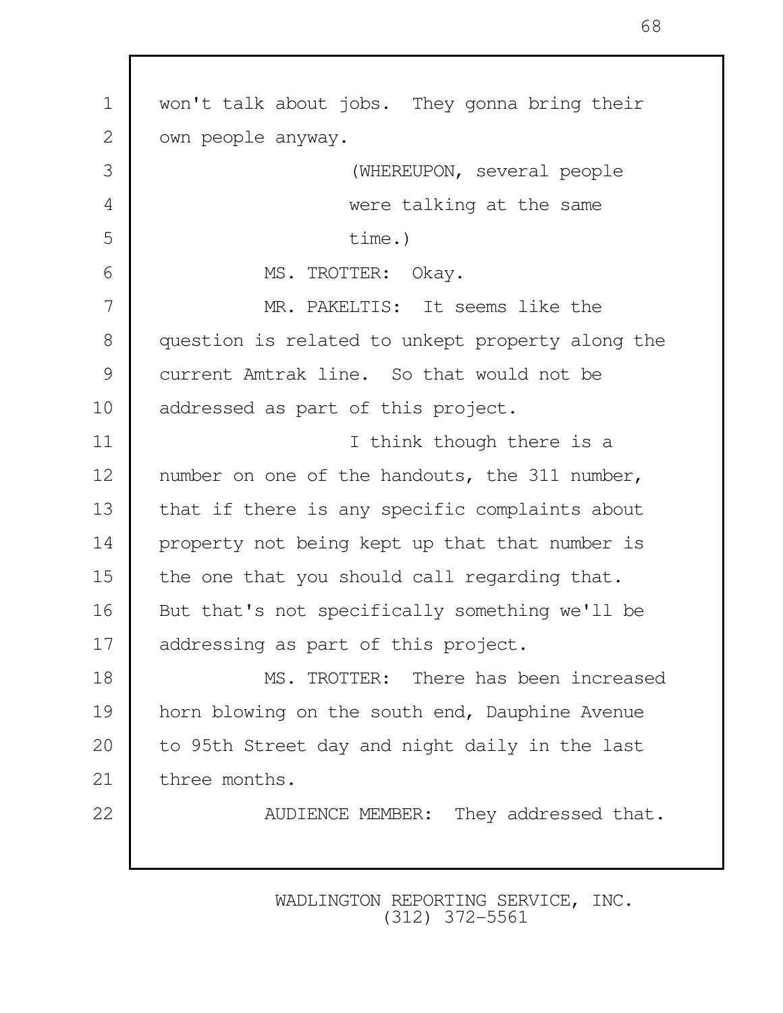| $\mathbf 1$ | won't talk about jobs. They gonna bring their    |
|-------------|--------------------------------------------------|
| 2           | own people anyway.                               |
| 3           | (WHEREUPON, several people                       |
| 4           | were talking at the same                         |
| 5           | time.)                                           |
| 6           | MS. TROTTER: Okay.                               |
| 7           | MR. PAKELTIS: It seems like the                  |
| 8           | question is related to unkept property along the |
| 9           | current Amtrak line. So that would not be        |
| 10          | addressed as part of this project.               |
| 11          | I think though there is a                        |
| 12          | number on one of the handouts, the 311 number,   |
| 13          | that if there is any specific complaints about   |
| 14          | property not being kept up that that number is   |
| 15          | the one that you should call regarding that.     |
| 16          | But that's not specifically something we'll be   |
| 17          | addressing as part of this project.              |
| 18          | MS. TROTTER: There has been increased            |
| 19          | horn blowing on the south end, Dauphine Avenue   |
| 20          | to 95th Street day and night daily in the last   |
| 21          | three months.                                    |
| 22          | AUDIENCE MEMBER: They addressed that.            |
|             |                                                  |
|             |                                                  |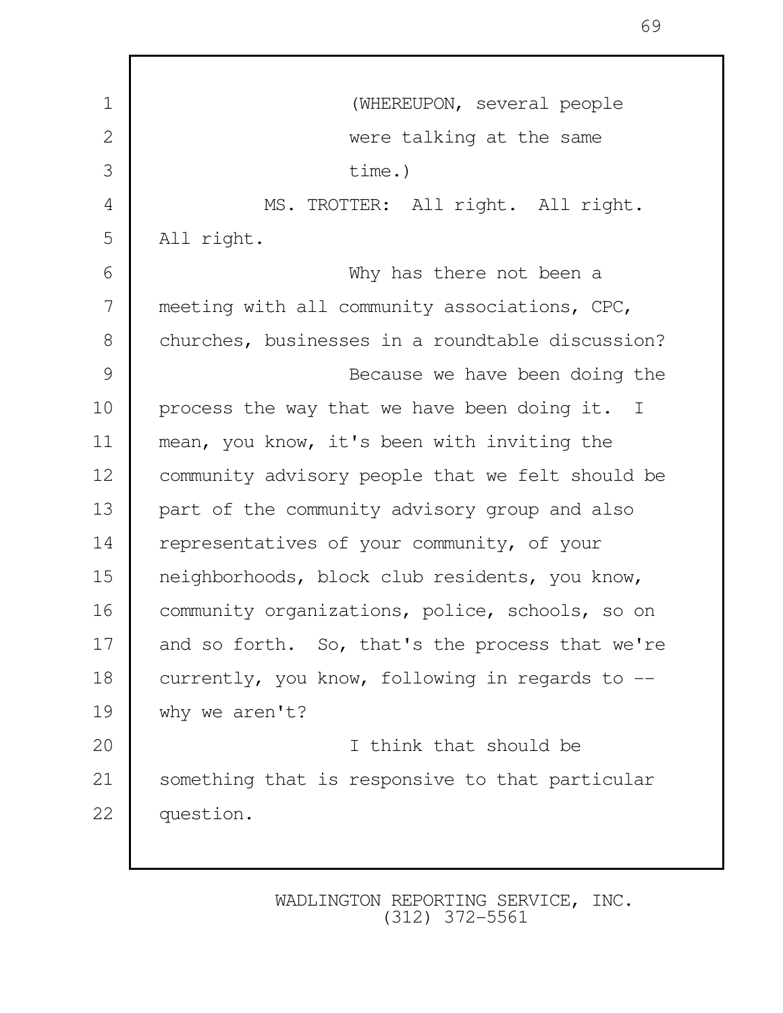| $\mathbf 1$    | (WHEREUPON, several people                       |
|----------------|--------------------------------------------------|
| $\overline{2}$ | were talking at the same                         |
| 3              | time.)                                           |
| 4              | MS. TROTTER: All right. All right.               |
| 5              | All right.                                       |
| 6              | Why has there not been a                         |
| 7              | meeting with all community associations, CPC,    |
| 8              | churches, businesses in a roundtable discussion? |
| 9              | Because we have been doing the                   |
| 10             | process the way that we have been doing it. I    |
| 11             | mean, you know, it's been with inviting the      |
| 12             | community advisory people that we felt should be |
| 13             | part of the community advisory group and also    |
| 14             | representatives of your community, of your       |
| 15             | neighborhoods, block club residents, you know,   |
| 16             | community organizations, police, schools, so on  |
| 17             | and so forth. So, that's the process that we're  |
| 18             | currently, you know, following in regards to --  |
| 19             | why we aren't?                                   |
| 20             | I think that should be                           |
| 21             | something that is responsive to that particular  |
| 22             | question.                                        |
|                |                                                  |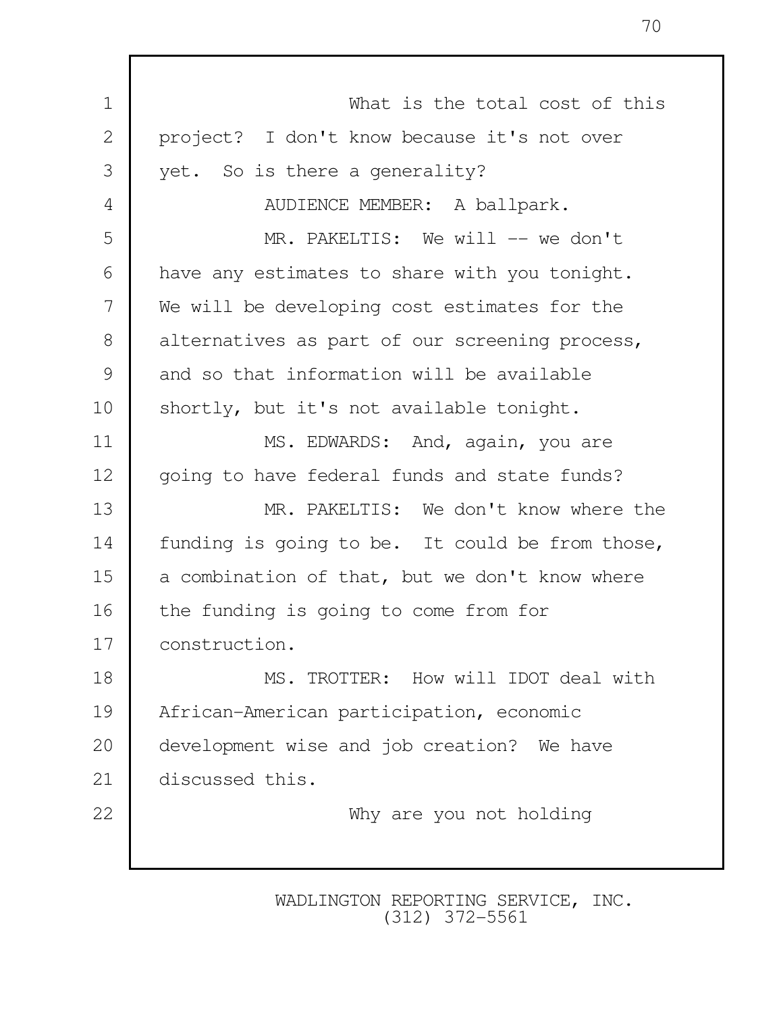| $\mathbf 1$  | What is the total cost of this                  |
|--------------|-------------------------------------------------|
| $\mathbf{2}$ | project? I don't know because it's not over     |
| 3            | yet. So is there a generality?                  |
| 4            | AUDIENCE MEMBER: A ballpark.                    |
| 5            | MR. PAKELTIS: We will -- we don't               |
| 6            | have any estimates to share with you tonight.   |
| 7            | We will be developing cost estimates for the    |
| 8            | alternatives as part of our screening process,  |
| 9            | and so that information will be available       |
| 10           | shortly, but it's not available tonight.        |
| 11           | MS. EDWARDS: And, again, you are                |
| 12           | going to have federal funds and state funds?    |
| 13           | MR. PAKELTIS: We don't know where the           |
| 14           | funding is going to be. It could be from those, |
| 15           | a combination of that, but we don't know where  |
| 16           | the funding is going to come from for           |
| 17           | construction.                                   |
| 18           | MS. TROTTER: How will IDOT deal with            |
| 19           | African-American participation, economic        |
| 20           | development wise and job creation? We have      |
| 21           | discussed this.                                 |
| 22           | Why are you not holding                         |
|              |                                                 |
|              |                                                 |

Г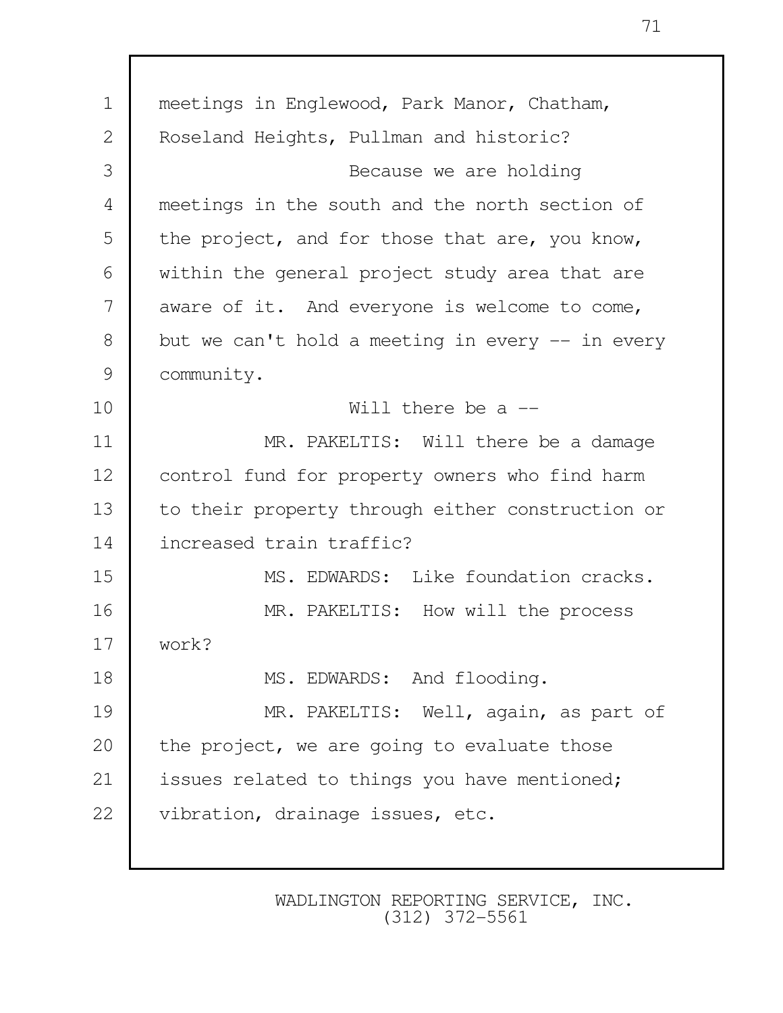1 | meetings in Englewood, Park Manor, Chatham, 2 | Roseland Heights, Pullman and historic? 3 Because we are holding 4 meetings in the south and the north section of 5 the project, and for those that are, you know, 6 within the general project study area that are 7 aware of it. And everyone is welcome to come, 8 but we can't hold a meeting in every -- in every 9 **Community.** 10 Will there be a -- 11 | MR. PAKELTIS: Will there be a damage 12 | control fund for property owners who find harm 13 to their property through either construction or 14 increased train traffic? 15 MS. EDWARDS: Like foundation cracks. 16 | MR. PAKELTIS: How will the process 17 work? 18 MS. EDWARDS: And flooding. 19 MR. PAKELTIS: Well, again, as part of 20 the project, we are going to evaluate those 21 | issues related to things you have mentioned; 22 | vibration, drainage issues, etc.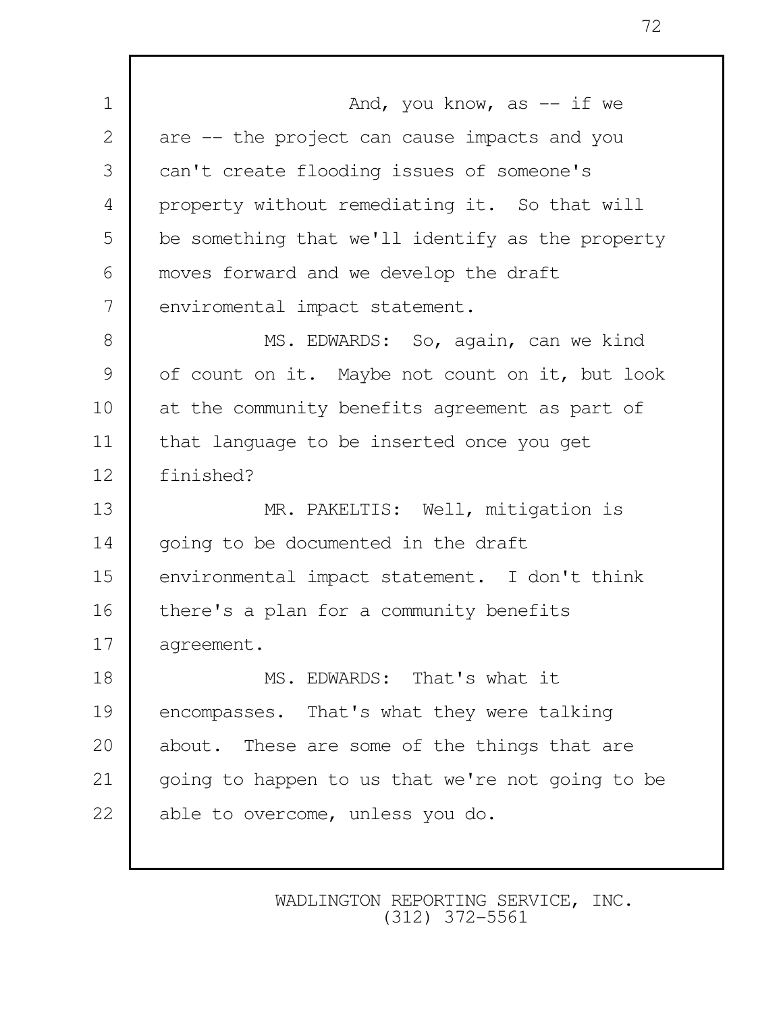1 and, you know, as  $-$  if we 2 are -- the project can cause impacts and you 3 can't create flooding issues of someone's 4 property without remediating it. So that will 5 be something that we'll identify as the property 6 moves forward and we develop the draft 7 enviromental impact statement. 8 MS. EDWARDS: So, again, can we kind 9 of count on it. Maybe not count on it, but look 10 at the community benefits agreement as part of 11 that language to be inserted once you get 12 finished? 13 MR. PAKELTIS: Well, mitigation is 14 going to be documented in the draft 15 | environmental impact statement. I don't think 16 | there's a plan for a community benefits 17 | agreement. 18 MS. EDWARDS: That's what it 19 encompasses. That's what they were talking 20 about. These are some of the things that are 21 | going to happen to us that we're not going to be 22 able to overcome, unless you do.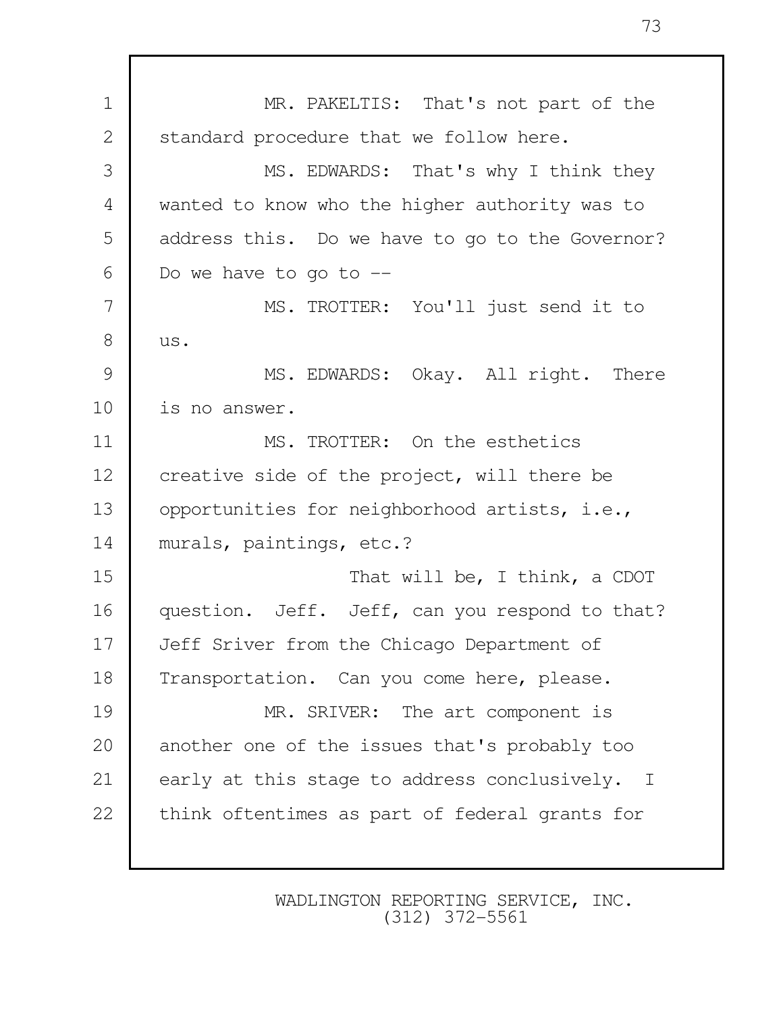1 MR. PAKELTIS: That's not part of the 2 Standard procedure that we follow here. 3 MS. EDWARDS: That's why I think they 4 wanted to know who the higher authority was to 5 address this. Do we have to go to the Governor?  $6$  Do we have to go to  $-$ 7 MS. TROTTER: You'll just send it to 8 us. 9 MS. EDWARDS: Okay. All right. There 10 is no answer. 11 MS. TROTTER: On the esthetics 12 creative side of the project, will there be 13 | opportunities for neighborhood artists, i.e., 14 murals, paintings, etc.? 15 I am that will be, I think, a CDOT 16 question. Jeff. Jeff, can you respond to that? 17 Jeff Sriver from the Chicago Department of 18 Transportation. Can you come here, please. 19 MR. SRIVER: The art component is 20 another one of the issues that's probably too 21 early at this stage to address conclusively. I 22 | think oftentimes as part of federal grants for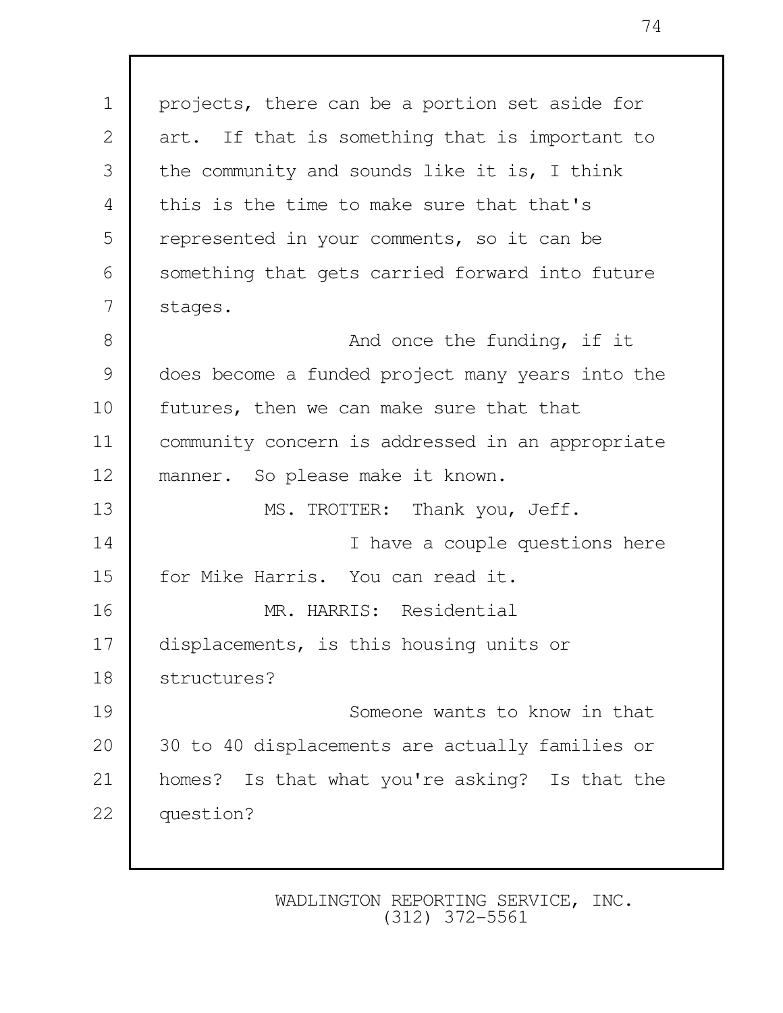1 projects, there can be a portion set aside for 2 art. If that is something that is important to 3 the community and sounds like it is, I think 4 this is the time to make sure that that's 5 | represented in your comments, so it can be 6 Something that gets carried forward into future 7 stages. 8 and once the funding, if it 9 does become a funded project many years into the 10 futures, then we can make sure that that 11 community concern is addressed in an appropriate 12 manner. So please make it known. 13 MS. TROTTER: Thank you, Jeff. 14 I have a couple questions here 15 For Mike Harris. You can read it. 16 MR. HARRIS: Residential 17 displacements, is this housing units or 18 structures? 19 Someone wants to know in that 20 30 to 40 displacements are actually families or 21 homes? Is that what you're asking? Is that the 22 question?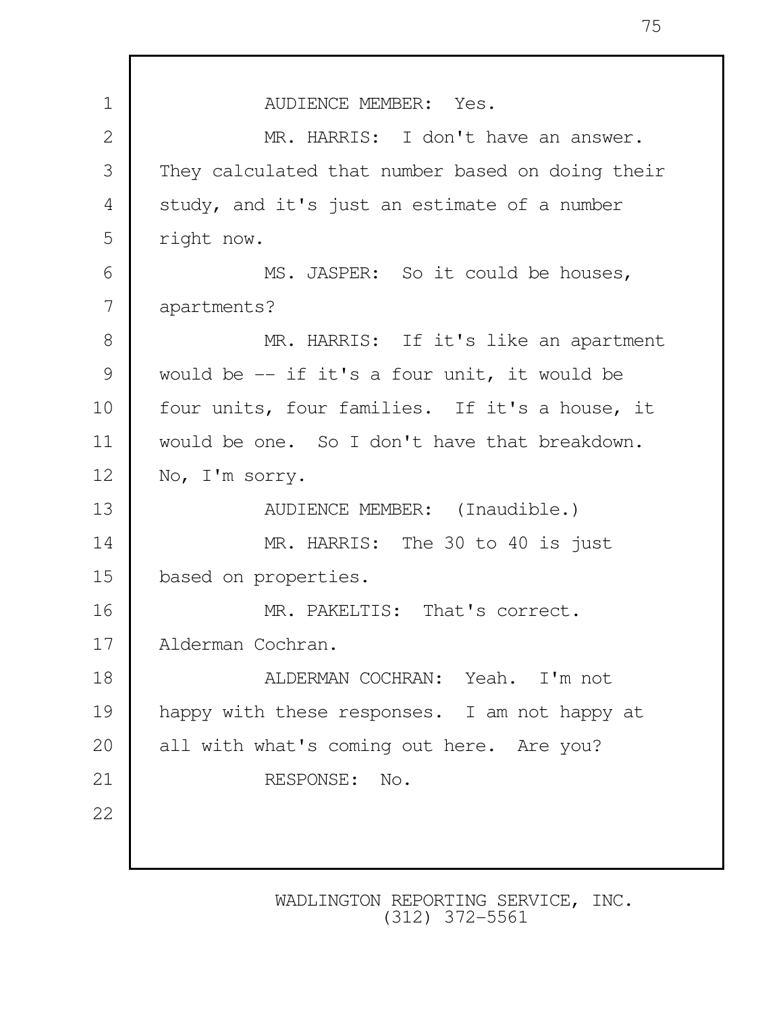1 AUDIENCE MEMBER: Yes. 2 | MR. HARRIS: I don't have an answer. 3 They calculated that number based on doing their 4 study, and it's just an estimate of a number 5 | right now. 6 MS. JASPER: So it could be houses, 7 apartments? 8 MR. HARRIS: If it's like an apartment 9 would be -- if it's a four unit, it would be 10 | four units, four families. If it's a house, it 11 would be one. So I don't have that breakdown. 12 No, I'm sorry. 13 AUDIENCE MEMBER: (Inaudible.) 14 MR. HARRIS: The 30 to 40 is just 15 based on properties. 16 MR. PAKELTIS: That's correct. 17 Alderman Cochran. 18 | ALDERMAN COCHRAN: Yeah. I'm not 19 happy with these responses. I am not happy at 20 all with what's coming out here. Are you? 21 RESPONSE: No. 22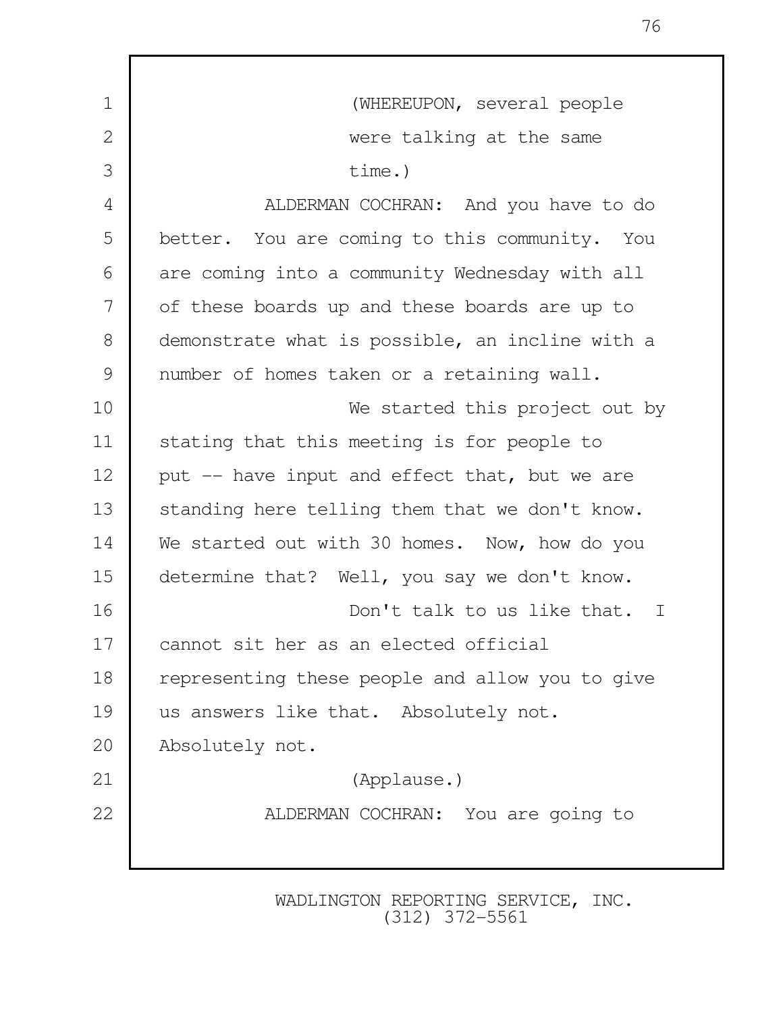| $\mathbf 1$ | (WHEREUPON, several people                      |
|-------------|-------------------------------------------------|
| 2           | were talking at the same                        |
| 3           | time.)                                          |
| 4           | ALDERMAN COCHRAN: And you have to do            |
| 5           | better. You are coming to this community. You   |
| 6           | are coming into a community Wednesday with all  |
| 7           | of these boards up and these boards are up to   |
| 8           | demonstrate what is possible, an incline with a |
| 9           | number of homes taken or a retaining wall.      |
| 10          | We started this project out by                  |
| 11          | stating that this meeting is for people to      |
| 12          | put -- have input and effect that, but we are   |
| 13          | standing here telling them that we don't know.  |
| 14          | We started out with 30 homes. Now, how do you   |
| 15          | determine that? Well, you say we don't know.    |
| 16          | Don't talk to us like that. I                   |
| 17          | cannot sit her as an elected official           |
| 18          | representing these people and allow you to give |
| 19          | us answers like that. Absolutely not.           |
| 20          | Absolutely not.                                 |
| 21          | (Applause.)                                     |
| 22          | ALDERMAN COCHRAN: You are going to              |
|             |                                                 |
|             |                                                 |

WADLINGTON REPORTING SERVICE, INC. (312) 372-5561

76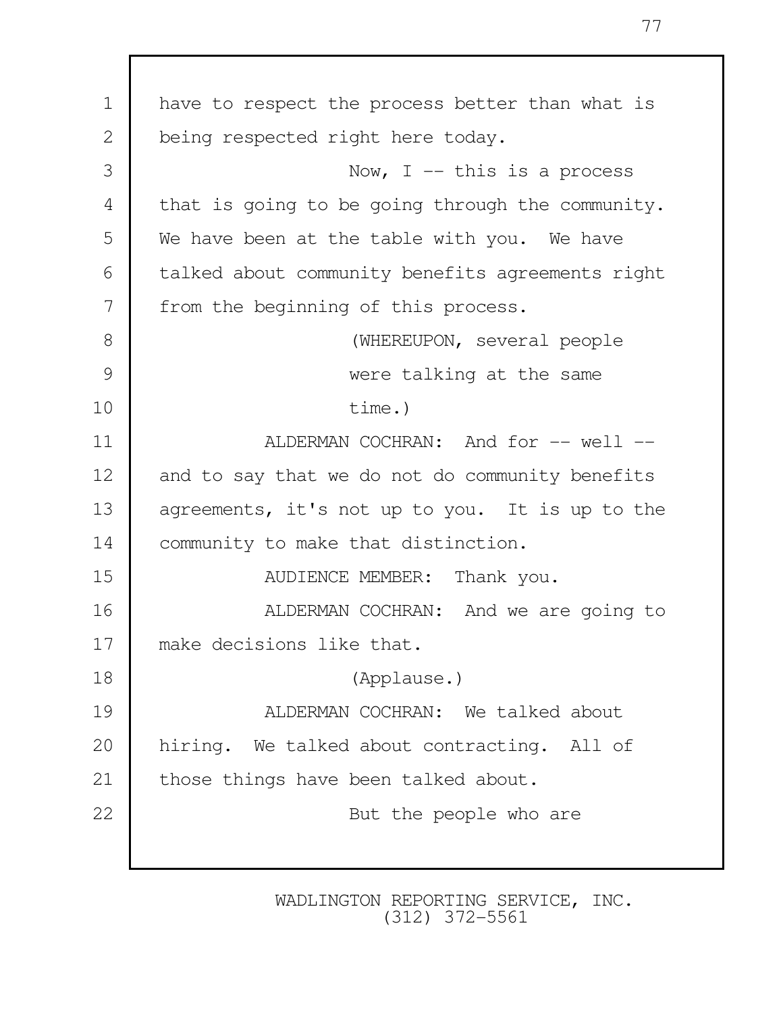1 have to respect the process better than what is 2 being respected right here today. 3 Now, I -- this is a process 4 | that is going to be going through the community. 5 We have been at the table with you. We have 6 talked about community benefits agreements right 7 from the beginning of this process. 8 **CONGREUPON, SEVERLANDER SEVERLANDER SEVERLANDER SEVEREL** 9 Were talking at the same 10 time.) 11 | ALDERMAN COCHRAN: And for -- well --12 and to say that we do not do community benefits 13 agreements, it's not up to you. It is up to the 14 | community to make that distinction. 15 NUDIENCE MEMBER: Thank you. 16 | ALDERMAN COCHRAN: And we are going to 17 make decisions like that. 18 (Applause.) 19 ALDERMAN COCHRAN: We talked about 20 hiring. We talked about contracting. All of 21 | those things have been talked about. 22 **But the people who are**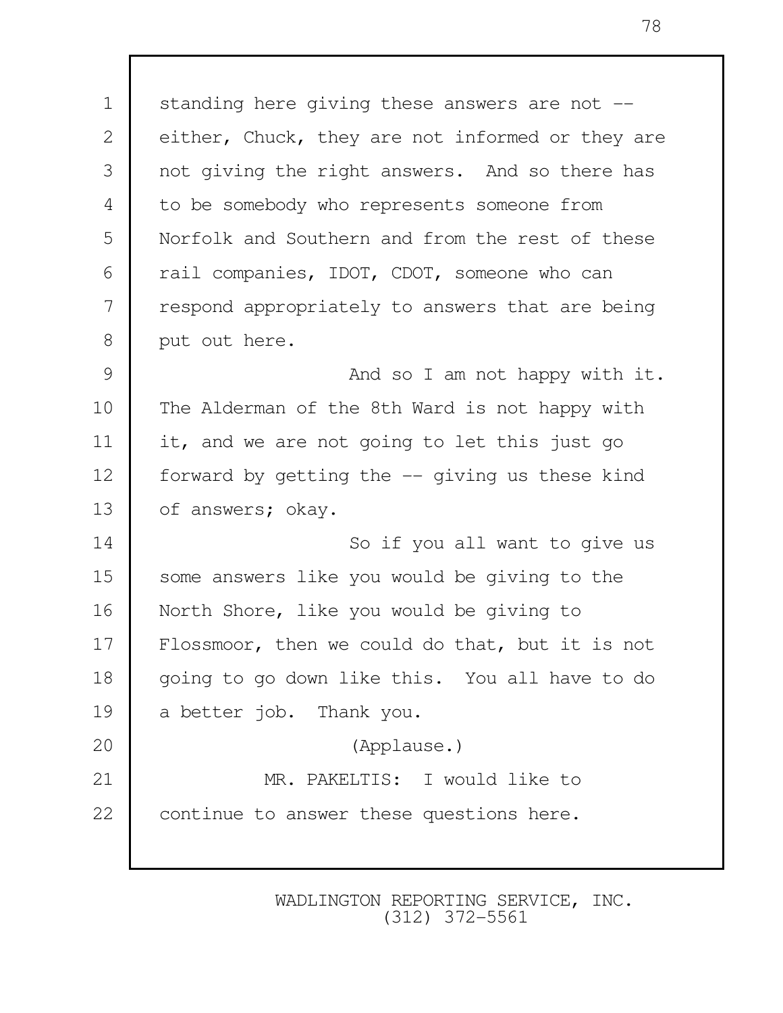1 | standing here giving these answers are not --2 either, Chuck, they are not informed or they are 3 not giving the right answers. And so there has 4 to be somebody who represents someone from 5 Norfolk and Southern and from the rest of these 6 rail companies, IDOT, CDOT, someone who can 7 respond appropriately to answers that are being 8 put out here.

9 And so I am not happy with it. 10 The Alderman of the 8th Ward is not happy with 11 it, and we are not going to let this just go 12 | forward by getting the -- giving us these kind 13 of answers; okay.

14 So if you all want to give us 15 some answers like you would be giving to the 16 North Shore, like you would be giving to 17 Flossmoor, then we could do that, but it is not 18 going to go down like this. You all have to do 19 a better job. Thank you.

21 | MR. PAKELTIS: I would like to 22 | continue to answer these questions here.

20 (Applause.)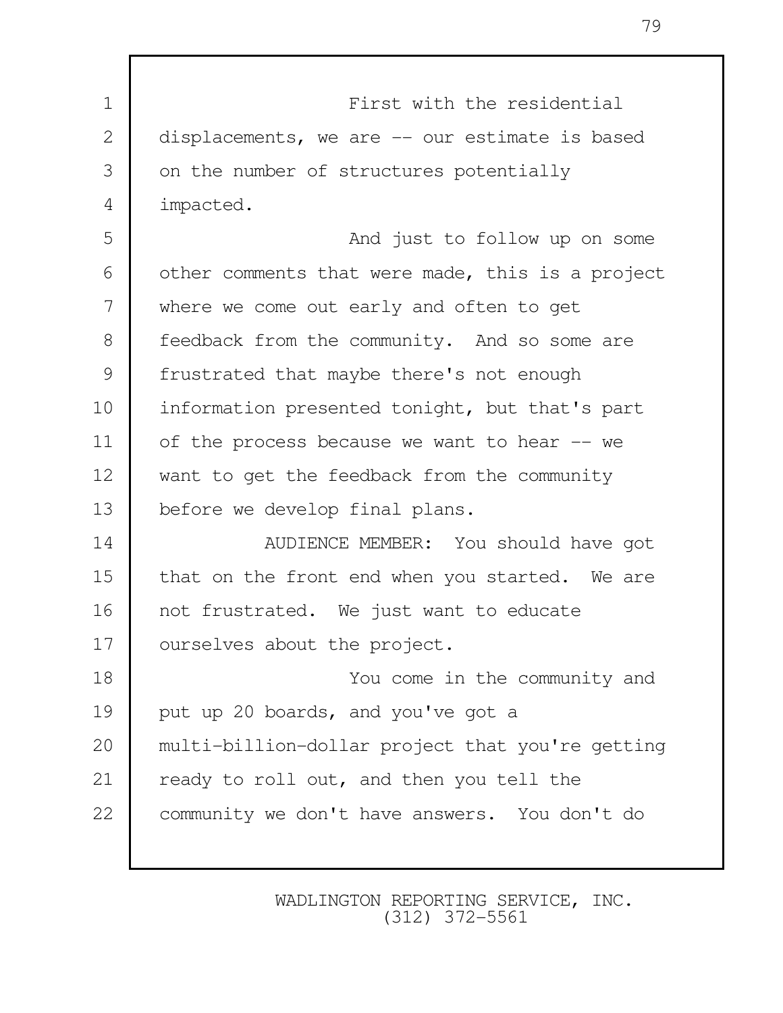| $\mathbf 1$ | First with the residential                       |
|-------------|--------------------------------------------------|
| 2           | displacements, we are -- our estimate is based   |
| 3           | on the number of structures potentially          |
| 4           | impacted.                                        |
| 5           | And just to follow up on some                    |
| 6           | other comments that were made, this is a project |
| 7           | where we come out early and often to get         |
| 8           | feedback from the community. And so some are     |
| 9           | frustrated that maybe there's not enough         |
| 10          | information presented tonight, but that's part   |
| 11          | of the process because we want to hear -- we     |
| 12          | want to get the feedback from the community      |
| 13          | before we develop final plans.                   |
| 14          | AUDIENCE MEMBER: You should have got             |
| 15          | that on the front end when you started. We are   |
| 16          | not frustrated. We just want to educate          |
| 17          | ourselves about the project.                     |
| 18          | You come in the community and                    |
| 19          | put up 20 boards, and you've got a               |
| 20          | multi-billion-dollar project that you're getting |
| 21          | ready to roll out, and then you tell the         |
| 22          | community we don't have answers. You don't do    |
|             |                                                  |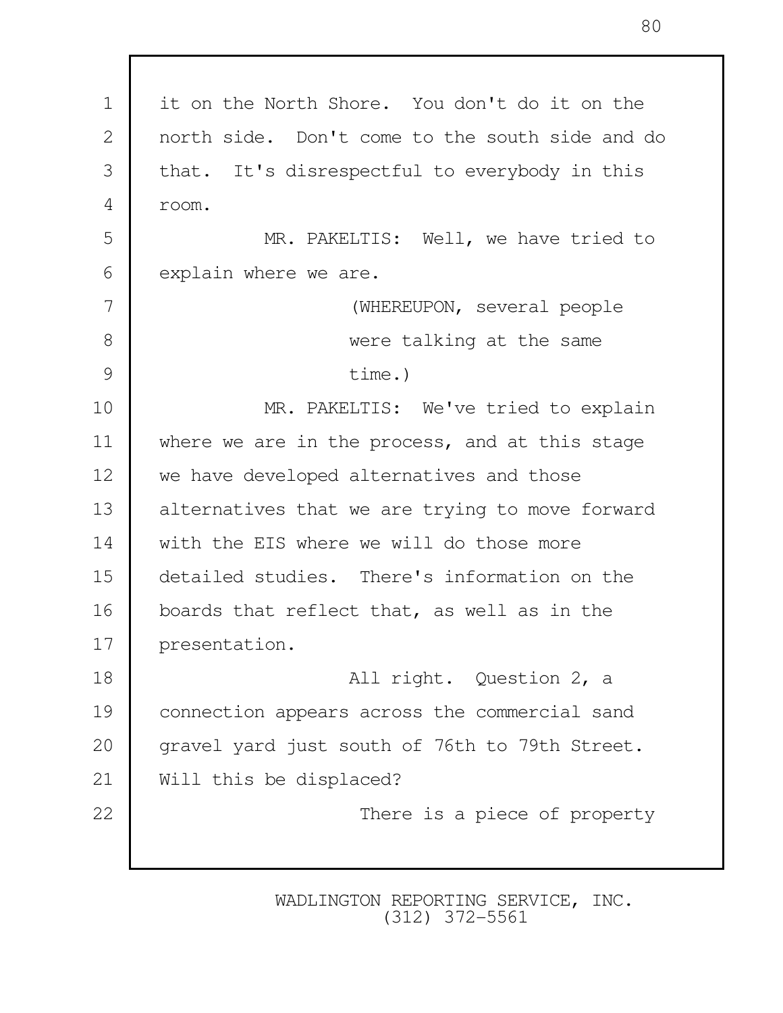1 it on the North Shore. You don't do it on the 2 north side. Don't come to the south side and do 3 that. It's disrespectful to everybody in this 4 room. 5 MR. PAKELTIS: Well, we have tried to 6 explain where we are. 7 (WHEREUPON, several people 8 were talking at the same 9 time.) 10 MR. PAKELTIS: We've tried to explain 11 where we are in the process, and at this stage 12 we have developed alternatives and those 13 alternatives that we are trying to move forward 14 with the EIS where we will do those more 15 detailed studies. There's information on the 16 boards that reflect that, as well as in the 17 presentation. 18 All right. Question 2, a 19 connection appears across the commercial sand 20 | gravel yard just south of 76th to 79th Street. 21 Will this be displaced? 22 **There** is a piece of property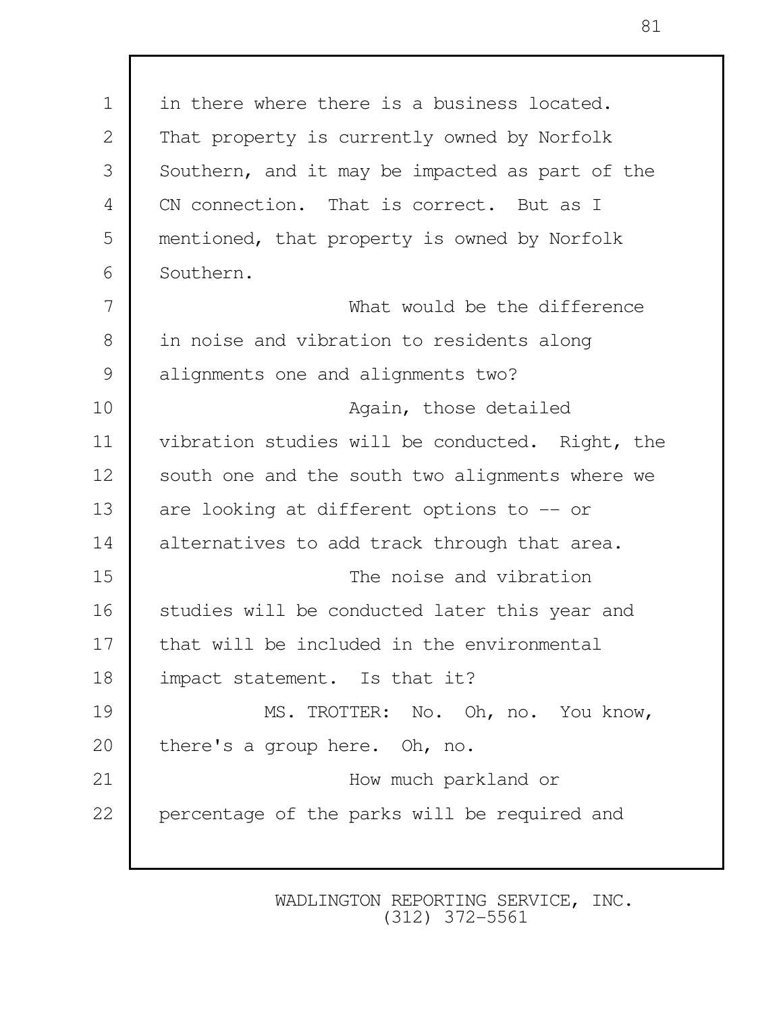1 | in there where there is a business located. 2 That property is currently owned by Norfolk 3 Southern, and it may be impacted as part of the 4 CN connection. That is correct. But as I 5 mentioned, that property is owned by Norfolk 6 Southern. 7 What would be the difference 8 in noise and vibration to residents along 9 alignments one and alignments two? 10 **Again**, those detailed 11 vibration studies will be conducted. Right, the 12 South one and the south two alignments where we 13 are looking at different options to -- or 14 alternatives to add track through that area. 15 | The noise and vibration 16 | studies will be conducted later this year and 17 that will be included in the environmental 18 | impact statement. Is that it? 19 MS. TROTTER: No. Oh, no. You know, 20 there's a group here. Oh, no. 21 How much parkland or 22 percentage of the parks will be required and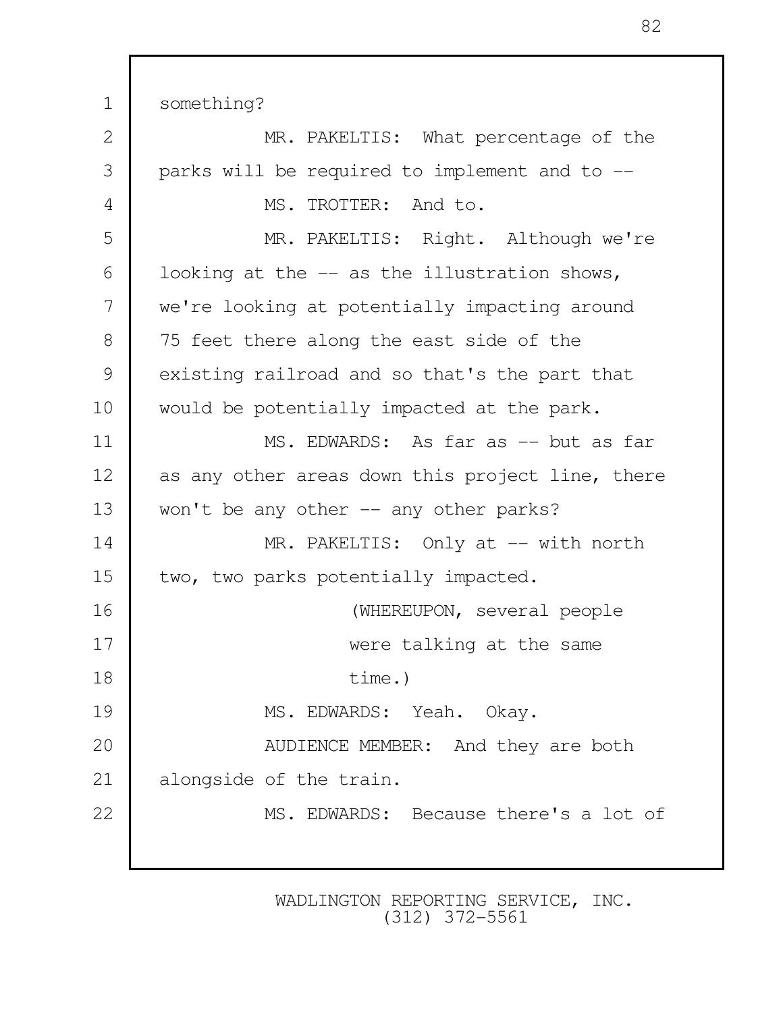1 something? 2 MR. PAKELTIS: What percentage of the 3 parks will be required to implement and to -- 4 MS. TROTTER: And to. 5 MR. PAKELTIS: Right. Although we're  $6$  | looking at the  $-$  as the illustration shows, 7 we're looking at potentially impacting around 8 75 feet there along the east side of the 9 existing railroad and so that's the part that 10 would be potentially impacted at the park. 11 MS. EDWARDS: As far as -- but as far 12 as any other areas down this project line, there 13 won't be any other -- any other parks? 14 | MR. PAKELTIS: Only at -- with north 15 | two, two parks potentially impacted. 16 (WHEREUPON, several people 17 were talking at the same 18 time.) 19 MS. EDWARDS: Yeah. Okay. 20 | AUDIENCE MEMBER: And they are both 21 alongside of the train. 22 MS. EDWARDS: Because there's a lot of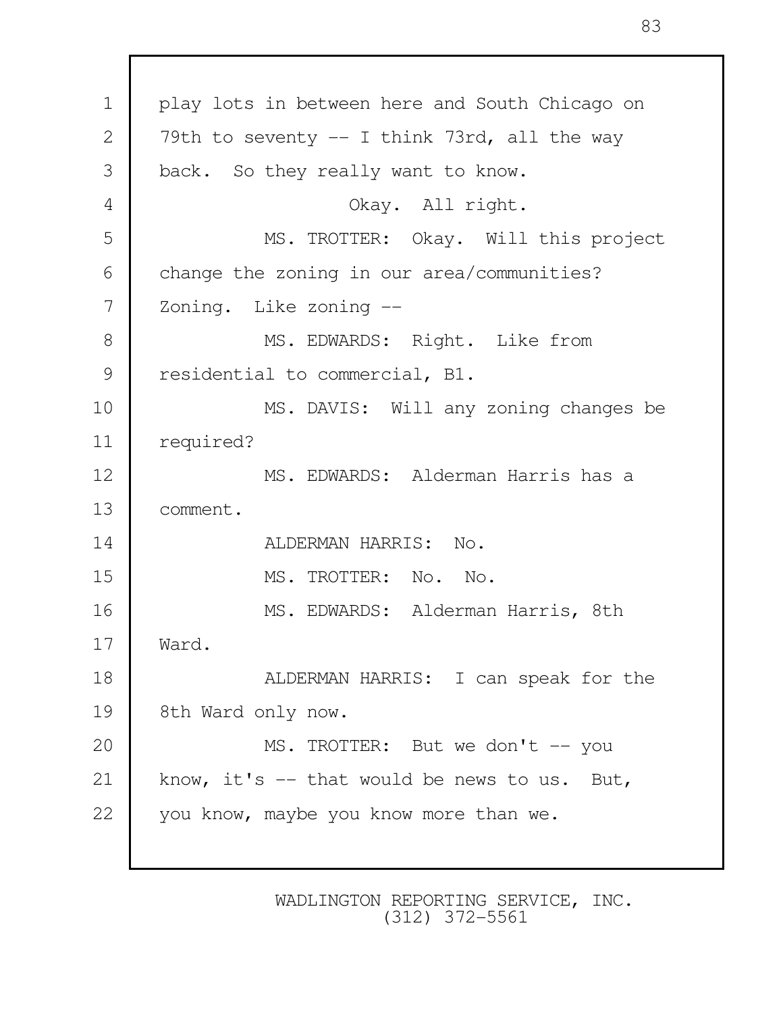| $\mathbf 1$    | play lots in between here and South Chicago on |  |  |
|----------------|------------------------------------------------|--|--|
| $\overline{2}$ | 79th to seventy $-$ I think 73rd, all the way  |  |  |
| 3              | back. So they really want to know.             |  |  |
| 4              | Okay. All right.                               |  |  |
| 5              | MS. TROTTER: Okay. Will this project           |  |  |
| 6              | change the zoning in our area/communities?     |  |  |
| 7              | Zoning. Like zoning --                         |  |  |
| 8              | MS. EDWARDS: Right. Like from                  |  |  |
| $\mathcal{G}$  | residential to commercial, B1.                 |  |  |
| 10             | MS. DAVIS: Will any zoning changes be          |  |  |
| 11             | required?                                      |  |  |
| 12             | MS. EDWARDS: Alderman Harris has a             |  |  |
| 13             | comment.                                       |  |  |
| 14             | ALDERMAN HARRIS: No.                           |  |  |
| 15             | MS. TROTTER: No. No.                           |  |  |
| 16             | MS. EDWARDS: Alderman Harris, 8th              |  |  |
| 17             | Ward.                                          |  |  |
| 18             | ALDERMAN HARRIS: I can speak for the           |  |  |
| 19             | 8th Ward only now.                             |  |  |
| 20             | MS. TROTTER: But we don't -- you               |  |  |
| 21             | know, it's $--$ that would be news to us. But, |  |  |
| 22             | you know, maybe you know more than we.         |  |  |
|                |                                                |  |  |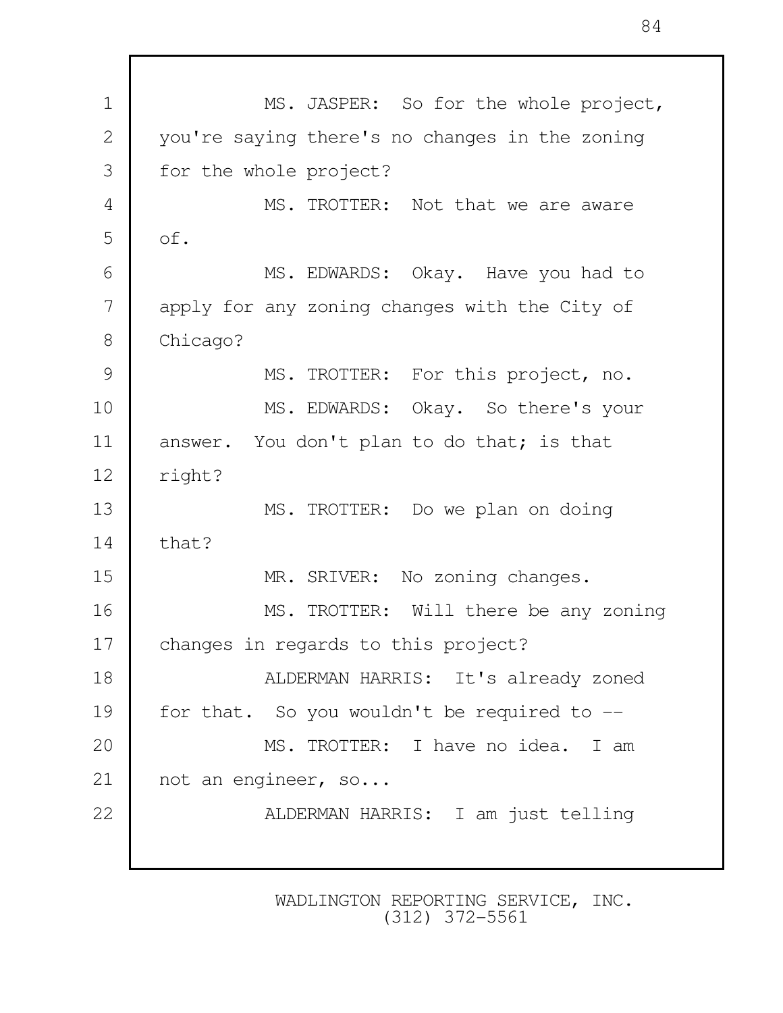1 MS. JASPER: So for the whole project, 2 you're saying there's no changes in the zoning 3 for the whole project? 4 MS. TROTTER: Not that we are aware 5 of. 6 MS. EDWARDS: Okay. Have you had to 7 apply for any zoning changes with the City of 8 Chicago? 9 MS. TROTTER: For this project, no. 10 MS. EDWARDS: Okay. So there's your 11 answer. You don't plan to do that; is that 12 right? 13 MS. TROTTER: Do we plan on doing  $14$  that? 15 MR. SRIVER: No zoning changes. 16 | MS. TROTTER: Will there be any zoning 17 changes in regards to this project? 18 ALDERMAN HARRIS: It's already zoned 19 for that. So you wouldn't be required to -- 20 | MS. TROTTER: I have no idea. I am 21 | not an engineer, so... 22 | ALDERMAN HARRIS: I am just telling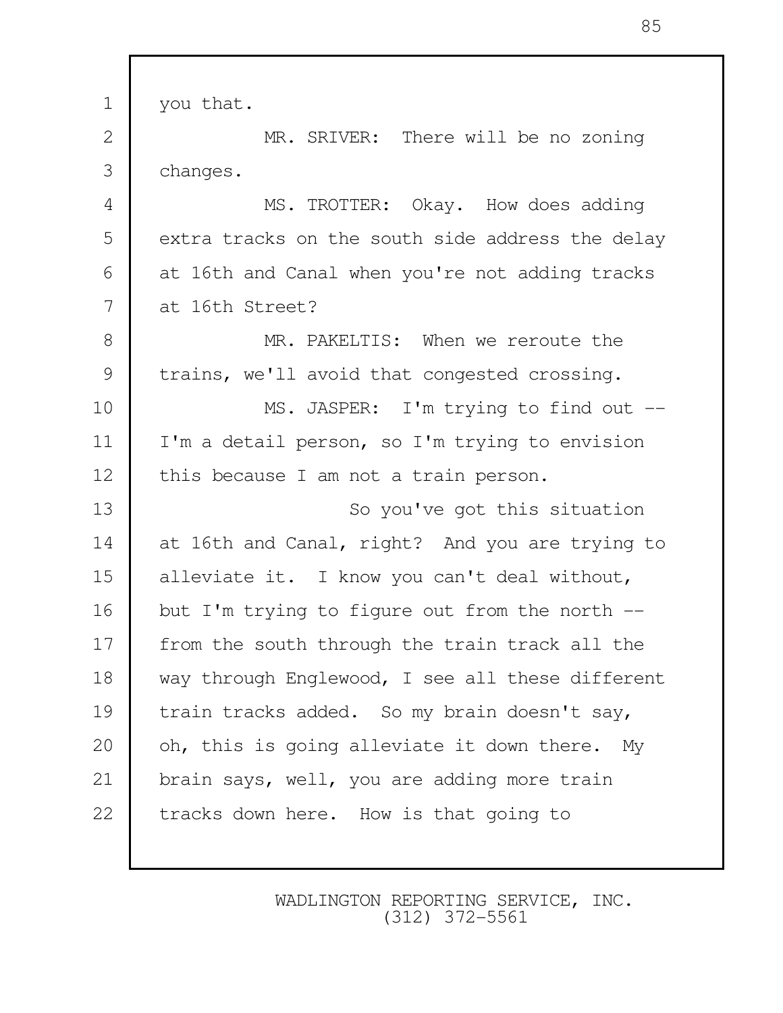1 you that.

2 MR. SRIVER: There will be no zoning 3 changes.

4 MS. TROTTER: Okay. How does adding 5 extra tracks on the south side address the delay 6 at 16th and Canal when you're not adding tracks 7 at 16th Street?

 8 MR. PAKELTIS: When we reroute the 9 trains, we'll avoid that congested crossing.

10 | MS. JASPER: I'm trying to find out --11 I'm a detail person, so I'm trying to envision 12 | this because I am not a train person.

13 So you've got this situation 14 at 16th and Canal, right? And you are trying to 15 alleviate it. I know you can't deal without, 16 | but I'm trying to figure out from the north  $-$ 17 | from the south through the train track all the 18 way through Englewood, I see all these different 19 train tracks added. So my brain doesn't say, 20 | oh, this is going alleviate it down there. My 21 | brain says, well, you are adding more train 22 tracks down here. How is that going to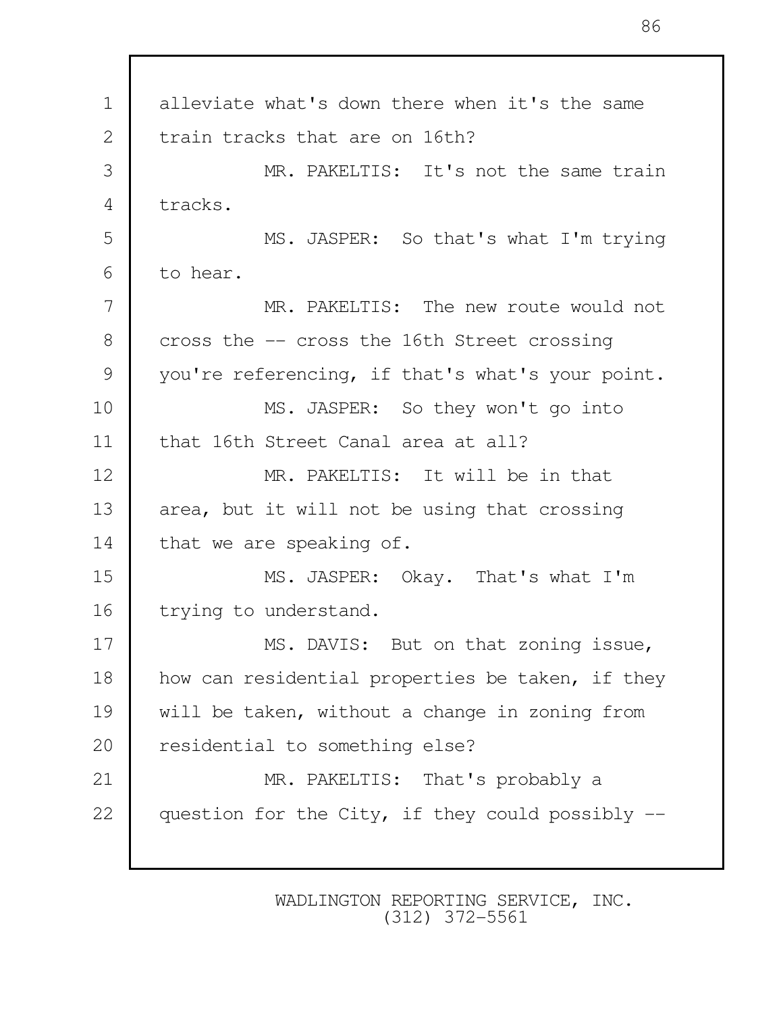1 alleviate what's down there when it's the same 2 train tracks that are on 16th? 3 MR. PAKELTIS: It's not the same train 4 tracks. 5 MS. JASPER: So that's what I'm trying 6 to hear. 7 MR. PAKELTIS: The new route would not 8 cross the -- cross the 16th Street crossing 9 you're referencing, if that's what's your point. 10 MS. JASPER: So they won't go into 11 that 16th Street Canal area at all? 12 MR. PAKELTIS: It will be in that 13 area, but it will not be using that crossing 14 that we are speaking of. 15 MS. JASPER: Okay. That's what I'm 16 trying to understand. 17 MS. DAVIS: But on that zoning issue, 18 | how can residential properties be taken, if they 19 will be taken, without a change in zoning from 20 residential to something else? 21 | MR. PAKELTIS: That's probably a 22 question for the City, if they could possibly --

> WADLINGTON REPORTING SERVICE, INC. (312) 372-5561

86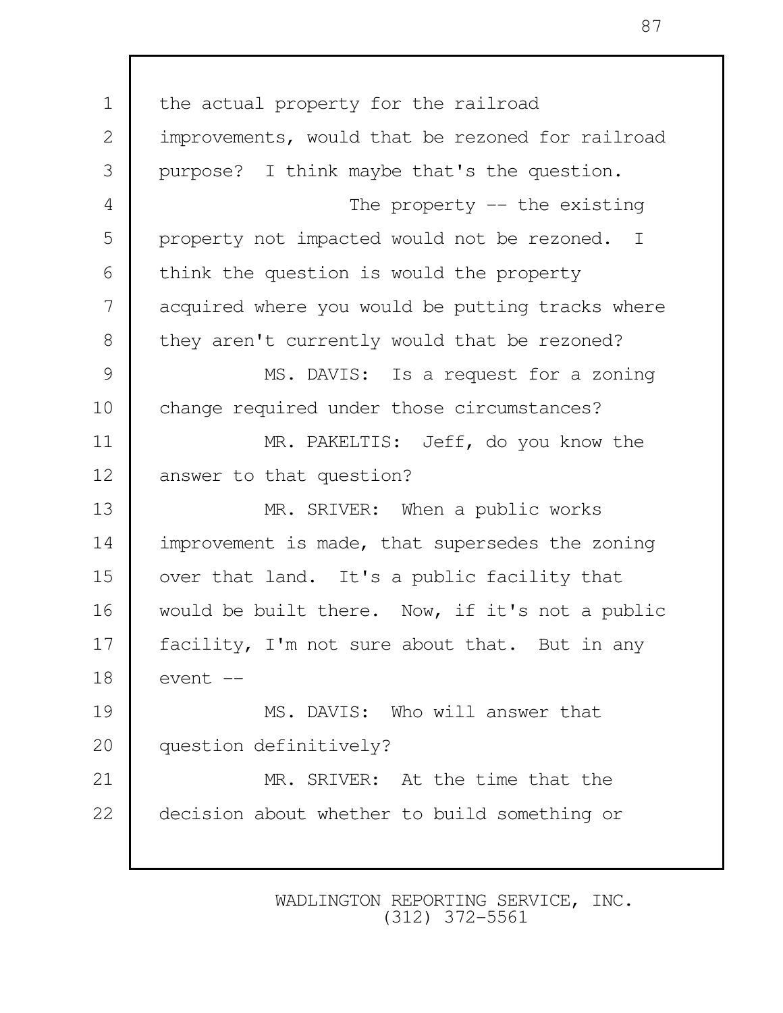1 the actual property for the railroad 2 improvements, would that be rezoned for railroad 3 purpose? I think maybe that's the question. 4 The property -- the existing 5 property not impacted would not be rezoned. I 6 think the question is would the property 7 acquired where you would be putting tracks where 8 they aren't currently would that be rezoned? 9 MS. DAVIS: Is a request for a zoning 10 change required under those circumstances? 11 MR. PAKELTIS: Jeff, do you know the 12 answer to that question? 13 MR. SRIVER: When a public works 14 improvement is made, that supersedes the zoning 15 over that land. It's a public facility that 16 would be built there. Now, if it's not a public 17 | facility, I'm not sure about that. But in any  $18$  event  $-$ 19 MS. DAVIS: Who will answer that 20 question definitively? 21 MR. SRIVER: At the time that the 22 decision about whether to build something or

> WADLINGTON REPORTING SERVICE, INC. (312) 372-5561

87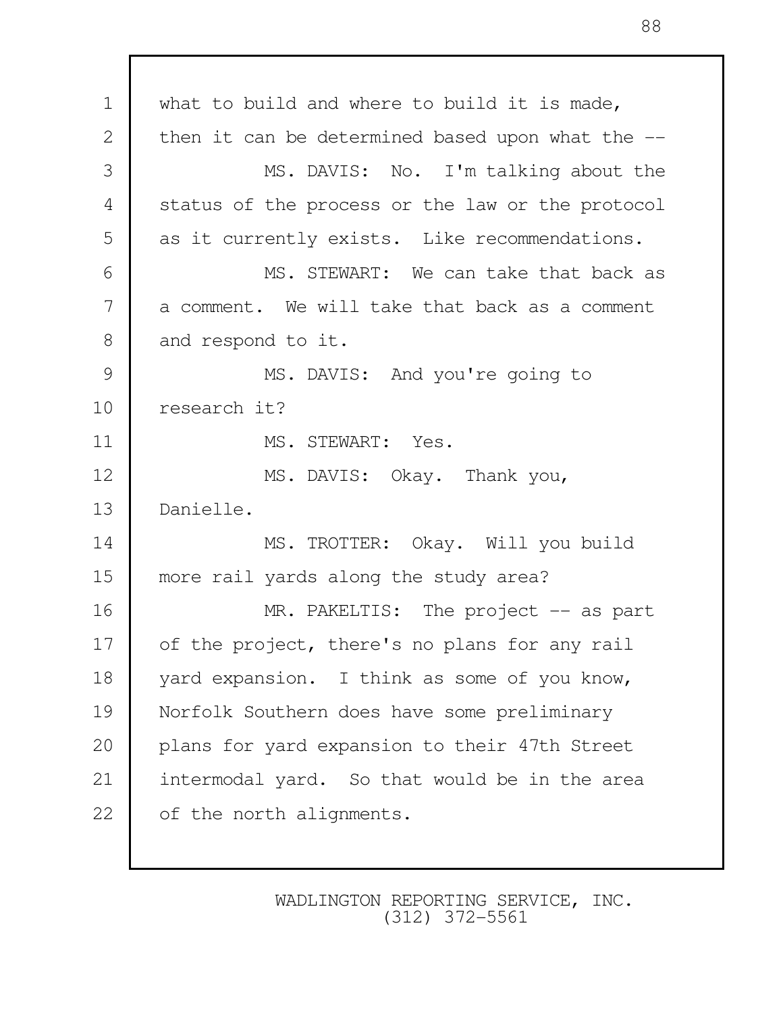| $\mathbf 1$  | what to build and where to build it is made,     |
|--------------|--------------------------------------------------|
| $\mathbf{2}$ | then it can be determined based upon what the -- |
| 3            | MS. DAVIS: No. I'm talking about the             |
| 4            | status of the process or the law or the protocol |
| 5            | as it currently exists. Like recommendations.    |
| 6            | MS. STEWART: We can take that back as            |
| 7            | a comment. We will take that back as a comment   |
| 8            | and respond to it.                               |
| 9            | MS. DAVIS: And you're going to                   |
| 10           | research it?                                     |
| 11           | MS. STEWART: Yes.                                |
| 12           | MS. DAVIS: Okay. Thank you,                      |
| 13           | Danielle.                                        |
| 14           | MS. TROTTER: Okay. Will you build                |
| 15           | more rail yards along the study area?            |
| 16           | MR. PAKELTIS: The project -- as part             |
| 17           | of the project, there's no plans for any rail    |
| 18           | yard expansion. I think as some of you know,     |
| 19           | Norfolk Southern does have some preliminary      |
| 20           | plans for yard expansion to their 47th Street    |
| 21           | intermodal yard. So that would be in the area    |
| 22           | of the north alignments.                         |
|              |                                                  |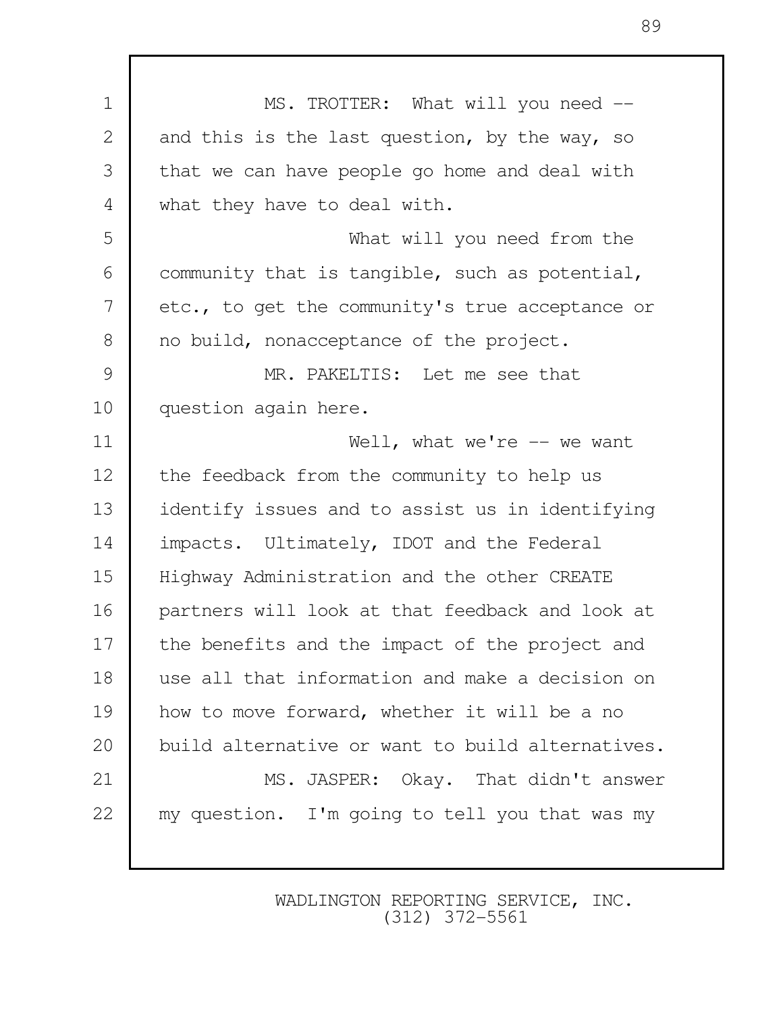1 MS. TROTTER: What will you need --2 and this is the last question, by the way, so 3 that we can have people go home and deal with 4 what they have to deal with. 5 What will you need from the 6 community that is tangible, such as potential, 7 etc., to get the community's true acceptance or 8 no build, nonacceptance of the project. 9 MR. PAKELTIS: Let me see that 10 | question again here. 11 Well, what we're -- we want 12 the feedback from the community to help us 13 identify issues and to assist us in identifying 14 | impacts. Ultimately, IDOT and the Federal 15 Highway Administration and the other CREATE 16 partners will look at that feedback and look at 17 the benefits and the impact of the project and 18 use all that information and make a decision on 19 how to move forward, whether it will be a no 20 build alternative or want to build alternatives. 21 | MS. JASPER: Okay. That didn't answer 22 my question. I'm going to tell you that was my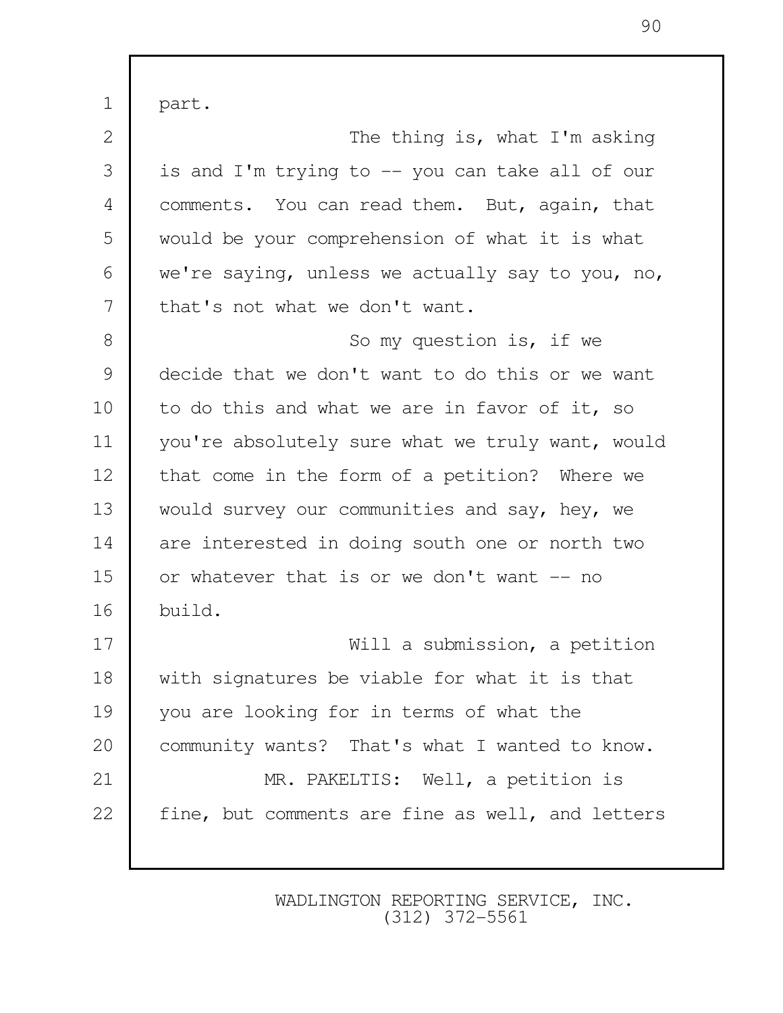1 part. 2 | The thing is, what I'm asking 3 is and I'm trying to -- you can take all of our 4 comments. You can read them. But, again, that 5 would be your comprehension of what it is what 6 we're saying, unless we actually say to you, no, 7 that's not what we don't want. 8 So my question is, if we 9 decide that we don't want to do this or we want 10 to do this and what we are in favor of it, so 11 you're absolutely sure what we truly want, would 12 | that come in the form of a petition? Where we 13 would survey our communities and say, hey, we 14 are interested in doing south one or north two 15 or whatever that is or we don't want -- no 16 build. 17 Will a submission, a petition 18 with signatures be viable for what it is that 19 you are looking for in terms of what the 20 community wants? That's what I wanted to know. 21 | MR. PAKELTIS: Well, a petition is 22 fine, but comments are fine as well, and letters

> WADLINGTON REPORTING SERVICE, INC. (312) 372-5561

90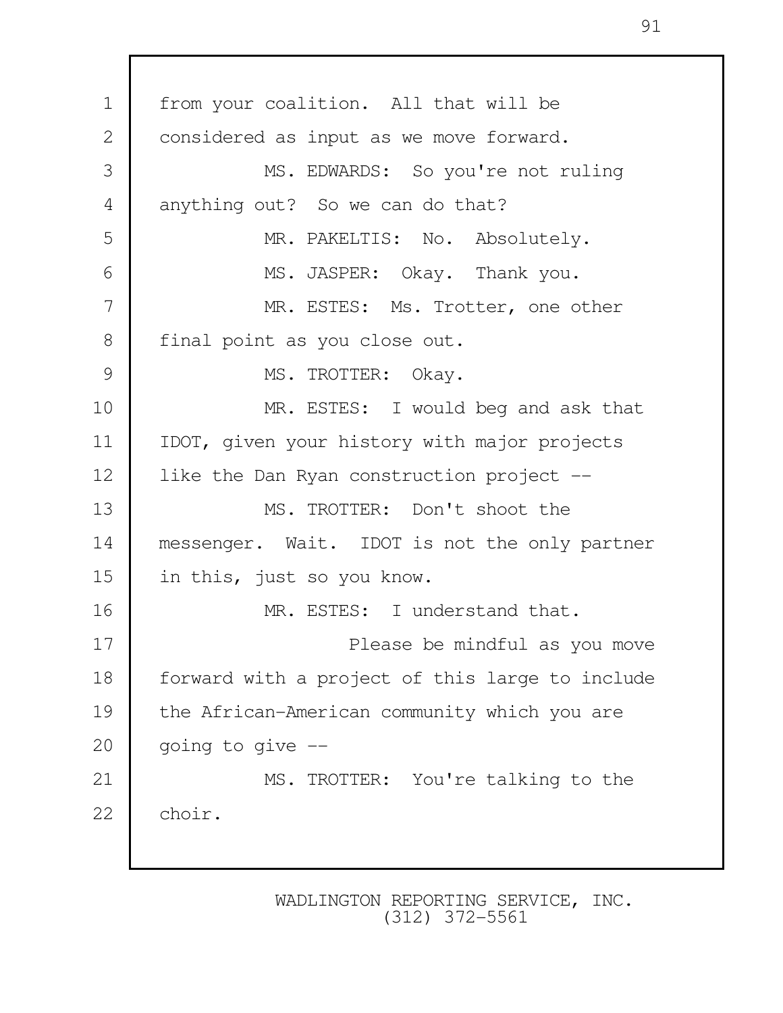1 from your coalition. All that will be 2 | considered as input as we move forward. 3 MS. EDWARDS: So you're not ruling 4 anything out? So we can do that? 5 MR. PAKELTIS: No. Absolutely. 6 MS. JASPER: Okay. Thank you. 7 MR. ESTES: Ms. Trotter, one other 8 final point as you close out. 9 MS. TROTTER: Okay. 10 MR. ESTES: I would beg and ask that 11 IDOT, given your history with major projects 12 | like the Dan Ryan construction project --13 MS. TROTTER: Don't shoot the 14 messenger. Wait. IDOT is not the only partner 15 in this, just so you know. 16 MR. ESTES: I understand that. 17 | Please be mindful as you move 18 forward with a project of this large to include 19 the African-American community which you are  $20$  going to give  $-$ 21 | MS. TROTTER: You're talking to the 22 choir.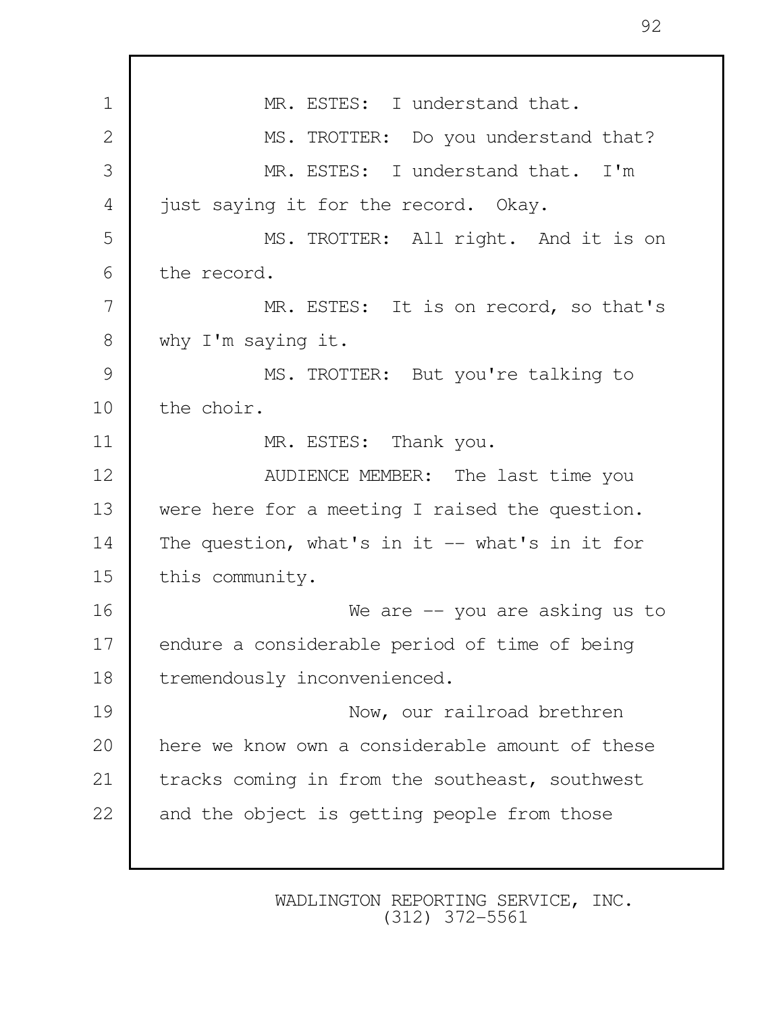1 MR. ESTES: I understand that. 2 MS. TROTTER: Do you understand that? 3 | MR. ESTES: I understand that. I'm 4 iust saying it for the record. Okay. 5 MS. TROTTER: All right. And it is on 6 the record. 7 MR. ESTES: It is on record, so that's 8 | why I'm saying it. 9 | MS. TROTTER: But you're talking to 10 the choir. 11 | MR. ESTES: Thank you. 12 | AUDIENCE MEMBER: The last time you 13 were here for a meeting I raised the question. 14 The question, what's in it -- what's in it for 15 this community. 16 We are -- you are asking us to 17 endure a considerable period of time of being 18 tremendously inconvenienced. 19 Now, our railroad brethren 20 here we know own a considerable amount of these 21 | tracks coming in from the southeast, southwest 22 and the object is getting people from those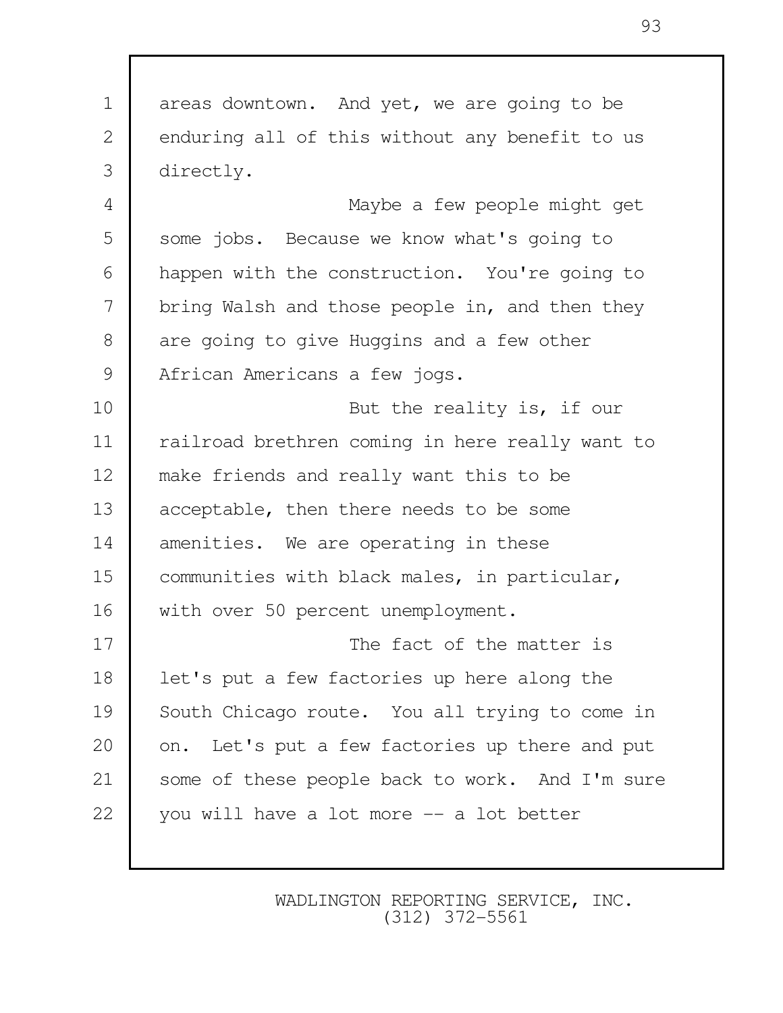1 areas downtown. And yet, we are going to be 2 enduring all of this without any benefit to us 3 directly. 4 Maybe a few people might get 5 some jobs. Because we know what's going to 6 happen with the construction. You're going to 7 bring Walsh and those people in, and then they 8 are going to give Huggins and a few other 9 | African Americans a few jogs. 10 | Rut the reality is, if our 11 | railroad brethren coming in here really want to 12 make friends and really want this to be 13 acceptable, then there needs to be some 14 amenities. We are operating in these 15 communities with black males, in particular, 16 | with over 50 percent unemployment. 17 **The fact of the matter is** 18 | let's put a few factories up here along the 19 South Chicago route. You all trying to come in 20 on. Let's put a few factories up there and put 21 some of these people back to work. And I'm sure 22 | you will have a lot more -- a lot better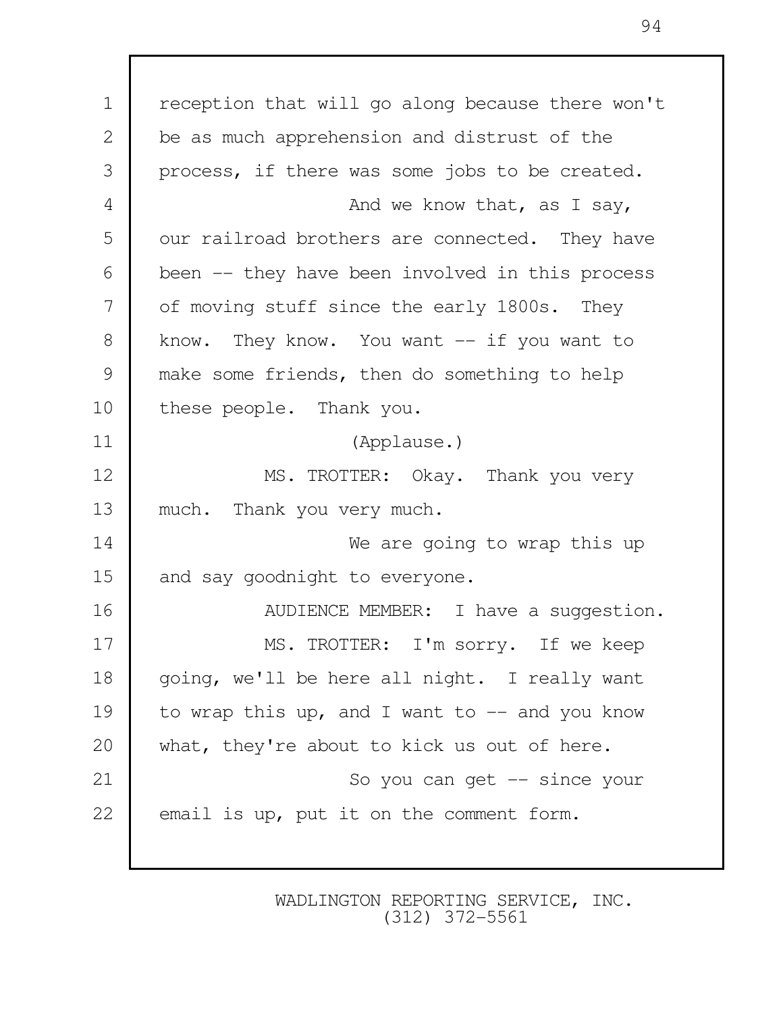1 reception that will go along because there won't 2 be as much apprehension and distrust of the 3 process, if there was some jobs to be created. 4 and we know that, as I say, 5 our railroad brothers are connected. They have 6 been -- they have been involved in this process 7 of moving stuff since the early 1800s. They 8 know. They know. You want -- if you want to 9 make some friends, then do something to help 10 these people. Thank you. 11 (Applause.) 12 MS. TROTTER: Okay. Thank you very 13 much. Thank you very much. 14 We are going to wrap this up 15 and say goodnight to everyone. 16 | AUDIENCE MEMBER: I have a suggestion. 17 | MS. TROTTER: I'm sorry. If we keep 18 | going, we'll be here all night. I really want 19 to wrap this up, and I want to  $-$  and you know 20 what, they're about to kick us out of here. 21 | So you can get -- since your 22 email is up, put it on the comment form.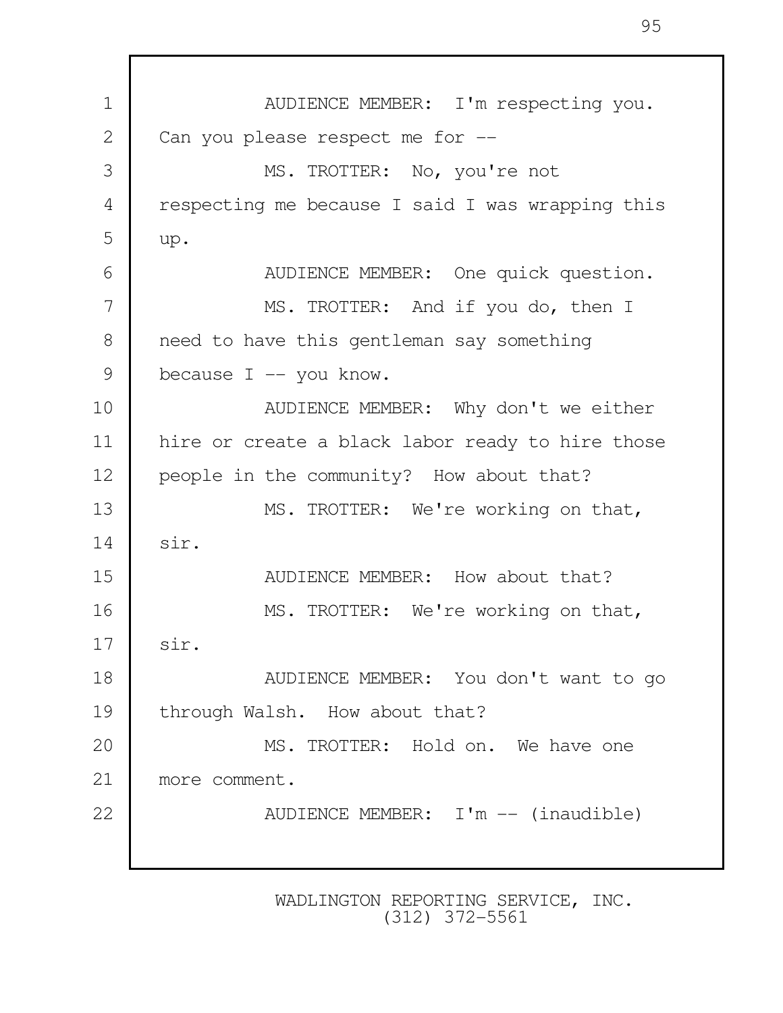1 NUDIENCE MEMBER: I'm respecting you. 2 Can you please respect me for -- 3 MS. TROTTER: No, you're not 4 respecting me because I said I was wrapping this 5 up. 6 AUDIENCE MEMBER: One quick question. 7 MS. TROTTER: And if you do, then I 8 need to have this gentleman say something 9 because  $I$  -- you know. 10 | AUDIENCE MEMBER: Why don't we either 11 hire or create a black labor ready to hire those 12 people in the community? How about that? 13 MS. TROTTER: We're working on that, 14 sir. 15 **AUDIENCE MEMBER:** How about that? 16 | MS. TROTTER: We're working on that,  $17 \text{ isir.}$ 18 | AUDIENCE MEMBER: You don't want to go 19 through Walsh. How about that? 20 | MS. TROTTER: Hold on. We have one 21 | more comment. 22 | AUDIENCE MEMBER: I'm -- (inaudible)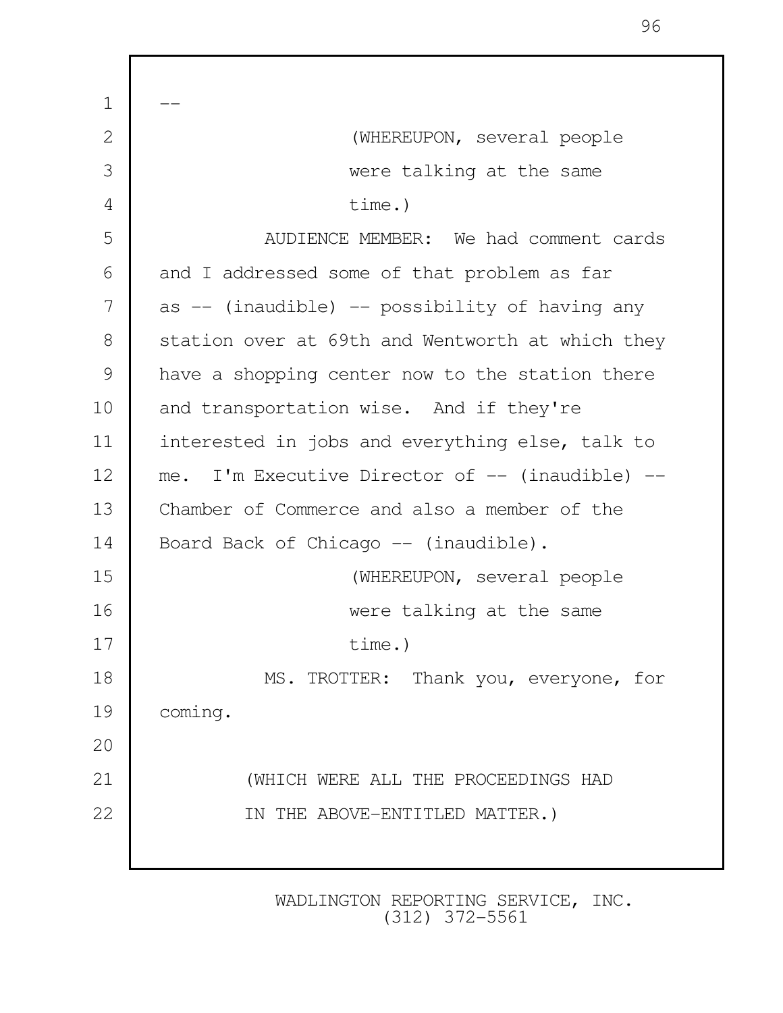$\mathbf 1$  2 (WHEREUPON, several people 3 were talking at the same 4 time.) 5 AUDIENCE MEMBER: We had comment cards 6 and I addressed some of that problem as far 7 as -- (inaudible) -- possibility of having any 8 station over at 69th and Wentworth at which they 9 have a shopping center now to the station there 10 and transportation wise. And if they're 11 interested in jobs and everything else, talk to 12 me. I'm Executive Director of -- (inaudible) --13 Chamber of Commerce and also a member of the 14 Board Back of Chicago -- (inaudible). 15 (WHEREUPON, several people 16 were talking at the same 17 degree time.) 18 MS. TROTTER: Thank you, everyone, for 19 coming. 20 21 (WHICH WERE ALL THE PROCEEDINGS HAD 22 IN THE ABOVE-ENTITLED MATTER.)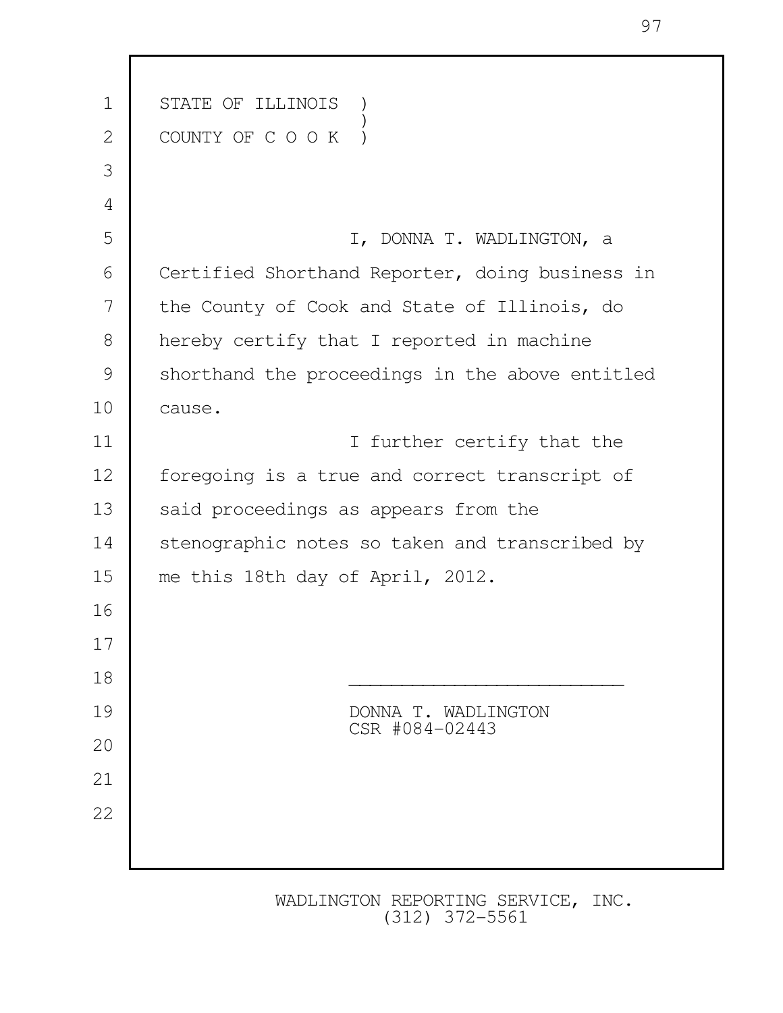| $\mathbf 1$    | STATE OF ILLINOIS                               |
|----------------|-------------------------------------------------|
| $\overline{2}$ | COUNTY OF C O O K                               |
| 3              |                                                 |
| 4              |                                                 |
| 5              | I, DONNA T. WADLINGTON, a                       |
| 6              | Certified Shorthand Reporter, doing business in |
| 7              | the County of Cook and State of Illinois, do    |
| 8              | hereby certify that I reported in machine       |
| 9              | shorthand the proceedings in the above entitled |
| 10             | cause.                                          |
| 11             | I further certify that the                      |
| 12             | foregoing is a true and correct transcript of   |
| 13             | said proceedings as appears from the            |
| 14             | stenographic notes so taken and transcribed by  |
| 15             | me this 18th day of April, 2012.                |
| 16             |                                                 |
| 17             |                                                 |
| 18             |                                                 |
| 19             | DONNA T. WADLINGTON<br>CSR #084-02443           |
| 20             |                                                 |
| 21             |                                                 |
| 22             |                                                 |
|                |                                                 |
|                |                                                 |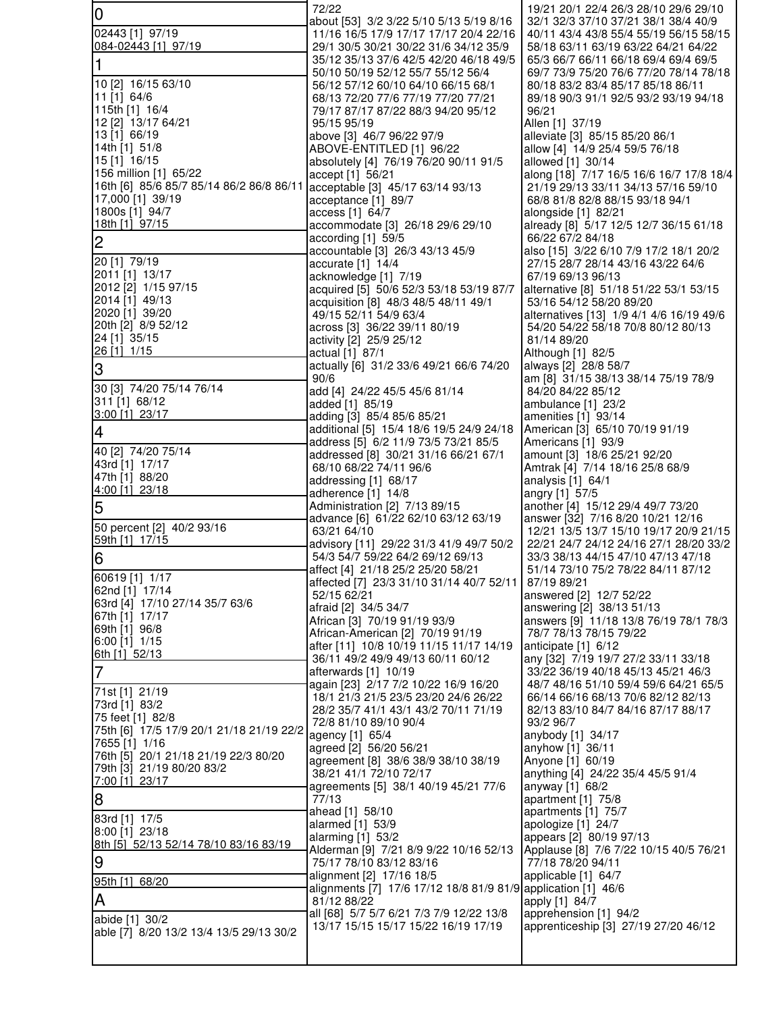| 10                                                           | 72/22                                                                              | 19/21 20/1 22/4 26/3 28/10 29/6 29/10                                            |
|--------------------------------------------------------------|------------------------------------------------------------------------------------|----------------------------------------------------------------------------------|
| 02443 [1] 97/19                                              | about [53]  3/2 3/22 5/10 5/13 5/19 8/16<br>11/16 16/5 17/9 17/17 17/17 20/4 22/16 | 32/1 32/3 37/10 37/21 38/1 38/4 40/9<br>40/11 43/4 43/8 55/4 55/19 56/15 58/15   |
| 084-02443 [1] 97/19                                          | 29/1 30/5 30/21 30/22 31/6 34/12 35/9                                              | 58/18 63/11 63/19 63/22 64/21 64/22                                              |
| 1                                                            | 35/12 35/13 37/6 42/5 42/20 46/18 49/5<br>50/10 50/19 52/12 55/7 55/12 56/4        | 65/3 66/7 66/11 66/18 69/4 69/4 69/5<br>69/7 73/9 75/20 76/6 77/20 78/14 78/18   |
| 10 [2] 16/15 63/10                                           | 56/12 57/12 60/10 64/10 66/15 68/1                                                 | 80/18 83/2 83/4 85/17 85/18 86/11                                                |
| 11 [1] 64/6<br>115th [1] 16/4                                | 68/13 72/20 77/6 77/19 77/20 77/21                                                 | 89/18 90/3 91/1 92/5 93/2 93/19 94/18<br>96/21                                   |
| 12 [2] 13/17 64/21                                           | 79/17 87/17 87/22 88/3 94/20 95/12<br>95/15 95/19                                  | Allen [1] 37/19                                                                  |
| 13 [1] 66/19                                                 | above [3] 46/7 96/22 97/9                                                          | alleviate [3] 85/15 85/20 86/1                                                   |
| 14th [1] 51/8<br>15 [1] 16/15                                | ABOVE-ENTITLED [1] 96/22<br>absolutely [4] 76/19 76/20 90/11 91/5                  | allow [4] 14/9 25/4 59/5 76/18<br>allowed [1] 30/14                              |
| 156 million [1] 65/22                                        | accept [1] 56/21                                                                   | along [18] 7/17 16/5 16/6 16/7 17/8 18/4                                         |
| 16th [6] 85/6 85/7 85/14 86/2 86/8 86/11<br>17,000 [1] 39/19 | acceptable [3] 45/17 63/14 93/13<br>acceptance [1] 89/7                            | 21/19 29/13 33/11 34/13 57/16 59/10<br>68/8 81/8 82/8 88/15 93/18 94/1           |
| 1800s [1] 94/7                                               | access [1] 64/7                                                                    | alongside [1] 82/21                                                              |
| 18th [1] 97/15                                               | accommodate [3] 26/18 29/6 29/10                                                   | already [8] 5/17 12/5 12/7 36/15 61/18                                           |
| $\overline{c}$                                               | according $[1]$ 59/5<br>accountable [3] 26/3 43/13 45/9                            | 66/22 67/2 84/18<br>also [15] 3/22 6/10 7/9 17/2 18/1 20/2                       |
| 20 [1] 79/19                                                 | accurate $[1]$ 14/4                                                                | 27/15 28/7 28/14 43/16 43/22 64/6                                                |
| 2011 [1] 13/17<br>2012 [2] 1/15 97/15                        | acknowledge [1] 7/19<br>acquired [5] 50/6 52/3 53/18 53/19 87/7                    | 67/19 69/13 96/13<br>alternative [8] 51/18 51/22 53/1 53/15                      |
| 2014 [1] 49/13                                               | acquisition [8] 48/3 48/5 48/11 49/1                                               | 53/16 54/12 58/20 89/20                                                          |
| 2020 [1] 39/20<br>20th [2] 8/9 52/12                         | 49/15 52/11 54/9 63/4                                                              | alternatives [13] 1/9 4/1 4/6 16/19 49/6                                         |
| 24 [1] 35/15                                                 | across [3] 36/22 39/11 80/19<br>activity [2] 25/9 25/12                            | 54/20 54/22 58/18 70/8 80/12 80/13<br>81/14 89/20                                |
| 26 [1] 1/15                                                  | actual [1] 87/1                                                                    | Although [1] 82/5                                                                |
| IЗ                                                           | actually [6] 31/2 33/6 49/21 66/6 74/20<br>90/6                                    | always [2] 28/8 58/7<br>am [8] 31/15 38/13 38/14 75/19 78/9                      |
| 30 [3] 74/20 75/14 76/14                                     | add [4] 24/22 45/5 45/6 81/14                                                      | 84/20 84/22 85/12                                                                |
| 311 [1] 68/12<br>3:00 [1] 23/17                              | added [1] 85/19<br>adding [3] 85/4 85/6 85/21                                      | ambulance [1] 23/2<br>amenities [1] 93/14                                        |
| 4                                                            | additional [5] 15/4 18/6 19/5 24/9 24/18                                           | American [3] 65/10 70/19 91/19                                                   |
| 40 [2] 74/20 75/14                                           | address [5] 6/2 11/9 73/5 73/21 85/5<br>addressed [8] 30/21 31/16 66/21 67/1       | Americans [1] 93/9<br>amount [3] 18/6 25/21 92/20                                |
| 43rd [1] 17/17                                               | 68/10 68/22 74/11 96/6                                                             | Amtrak [4] 7/14 18/16 25/8 68/9                                                  |
| 47th [1] 88/20<br>4:00 [1] 23/18                             | addressing [1] 68/17                                                               | analysis [1] 64/1                                                                |
| 5                                                            | adherence [1] 14/8<br>Administration [2] 7/13 89/15                                | angry [1] 57/5<br>another [4] 15/12 29/4 49/7 73/20                              |
| 50 percent [2] 40/2 93/16                                    | advance [6] 61/22 62/10 63/12 63/19                                                | answer [32] 7/16 8/20 10/21 12/16                                                |
| 59th [1] 17/15                                               | 63/21 64/10<br>advisory [11] 29/22 31/3 41/9 49/7 50/2                             | 12/21 13/5 13/7 15/10 19/17 20/9 21/15<br>22/21 24/7 24/12 24/16 27/1 28/20 33/2 |
| 6                                                            | 54/3 54/7 59/22 64/2 69/12 69/13                                                   | 33/3 38/13 44/15 47/10 47/13 47/18                                               |
| 60619 [1] 1/17                                               | affect [4] 21/18 25/2 25/20 58/21<br>affected [7] 23/3 31/10 31/14 40/7 52/11      | 51/14 73/10 75/2 78/22 84/11 87/12<br>87/19 89/21                                |
| 62nd [1] 17/14<br>63rd [4] 17/10 27/14 35/7 63/6             | 52/15 62/21                                                                        | answered [2] 12/7 52/22                                                          |
| 67th [1] 17/17                                               | afraid [2] 34/5 34/7<br>African [3] 70/19 91/19 93/9                               | answering [2] 38/13 51/13<br>answers [9] 11/18 13/8 76/19 78/1 78/3              |
| 69th [1] 96/8                                                | African-American [2] 70/19 91/19                                                   | 78/7 78/13 78/15 79/22                                                           |
| 6:00 [1] 1/15<br>6th [1] 52/13                               | after [11] 10/8 10/19 11/15 11/17 14/19                                            | anticipate [1] 6/12                                                              |
| $\overline{7}$                                               | 36/11 49/2 49/9 49/13 60/11 60/12<br>afterwards [1] 10/19                          | any [32] 7/19 19/7 27/2 33/11 33/18<br>33/22 36/19 40/18 45/13 45/21 46/3        |
| 71st [1] 21/19                                               | again [23] 2/17 7/2 10/22 16/9 16/20                                               | 48/7 48/16 51/10 59/4 59/6 64/21 65/5                                            |
| 73rd [1] 83/2                                                | 18/1 21/3 21/5 23/5 23/20 24/6 26/22<br>28/2 35/7 41/1 43/1 43/2 70/11 71/19       | 66/14 66/16 68/13 70/6 82/12 82/13<br>82/13 83/10 84/7 84/16 87/17 88/17         |
| 75 feet [1] 82/8<br>75th [6] 17/5 17/9 20/1 21/18 21/19 22/2 | 72/8 81/10 89/10 90/4                                                              | 93/2 96/7                                                                        |
| 7655 [1] 1/16                                                | agency [1] 65/4<br>agreed [2] 56/20 56/21                                          | anybody [1] 34/17<br>anyhow [1] 36/11                                            |
| 76th [5] 20/1 21/18 21/19 22/3 80/20                         | agreement [8] 38/6 38/9 38/10 38/19                                                | Anyone [1] 60/19                                                                 |
| 79th [3] 21/19 80/20 83/2<br>7:00 [1] 23/17                  | 38/21 41/1 72/10 72/17                                                             | anything [4] 24/22 35/4 45/5 91/4                                                |
| 8                                                            | agreements [5] 38/1 40/19 45/21 77/6<br>77/13                                      | anyway [1] 68/2<br>apartment [1] 75/8                                            |
| 83rd [1] 17/5                                                | ahead [1] 58/10                                                                    | apartments [1] 75/7                                                              |
| 8:00 [1] 23/18                                               | alarmed [1] 53/9<br>alarming [1] 53/2                                              | apologize [1] 24/7<br>appears [2] 80/19 97/13                                    |
| 8th [5] 52/13 52/14 78/10 83/16 83/19                        | Alderman [9] 7/21 8/9 9/22 10/16 52/13                                             | Applause [8] 7/6 7/22 10/15 40/5 76/21                                           |
| 9                                                            | 75/17 78/10 83/12 83/16<br>alignment [2] 17/16 18/5                                | 77/18 78/20 94/11<br>applicable [1] 64/7                                         |
| 95th [1] 68/20                                               | alignments [7] 17/6 17/12 18/8 81/9 81/9 application [1] 46/6                      |                                                                                  |
| A                                                            | 81/12 88/22<br>all [68] 5/7 5/7 6/21 7/3 7/9 12/22 13/8                            | apply [1] 84/7<br>apprehension [1] 94/2                                          |
| abide [1] 30/2<br>able [7] 8/20 13/2 13/4 13/5 29/13 30/2    | 13/17 15/15 15/17 15/22 16/19 17/19                                                | apprenticeship [3] 27/19 27/20 46/12                                             |
|                                                              |                                                                                    |                                                                                  |
|                                                              |                                                                                    |                                                                                  |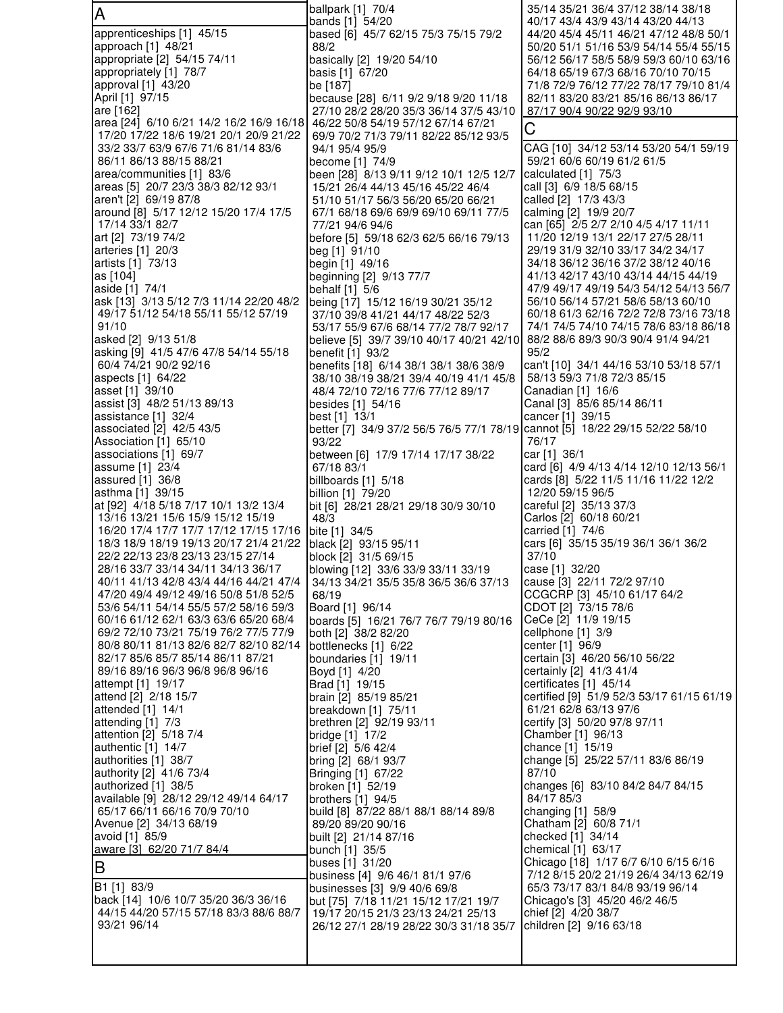| $\overline{\mathsf{A}}$                                                            | ballpark [1] 70/4<br>bands [1] 54/20                                         | 35/14 35/21 36/4 37/12 38/14 38/18<br>40/17 43/4 43/9 43/14 43/20 44/13      |
|------------------------------------------------------------------------------------|------------------------------------------------------------------------------|------------------------------------------------------------------------------|
| apprenticeships [1] 45/15                                                          | based [6] 45/7 62/15 75/3 75/15 79/2                                         | 44/20 45/4 45/11 46/21 47/12 48/8 50/1                                       |
| approach [1] 48/21                                                                 | 88/2                                                                         | 50/20 51/1 51/16 53/9 54/14 55/4 55/15                                       |
| appropriate [2] 54/15 74/11<br>appropriately [1] 78/7                              | basically [2] 19/20 54/10<br>basis [1] 67/20                                 | 56/12 56/17 58/5 58/9 59/3 60/10 63/16<br>64/18 65/19 67/3 68/16 70/10 70/15 |
| approval [1] 43/20                                                                 | be [187]                                                                     | 71/8 72/9 76/12 77/22 78/17 79/10 81/4                                       |
| April [1] 97/15                                                                    | because [28] 6/11 9/2 9/18 9/20 11/18                                        | 82/11 83/20 83/21 85/16 86/13 86/17                                          |
| are [162]                                                                          | 27/10 28/2 28/20 35/3 36/14 37/5 43/10                                       | 87/17 90/4 90/22 92/9 93/10                                                  |
| area [24] 6/10 6/21 14/2 16/2 16/9 16/18<br>17/20 17/22 18/6 19/21 20/1 20/9 21/22 | 46/22 50/8 54/19 57/12 67/14 67/21<br>69/9 70/2 71/3 79/11 82/22 85/12 93/5  | С                                                                            |
| 33/2 33/7 63/9 67/6 71/6 81/14 83/6                                                | 94/1 95/4 95/9                                                               | CAG [10] 34/12 53/14 53/20 54/1 59/19                                        |
| 86/11 86/13 88/15 88/21                                                            | become [1] 74/9                                                              | 59/21 60/6 60/19 61/2 61/5                                                   |
| area/communities [1] 83/6<br>areas [5] 20/7 23/3 38/3 82/12 93/1                   | been [28] 8/13 9/11 9/12 10/1 12/5 12/7<br>15/21 26/4 44/13 45/16 45/22 46/4 | calculated [1] 75/3<br>call [3] 6/9 18/5 68/15                               |
| aren't [2] 69/19 87/8                                                              | 51/10 51/17 56/3 56/20 65/20 66/21                                           | called [2] 17/3 43/3                                                         |
| around [8] 5/17 12/12 15/20 17/4 17/5                                              | 67/1 68/18 69/6 69/9 69/10 69/11 77/5                                        | calming [2] 19/9 20/7                                                        |
| 17/14 33/1 82/7<br>art [2] 73/19 74/2                                              | 77/21 94/6 94/6                                                              | can [65] 2/5 2/7 2/10 4/5 4/17 11/11<br>11/20 12/19 13/1 22/17 27/5 28/11    |
| arteries [1] 20/3                                                                  | before [5] 59/18 62/3 62/5 66/16 79/13<br>beg [1] 91/10                      | 29/19 31/9 32/10 33/17 34/2 34/17                                            |
| artists [1] 73/13                                                                  | begin [1] 49/16                                                              | 34/18 36/12 36/16 37/2 38/12 40/16                                           |
| as [104]                                                                           | beginning [2] 9/13 77/7                                                      | 41/13 42/17 43/10 43/14 44/15 44/19                                          |
| aside [1] 74/1<br>ask [13] 3/13 5/12 7/3 11/14 22/20 48/2                          | behalf [1] 5/6<br>being [17] 15/12 16/19 30/21 35/12                         | 47/9 49/17 49/19 54/3 54/12 54/13 56/7<br>56/10 56/14 57/21 58/6 58/13 60/10 |
| 49/17 51/12 54/18 55/11 55/12 57/19                                                | 37/10 39/8 41/21 44/17 48/22 52/3                                            | 60/18 61/3 62/16 72/2 72/8 73/16 73/18                                       |
| 91/10                                                                              | 53/17 55/9 67/6 68/14 77/2 78/7 92/17                                        | 74/1 74/5 74/10 74/15 78/6 83/18 86/18                                       |
| asked [2] 9/13 51/8<br>asking [9] 41/5 47/6 47/8 54/14 55/18                       | believe [5] 39/7 39/10 40/17 40/21 42/10<br>benefit [1] 93/2                 | 88/2 88/6 89/3 90/3 90/4 91/4 94/21<br>95/2                                  |
| 60/4 74/21 90/2 92/16                                                              | benefits [18] 6/14 38/1 38/1 38/6 38/9                                       | can't [10] 34/1 44/16 53/10 53/18 57/1                                       |
| aspects [1] 64/22                                                                  | 38/10 38/19 38/21 39/4 40/19 41/1 45/8                                       | 58/13 59/3 71/8 72/3 85/15                                                   |
| asset [1] 39/10<br>assist [3] 48/2 51/13 89/13                                     | 48/4 72/10 72/16 77/6 77/12 89/17<br>besides [1] 54/16                       | Canadian [1] 16/6<br>Canal [3] 85/6 85/14 86/11                              |
| assistance [1] 32/4                                                                | best [1] 13/1                                                                | cancer [1] 39/15                                                             |
| associated [2] 42/5 43/5                                                           | better [7] 34/9 37/2 56/5 76/5 77/1 78/19 cannot [5] 18/22 29/15 52/22 58/10 |                                                                              |
| Association [1] 65/10                                                              | 93/22                                                                        | 76/17<br>car [1] 36/1                                                        |
| associations [1] 69/7<br>assume [1] 23/4                                           | between [6] 17/9 17/14 17/17 38/22<br>67/18 83/1                             | card [6] 4/9 4/13 4/14 12/10 12/13 56/1                                      |
| assured [1] 36/8                                                                   | billboards [1] 5/18                                                          | cards [8] 5/22 11/5 11/16 11/22 12/2                                         |
| asthma [1] 39/15                                                                   | billion [1] 79/20                                                            | 12/20 59/15 96/5                                                             |
| at [92] 4/18 5/18 7/17 10/1 13/2 13/4<br>13/16 13/21 15/6 15/9 15/12 15/19         | bit [6] 28/21 28/21 29/18 30/9 30/10<br>48/3                                 | careful [2] 35/13 37/3<br>Carlos [2] 60/18 60/21                             |
| 16/20 17/4 17/7 17/7 17/12 17/15 17/16                                             | bite [1] 34/5                                                                | carried [1] 74/6                                                             |
| 18/3 18/9 18/19 19/13 20/17 21/4 21/22                                             | black [2] 93/15 95/11                                                        | cars [6] 35/15 35/19 36/1 36/1 36/2                                          |
| 22/2 22/13 23/8 23/13 23/15 27/14<br>28/16 33/7 33/14 34/11 34/13 36/17            | block [2] 31/5 69/15<br>blowing [12] 33/6 33/9 33/11 33/19                   | 37/10<br>case [1] 32/20                                                      |
| 40/11 41/13 42/8 43/4 44/16 44/21 47/4                                             | 34/13 34/21 35/5 35/8 36/5 36/6 37/13                                        | cause [3] 22/11 72/2 97/10                                                   |
| 47/20 49/4 49/12 49/16 50/8 51/8 52/5                                              | 68/19                                                                        | CCGCRP [3] 45/10 61/17 64/2                                                  |
| 53/6 54/11 54/14 55/5 57/2 58/16 59/3<br>60/16 61/12 62/1 63/3 63/6 65/20 68/4     | Board [1] 96/14                                                              | CDOT [2] 73/15 78/6<br>CeCe [2] 11/9 19/15                                   |
| 69/2 72/10 73/21 75/19 76/2 77/5 77/9                                              | boards [5] 16/21 76/7 76/7 79/19 80/16<br>both [2] 38/2 82/20                | cellphone [1] 3/9                                                            |
| 80/8 80/11 81/13 82/6 82/7 82/10 82/14                                             | bottlenecks [1] 6/22                                                         | center [1] 96/9                                                              |
| 82/17 85/6 85/7 85/14 86/11 87/21                                                  | boundaries [1] 19/11                                                         | certain [3] 46/20 56/10 56/22                                                |
| 89/16 89/16 96/3 96/8 96/8 96/16<br>attempt [1] 19/17                              | Boyd [1] 4/20<br>Brad [1] 19/15                                              | certainly [2] 41/3 41/4<br>certificates [1] 45/14                            |
| attend [2] 2/18 15/7                                                               | brain [2] 85/19 85/21                                                        | certified [9] 51/9 52/3 53/17 61/15 61/19                                    |
| attended [1] 14/1                                                                  | breakdown [1] 75/11                                                          | 61/21 62/8 63/13 97/6                                                        |
| attending [1] 7/3<br>attention [2] 5/18 7/4                                        | brethren [2] 92/19 93/11<br>bridge [1] 17/2                                  | certify [3] 50/20 97/8 97/11<br>Chamber [1] 96/13                            |
| authentic [1] 14/7                                                                 | brief [2] 5/6 42/4                                                           | chance [1] 15/19                                                             |
| authorities [1] 38/7                                                               | bring [2] 68/1 93/7                                                          | change [5] 25/22 57/11 83/6 86/19                                            |
| authority [2] 41/6 73/4<br>authorized [1] 38/5                                     | Bringing [1] 67/22<br>broken [1] 52/19                                       | 87/10<br>changes [6] 83/10 84/2 84/7 84/15                                   |
| available [9] 28/12 29/12 49/14 64/17                                              | brothers [1] 94/5                                                            | 84/17 85/3                                                                   |
| 65/17 66/11 66/16 70/9 70/10                                                       | build [8] 87/22 88/1 88/1 88/14 89/8                                         | changing [1] 58/9                                                            |
| Avenue [2] 34/13 68/19                                                             | 89/20 89/20 90/16                                                            | Chatham [2] 60/8 71/1                                                        |
| avoid [1] 85/9<br>aware [3] 62/20 71/7 84/4                                        | built [2] 21/14 87/16<br>bunch [1] 35/5                                      | checked [1] 34/14<br>chemical $[1]$ 63/17                                    |
| B                                                                                  | buses [1] 31/20                                                              | Chicago [18] 1/17 6/7 6/10 6/15 6/16                                         |
|                                                                                    | business [4] 9/6 46/1 81/1 97/6                                              | 7/12 8/15 20/2 21/19 26/4 34/13 62/19                                        |
| B1 [1] 83/9<br>back [14] 10/6 10/7 35/20 36/3 36/16                                | businesses [3] 9/9 40/6 69/8<br>but [75] 7/18 11/21 15/12 17/21 19/7         | 65/3 73/17 83/1 84/8 93/19 96/14<br>Chicago's [3] 45/20 46/2 46/5            |
| 44/15 44/20 57/15 57/18 83/3 88/6 88/7                                             | 19/17 20/15 21/3 23/13 24/21 25/13                                           | chief [2] 4/20 38/7                                                          |
| 93/21 96/14                                                                        | 26/12 27/1 28/19 28/22 30/3 31/18 35/7                                       | children [2] 9/16 63/18                                                      |
|                                                                                    |                                                                              |                                                                              |
|                                                                                    |                                                                              |                                                                              |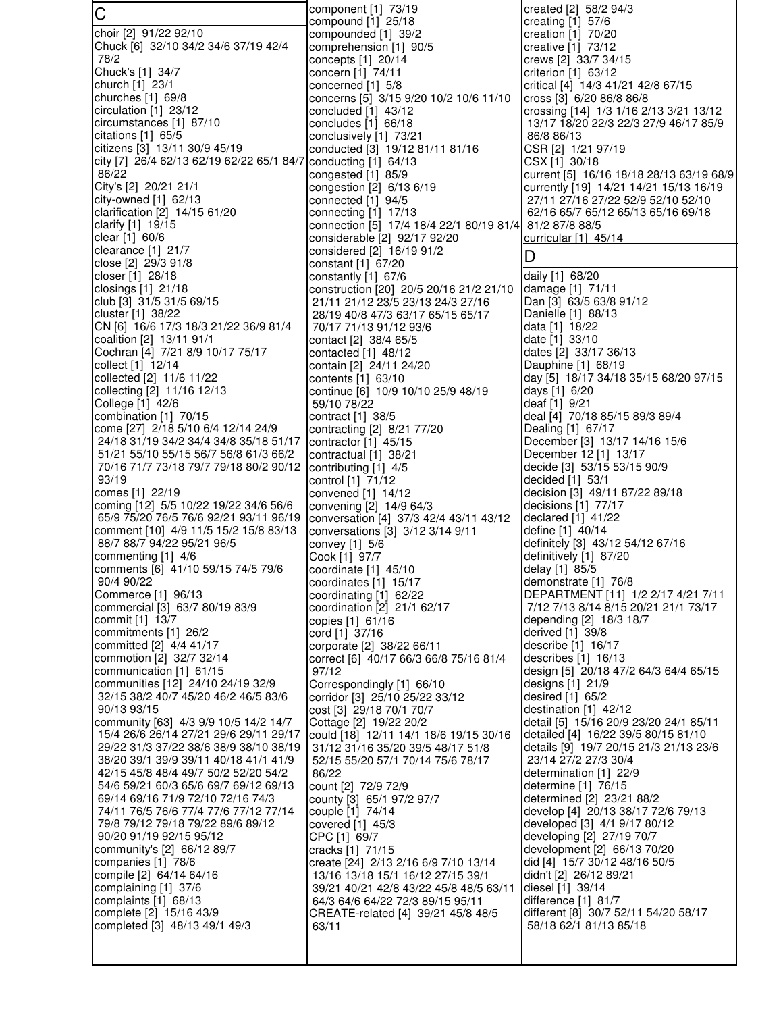C choir [2] 91/22 92/10 Chuck [6] 32/10 34/2 34/6 37/19 42/4 78/2 Chuck's [1] 34/7 church [1] 23/1 churches [1] 69/8 circulation [1] 23/12 circumstances [1] 87/10 citations [1] 65/5 citizens [3] 13/11 30/9 45/19 city [7] 26/4 62/13 62/19 62/22 65/1 84/7 86/22 City's [2] 20/21 21/1 city-owned [1] 62/13 clarification [2] 14/15 61/20 clarify [1] 19/15 clear [1] 60/6 clearance [1] 21/7 close [2] 29/3 91/8 closer [1] 28/18 closings [1] 21/18 club [3] 31/5 31/5 69/15 cluster [1] 38/22 CN [6] 16/6 17/3 18/3 21/22 36/9 81/4 coalition [2] 13/11 91/1 Cochran [4] 7/21 8/9 10/17 75/17 collect [1] 12/14 collected [2] 11/6 11/22 collecting [2] 11/16 12/13 College [1] 42/6 combination [1] 70/15 come [27] 2/18 5/10 6/4 12/14 24/9 24/18 31/19 34/2 34/4 34/8 35/18 51/17 51/21 55/10 55/15 56/7 56/8 61/3 66/2 70/16 71/7 73/18 79/7 79/18 80/2 90/12 93/19 comes [1] 22/19 coming [12] 5/5 10/22 19/22 34/6 56/6 65/9 75/20 76/5 76/6 92/21 93/11 96/19 comment [10] 4/9 11/5 15/2 15/8 83/13 88/7 88/7 94/22 95/21 96/5 commenting [1] 4/6 comments [6] 41/10 59/15 74/5 79/6 90/4 90/22 Commerce [1] 96/13 commercial [3] 63/7 80/19 83/9 commit [1] 13/7 commitments [1] 26/2 committed [2] 4/4 41/17 commotion [2] 32/7 32/14 communication [1] 61/15 communities [12] 24/10 24/19 32/9 32/15 38/2 40/7 45/20 46/2 46/5 83/6 90/13 93/15 community [63] 4/3 9/9 10/5 14/2 14/7 15/4 26/6 26/14 27/21 29/6 29/11 29/17 29/22 31/3 37/22 38/6 38/9 38/10 38/19 38/20 39/1 39/9 39/11 40/18 41/1 41/9 42/15 45/8 48/4 49/7 50/2 52/20 54/2 54/6 59/21 60/3 65/6 69/7 69/12 69/13 69/14 69/16 71/9 72/10 72/16 74/3 74/11 76/5 76/6 77/4 77/6 77/12 77/14 79/8 79/12 79/18 79/22 89/6 89/12 90/20 91/19 92/15 95/12 community's [2] 66/12 89/7 companies [1] 78/6 compile [2] 64/14 64/16 complaining [1] 37/6 complaints [1] 68/13 complete [2] 15/16 43/9 completed [3] 48/13 49/1 49/3

component [1] 73/19 compound [1] 25/18 compounded [1] 39/2 comprehension [1] 90/5 concepts [1] 20/14 concern [1] 74/11 concerned [1] 5/8 concerns [5] 3/15 9/20 10/2 10/6 11/10 concluded [1] 43/12 concludes [1] 66/18 conclusively [1] 73/21 conducted [3] 19/12 81/11 81/16 conducting [1] 64/13 congested [1] 85/9 congestion [2] 6/13 6/19 connected [1] 94/5 connecting [1] 17/13 connection [5] 17/4 18/4 22/1 80/19 81/4 considerable [2] 92/17 92/20 considered [2] 16/19 91/2 constant [1] 67/20 constantly [1] 67/6 construction [20] 20/5 20/16 21/2 21/10 21/11 21/12 23/5 23/13 24/3 27/16 28/19 40/8 47/3 63/17 65/15 65/17 70/17 71/13 91/12 93/6 contact [2] 38/4 65/5 contacted [1] 48/12 contain [2] 24/11 24/20 contents [1] 63/10 continue [6] 10/9 10/10 25/9 48/19 59/10 78/22 contract [1] 38/5 contracting [2] 8/21 77/20 contractor [1] 45/15 contractual [1] 38/21 contributing [1] 4/5 control [1] 71/12 convened [1] 14/12 convening [2] 14/9 64/3 conversation [4] 37/3 42/4 43/11 43/12 conversations [3] 3/12 3/14 9/11 convey [1] 5/6 Cook [1] 97/7 coordinate [1] 45/10 coordinates [1] 15/17 coordinating [1] 62/22 coordination [2] 21/1 62/17 copies [1] 61/16 cord [1] 37/16 corporate [2] 38/22 66/11 correct [6] 40/17 66/3 66/8 75/16 81/4 97/12 Correspondingly [1] 66/10 corridor [3] 25/10 25/22 33/12 cost [3] 29/18 70/1 70/7 Cottage [2] 19/22 20/2 could [18] 12/11 14/1 18/6 19/15 30/16 31/12 31/16 35/20 39/5 48/17 51/8 52/15 55/20 57/1 70/14 75/6 78/17 86/22 count [2] 72/9 72/9 county [3] 65/1 97/2 97/7 couple [1] 74/14 covered [1] 45/3 CPC [1] 69/7 cracks [1] 71/15 create [24] 2/13 2/16 6/9 7/10 13/14 13/16 13/18 15/1 16/12 27/15 39/1 39/21 40/21 42/8 43/22 45/8 48/5 63/11 64/3 64/6 64/22 72/3 89/15 95/11 CREATE-related [4] 39/21 45/8 48/5 63/11

created [2] 58/2 94/3 creating [1] 57/6 creation [1] 70/20 creative [1] 73/12 crews [2] 33/7 34/15 criterion [1] 63/12 critical [4] 14/3 41/21 42/8 67/15 cross [3] 6/20 86/8 86/8 crossing [14] 1/3 1/16 2/13 3/21 13/12 13/17 18/20 22/3 22/3 27/9 46/17 85/9 86/8 86/13 CSR [2] 1/21 97/19 CSX [1] 30/18 current [5] 16/16 18/18 28/13 63/19 68/9 currently [19] 14/21 14/21 15/13 16/19 27/11 27/16 27/22 52/9 52/10 52/10 62/16 65/7 65/12 65/13 65/16 69/18 81/2 87/8 88/5 curricular [1] 45/14 D daily [1] 68/20 damage [1] 71/11 Dan [3] 63/5 63/8 91/12 Danielle [1] 88/13 data [1] 18/22 date [1] 33/10 dates [2] 33/17 36/13 Dauphine [1] 68/19 day [5] 18/17 34/18 35/15 68/20 97/15 days [1] 6/20 deaf [1] 9/21 deal [4] 70/18 85/15 89/3 89/4 Dealing [1] 67/17 December [3] 13/17 14/16 15/6 December 12 [1] 13/17 decide [3] 53/15 53/15 90/9 decided [1] 53/1 decision [3] 49/11 87/22 89/18 decisions [1] 77/17 declared [1] 41/22 define [1] 40/14 definitely [3] 43/12 54/12 67/16 definitively [1] 87/20 delay [1] 85/5 demonstrate [1] 76/8 DEPARTMENT [11] 1/2 2/17 4/21 7/11 7/12 7/13 8/14 8/15 20/21 21/1 73/17 depending [2] 18/3 18/7 derived [1] 39/8 describe [1] 16/17 describes [1] 16/13 design [5] 20/18 47/2 64/3 64/4 65/15 designs [1] 21/9 desired [1] 65/2 destination [1] 42/12 detail [5] 15/16 20/9 23/20 24/1 85/11 detailed [4] 16/22 39/5 80/15 81/10 details [9] 19/7 20/15 21/3 21/13 23/6 23/14 27/2 27/3 30/4 determination [1] 22/9 determine [1] 76/15 determined [2] 23/21 88/2 develop [4] 20/13 38/17 72/6 79/13 developed [3] 4/1 9/17 80/12 developing [2] 27/19 70/7 development [2] 66/13 70/20 did [4] 15/7 30/12 48/16 50/5 didn't [2] 26/12 89/21 diesel [1] 39/14 difference [1] 81/7 different [8] 30/7 52/11 54/20 58/17 58/18 62/1 81/13 85/18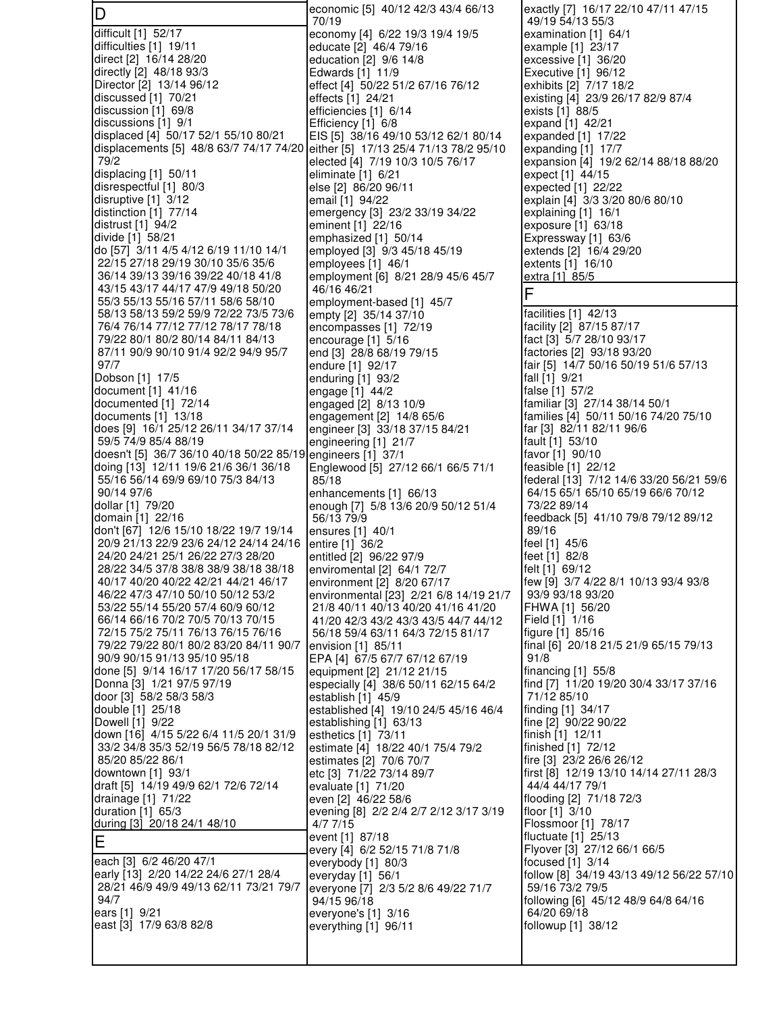D difficult [1] 52/17 difficulties [1] 19/11 direct [2] 16/14 28/20 directly [2] 48/18 93/3 Director [2] 13/14 96/12 discussed [1] 70/21 discussion [1] 69/8 discussions [1] 9/1 displaced [4] 50/17 52/1 55/10 80/21 displacements [5] 48/8 63/7 74/17 74/20 79/2 displacing [1] 50/11 disrespectful [1] 80/3 disruptive [1] 3/12 distinction [1] 77/14 distrust [1] 94/2 divide [1] 58/21 do [57] 3/11 4/5 4/12 6/19 11/10 14/1 22/15 27/18 29/19 30/10 35/6 35/6 36/14 39/13 39/16 39/22 40/18 41/8 43/15 43/17 44/17 47/9 49/18 50/20 55/3 55/13 55/16 57/11 58/6 58/10 58/13 58/13 59/2 59/9 72/22 73/5 73/6 76/4 76/14 77/12 77/12 78/17 78/18 79/22 80/1 80/2 80/14 84/11 84/13 87/11 90/9 90/10 91/4 92/2 94/9 95/7 97/7 Dobson [1] 17/5 document [1] 41/16 documented [1] 72/14 documents [1] 13/18 does [9] 16/1 25/12 26/11 34/17 37/14 59/5 74/9 85/4 88/19 doesn't [5] 36/7 36/10 40/18 50/22 85/19 doing [13] 12/11 19/6 21/6 36/1 36/18 55/16 56/14 69/9 69/10 75/3 84/13 90/14 97/6 dollar [1] 79/20 domain [1] 22/16 don't [67] 12/6 15/10 18/22 19/7 19/14 20/9 21/13 22/9 23/6 24/12 24/14 24/16 24/20 24/21 25/1 26/22 27/3 28/20 28/22 34/5 37/8 38/8 38/9 38/18 38/18 40/17 40/20 40/22 42/21 44/21 46/17 46/22 47/3 47/10 50/10 50/12 53/2 53/22 55/14 55/20 57/4 60/9 60/12 66/14 66/16 70/2 70/5 70/13 70/15 72/15 75/2 75/11 76/13 76/15 76/16 79/22 79/22 80/1 80/2 83/20 84/11 90/7 90/9 90/15 91/13 95/10 95/18 done [5] 9/14 16/17 17/20 56/17 58/15 Donna [3] 1/21 97/5 97/19 door [3] 58/2 58/3 58/3 double [1] 25/18 Dowell [1] 9/22 down [16] 4/15 5/22 6/4 11/5 20/1 31/9 33/2 34/8 35/3 52/19 56/5 78/18 82/12 85/20 85/22 86/1 downtown [1] 93/1 draft [5] 14/19 49/9 62/1 72/6 72/14 drainage [1] 71/22 duration [1] 65/3 during [3] 20/18 24/1 48/10 E each [3] 6/2 46/20 47/1 early [13] 2/20 14/22 24/6 27/1 28/4 28/21 46/9 49/9 49/13 62/11 73/21 79/7 94/7 ears [1] 9/21 east [3] 17/9 63/8 82/8 economic [5] 40/12 42/3 43/4 66/13 70/19 economy [4] 6/22 19/3 19/4 19/5 educate [2] 46/4 79/16 education [2] 9/6 14/8 Edwards [1] 11/9 effect [4] 50/22 51/2 67/16 76/12 effects [1] 24/21 efficiencies [1] 6/14 Efficiency [1] 6/8 EIS [5] 38/16 49/10 53/12 62/1 80/14 either [5] 17/13 25/4 71/13 78/2 95/10 elected [4] 7/19 10/3 10/5 76/17 eliminate [1] 6/21 else [2] 86/20 96/11 email [1] 94/22 emergency [3] 23/2 33/19 34/22 eminent [1] 22/16 emphasized [1] 50/14 employed [3] 9/3 45/18 45/19 employees [1] 46/1 employment [6] 8/21 28/9 45/6 45/7 46/16 46/21 employment-based [1] 45/7 empty [2] 35/14 37/10 encompasses [1] 72/19 encourage [1] 5/16 end [3] 28/8 68/19 79/15 endure [1] 92/17 enduring [1] 93/2 engage [1] 44/2 engaged [2] 8/13 10/9 engagement [2] 14/8 65/6 engineer [3] 33/18 37/15 84/21 engineering [1] 21/7 engineers [1] 37/1 Englewood [5] 27/12 66/1 66/5 71/1 85/18 enhancements [1] 66/13 enough [7] 5/8 13/6 20/9 50/12 51/4 56/13 79/9 ensures [1] 40/1 entire [1] 36/2 entitled [2] 96/22 97/9 enviromental [2] 64/1 72/7 environment [2] 8/20 67/17 environmental [23] 2/21 6/8 14/19 21/7 21/8 40/11 40/13 40/20 41/16 41/20 41/20 42/3 43/2 43/3 43/5 44/7 44/12 56/18 59/4 63/11 64/3 72/15 81/17 envision [1] 85/11 EPA [4] 67/5 67/7 67/12 67/19 equipment [2] 21/12 21/15 especially [4] 38/6 50/11 62/15 64/2 establish [1] 45/9 established [4] 19/10 24/5 45/16 46/4 establishing [1] 63/13 esthetics [1] 73/11 estimate [4] 18/22 40/1 75/4 79/2 estimates [2] 70/6 70/7 etc [3] 71/22 73/14 89/7 evaluate [1] 71/20 even [2] 46/22 58/6 evening [8] 2/2 2/4 2/7 2/12 3/17 3/19 4/7 7/15 event [1] 87/18 every [4] 6/2 52/15 71/8 71/8 everybody [1] 80/3 everyday [1] 56/1 everyone [7] 2/3 5/2 8/6 49/22 71/7 94/15 96/18 everyone's [1] 3/16 everything [1] 96/11

exactly [7] 16/17 22/10 47/11 47/15 49/19 54/13 55/3 examination [1] 64/1 example [1] 23/17 excessive [1] 36/20 Executive [1] 96/12 exhibits  $[2]$  7/17 18/2 existing [4] 23/9 26/17 82/9 87/4 exists [1] 88/5 expand [1] 42/21 expanded [1] 17/22 expanding [1] 17/7 expansion [4] 19/2 62/14 88/18 88/20 expect [1] 44/15 expected [1] 22/22 explain [4] 3/3 3/20 80/6 80/10 explaining [1] 16/1 exposure [1] 63/18 Expressway [1] 63/6 extends [2] 16/4 29/20 extents [1] 16/10 extra [1] 85/5 F facilities [1] 42/13 facility [2] 87/15 87/17 fact [3] 5/7 28/10 93/17 factories [2] 93/18 93/20 fair [5] 14/7 50/16 50/19 51/6 57/13 fall [1] 9/21 false [1] 57/2 familiar [3] 27/14 38/14 50/1 families [4] 50/11 50/16 74/20 75/10 far [3] 82/11 82/11 96/6 fault [1] 53/10 favor [1] 90/10 feasible [1] 22/12 federal [13] 7/12 14/6 33/20 56/21 59/6 64/15 65/1 65/10 65/19 66/6 70/12 73/22 89/14 feedback [5] 41/10 79/8 79/12 89/12 89/16 feel [1] 45/6 feet [1] 82/8 felt [1] 69/12 few [9] 3/7 4/22 8/1 10/13 93/4 93/8 93/9 93/18 93/20 FHWA [1] 56/20 Field [1] 1/16 figure [1] 85/16 final [6] 20/18 21/5 21/9 65/15 79/13 91/8 financing [1] 55/8 find [7] 11/20 19/20 30/4 33/17 37/16 71/12 85/10 finding [1] 34/17 fine [2] 90/22 90/22 finish [1] 12/11 finished [1] 72/12 fire [3] 23/2 26/6 26/12 first [8] 12/19 13/10 14/14 27/11 28/3 44/4 44/17 79/1 flooding [2] 71/18 72/3 floor [1] 3/10 Flossmoor [1] 78/17 fluctuate [1] 25/13 Flyover [3] 27/12 66/1 66/5 focused [1] 3/14 follow [8] 34/19 43/13 49/12 56/22 57/10 59/16 73/2 79/5 following [6] 45/12 48/9 64/8 64/16 64/20 69/18 followup [1] 38/12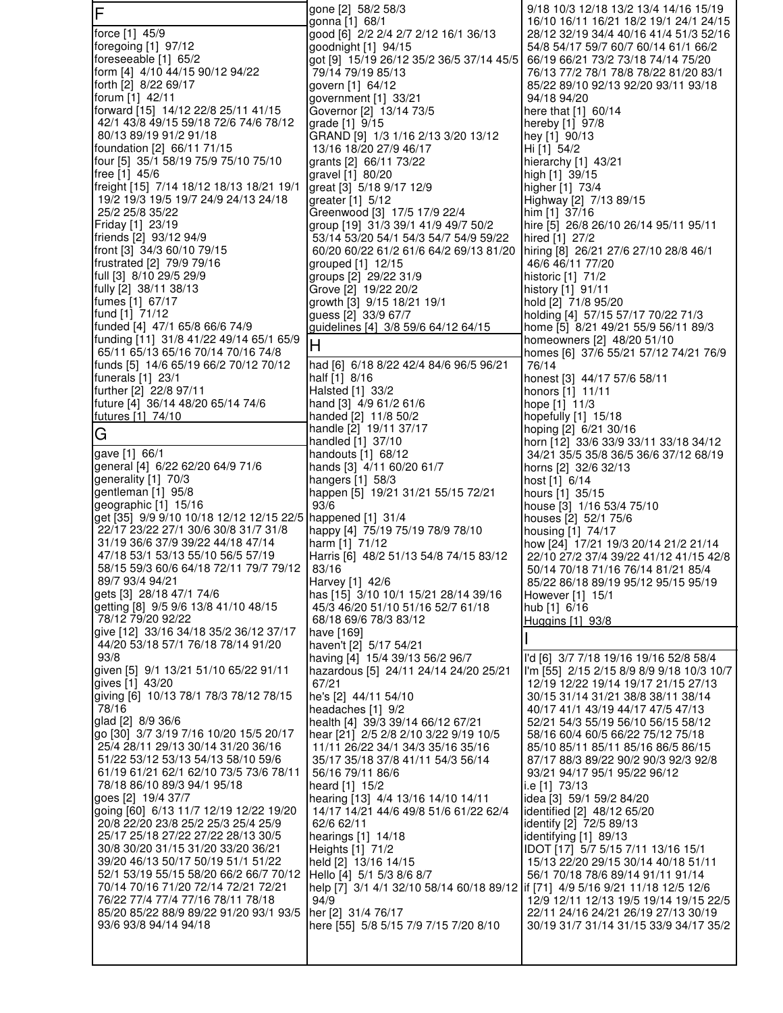| lF                                                                              | gone [2] 58/2 58/3                                                                            | 9/18 10/3 12/18 13/2 13/4 14/16 15/19                                            |
|---------------------------------------------------------------------------------|-----------------------------------------------------------------------------------------------|----------------------------------------------------------------------------------|
| force [1] 45/9                                                                  | gonna [1] 68/1<br>good [6] 2/2 2/4 2/7 2/12 16/1 36/13                                        | 16/10 16/11 16/21 18/2 19/1 24/1 24/15<br>28/12 32/19 34/4 40/16 41/4 51/3 52/16 |
| foregoing [1] 97/12                                                             | goodnight [1] 94/15                                                                           | 54/8 54/17 59/7 60/7 60/14 61/1 66/2                                             |
| foreseeable $[1]$ 65/2                                                          | got [9] 15/19 26/12 35/2 36/5 37/14 45/5                                                      | 66/19 66/21 73/2 73/18 74/14 75/20                                               |
| form [4] 4/10 44/15 90/12 94/22<br>forth [2] 8/22 69/17                         | 79/14 79/19 85/13<br>govern [1] 64/12                                                         | 76/13 77/2 78/1 78/8 78/22 81/20 83/1<br>85/22 89/10 92/13 92/20 93/11 93/18     |
| forum [1] 42/11                                                                 | government [1] 33/21                                                                          | 94/18 94/20                                                                      |
| forward [15] 14/12 22/8 25/11 41/15                                             | Governor [2] 13/14 73/5                                                                       | here that [1] 60/14                                                              |
| 42/1 43/8 49/15 59/18 72/6 74/6 78/12                                           | grade [1] 9/15                                                                                | hereby [1] 97/8                                                                  |
| 80/13 89/19 91/2 91/18<br>foundation [2] 66/11 71/15                            | GRAND [9] 1/3 1/16 2/13 3/20 13/12<br>13/16 18/20 27/9 46/17                                  | hey [1] 90/13                                                                    |
| four [5] 35/1 58/19 75/9 75/10 75/10                                            | grants [2] 66/11 73/22                                                                        | Hi [1] 54/2<br>hierarchy [1] 43/21                                               |
| free $[1]$ 45/6                                                                 | gravel [1] 80/20                                                                              | high [1] 39/15                                                                   |
| freight [15] 7/14 18/12 18/13 18/21 19/1                                        | great [3] 5/18 9/17 12/9                                                                      | higher [1] 73/4                                                                  |
| 19/2 19/3 19/5 19/7 24/9 24/13 24/18                                            | greater [1] 5/12                                                                              | Highway [2] 7/13 89/15                                                           |
| 25/2 25/8 35/22<br>Friday [1] 23/19                                             | Greenwood [3] 17/5 17/9 22/4<br>group [19] 31/3 39/1 41/9 49/7 50/2                           | him [1] 37/16<br>hire [5] 26/8 26/10 26/14 95/11 95/11                           |
| friends [2] 93/12 94/9                                                          | 53/14 53/20 54/1 54/3 54/7 54/9 59/22                                                         | hired [1] 27/2                                                                   |
| front [3] 34/3 60/10 79/15                                                      | 60/20 60/22 61/2 61/6 64/2 69/13 81/20                                                        | hiring [8] 26/21 27/6 27/10 28/8 46/1                                            |
| frustrated [2] 79/9 79/16                                                       | grouped [1] 12/15                                                                             | 46/6 46/11 77/20                                                                 |
| full [3] 8/10 29/5 29/9<br>fully [2] 38/11 38/13                                | groups [2] 29/22 31/9<br>Grove [2] 19/22 20/2                                                 | historic [1] 71/2                                                                |
| fumes [1] 67/17                                                                 | growth [3] 9/15 18/21 19/1                                                                    | history [1] 91/11<br>hold [2] 71/8 95/20                                         |
| fund [1] 71/12                                                                  | guess [2] 33/9 67/7                                                                           | holding [4] 57/15 57/17 70/22 71/3                                               |
| funded [4] 47/1 65/8 66/6 74/9                                                  | <u>quidelines [4] 3/8 59/6 64/12 64/15</u>                                                    | home [5] 8/21 49/21 55/9 56/11 89/3                                              |
| funding [11] 31/8 41/22 49/14 65/1 65/9<br>  65/11 65/13 65/16 70/14 70/16 74/8 | H                                                                                             | homeowners [2] 48/20 51/10                                                       |
| funds [5] 14/6 65/19 66/2 70/12 70/12                                           | had [6] 6/18 8/22 42/4 84/6 96/5 96/21                                                        | homes [6] 37/6 55/21 57/12 74/21 76/9<br>76/14                                   |
| funerals [1] 23/1                                                               | half [1] 8/16                                                                                 | honest [3] 44/17 57/6 58/11                                                      |
| further [2] 22/8 97/11                                                          | Halsted [1] 33/2                                                                              | honors [1] 11/11                                                                 |
| future [4] 36/14 48/20 65/14 74/6                                               | hand [3] 4/9 61/2 61/6                                                                        | hope [1] 11/3                                                                    |
| futures [1] 74/10                                                               | handed [2] 11/8 50/2<br>handle [2] 19/11 37/17                                                | hopefully [1] 15/18<br>hoping [2] 6/21 30/16                                     |
| G                                                                               | handled [1] 37/10                                                                             | horn [12] 33/6 33/9 33/11 33/18 34/12                                            |
| gave [1] 66/1                                                                   | handouts $[1]$ 68/12                                                                          | 34/21 35/5 35/8 36/5 36/6 37/12 68/19                                            |
| general [4] 6/22 62/20 64/9 71/6<br>generality [1] 70/3                         | hands [3] 4/11 60/20 61/7                                                                     | horns [2] 32/6 32/13                                                             |
| gentleman [1] 95/8                                                              | hangers [1] 58/3<br>happen [5] 19/21 31/21 55/15 72/21                                        | host [1] 6/14<br>hours [1] 35/15                                                 |
| geographic [1] 15/16                                                            | 93/6                                                                                          | house [3] 1/16 53/4 75/10                                                        |
| get [35] 9/9 9/10 10/18 12/12 12/15 22/5 happened [1] 31/4                      |                                                                                               | houses [2] 52/1 75/6                                                             |
| 22/17 23/22 27/1 30/6 30/8 31/7 31/8<br>31/19 36/6 37/9 39/22 44/18 47/14       | happy [4] 75/19 75/19 78/9 78/10                                                              | housing [1] 74/17                                                                |
| 47/18 53/1 53/13 55/10 56/5 57/19                                               | harm [1] 71/12<br>Harris [6] 48/2 51/13 54/8 74/15 83/12                                      | how [24] 17/21 19/3 20/14 21/2 21/14<br>22/10 27/2 37/4 39/22 41/12 41/15 42/8   |
| 58/15 59/3 60/6 64/18 72/11 79/7 79/12                                          | 83/16                                                                                         | 50/14 70/18 71/16 76/14 81/21 85/4                                               |
| 89/7 93/4 94/21                                                                 | Harvey [1] 42/6                                                                               | 85/22 86/18 89/19 95/12 95/15 95/19                                              |
| gets [3] 28/18 47/1 74/6<br>getting [8] 9/5 9/6 13/8 41/10 48/15                | has [15] 3/10 10/1 15/21 28/14 39/16                                                          | However [1] 15/1                                                                 |
| 78/12 79/20 92/22                                                               | 45/3 46/20 51/10 51/16 52/7 61/18<br>68/18 69/6 78/3 83/12                                    | hub [1] 6/16<br>Huggins [1] 93/8                                                 |
| give [12] 33/16 34/18 35/2 36/12 37/17                                          | have [169]                                                                                    |                                                                                  |
| 44/20 53/18 57/1 76/18 78/14 91/20                                              | haven't [2] 5/17 54/21                                                                        |                                                                                  |
| 93/8<br>given [5] 9/1 13/21 51/10 65/22 91/11                                   | having [4] 15/4 39/13 56/2 96/7                                                               | l'd [6] 3/7 7/18 19/16 19/16 52/8 58/4                                           |
| gives [1] 43/20                                                                 | hazardous [5] 24/11 24/14 24/20 25/21<br>67/21                                                | I'm [55] 2/15 2/15 8/9 8/9 9/18 10/3 10/7<br>12/19 12/22 19/14 19/17 21/15 27/13 |
| giving [6] 10/13 78/1 78/3 78/12 78/15                                          | he's [2] 44/11 54/10                                                                          | 30/15 31/14 31/21 38/8 38/11 38/14                                               |
| 78/16                                                                           | headaches [1] 9/2                                                                             | 40/17 41/1 43/19 44/17 47/5 47/13                                                |
| glad [2] 8/9 36/6<br>go [30] 3/7 3/19 7/16 10/20 15/5 20/17                     | health [4] 39/3 39/14 66/12 67/21<br>hear [21] 2/5 2/8 2/10 3/22 9/19 10/5                    | 52/21 54/3 55/19 56/10 56/15 58/12<br>58/16 60/4 60/5 66/22 75/12 75/18          |
| 25/4 28/11 29/13 30/14 31/20 36/16                                              | 11/11 26/22 34/1 34/3 35/16 35/16                                                             | 85/10 85/11 85/11 85/16 86/5 86/15                                               |
| 51/22 53/12 53/13 54/13 58/10 59/6                                              | 35/17 35/18 37/8 41/11 54/3 56/14                                                             | 87/17 88/3 89/22 90/2 90/3 92/3 92/8                                             |
| 61/19 61/21 62/1 62/10 73/5 73/6 78/11                                          | 56/16 79/11 86/6                                                                              | 93/21 94/17 95/1 95/22 96/12                                                     |
| 78/18 86/10 89/3 94/1 95/18<br>goes [2] 19/4 37/7                               | heard [1] 15/2<br>hearing [13] 4/4 13/16 14/10 14/11                                          | i.e [1] 73/13<br>idea [3] 59/1 59/2 84/20                                        |
| going [60] 6/13 11/7 12/19 12/22 19/20                                          | 14/17 14/21 44/6 49/8 51/6 61/22 62/4                                                         | identified [2] 48/12 65/20                                                       |
| 20/8 22/20 23/8 25/2 25/3 25/4 25/9                                             | 62/6 62/11                                                                                    | identify [2] 72/5 89/13                                                          |
| 25/17 25/18 27/22 27/22 28/13 30/5                                              | hearings [1] 14/18                                                                            | identifying [1] 89/13                                                            |
| 30/8 30/20 31/15 31/20 33/20 36/21                                              | Heights [1] 71/2                                                                              | IDOT [17] 5/7 5/15 7/11 13/16 15/1                                               |
| 39/20 46/13 50/17 50/19 51/1 51/22<br>52/1 53/19 55/15 58/20 66/2 66/7 70/12    | held [2] 13/16 14/15<br>Hello [4] 5/1 5/3 8/6 8/7                                             | 15/13 22/20 29/15 30/14 40/18 51/11<br>56/1 70/18 78/6 89/14 91/11 91/14         |
| 70/14 70/16 71/20 72/14 72/21 72/21                                             | help [7]  3/1  4/1  32/10  58/14  60/18  89/12   if [71]   4/9  5/16  9/21  11/18  12/5  12/6 |                                                                                  |
| 76/22 77/4 77/4 77/16 78/11 78/18                                               | 94/9                                                                                          | 12/9 12/11 12/13 19/5 19/14 19/15 22/5                                           |
| 85/20 85/22 88/9 89/22 91/20 93/1 93/5<br>93/6 93/8 94/14 94/18                 | her [2] 31/4 76/17                                                                            | 22/11 24/16 24/21 26/19 27/13 30/19<br>30/19 31/7 31/14 31/15 33/9 34/17 35/2    |
|                                                                                 | here [55] 5/8 5/15 7/9 7/15 7/20 8/10                                                         |                                                                                  |
|                                                                                 |                                                                                               |                                                                                  |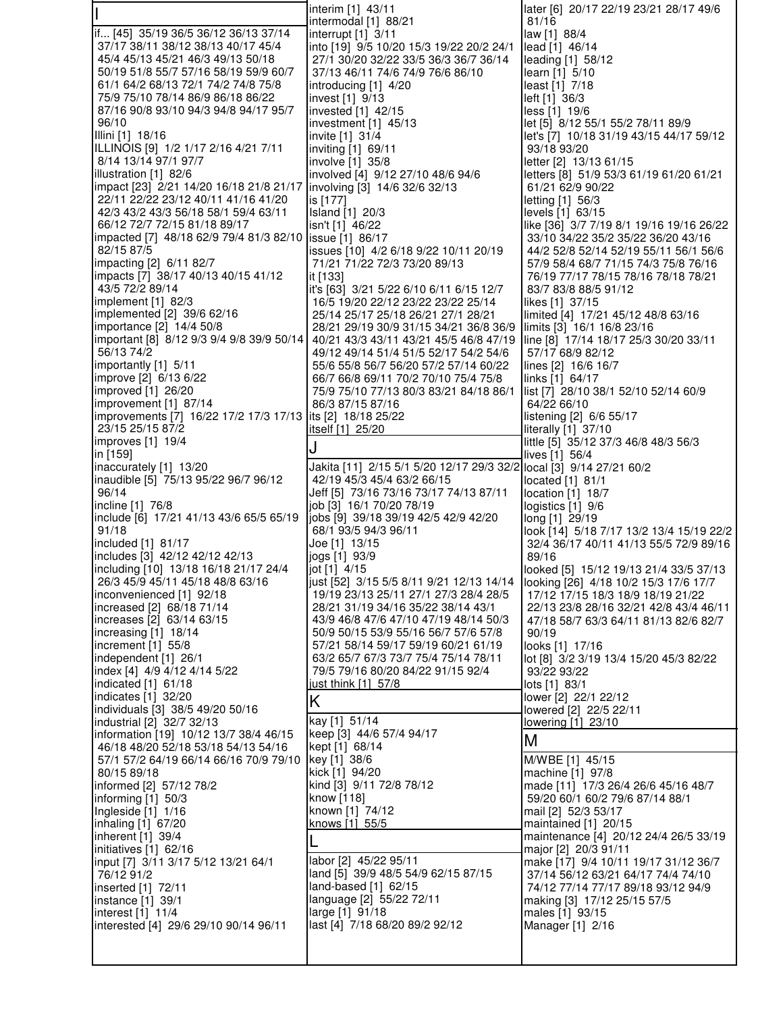|                                                                               | interim [1] 43/11<br>intermodal [1] 88/21                                      | later [6] 20/17 22/19 23/21 28/17 49/6<br>81/16                   |
|-------------------------------------------------------------------------------|--------------------------------------------------------------------------------|-------------------------------------------------------------------|
| if [45] 35/19 36/5 36/12 36/13 37/14                                          | interrupt [1] 3/11                                                             | law [1] 88/4                                                      |
| 37/17 38/11 38/12 38/13 40/17 45/4                                            | into [19] 9/5 10/20 15/3 19/22 20/2 24/1                                       | lead [1] 46/14                                                    |
| 45/4 45/13 45/21 46/3 49/13 50/18                                             | 27/1 30/20 32/22 33/5 36/3 36/7 36/14                                          | leading [1] 58/12                                                 |
| 50/19 51/8 55/7 57/16 58/19 59/9 60/7<br>61/1 64/2 68/13 72/1 74/2 74/8 75/8  | 37/13 46/11 74/6 74/9 76/6 86/10                                               | learn [1] 5/10                                                    |
| 75/9 75/10 78/14 86/9 86/18 86/22                                             | introducing $[1]$ 4/20<br>invest [1] 9/13                                      | least [1] 7/18<br>left [1] 36/3                                   |
| 87/16 90/8 93/10 94/3 94/8 94/17 95/7                                         | invested [1] 42/15                                                             | less [1] 19/6                                                     |
| 96/10                                                                         | investment $[1]$ 45/13                                                         | let [5] 8/12 55/1 55/2 78/11 89/9                                 |
| Illini [1] 18/16                                                              | invite [1] 31/4                                                                | let's [7] 10/18 31/19 43/15 44/17 59/12                           |
| ILLINOIS [9] 1/2 1/17 2/16 4/21 7/11<br>8/14 13/14 97/1 97/7                  | inviting [1] 69/11<br>involve [1] 35/8                                         | 93/18 93/20<br>letter [2] 13/13 61/15                             |
| illustration [1] 82/6                                                         | involved [4] 9/12 27/10 48/6 94/6                                              | letters [8] 51/9 53/3 61/19 61/20 61/21                           |
| impact [23]  2/21 14/20 16/18 21/8 21/17                                      | involving [3] 14/6 32/6 32/13                                                  | 61/21 62/9 90/22                                                  |
| 22/11 22/22 23/12 40/11 41/16 41/20                                           | is [177]                                                                       | letting [1] 56/3                                                  |
| 42/3 43/2 43/3 56/18 58/1 59/4 63/11<br>66/12 72/7 72/15 81/18 89/17          | Island [1] 20/3<br>isn't [1] 46/22                                             | levels [1] 63/15<br>like [36] 3/7 7/19 8/1 19/16 19/16 26/22      |
| impacted [7] 48/18 62/9 79/4 81/3 82/10   issue [1] 86/17                     |                                                                                | 33/10 34/22 35/2 35/22 36/20 43/16                                |
| 82/15 87/5                                                                    | issues [10] 4/2 6/18 9/22 10/11 20/19                                          | 44/2 52/8 52/14 52/19 55/11 56/1 56/6                             |
| impacting [2] 6/11 82/7                                                       | 71/21 71/22 72/3 73/20 89/13                                                   | 57/9 58/4 68/7 71/15 74/3 75/8 76/16                              |
| impacts [7] 38/17 40/13 40/15 41/12                                           | it [133]                                                                       | 76/19 77/17 78/15 78/16 78/18 78/21                               |
| 43/5 72/2 89/14<br>implement [1] 82/3                                         | it's [63] 3/21 5/22 6/10 6/11 6/15 12/7<br>16/5 19/20 22/12 23/22 23/22 25/14  | 83/7 83/8 88/5 91/12<br>likes [1] 37/15                           |
| implemented [2] 39/6 62/16                                                    | 25/14 25/17 25/18 26/21 27/1 28/21                                             | limited [4] 17/21 45/12 48/8 63/16                                |
| importance [2] 14/4 50/8                                                      | 28/21 29/19 30/9 31/15 34/21 36/8 36/9                                         | limits [3] 16/1 16/8 23/16                                        |
| important [8] 8/12 9/3 9/4 9/8 39/9 50/14                                     | 40/21 43/3 43/11 43/21 45/5 46/8 47/19                                         | line [8] 17/14 18/17 25/3 30/20 33/11                             |
| 56/13 74/2<br>importantly [1] 5/11                                            | 49/12 49/14 51/4 51/5 52/17 54/2 54/6<br>55/6 55/8 56/7 56/20 57/2 57/14 60/22 | 57/17 68/9 82/12<br>lines [2] 16/6 16/7                           |
| improve [2] 6/13 6/22                                                         | 66/7 66/8 69/11 70/2 70/10 75/4 75/8                                           | links [1] 64/17                                                   |
| improved [1] 26/20                                                            | 75/9 75/10 77/13 80/3 83/21 84/18 86/1                                         | list [7] 28/10 38/1 52/10 52/14 60/9                              |
| improvement [1] 87/14                                                         | 86/3 87/15 87/16                                                               | 64/22 66/10                                                       |
| improvements [7] 16/22 17/2 17/3 17/13<br>23/15 25/15 87/2                    | its [2] 18/18 25/22                                                            | listening [2] 6/6 55/17                                           |
| improves [1] 19/4                                                             | itself [1] 25/20                                                               | literally [1] 37/10<br>little [5] 35/12 37/3 46/8 48/3 56/3       |
| in [159]                                                                      | J                                                                              | lives $[1]$ 56/4                                                  |
| inaccurately [1] 13/20                                                        | Jakita [11] 2/15 5/1 5/20 12/17 29/3 32/2 local [3] 9/14 27/21 60/2            |                                                                   |
| inaudible [5] 75/13 95/22 96/7 96/12                                          | 42/19 45/3 45/4 63/2 66/15                                                     | located $[1]$ 81/1                                                |
| 96/14<br>incline [1] 76/8                                                     | Jeff [5] 73/16 73/16 73/17 74/13 87/11<br>job [3] 16/1 70/20 78/19             | location $[1]$ 18/7<br>logistics $[1]$ 9/6                        |
| include [6] 17/21 41/13 43/6 65/5 65/19                                       | jobs [9] 39/18 39/19 42/5 42/9 42/20                                           | long [1] 29/19                                                    |
| 91/18                                                                         | 68/1 93/5 94/3 96/11                                                           | look [14] 5/18 7/17 13/2 13/4 15/19 22/2                          |
| included [1] 81/17                                                            | Joe [1] 13/15                                                                  | 32/4 36/17 40/11 41/13 55/5 72/9 89/16                            |
| includes [3] 42/12 42/12 42/13<br>including [10] 13/18 16/18 21/17 24/4       | jogs [1] 93/9<br>jot [1] 4/15                                                  | 89/16<br>looked [5] 15/12 19/13 21/4 33/5 37/13                   |
| 26/3 45/9 45/11 45/18 48/8 63/16                                              | just [52] 3/15 5/5 8/11 9/21 12/13 14/14                                       | looking [26] 4/18 10/2 15/3 17/6 17/7                             |
| inconvenienced [1] 92/18                                                      | 19/19 23/13 25/11 27/1 27/3 28/4 28/5                                          | 17/12 17/15 18/3 18/9 18/19 21/22                                 |
| increased [2] 68/18 71/14                                                     | 28/21 31/19 34/16 35/22 38/14 43/1                                             | 22/13 23/8 28/16 32/21 42/8 43/4 46/11                            |
| increases [2] 63/14 63/15<br>increasing [1] 18/14                             | 43/9 46/8 47/6 47/10 47/19 48/14 50/3<br>50/9 50/15 53/9 55/16 56/7 57/6 57/8  | 47/18 58/7 63/3 64/11 81/13 82/6 82/7<br>90/19                    |
| increment [1] 55/8                                                            | 57/21 58/14 59/17 59/19 60/21 61/19                                            | looks [1] 17/16                                                   |
| independent [1] 26/1                                                          | 63/2 65/7 67/3 73/7 75/4 75/14 78/11                                           | lot [8] 3/2 3/19 13/4 15/20 45/3 82/22                            |
| index [4] 4/9 4/12 4/14 5/22                                                  | 79/5 79/16 80/20 84/22 91/15 92/4                                              | 93/22 93/22                                                       |
| indicated $[1]$ 61/18<br>indicates [1] 32/20                                  | just think [1] 57/8                                                            | lots [1] 83/1                                                     |
| individuals [3] 38/5 49/20 50/16                                              | K                                                                              | lower [2] 22/1 22/12<br>lowered [2] 22/5 22/11                    |
| industrial [2] 32/7 32/13                                                     | kay [1] 51/14                                                                  | lowering [1] 23/10                                                |
| information [19] 10/12 13/7 38/4 46/15                                        | keep [3] 44/6 57/4 94/17                                                       | M                                                                 |
| 46/18 48/20 52/18 53/18 54/13 54/16<br>57/1 57/2 64/19 66/14 66/16 70/9 79/10 | kept [1] 68/14<br>key [1] 38/6                                                 | M/WBE [1] 45/15                                                   |
| 80/15 89/18                                                                   | kick [1] 94/20                                                                 | machine [1] 97/8                                                  |
| informed [2] 57/12 78/2                                                       | kind [3] 9/11 72/8 78/12                                                       | made [11] 17/3 26/4 26/6 45/16 48/7                               |
| informing [1] 50/3                                                            | know [118]                                                                     | 59/20 60/1 60/2 79/6 87/14 88/1                                   |
| Ingleside $[1]$ 1/16                                                          | known [1] 74/12<br>knows [1] 55/5                                              | mail [2] 52/3 53/17<br>maintained [1] 20/15                       |
| inhaling [1] 67/20<br>inherent [1] 39/4                                       |                                                                                | maintenance [4] 20/12 24/4 26/5 33/19                             |
| initiatives [1] 62/16                                                         | L                                                                              | major [2] 20/3 91/11                                              |
| input [7] 3/11 3/17 5/12 13/21 64/1                                           | labor [2] 45/22 95/11                                                          | make [17] 9/4 10/11 19/17 31/12 36/7                              |
| 76/12 91/2                                                                    | land [5] 39/9 48/5 54/9 62/15 87/15<br>land-based [1] 62/15                    | 37/14 56/12 63/21 64/17 74/4 74/10                                |
| inserted [1] 72/11<br>instance [1] 39/1                                       | language [2] 55/22 72/11                                                       | 74/12 77/14 77/17 89/18 93/12 94/9<br>making [3] 17/12 25/15 57/5 |
| interest [1] 11/4                                                             | large [1] 91/18                                                                | males [1] 93/15                                                   |
| interested [4] 29/6 29/10 90/14 96/11                                         | last [4] 7/18 68/20 89/2 92/12                                                 | Manager [1] 2/16                                                  |
|                                                                               |                                                                                |                                                                   |
|                                                                               |                                                                                |                                                                   |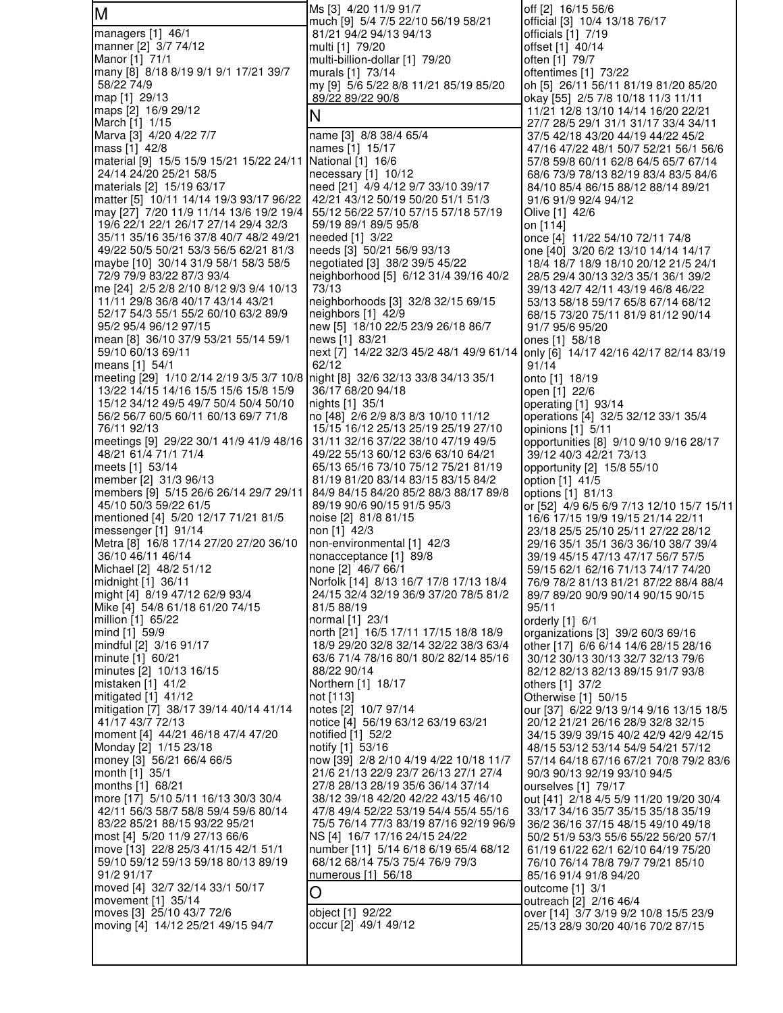| M                                                                                                                      | Ms [3] 4/20 11/9 91/7<br>much [9] 5/4 7/5 22/10 56/19 58/21                     | off [2] 16/15 56/6<br>official [3] 10/4 13/18 76/17                            |
|------------------------------------------------------------------------------------------------------------------------|---------------------------------------------------------------------------------|--------------------------------------------------------------------------------|
| managers [1] 46/1                                                                                                      | 81/21 94/2 94/13 94/13                                                          | officials $[1]$ 7/19                                                           |
| manner [2] 3/7 74/12<br>Manor [1] 71/1                                                                                 | multi [1] 79/20<br>multi-billion-dollar [1] 79/20                               | offset [1] 40/14<br>often [1] 79/7                                             |
| many [8] 8/18 8/19 9/1 9/1 17/21 39/7                                                                                  | murals [1] 73/14                                                                | oftentimes [1] 73/22                                                           |
| 58/22 74/9<br>map [1] 29/13                                                                                            | my [9] 5/6 5/22 8/8 11/21 85/19 85/20<br>89/22 89/22 90/8                       | oh [5] 26/11 56/11 81/19 81/20 85/20<br>okay [55] 2/5 7/8 10/18 11/3 11/11     |
| maps [2] 16/9 29/12                                                                                                    | N                                                                               | 11/21 12/8 13/10 14/14 16/20 22/21                                             |
| March [1] 1/15<br>Marva [3] 4/20 4/22 7/7                                                                              |                                                                                 | 27/7 28/5 29/1 31/1 31/17 33/4 34/11                                           |
| mass [1] 42/8                                                                                                          | name [3] 8/8 38/4 65/4<br>names [1] 15/17                                       | 37/5 42/18 43/20 44/19 44/22 45/2<br>47/16 47/22 48/1 50/7 52/21 56/1 56/6     |
| material [9] 15/5 15/9 15/21 15/22 24/11 National [1] 16/6                                                             |                                                                                 | 57/8 59/8 60/11 62/8 64/5 65/7 67/14                                           |
| 24/14 24/20 25/21 58/5<br>materials [2] 15/19 63/17                                                                    | necessary [1] 10/12<br>need [21] 4/9 4/12 9/7 33/10 39/17                       | 68/6 73/9 78/13 82/19 83/4 83/5 84/6<br>84/10 85/4 86/15 88/12 88/14 89/21     |
| matter [5] 10/11 14/14 19/3 93/17 96/22                                                                                | 42/21 43/12 50/19 50/20 51/1 51/3                                               | 91/6 91/9 92/4 94/12                                                           |
| may [27] 7/20 11/9 11/14 13/6 19/2 19/4<br>19/6 22/1 22/1 26/17 27/14 29/4 32/3                                        | 55/12 56/22 57/10 57/15 57/18 57/19<br>59/19 89/1 89/5 95/8                     | Olive [1] 42/6<br>on [114]                                                     |
| 35/11 35/16 35/16 37/8 40/7 48/2 49/21                                                                                 | needed [1] 3/22                                                                 | once [4] 11/22 54/10 72/11 74/8                                                |
| 49/22 50/5 50/21 53/3 56/5 62/21 81/3<br>maybe [10] 30/14 31/9 58/1 58/3 58/5                                          | needs [3] 50/21 56/9 93/13<br>negotiated [3] 38/2 39/5 45/22                    | one [40] 3/20 6/2 13/10 14/14 14/17<br>18/4 18/7 18/9 18/10 20/12 21/5 24/1    |
| 72/9 79/9 83/22 87/3 93/4                                                                                              | neighborhood [5] 6/12 31/4 39/16 40/2                                           | 28/5 29/4 30/13 32/3 35/1 36/1 39/2                                            |
| me [24] 2/5 2/8 2/10 8/12 9/3 9/4 10/13<br>11/11 29/8 36/8 40/17 43/14 43/21                                           | 73/13<br>neighborhoods [3] 32/8 32/15 69/15                                     | 39/13 42/7 42/11 43/19 46/8 46/22<br>53/13 58/18 59/17 65/8 67/14 68/12        |
| 52/17 54/3 55/1 55/2 60/10 63/2 89/9                                                                                   | neighbors [1] 42/9                                                              | 68/15 73/20 75/11 81/9 81/12 90/14                                             |
| 95/2 95/4 96/12 97/15                                                                                                  | new [5] 18/10 22/5 23/9 26/18 86/7                                              | 91/7 95/6 95/20                                                                |
| mean [8] 36/10 37/9 53/21 55/14 59/1<br>59/10 60/13 69/11                                                              | news [1] 83/21<br>next [7] 14/22 32/3 45/2 48/1 49/9 61/14                      | ones [1] 58/18<br>only [6] 14/17 42/16 42/17 82/14 83/19                       |
| means [1] 54/1                                                                                                         | 62/12                                                                           | 91/14                                                                          |
| meeting [29] 1/10 2/14 2/19 3/5 3/7 10/8 night [8] 32/6 32/13 33/8 34/13 35/1<br>13/22 14/15 14/16 15/5 15/6 15/8 15/9 | 36/17 68/20 94/18                                                               | onto [1] 18/19<br>open [1] 22/6                                                |
| 15/12 34/12 49/5 49/7 50/4 50/4 50/10                                                                                  | nights [1] 35/1                                                                 | operating [1] 93/14                                                            |
| 56/2 56/7 60/5 60/11 60/13 69/7 71/8<br>76/11 92/13                                                                    | no [48] 2/6 2/9 8/3 8/3 10/10 11/12<br>15/15 16/12 25/13 25/19 25/19 27/10      | operations [4] 32/5 32/12 33/1 35/4<br>opinions $[1]$ 5/11                     |
| meetings [9] 29/22 30/1 41/9 41/9 48/16                                                                                | 31/11 32/16 37/22 38/10 47/19 49/5                                              | opportunities [8] 9/10 9/10 9/16 28/17                                         |
| 48/21 61/4 71/1 71/4<br>meets [1] 53/14                                                                                | 49/22 55/13 60/12 63/6 63/10 64/21<br>65/13 65/16 73/10 75/12 75/21 81/19       | 39/12 40/3 42/21 73/13<br>opportunity [2] 15/8 55/10                           |
| member [2] 31/3 96/13                                                                                                  | 81/19 81/20 83/14 83/15 83/15 84/2                                              | option [1] 41/5                                                                |
| members [9] 5/15 26/6 26/14 29/7 29/11<br>45/10 50/3 59/22 61/5                                                        | 84/9 84/15 84/20 85/2 88/3 88/17 89/8<br>89/19 90/6 90/15 91/5 95/3             | options [1] 81/13                                                              |
| mentioned [4] 5/20 12/17 71/21 81/5                                                                                    | noise [2] 81/8 81/15                                                            | or [52] 4/9 6/5 6/9 7/13 12/10 15/7 15/11<br>16/6 17/15 19/9 19/15 21/14 22/11 |
| messenger $[1]$ 91/14                                                                                                  | non [1] 42/3                                                                    | 23/18 25/5 25/10 25/11 27/22 28/12                                             |
| Metra [8] 16/8 17/14 27/20 27/20 36/10<br>36/10 46/11 46/14                                                            | non-environmental [1] 42/3<br>nonacceptance [1] 89/8                            | 29/16 35/1 35/1 36/3 36/10 38/7 39/4<br>39/19 45/15 47/13 47/17 56/7 57/5      |
| Michael [2] 48/2 51/12                                                                                                 | none [2] 46/7 66/1                                                              | 59/15 62/1 62/16 71/13 74/17 74/20                                             |
| midnight [1] 36/11<br>might [4] 8/19 47/12 62/9 93/4                                                                   | Norfolk [14] 8/13 16/7 17/8 17/13 18/4<br>24/15 32/4 32/19 36/9 37/20 78/5 81/2 | 76/9 78/2 81/13 81/21 87/22 88/4 88/4<br>89/7 89/20 90/9 90/14 90/15 90/15     |
| Mike [4] 54/8 61/18 61/20 74/15                                                                                        | 81/5 88/19                                                                      | 95/11                                                                          |
| million [1] 65/22<br>mind [1] 59/9                                                                                     | normal [1] 23/1<br>north [21] 16/5 17/11 17/15 18/8 18/9                        | orderly [1] 6/1<br>organizations [3] 39/2 60/3 69/16                           |
| mindful [2] 3/16 91/17                                                                                                 | 18/9 29/20 32/8 32/14 32/22 38/3 63/4                                           | other [17] 6/6 6/14 14/6 28/15 28/16                                           |
| minute [1] 60/21<br>minutes [2] 10/13 16/15                                                                            | 63/6 71/4 78/16 80/1 80/2 82/14 85/16<br>88/22 90/14                            | 30/12 30/13 30/13 32/7 32/13 79/6<br>82/12 82/13 82/13 89/15 91/7 93/8         |
| mistaken $[1]$ 41/2                                                                                                    | Northern [1] 18/17                                                              | others [1] 37/2                                                                |
| mitigated $[1]$ 41/12<br>mitigation [7] 38/17 39/14 40/14 41/14                                                        | not [113]<br>notes [2] 10/7 97/14                                               | Otherwise [1] 50/15<br>our [37] 6/22 9/13 9/14 9/16 13/15 18/5                 |
| 41/17 43/7 72/13                                                                                                       | notice [4] 56/19 63/12 63/19 63/21                                              | 20/12 21/21 26/16 28/9 32/8 32/15                                              |
| moment [4] 44/21 46/18 47/4 47/20<br>Monday [2] 1/15 23/18                                                             | notified [1] 52/2<br>notify [1] 53/16                                           | 34/15 39/9 39/15 40/2 42/9 42/9 42/15<br>48/15 53/12 53/14 54/9 54/21 57/12    |
| money [3] 56/21 66/4 66/5                                                                                              | now [39] 2/8 2/10 4/19 4/22 10/18 11/7                                          | 57/14 64/18 67/16 67/21 70/8 79/2 83/6                                         |
| month [1] 35/1<br>months [1] 68/21                                                                                     | 21/6 21/13 22/9 23/7 26/13 27/1 27/4<br>27/8 28/13 28/19 35/6 36/14 37/14       | 90/3 90/13 92/19 93/10 94/5<br>ourselves [1] 79/17                             |
| more [17] 5/10 5/11 16/13 30/3 30/4                                                                                    | 38/12 39/18 42/20 42/22 43/15 46/10                                             | out [41] 2/18 4/5 5/9 11/20 19/20 30/4                                         |
| 42/11 56/3 58/7 58/8 59/4 59/6 80/14                                                                                   | 47/8 49/4 52/22 53/19 54/4 55/4 55/16                                           | 33/17 34/16 35/7 35/15 35/18 35/19                                             |
| 83/22 85/21 88/15 93/22 95/21<br>most [4] 5/20 11/9 27/13 66/6                                                         | 75/5 76/14 77/3 83/19 87/16 92/19 96/9<br>NS [4] 16/7 17/16 24/15 24/22         | 36/2 36/16 37/15 48/15 49/10 49/18<br>50/2 51/9 53/3 55/6 55/22 56/20 57/1     |
| move [13] 22/8 25/3 41/15 42/1 51/1                                                                                    | number [11] 5/14 6/18 6/19 65/4 68/12                                           | 61/19 61/22 62/1 62/10 64/19 75/20                                             |
| 59/10 59/12 59/13 59/18 80/13 89/19<br>91/2 91/17                                                                      | 68/12 68/14 75/3 75/4 76/9 79/3<br>numerous [1] 56/18                           | 76/10 76/14 78/8 79/7 79/21 85/10<br>85/16 91/4 91/8 94/20                     |
| moved [4] 32/7 32/14 33/1 50/17                                                                                        | O                                                                               | outcome $[1]$ 3/1                                                              |
| movement [1] 35/14<br>moves [3] 25/10 43/7 72/6                                                                        | object [1] 92/22                                                                | outreach [2] 2/16 46/4<br>over [14] 3/7 3/19 9/2 10/8 15/5 23/9                |
| moving [4] 14/12 25/21 49/15 94/7                                                                                      | occur [2] 49/1 49/12                                                            | 25/13 28/9 30/20 40/16 70/2 87/15                                              |
|                                                                                                                        |                                                                                 |                                                                                |
|                                                                                                                        |                                                                                 |                                                                                |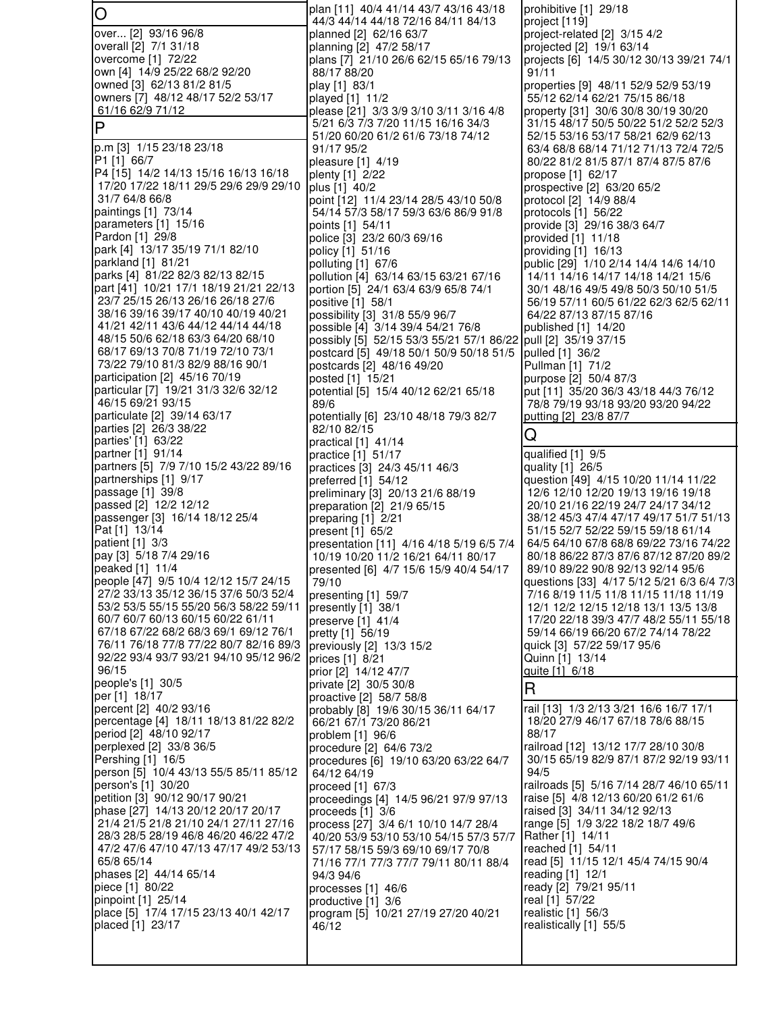| $\overline{O}$                                                                   | plan [11] 40/4 41/14 43/7 43/16 43/18<br>44/3 44/14 44/18 72/16 84/11 84/13    | prohibitive [1] 29/18<br>project [119]                                        |
|----------------------------------------------------------------------------------|--------------------------------------------------------------------------------|-------------------------------------------------------------------------------|
| over [2] 93/16 96/8                                                              | planned [2] 62/16 63/7                                                         | project-related [2] 3/15 4/2                                                  |
| overall [2] 7/1 31/18                                                            | planning [2] 47/2 58/17                                                        | projected [2] 19/1 63/14                                                      |
| overcome [1] 72/22<br>own [4] 14/9 25/22 68/2 92/20                              | plans [7] 21/10 26/6 62/15 65/16 79/13<br>88/17 88/20                          | projects [6] 14/5 30/12 30/13 39/21 74/1<br>91/11                             |
| owned [3] 62/13 81/2 81/5                                                        | play [1] 83/1                                                                  | properties [9] 48/11 52/9 52/9 53/19                                          |
| owners [7] 48/12 48/17 52/2 53/17                                                | played [1] 11/2                                                                | 55/12 62/14 62/21 75/15 86/18                                                 |
| 61/16 62/9 71/12                                                                 | please [21] 3/3 3/9 3/10 3/11 3/16 4/8                                         | property [31] 30/6 30/8 30/19 30/20                                           |
| P                                                                                | 5/21 6/3 7/3 7/20 11/15 16/16 34/3<br>51/20 60/20 61/2 61/6 73/18 74/12        | 31/15 48/17 50/5 50/22 51/2 52/2 52/3<br>52/15 53/16 53/17 58/21 62/9 62/13   |
| p.m [3] 1/15 23/18 23/18                                                         | 91/17 95/2                                                                     | 63/4 68/8 68/14 71/12 71/13 72/4 72/5                                         |
| P1 [1] 66/7                                                                      | pleasure [1] 4/19                                                              | 80/22 81/2 81/5 87/1 87/4 87/5 87/6                                           |
| P4 [15] 14/2 14/13 15/16 16/13 16/18<br>17/20 17/22 18/11 29/5 29/6 29/9 29/10   | plenty [1] 2/22                                                                | propose [1] 62/17                                                             |
| 31/7 64/8 66/8                                                                   | plus [1] 40/2<br>point [12] 11/4 23/14 28/5 43/10 50/8                         | prospective [2] 63/20 65/2<br>protocol [2] 14/9 88/4                          |
| paintings [1] 73/14                                                              | 54/14 57/3 58/17 59/3 63/6 86/9 91/8                                           | protocols [1] 56/22                                                           |
| parameters [1] 15/16                                                             | points [1] 54/11                                                               | provide [3] 29/16 38/3 64/7                                                   |
| Pardon [1] 29/8<br>park [4] 13/17 35/19 71/1 82/10                               | police [3] 23/2 60/3 69/16<br>policy [1] 51/16                                 | provided [1] 11/18<br>providing [1] 16/13                                     |
| parkland [1] 81/21                                                               | polluting [1] 67/6                                                             | public [29] 1/10 2/14 14/4 14/6 14/10                                         |
| parks [4] 81/22 82/3 82/13 82/15                                                 | pollution [4] 63/14 63/15 63/21 67/16                                          | 14/11 14/16 14/17 14/18 14/21 15/6                                            |
| part [41] 10/21 17/1 18/19 21/21 22/13                                           | portion [5] 24/1 63/4 63/9 65/8 74/1                                           | 30/1 48/16 49/5 49/8 50/3 50/10 51/5                                          |
| 23/7 25/15 26/13 26/16 26/18 27/6<br>38/16 39/16 39/17 40/10 40/19 40/21         | positive [1] 58/1<br>possibility [3] 31/8 55/9 96/7                            | 56/19 57/11 60/5 61/22 62/3 62/5 62/11<br>64/22 87/13 87/15 87/16             |
| 41/21 42/11 43/6 44/12 44/14 44/18                                               | possible [4] 3/14 39/4 54/21 76/8                                              | published [1] 14/20                                                           |
| 48/15 50/6 62/18 63/3 64/20 68/10                                                | possibly [5] 52/15 53/3 55/21 57/1 86/22 pull [2] 35/19 37/15                  |                                                                               |
| 68/17 69/13 70/8 71/19 72/10 73/1<br>73/22 79/10 81/3 82/9 88/16 90/1            | postcard [5] 49/18 50/1 50/9 50/18 51/5                                        | pulled [1] 36/2                                                               |
| participation [2] 45/16 70/19                                                    | postcards [2] 48/16 49/20<br>posted [1] 15/21                                  | Pullman [1] 71/2<br>purpose [2] 50/4 87/3                                     |
| particular [7] 19/21 31/3 32/6 32/12                                             | potential [5] 15/4 40/12 62/21 65/18                                           | put [11] 35/20 36/3 43/18 44/3 76/12                                          |
| 46/15 69/21 93/15                                                                | 89/6                                                                           | 78/8 79/19 93/18 93/20 93/20 94/22                                            |
| particulate [2] 39/14 63/17<br>parties [2] 26/3 38/22                            | potentially [6] 23/10 48/18 79/3 82/7<br>82/10 82/15                           | putting [2] 23/8 87/7                                                         |
| parties' [1] 63/22                                                               | practical $[1]$ 41/14                                                          | Q                                                                             |
| partner [1] 91/14                                                                | practice [1] 51/17                                                             | qualified [1] 9/5                                                             |
| partners [5] 7/9 7/10 15/2 43/22 89/16                                           | practices [3] 24/3 45/11 46/3                                                  | quality [1] 26/5                                                              |
| partnerships [1] 9/17<br>passage $[1]$ 39/8                                      | preferred $[1]$ 54/12<br>preliminary [3] 20/13 21/6 88/19                      | question [49] 4/15 10/20 11/14 11/22<br>12/6 12/10 12/20 19/13 19/16 19/18    |
| passed [2] 12/2 12/12                                                            | preparation [2] 21/9 65/15                                                     | 20/10 21/16 22/19 24/7 24/17 34/12                                            |
| passenger [3] 16/14 18/12 25/4                                                   | preparing [1] 2/21                                                             | 38/12 45/3 47/4 47/17 49/17 51/7 51/13                                        |
| Pat [1] 13/14<br>patient $[1]$ 3/3                                               | present $[1]$ 65/2                                                             | 51/15 52/7 52/22 59/15 59/18 61/14<br>64/5 64/10 67/8 68/8 69/22 73/16 74/22  |
| pay [3] 5/18 7/4 29/16                                                           | presentation [11] 4/16 4/18 5/19 6/5 7/4<br>10/19 10/20 11/2 16/21 64/11 80/17 | 80/18 86/22 87/3 87/6 87/12 87/20 89/2                                        |
| peaked [1] 11/4                                                                  | presented [6] 4/7 15/6 15/9 40/4 54/17                                         | 89/10 89/22 90/8 92/13 92/14 95/6                                             |
| people [47] 9/5 10/4 12/12 15/7 24/15                                            | 79/10                                                                          | questions [33] 4/17 5/12 5/21 6/3 6/4 7/3                                     |
| 27/2 33/13 35/12 36/15 37/6 50/3 52/4<br>53/2 53/5 55/15 55/20 56/3 58/22 59/11  | presenting [1] 59/7<br>presently [1] 38/1                                      | 7/16 8/19 11/5 11/8 11/15 11/18 11/19<br>12/1 12/2 12/15 12/18 13/1 13/5 13/8 |
| 60/7 60/7 60/13 60/15 60/22 61/11                                                | preserve $[1]$ 41/4                                                            | 17/20 22/18 39/3 47/7 48/2 55/11 55/18                                        |
| 67/18 67/22 68/2 68/3 69/1 69/12 76/1                                            | pretty [1] 56/19                                                               | 59/14 66/19 66/20 67/2 74/14 78/22                                            |
| 76/11 76/18 77/8 77/22 80/7 82/16 89/3<br>92/22 93/4 93/7 93/21 94/10 95/12 96/2 | previously [2] 13/3 15/2                                                       | quick [3] 57/22 59/17 95/6<br>Quinn [1] 13/14                                 |
| 96/15                                                                            | prices [1] 8/21<br>prior [2] 14/12 47/7                                        | quite [1] 6/18                                                                |
| people's [1] 30/5                                                                | private [2] 30/5 30/8                                                          | R                                                                             |
| per [1] 18/17                                                                    | proactive [2] 58/7 58/8                                                        |                                                                               |
| percent [2] 40/2 93/16<br>percentage [4] 18/11 18/13 81/22 82/2                  | probably [8] 19/6 30/15 36/11 64/17<br>66/21 67/1 73/20 86/21                  | rail [13] 1/3 2/13 3/21 16/6 16/7 17/1<br>18/20 27/9 46/17 67/18 78/6 88/15   |
| period [2] 48/10 92/17                                                           | problem [1] 96/6                                                               | 88/17                                                                         |
| perplexed [2] 33/8 36/5                                                          | procedure [2] 64/6 73/2                                                        | railroad [12] 13/12 17/7 28/10 30/8                                           |
| Pershing [1] 16/5                                                                | procedures [6] 19/10 63/20 63/22 64/7                                          | 30/15 65/19 82/9 87/1 87/2 92/19 93/11<br>94/5                                |
| person [5] 10/4 43/13 55/5 85/11 85/12<br>person's [1] 30/20                     | 64/12 64/19<br>proceed $[1]$ 67/3                                              | railroads [5] 5/16 7/14 28/7 46/10 65/11                                      |
| petition [3] 90/12 90/17 90/21                                                   | proceedings [4] 14/5 96/21 97/9 97/13                                          | raise [5] 4/8 12/13 60/20 61/2 61/6                                           |
| phase [27] 14/13 20/12 20/17 20/17                                               | proceeds [1] 3/6                                                               | raised [3] 34/11 34/12 92/13                                                  |
| 21/4 21/5 21/8 21/10 24/1 27/11 27/16<br>28/3 28/5 28/19 46/8 46/20 46/22 47/2   | process [27] 3/4 6/1 10/10 14/7 28/4<br>40/20 53/9 53/10 53/10 54/15 57/3 57/7 | range [5] 1/9 3/22 18/2 18/7 49/6<br>Rather [1] 14/11                         |
| 47/2 47/6 47/10 47/13 47/17 49/2 53/13                                           | 57/17 58/15 59/3 69/10 69/17 70/8                                              | reached [1] 54/11                                                             |
| 65/8 65/14                                                                       | 71/16 77/1 77/3 77/7 79/11 80/11 88/4                                          | read [5] 11/15 12/1 45/4 74/15 90/4                                           |
| phases [2] 44/14 65/14<br>piece [1] 80/22                                        | 94/3 94/6                                                                      | reading [1] 12/1<br>ready [2] 79/21 95/11                                     |
| pinpoint [1] 25/14                                                               | processes $[1]$ 46/6<br>productive [1] 3/6                                     | real [1] 57/22                                                                |
| place [5] 17/4 17/15 23/13 40/1 42/17                                            | program [5] 10/21 27/19 27/20 40/21                                            | realistic [1] 56/3                                                            |
| placed [1] 23/17                                                                 | 46/12                                                                          | realistically [1] 55/5                                                        |
|                                                                                  |                                                                                |                                                                               |
|                                                                                  |                                                                                |                                                                               |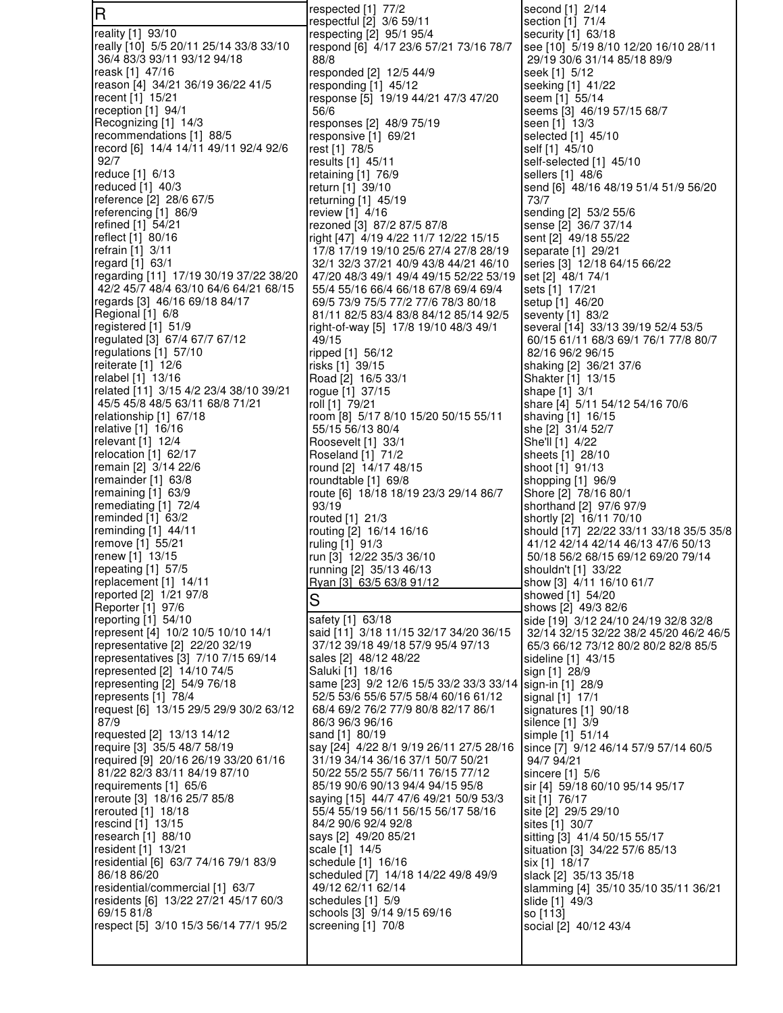R reality [1] 93/10 really [10] 5/5 20/11 25/14 33/8 33/10 36/4 83/3 93/11 93/12 94/18 reask [1] 47/16 reason [4] 34/21 36/19 36/22 41/5 recent [1] 15/21 reception [1] 94/1 Recognizing [1] 14/3 recommendations [1] 88/5 record [6] 14/4 14/11 49/11 92/4 92/6 92/7 reduce [1] 6/13 reduced [1] 40/3 reference [2] 28/6 67/5 referencing [1] 86/9 refined [1] 54/21 reflect [1] 80/16 refrain [1] 3/11 regard [1] 63/1 regarding [11] 17/19 30/19 37/22 38/20 42/2 45/7 48/4 63/10 64/6 64/21 68/15 regards [3] 46/16 69/18 84/17 Regional [1] 6/8 registered [1] 51/9 regulated [3] 67/4 67/7 67/12 regulations [1] 57/10 reiterate [1] 12/6 relabel [1] 13/16 related [11] 3/15 4/2 23/4 38/10 39/21 45/5 45/8 48/5 63/11 68/8 71/21 relationship [1] 67/18 relative [1] 16/16 relevant [1] 12/4 relocation [1] 62/17 remain [2] 3/14 22/6 remainder [1] 63/8 remaining [1] 63/9 remediating [1] 72/4 reminded [1] 63/2 reminding [1] 44/11 remove [1] 55/21 renew [1] 13/15 repeating [1] 57/5 replacement [1] 14/11 reported [2] 1/21 97/8 Reporter [1] 97/6 reporting [1] 54/10 represent [4] 10/2 10/5 10/10 14/1 representative [2] 22/20 32/19 representatives [3] 7/10 7/15 69/14 represented [2] 14/10 74/5 representing [2] 54/9 76/18 represents [1] 78/4 request [6] 13/15 29/5 29/9 30/2 63/12 87/9 requested [2] 13/13 14/12 require [3] 35/5 48/7 58/19 required [9] 20/16 26/19 33/20 61/16 81/22 82/3 83/11 84/19 87/10 requirements [1] 65/6 reroute [3] 18/16 25/7 85/8 rerouted [1] 18/18 rescind [1] 13/15 research [1] 88/10 resident [1] 13/21 residential [6] 63/7 74/16 79/1 83/9 86/18 86/20 residential/commercial [1] 63/7 residents [6] 13/22 27/21 45/17 60/3 69/15 81/8 respect [5] 3/10 15/3 56/14 77/1 95/2

respected [1] 77/2 respectful [2] 3/6 59/11 respecting [2] 95/1 95/4 respond [6] 4/17 23/6 57/21 73/16 78/7 88/8 responded [2] 12/5 44/9 responding [1] 45/12 response [5] 19/19 44/21 47/3 47/20 56/6 responses [2] 48/9 75/19 responsive [1] 69/21 rest [1] 78/5 results [1] 45/11 retaining [1] 76/9 return [1] 39/10 returning [1] 45/19 review [1] 4/16 rezoned [3] 87/2 87/5 87/8 right [47] 4/19 4/22 11/7 12/22 15/15 17/8 17/19 19/10 25/6 27/4 27/8 28/19 32/1 32/3 37/21 40/9 43/8 44/21 46/10 47/20 48/3 49/1 49/4 49/15 52/22 53/19 55/4 55/16 66/4 66/18 67/8 69/4 69/4 69/5 73/9 75/5 77/2 77/6 78/3 80/18 81/11 82/5 83/4 83/8 84/12 85/14 92/5 right-of-way [5] 17/8 19/10 48/3 49/1 49/15 ripped [1] 56/12 risks [1] 39/15 Road [2] 16/5 33/1 rogue [1] 37/15 roll [1] 79/21 room [8] 5/17 8/10 15/20 50/15 55/11 55/15 56/13 80/4 Roosevelt [1] 33/1 Roseland [1] 71/2 round [2] 14/17 48/15 roundtable [1] 69/8 route [6] 18/18 18/19 23/3 29/14 86/7 93/19 routed [1] 21/3 routing [2] 16/14 16/16 ruling [1] 91/3 run [3] 12/22 35/3 36/10 running [2] 35/13 46/13 Ryan [3] 63/5 63/8 91/12 S safety [1] 63/18 said [11] 3/18 11/15 32/17 34/20 36/15 37/12 39/18 49/18 57/9 95/4 97/13 sales [2] 48/12 48/22 Saluki [1] 18/16 same [23] 9/2 12/6 15/5 33/2 33/3 33/14 52/5 53/6 55/6 57/5 58/4 60/16 61/12 68/4 69/2 76/2 77/9 80/8 82/17 86/1 86/3 96/3 96/16 sand [1] 80/19 say [24] 4/22 8/1 9/19 26/11 27/5 28/16 31/19 34/14 36/16 37/1 50/7 50/21 50/22 55/2 55/7 56/11 76/15 77/12 85/19 90/6 90/13 94/4 94/15 95/8 saying [15] 44/7 47/6 49/21 50/9 53/3 55/4 55/19 56/11 56/15 56/17 58/16 84/2 90/6 92/4 92/8 says [2] 49/20 85/21 scale [1] 14/5 schedule [1] 16/16 scheduled [7] 14/18 14/22 49/8 49/9 49/12 62/11 62/14 schedules [1] 5/9 schools [3] 9/14 9/15 69/16 screening [1] 70/8

second [1] 2/14 section [1] 71/4 security [1] 63/18 see [10] 5/19 8/10 12/20 16/10 28/11 29/19 30/6 31/14 85/18 89/9 seek [1] 5/12 seeking [1] 41/22 seem [1] 55/14 seems [3] 46/19 57/15 68/7 seen [1] 13/3 selected [1] 45/10 self [1] 45/10 self-selected [1] 45/10 sellers [1] 48/6 send [6] 48/16 48/19 51/4 51/9 56/20 73/7 sending [2] 53/2 55/6 sense [2] 36/7 37/14 sent [2] 49/18 55/22 separate [1] 29/21 series [3] 12/18 64/15 66/22 set [2] 48/1 74/1 sets [1] 17/21 setup [1] 46/20 seventy [1] 83/2 several [14] 33/13 39/19 52/4 53/5 60/15 61/11 68/3 69/1 76/1 77/8 80/7 82/16 96/2 96/15 shaking [2] 36/21 37/6 Shakter [1] 13/15 shape [1] 3/1 share [4] 5/11 54/12 54/16 70/6 shaving [1] 16/15 she [2] 31/4 52/7 She'll [1] 4/22 sheets [1] 28/10 shoot [1] 91/13 shopping [1] 96/9 Shore [2] 78/16 80/1 shorthand [2] 97/6 97/9 shortly [2] 16/11 70/10 should [17] 22/22 33/11 33/18 35/5 35/8 41/12 42/14 42/14 46/13 47/6 50/13 50/18 56/2 68/15 69/12 69/20 79/14 shouldn't [1] 33/22 show [3] 4/11 16/10 61/7 showed [1] 54/20 shows [2] 49/3 82/6 side [19] 3/12 24/10 24/19 32/8 32/8 32/14 32/15 32/22 38/2 45/20 46/2 46/5 65/3 66/12 73/12 80/2 80/2 82/8 85/5 sideline [1] 43/15 sign [1] 28/9 sign-in [1] 28/9 signal [1] 17/1 signatures [1] 90/18 silence [1] 3/9 simple [1] 51/14 since [7] 9/12 46/14 57/9 57/14 60/5 94/7 94/21 sincere [1] 5/6 sir [4] 59/18 60/10 95/14 95/17 sit [1] 76/17 site [2] 29/5 29/10 sites [1] 30/7 sitting [3] 41/4 50/15 55/17 situation [3] 34/22 57/6 85/13 six [1] 18/17 slack [2] 35/13 35/18 slamming [4] 35/10 35/10 35/11 36/21 slide [1] 49/3 so [113] social [2] 40/12 43/4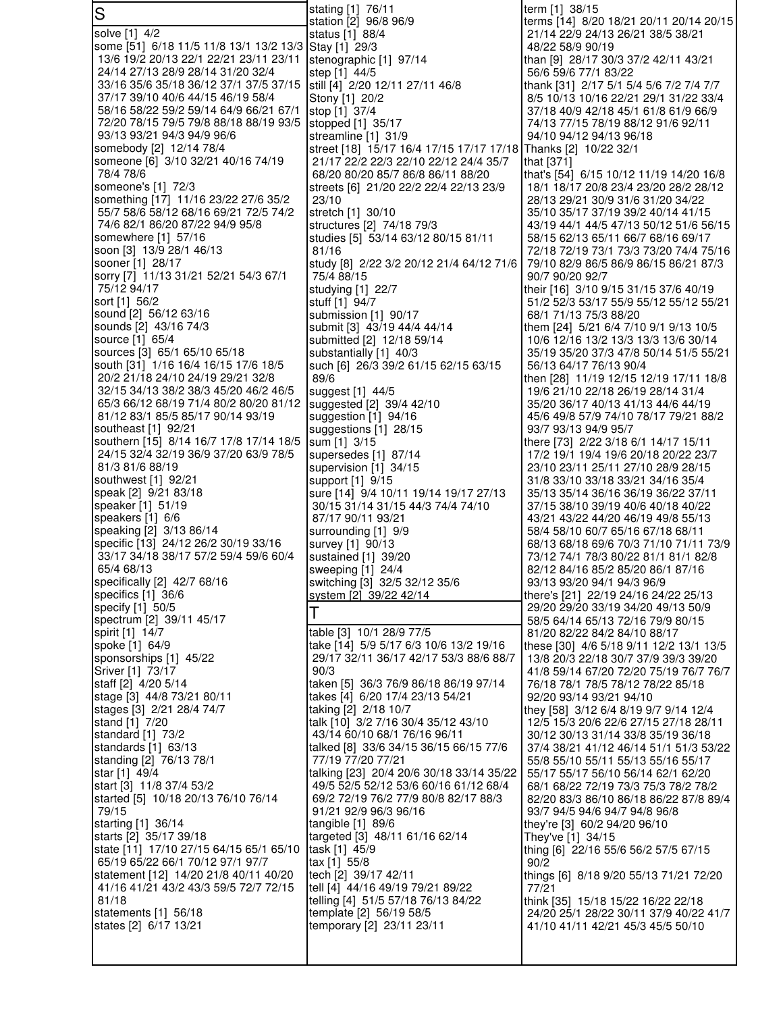| S                                                                                | stating [1] 76/11                                                                 | term [1] 38/15<br>terms [14] 8/20 18/21 20/11 20/14 20/15                       |
|----------------------------------------------------------------------------------|-----------------------------------------------------------------------------------|---------------------------------------------------------------------------------|
| solve [1] 4/2                                                                    | station [2] 96/8 96/9<br>status [1] 88/4                                          | 21/14 22/9 24/13 26/21 38/5 38/21                                               |
| some [51] 6/18 11/5 11/8 13/1 13/2 13/3 Stay [1] 29/3                            |                                                                                   | 48/22 58/9 90/19                                                                |
| 13/6 19/2 20/13 22/1 22/21 23/11 23/11                                           | stenographic [1] 97/14                                                            | than [9] 28/17 30/3 37/2 42/11 43/21                                            |
| 24/14 27/13 28/9 28/14 31/20 32/4                                                | step [1] 44/5                                                                     | 56/6 59/6 77/1 83/22                                                            |
| 33/16 35/6 35/18 36/12 37/1 37/5 37/15                                           | still [4] 2/20 12/11 27/11 46/8                                                   | thank [31] 2/17 5/1 5/4 5/6 7/2 7/4 7/7                                         |
| 37/17 39/10 40/6 44/15 46/19 58/4                                                | Stony [1] 20/2                                                                    | 8/5 10/13 10/16 22/21 29/1 31/22 33/4                                           |
| 58/16 58/22 59/2 59/14 64/9 66/21 67/1<br>72/20 78/15 79/5 79/8 88/18 88/19 93/5 | stop [1] 37/4<br>stopped [1] 35/17                                                | 37/18 40/9 42/18 45/1 61/8 61/9 66/9<br>74/13 77/15 78/19 88/12 91/6 92/11      |
| 93/13 93/21 94/3 94/9 96/6                                                       | streamline [1] 31/9                                                               | 94/10 94/12 94/13 96/18                                                         |
| somebody [2] 12/14 78/4                                                          | street [18] 15/17 16/4 17/15 17/17 17/18                                          | Thanks [2] 10/22 32/1                                                           |
| someone [6] 3/10 32/21 40/16 74/19                                               | 21/17 22/2 22/3 22/10 22/12 24/4 35/7                                             | that [371]                                                                      |
| 78/4 78/6                                                                        | 68/20 80/20 85/7 86/8 86/11 88/20                                                 | that's [54] 6/15 10/12 11/19 14/20 16/8                                         |
| someone's [1] 72/3                                                               | streets [6] 21/20 22/2 22/4 22/13 23/9                                            | 18/1 18/17 20/8 23/4 23/20 28/2 28/12                                           |
| something [17] 11/16 23/22 27/6 35/2<br>55/7 58/6 58/12 68/16 69/21 72/5 74/2    | 23/10<br>stretch [1] 30/10                                                        | 28/13 29/21 30/9 31/6 31/20 34/22<br>35/10 35/17 37/19 39/2 40/14 41/15         |
| 74/6 82/1 86/20 87/22 94/9 95/8                                                  | structures [2] 74/18 79/3                                                         | 43/19 44/1 44/5 47/13 50/12 51/6 56/15                                          |
| somewhere [1] 57/16                                                              | studies [5] 53/14 63/12 80/15 81/11                                               | 58/15 62/13 65/11 66/7 68/16 69/17                                              |
| soon [3] 13/9 28/1 46/13                                                         | 81/16                                                                             | 72/18 72/19 73/1 73/3 73/20 74/4 75/16                                          |
| sooner [1] 28/17                                                                 | study [8] 2/22 3/2 20/12 21/4 64/12 71/6                                          | 79/10 82/9 86/5 86/9 86/15 86/21 87/3                                           |
| sorry [7] 11/13 31/21 52/21 54/3 67/1                                            | 75/4 88/15                                                                        | 90/7 90/20 92/7                                                                 |
| 75/12 94/17<br>sort [1] 56/2                                                     | studying [1] 22/7                                                                 | their [16] 3/10 9/15 31/15 37/6 40/19<br>51/2 52/3 53/17 55/9 55/12 55/12 55/21 |
| sound [2] 56/12 63/16                                                            | stuff [1] 94/7<br>submission [1] 90/17                                            | 68/1 71/13 75/3 88/20                                                           |
| sounds [2] 43/16 74/3                                                            | submit [3] 43/19 44/4 44/14                                                       | them [24] 5/21 6/4 7/10 9/1 9/13 10/5                                           |
| source [1] 65/4                                                                  | submitted [2] 12/18 59/14                                                         | 10/6 12/16 13/2 13/3 13/3 13/6 30/14                                            |
| sources [3] 65/1 65/10 65/18                                                     | substantially [1] 40/3                                                            | 35/19 35/20 37/3 47/8 50/14 51/5 55/21                                          |
| south [31] 1/16 16/4 16/15 17/6 18/5                                             | such [6] 26/3 39/2 61/15 62/15 63/15                                              | 56/13 64/17 76/13 90/4                                                          |
| 20/2 21/18 24/10 24/19 29/21 32/8<br>32/15 34/13 38/2 38/3 45/20 46/2 46/5       | 89/6<br>suggest [1] 44/5                                                          | then [28]  11/19 12/15 12/19 17/11 18/8<br>19/6 21/10 22/18 26/19 28/14 31/4    |
| 65/3 66/12 68/19 71/4 80/2 80/20 81/12                                           | suggested [2] 39/4 42/10                                                          | 35/20 36/17 40/13 41/13 44/6 44/19                                              |
| 81/12 83/1 85/5 85/17 90/14 93/19                                                | suggestion [1] 94/16                                                              | 45/6 49/8 57/9 74/10 78/17 79/21 88/2                                           |
| southeast [1] 92/21                                                              | suggestions [1] 28/15                                                             | 93/7 93/13 94/9 95/7                                                            |
| southern [15] 8/14 16/7 17/8 17/14 18/5                                          | sum [1] 3/15                                                                      | there [73] 2/22 3/18 6/1 14/17 15/11                                            |
| 24/15 32/4 32/19 36/9 37/20 63/9 78/5<br>81/3 81/6 88/19                         | supersedes [1] 87/14                                                              | 17/2 19/1 19/4 19/6 20/18 20/22 23/7<br>23/10 23/11 25/11 27/10 28/9 28/15      |
| southwest [1] 92/21                                                              | supervision [1] 34/15<br>support [1] 9/15                                         | 31/8 33/10 33/18 33/21 34/16 35/4                                               |
| speak [2] 9/21 83/18                                                             | sure [14] 9/4 10/11 19/14 19/17 27/13                                             | 35/13 35/14 36/16 36/19 36/22 37/11                                             |
| speaker [1] 51/19                                                                | 30/15 31/14 31/15 44/3 74/4 74/10                                                 | 37/15 38/10 39/19 40/6 40/18 40/22                                              |
| speakers [1] 6/6                                                                 | 87/17 90/11 93/21                                                                 | 43/21 43/22 44/20 46/19 49/8 55/13                                              |
| speaking [2] 3/13 86/14<br>specific [13] 24/12 26/2 30/19 33/16                  | surrounding [1] 9/9<br>survey [1] 90/13                                           | 58/4 58/10 60/7 65/16 67/18 68/11<br>68/13 68/18 69/6 70/3 71/10 71/11 73/9     |
| 33/17 34/18 38/17 57/2 59/4 59/6 60/4                                            | sustained [1] 39/20                                                               | 73/12 74/1 78/3 80/22 81/1 81/1 82/8                                            |
| 65/4 68/13                                                                       | sweeping [1] 24/4                                                                 | 82/12 84/16 85/2 85/20 86/1 87/16                                               |
| specifically [2] 42/7 68/16                                                      | switching [3] 32/5 32/12 35/6                                                     | 93/13 93/20 94/1 94/3 96/9                                                      |
| specifics [1] 36/6                                                               | system [2] 39/22 42/14                                                            | there's [21] 22/19 24/16 24/22 25/13                                            |
| specify [1] 50/5<br>spectrum [2] 39/11 45/17                                     | T                                                                                 | 29/20 29/20 33/19 34/20 49/13 50/9<br>58/5 64/14 65/13 72/16 79/9 80/15         |
| spirit [1] 14/7                                                                  | table [3] 10/1 28/9 77/5                                                          | 81/20 82/22 84/2 84/10 88/17                                                    |
| spoke [1] 64/9                                                                   | take [14] 5/9 5/17 6/3 10/6 13/2 19/16                                            | these [30] 4/6 5/18 9/11 12/2 13/1 13/5                                         |
| sponsorships [1] 45/22                                                           | 29/17 32/11 36/17 42/17 53/3 88/6 88/7                                            | 13/8 20/3 22/18 30/7 37/9 39/3 39/20                                            |
| Sriver [1] 73/17                                                                 | 90/3                                                                              | 41/8 59/14 67/20 72/20 75/19 76/7 76/7                                          |
| staff [2] 4/20 5/14<br>stage [3] 44/8 73/21 80/11                                | taken [5] 36/3 76/9 86/18 86/19 97/14                                             | 76/18 78/1 78/5 78/12 78/22 85/18                                               |
| stages [3] 2/21 28/4 74/7                                                        | takes [4] 6/20 17/4 23/13 54/21<br>taking [2] 2/18 10/7                           | 92/20 93/14 93/21 94/10<br>they [58] 3/12 6/4 8/19 9/7 9/14 12/4                |
| stand [1] 7/20                                                                   | talk [10] 3/2 7/16 30/4 35/12 43/10                                               | 12/5 15/3 20/6 22/6 27/15 27/18 28/11                                           |
| standard [1] 73/2                                                                | 43/14 60/10 68/1 76/16 96/11                                                      | 30/12 30/13 31/14 33/8 35/19 36/18                                              |
| standards [1] 63/13                                                              | talked [8] 33/6 34/15 36/15 66/15 77/6                                            | 37/4 38/21 41/12 46/14 51/1 51/3 53/22                                          |
| standing [2] 76/13 78/1                                                          | 77/19 77/20 77/21                                                                 | 55/8 55/10 55/11 55/13 55/16 55/17                                              |
| star [1] 49/4<br>start [3] 11/8 37/4 53/2                                        | talking [23] 20/4 20/6 30/18 33/14 35/22<br>49/5 52/5 52/12 53/6 60/16 61/12 68/4 | 55/17 55/17 56/10 56/14 62/1 62/20<br>68/1 68/22 72/19 73/3 75/3 78/2 78/2      |
| started [5] 10/18 20/13 76/10 76/14                                              | 69/2 72/19 76/2 77/9 80/8 82/17 88/3                                              | 82/20 83/3 86/10 86/18 86/22 87/8 89/4                                          |
| 79/15                                                                            | 91/21 92/9 96/3 96/16                                                             | 93/7 94/5 94/6 94/7 94/8 96/8                                                   |
| starting [1] 36/14                                                               | tangible [1] 89/6                                                                 | they're [3] 60/2 94/20 96/10                                                    |
| starts [2] 35/17 39/18                                                           | targeted [3] 48/11 61/16 62/14                                                    | They've [1] 34/15                                                               |
| state [11] 17/10 27/15 64/15 65/1 65/10<br>65/19 65/22 66/1 70/12 97/1 97/7      | task [1] 45/9<br>$\text{tax} [1] 55/8$                                            | thing [6] 22/16 55/6 56/2 57/5 67/15<br>90/2                                    |
| statement [12] 14/20 21/8 40/11 40/20                                            | tech [2] 39/17 42/11                                                              | things [6] 8/18 9/20 55/13 71/21 72/20                                          |
| 41/16 41/21 43/2 43/3 59/5 72/7 72/15                                            | tell [4] 44/16 49/19 79/21 89/22                                                  | 77/21                                                                           |
| 81/18                                                                            | telling [4] 51/5 57/18 76/13 84/22                                                | think [35] 15/18 15/22 16/22 22/18                                              |
| statements [1] 56/18                                                             | template [2] 56/19 58/5                                                           | 24/20 25/1 28/22 30/11 37/9 40/22 41/7                                          |
| states [2] 6/17 13/21                                                            | temporary [2] 23/11 23/11                                                         | 41/10 41/11 42/21 45/3 45/5 50/10                                               |
|                                                                                  |                                                                                   |                                                                                 |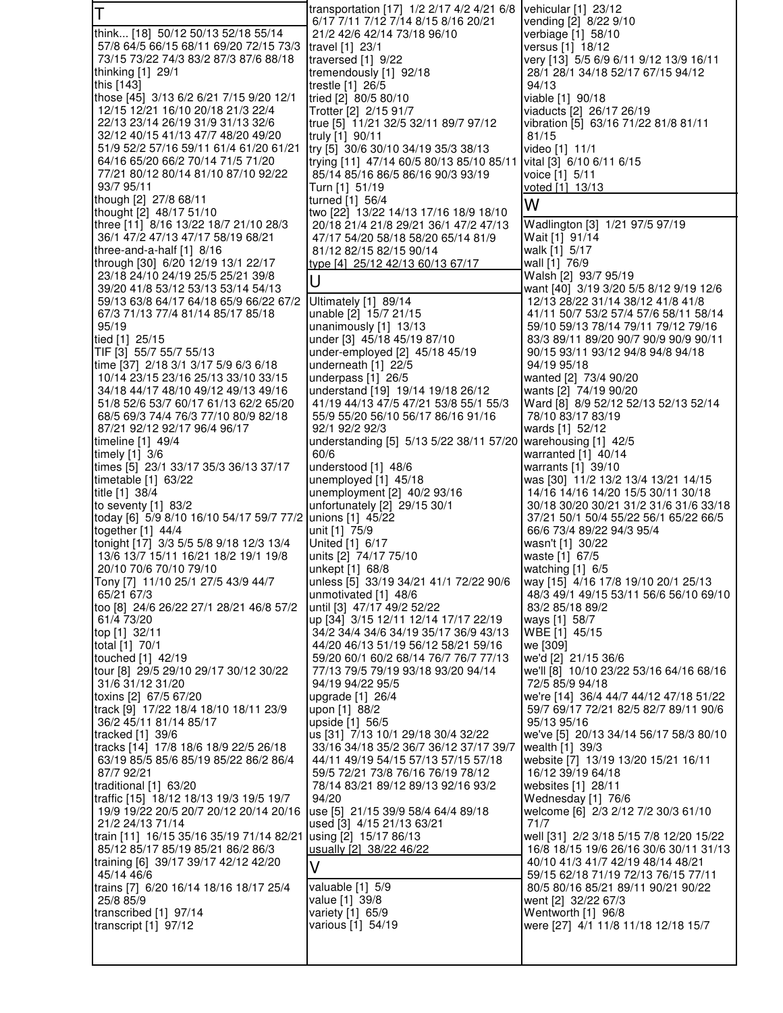| T                                                                           | transportation [17] 1/2 2/17 4/2 4/21 6/8 vehicular [1] 23/12<br>6/17 7/11 7/12 7/14 8/15 8/16 20/21 | vending [2] 8/22 9/10                                                       |
|-----------------------------------------------------------------------------|------------------------------------------------------------------------------------------------------|-----------------------------------------------------------------------------|
| think [18] 50/12 50/13 52/18 55/14                                          | 21/2 42/6 42/14 73/18 96/10                                                                          | verbiage [1] 58/10                                                          |
| 57/8 64/5 66/15 68/11 69/20 72/15 73/3                                      | travel [1] 23/1                                                                                      | versus [1] 18/12                                                            |
| 73/15 73/22 74/3 83/2 87/3 87/6 88/18<br>thinking [1] 29/1                  | traversed $[1]$ 9/22<br>tremendously [1] 92/18                                                       | very [13] 5/5 6/9 6/11 9/12 13/9 16/11<br>28/1 28/1 34/18 52/17 67/15 94/12 |
| this [143]                                                                  | trestle [1] 26/5                                                                                     | 94/13                                                                       |
| those [45] 3/13 6/2 6/21 7/15 9/20 12/1                                     | tried [2] 80/5 80/10                                                                                 | viable [1] 90/18                                                            |
| 12/15 12/21 16/10 20/18 21/3 22/4                                           | Trotter [2] 2/15 91/7                                                                                | viaducts [2] 26/17 26/19                                                    |
| 22/13 23/14 26/19 31/9 31/13 32/6<br>32/12 40/15 41/13 47/7 48/20 49/20     | true [5] 11/21 32/5 32/11 89/7 97/12<br>truly [1] 90/11                                              | vibration [5] 63/16 71/22 81/8 81/11<br>81/15                               |
| 51/9 52/2 57/16 59/11 61/4 61/20 61/21                                      | try [5] 30/6 30/10 34/19 35/3 38/13                                                                  | video [1] 11/1                                                              |
| 64/16 65/20 66/2 70/14 71/5 71/20                                           | trying [11] 47/14 60/5 80/13 85/10 85/11                                                             | vital [3] 6/10 6/11 6/15                                                    |
| 77/21 80/12 80/14 81/10 87/10 92/22                                         | 85/14 85/16 86/5 86/16 90/3 93/19                                                                    | voice [1] 5/11                                                              |
| 93/7 95/11<br>though [2] 27/8 68/11                                         | Turn [1] 51/19<br>turned [1] 56/4                                                                    | voted [1] 13/13                                                             |
| thought [2] 48/17 51/10                                                     | two [22] 13/22 14/13 17/16 18/9 18/10                                                                | W                                                                           |
| three [11] 8/16 13/22 18/7 21/10 28/3                                       | 20/18 21/4 21/8 29/21 36/1 47/2 47/13                                                                | Wadlington [3] 1/21 97/5 97/19                                              |
| 36/1 47/2 47/13 47/17 58/19 68/21<br>three-and-a-half $[1]$ 8/16            | 47/17 54/20 58/18 58/20 65/14 81/9<br>81/12 82/15 82/15 90/14                                        | Wait [1] 91/14<br>walk [1] 5/17                                             |
| through [30] 6/20 12/19 13/1 22/17                                          | type [4] 25/12 42/13 60/13 67/17                                                                     | wall [1] 76/9                                                               |
| 23/18 24/10 24/19 25/5 25/21 39/8                                           | U                                                                                                    | Walsh [2] 93/7 95/19                                                        |
| 39/20 41/8 53/12 53/13 53/14 54/13                                          |                                                                                                      | want [40] 3/19 3/20 5/5 8/12 9/19 12/6                                      |
| 59/13 63/8 64/17 64/18 65/9 66/22 67/2<br>67/3 71/13 77/4 81/14 85/17 85/18 | Ultimately [1] 89/14<br>unable [2] 15/7 21/15                                                        | 12/13 28/22 31/14 38/12 41/8 41/8<br>41/11 50/7 53/2 57/4 57/6 58/11 58/14  |
| 95/19                                                                       | unanimously [1] 13/13                                                                                | 59/10 59/13 78/14 79/11 79/12 79/16                                         |
| tied [1] 25/15                                                              | under [3] 45/18 45/19 87/10                                                                          | 83/3 89/11 89/20 90/7 90/9 90/9 90/11                                       |
| TIF [3] 55/7 55/7 55/13<br>time [37] 2/18 3/1 3/17 5/9 6/3 6/18             | under-employed [2] 45/18 45/19<br>underneath $[1]$ 22/5                                              | 90/15 93/11 93/12 94/8 94/8 94/18<br>94/19 95/18                            |
| 10/14 23/15 23/16 25/13 33/10 33/15                                         | underpass $[1]$ 26/5                                                                                 | wanted [2] 73/4 90/20                                                       |
| 34/18 44/17 48/10 49/12 49/13 49/16                                         | understand [19] 19/14 19/18 26/12                                                                    | wants [2] 74/19 90/20                                                       |
| 51/8 52/6 53/7 60/17 61/13 62/2 65/20                                       | 41/19 44/13 47/5 47/21 53/8 55/1 55/3                                                                | Ward [8] 8/9 52/12 52/13 52/13 52/14                                        |
| 68/5 69/3 74/4 76/3 77/10 80/9 82/18<br>87/21 92/12 92/17 96/4 96/17        | 55/9 55/20 56/10 56/17 86/16 91/16<br>92/1 92/2 92/3                                                 | 78/10 83/17 83/19<br>wards [1] 52/12                                        |
| timeline $[1]$ 49/4                                                         | understanding [5] 5/13 5/22 38/11 57/20 warehousing [1] 42/5                                         |                                                                             |
| timely $[1]$ 3/6                                                            | 60/6                                                                                                 | warranted [1] 40/14                                                         |
| times [5] 23/1 33/17 35/3 36/13 37/17                                       | understood [1] 48/6                                                                                  | warrants $[1]$ 39/10                                                        |
| timetable $[1]$ 63/22<br>title [1] 38/4                                     | unemployed [1] 45/18<br>unemployment [2] 40/2 93/16                                                  | was [30] 11/2 13/2 13/4 13/21 14/15<br>14/16 14/16 14/20 15/5 30/11 30/18   |
| to seventy $[1]$ 83/2                                                       | unfortunately [2] 29/15 30/1                                                                         | 30/18 30/20 30/21 31/2 31/6 31/6 33/18                                      |
| today [6] 5/9 8/10 16/10 54/17 59/7 77/2 unions [1] 45/22                   |                                                                                                      | 37/21 50/1 50/4 55/22 56/1 65/22 66/5                                       |
| together $[1]$ 44/4<br>tonight [17] 3/3 5/5 5/8 9/18 12/3 13/4              | unit [1] 75/9<br>United [1] 6/17                                                                     | 66/6 73/4 89/22 94/3 95/4<br>wasn't [1] 30/22                               |
| 13/6 13/7 15/11 16/21 18/2 19/1 19/8                                        | units [2] 74/17 75/10                                                                                | waste [1] 67/5                                                              |
| 20/10 70/6 70/10 79/10                                                      | unkept [1] 68/8                                                                                      | watching [1] 6/5                                                            |
| Tony [7] 11/10 25/1 27/5 43/9 44/7                                          | unless [5] 33/19 34/21 41/1 72/22 90/6                                                               | way [15] 4/16 17/8 19/10 20/1 25/13                                         |
| 65/21 67/3<br>too [8] 24/6 26/22 27/1 28/21 46/8 57/2                       | unmotivated [1] 48/6<br>until [3] 47/17 49/2 52/22                                                   | 48/3 49/1 49/15 53/11 56/6 56/10 69/10<br>83/2 85/18 89/2                   |
| 61/4 73/20                                                                  | up [34] 3/15 12/11 12/14 17/17 22/19                                                                 | ways [1] 58/7                                                               |
| top [1] 32/11                                                               | 34/2 34/4 34/6 34/19 35/17 36/9 43/13                                                                | WBE [1] 45/15                                                               |
| total [1] 70/1<br>touched [1] 42/19                                         | 44/20 46/13 51/19 56/12 58/21 59/16<br>59/20 60/1 60/2 68/14 76/7 76/7 77/13                         | we [309]<br>we'd [2] 21/15 36/6                                             |
| tour [8] 29/5 29/10 29/17 30/12 30/22                                       | 77/13 79/5 79/19 93/18 93/20 94/14                                                                   | we'll [8] 10/10 23/22 53/16 64/16 68/16                                     |
| 31/6 31/12 31/20                                                            | 94/19 94/22 95/5                                                                                     | 72/5 85/9 94/18                                                             |
| toxins [2] 67/5 67/20                                                       | upgrade $[1]$ 26/4                                                                                   | we're [14] 36/4 44/7 44/12 47/18 51/22                                      |
| track [9] 17/22 18/4 18/10 18/11 23/9<br>36/2 45/11 81/14 85/17             | upon [1] 88/2<br>upside [1] 56/5                                                                     | 59/7 69/17 72/21 82/5 82/7 89/11 90/6<br>95/13 95/16                        |
| tracked $[1]$ 39/6                                                          | us [31] 7/13 10/1 29/18 30/4 32/22                                                                   | we've [5] 20/13 34/14 56/17 58/3 80/10                                      |
| tracks [14] 17/8 18/6 18/9 22/5 26/18                                       | 33/16 34/18 35/2 36/7 36/12 37/17 39/7                                                               | wealth [1] 39/3                                                             |
| 63/19 85/5 85/6 85/19 85/22 86/2 86/4<br>87/7 92/21                         | 44/11 49/19 54/15 57/13 57/15 57/18<br>59/5 72/21 73/8 76/16 76/19 78/12                             | website [7] 13/19 13/20 15/21 16/11<br>16/12 39/19 64/18                    |
| traditional [1] 63/20                                                       | 78/14 83/21 89/12 89/13 92/16 93/2                                                                   | websites [1] 28/11                                                          |
| traffic [15] 18/12 18/13 19/3 19/5 19/7                                     | 94/20                                                                                                | Wednesday [1] 76/6                                                          |
| 19/9 19/22 20/5 20/7 20/12 20/14 20/16                                      | use [5] 21/15 39/9 58/4 64/4 89/18                                                                   | welcome [6] 2/3 2/12 7/2 30/3 61/10<br>71/7                                 |
| 21/2 24/13 71/14<br>train [11] 16/15 35/16 35/19 71/14 82/21                | used [3] 4/15 21/13 63/21<br>using [2] 15/17 86/13                                                   | well [31] 2/2 3/18 5/15 7/8 12/20 15/22                                     |
| 85/12 85/17 85/19 85/21 86/2 86/3                                           | usually [2] 38/22 46/22                                                                              | 16/8 18/15 19/6 26/16 30/6 30/11 31/13                                      |
| training [6] 39/17 39/17 42/12 42/20                                        | V                                                                                                    | 40/10 41/3 41/7 42/19 48/14 48/21                                           |
| 45/14 46/6<br>trains [7] 6/20 16/14 18/16 18/17 25/4                        | valuable $[1]$ 5/9                                                                                   | 59/15 62/18 71/19 72/13 76/15 77/11<br>80/5 80/16 85/21 89/11 90/21 90/22   |
| 25/8 85/9                                                                   | value [1] 39/8                                                                                       | went [2] 32/22 67/3                                                         |
| transcribed [1] 97/14                                                       | variety [1] 65/9                                                                                     | Wentworth [1] 96/8                                                          |
| transcript $[1]$ 97/12                                                      | various [1] 54/19                                                                                    | were [27] 4/1 11/8 11/18 12/18 15/7                                         |
|                                                                             |                                                                                                      |                                                                             |
|                                                                             |                                                                                                      |                                                                             |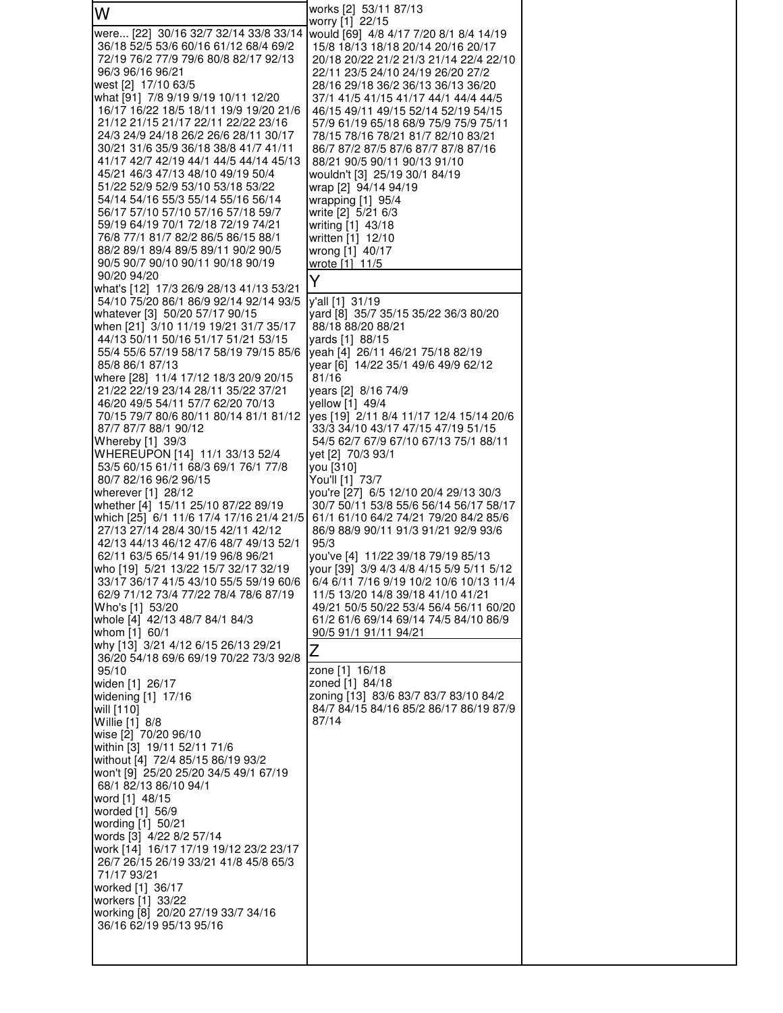| W                                                                                                                                                                                                                                                                                                                                                                                                                                                                                                                                                                                                                                                                                                                                                                                                                                                                                                                                                                                                                                                                                                                                                                                                                                                                                                                                                                                                                                                                                                                                                                                                                                                                                                                                                                                                                                                                                                                                                                                                                                                                                                                                                                                                                                                                                                                                                                                                        | works [2] 53/11 87/13                                                                                                                                                                                                                                                                                                                                                                                                                                                                                                                                                                                                                                                                                                                                                                                                                                                                                                                                                                                                                                                                                                                                                                                                                                                                                                                                                                                                                                                                                                                                                                                                                                             |  |
|----------------------------------------------------------------------------------------------------------------------------------------------------------------------------------------------------------------------------------------------------------------------------------------------------------------------------------------------------------------------------------------------------------------------------------------------------------------------------------------------------------------------------------------------------------------------------------------------------------------------------------------------------------------------------------------------------------------------------------------------------------------------------------------------------------------------------------------------------------------------------------------------------------------------------------------------------------------------------------------------------------------------------------------------------------------------------------------------------------------------------------------------------------------------------------------------------------------------------------------------------------------------------------------------------------------------------------------------------------------------------------------------------------------------------------------------------------------------------------------------------------------------------------------------------------------------------------------------------------------------------------------------------------------------------------------------------------------------------------------------------------------------------------------------------------------------------------------------------------------------------------------------------------------------------------------------------------------------------------------------------------------------------------------------------------------------------------------------------------------------------------------------------------------------------------------------------------------------------------------------------------------------------------------------------------------------------------------------------------------------------------------------------------|-------------------------------------------------------------------------------------------------------------------------------------------------------------------------------------------------------------------------------------------------------------------------------------------------------------------------------------------------------------------------------------------------------------------------------------------------------------------------------------------------------------------------------------------------------------------------------------------------------------------------------------------------------------------------------------------------------------------------------------------------------------------------------------------------------------------------------------------------------------------------------------------------------------------------------------------------------------------------------------------------------------------------------------------------------------------------------------------------------------------------------------------------------------------------------------------------------------------------------------------------------------------------------------------------------------------------------------------------------------------------------------------------------------------------------------------------------------------------------------------------------------------------------------------------------------------------------------------------------------------------------------------------------------------|--|
| were [22] 30/16 32/7 32/14 33/8 33/14<br>36/18 52/5 53/6 60/16 61/12 68/4 69/2<br>72/19 76/2 77/9 79/6 80/8 82/17 92/13<br>96/3 96/16 96/21<br>west [2] 17/10 63/5<br>what [91] 7/8 9/19 9/19 10/11 12/20<br>16/17 16/22 18/5 18/11 19/9 19/20 21/6<br>21/12 21/15 21/17 22/11 22/22 23/16<br>24/3 24/9 24/18 26/2 26/6 28/11 30/17<br>30/21 31/6 35/9 36/18 38/8 41/7 41/11<br>41/17 42/7 42/19 44/1 44/5 44/14 45/13<br>45/21 46/3 47/13 48/10 49/19 50/4<br>51/22 52/9 52/9 53/10 53/18 53/22<br>54/14 54/16 55/3 55/14 55/16 56/14<br>56/17 57/10 57/10 57/16 57/18 59/7<br>59/19 64/19 70/1 72/18 72/19 74/21<br>76/8 77/1 81/7 82/2 86/5 86/15 88/1<br>88/2 89/1 89/4 89/5 89/11 90/2 90/5<br>90/5 90/7 90/10 90/11 90/18 90/19<br>90/20 94/20<br>what's [12] 17/3 26/9 28/13 41/13 53/21<br>54/10 75/20 86/1 86/9 92/14 92/14 93/5<br>whatever [3] 50/20 57/17 90/15<br>when [21] 3/10 11/19 19/21 31/7 35/17<br>44/13 50/11 50/16 51/17 51/21 53/15<br>55/4 55/6 57/19 58/17 58/19 79/15 85/6<br>85/8 86/1 87/13<br>where [28] 11/4 17/12 18/3 20/9 20/15<br>21/22 22/19 23/14 28/11 35/22 37/21<br>46/20 49/5 54/11 57/7 62/20 70/13<br>70/15 79/7 80/6 80/11 80/14 81/1 81/12<br>87/7 87/7 88/1 90/12<br>Whereby [1] 39/3<br>WHEREUPON [14] 11/1 33/13 52/4<br>53/5 60/15 61/11 68/3 69/1 76/1 77/8<br>80/7 82/16 96/2 96/15<br>wherever [1] 28/12<br>whether [4] 15/11 25/10 87/22 89/19<br>which [25] 6/1 11/6 17/4 17/16 21/4 21/5<br>27/13 27/14 28/4 30/15 42/11 42/12<br>42/13 44/13 46/12 47/6 48/7 49/13 52/1<br>62/11 63/5 65/14 91/19 96/8 96/21<br>who [19] 5/21 13/22 15/7 32/17 32/19<br>33/17 36/17 41/5 43/10 55/5 59/19 60/6<br>62/9 71/12 73/4 77/22 78/4 78/6 87/19<br>Who's [1] 53/20<br>whole [4] 42/13 48/7 84/1 84/3<br>whom [1] 60/1<br>why [13] 3/21 4/12 6/15 26/13 29/21<br>36/20 54/18 69/6 69/19 70/22 73/3 92/8<br>95/10<br>widen [1] 26/17<br>widening [1] 17/16<br>will [110]<br>Willie [1] 8/8<br>wise [2] 70/20 96/10<br>within [3] 19/11 52/11 71/6<br>without [4] 72/4 85/15 86/19 93/2<br>won't [9] 25/20 25/20 34/5 49/1 67/19<br>68/1 82/13 86/10 94/1<br>word [1] 48/15<br>worded [1] 56/9<br>wording [1] 50/21<br>words [3] 4/22 8/2 57/14<br>work [14] 16/17 17/19 19/12 23/2 23/17<br>26/7 26/15 26/19 33/21 41/8 45/8 65/3<br>71/17 93/21<br>worked [1] 36/17<br>workers [1] 33/22<br>working [8] 20/20 27/19 33/7 34/16<br>36/16 62/19 95/13 95/16 | worry [1] 22/15<br>would [69] 4/8 4/17 7/20 8/1 8/4 14/19<br>15/8 18/13 18/18 20/14 20/16 20/17<br>20/18 20/22 21/2 21/3 21/14 22/4 22/10<br>22/11 23/5 24/10 24/19 26/20 27/2<br>28/16 29/18 36/2 36/13 36/13 36/20<br>37/1 41/5 41/15 41/17 44/1 44/4 44/5<br>46/15 49/11 49/15 52/14 52/19 54/15<br>57/9 61/19 65/18 68/9 75/9 75/9 75/11<br>78/15 78/16 78/21 81/7 82/10 83/21<br>86/7 87/2 87/5 87/6 87/7 87/8 87/16<br>88/21 90/5 90/11 90/13 91/10<br>wouldn't [3] 25/19 30/1 84/19<br>wrap [2] 94/14 94/19<br>wrapping [1] 95/4<br>write [2] 5/21 6/3<br>writing [1] 43/18<br>written [1] 12/10<br>wrong [1] 40/17<br>wrote [1] 11/5<br>Y<br>y'all [1] 31/19<br>yard [8] 35/7 35/15 35/22 36/3 80/20<br>88/18 88/20 88/21<br>yards [1] 88/15<br>yeah [4] 26/11 46/21 75/18 82/19<br>year [6] 14/22 35/1 49/6 49/9 62/12<br>81/16<br>years [2] 8/16 74/9<br>yellow [1] 49/4<br>yes [19] 2/11 8/4 11/17 12/4 15/14 20/6<br>33/3 34/10 43/17 47/15 47/19 51/15<br>54/5 62/7 67/9 67/10 67/13 75/1 88/11<br>yet [2] 70/3 93/1<br>you [310]<br>You'll [1] 73/7<br>you're [27] 6/5 12/10 20/4 29/13 30/3<br>30/7 50/11 53/8 55/6 56/14 56/17 58/17<br>61/1 61/10 64/2 74/21 79/20 84/2 85/6<br>86/9 88/9 90/11 91/3 91/21 92/9 93/6<br>95/3<br>you've [4] 11/22 39/18 79/19 85/13<br>your [39] 3/9 4/3 4/8 4/15 5/9 5/11 5/12<br>6/4 6/11 7/16 9/19 10/2 10/6 10/13 11/4<br>11/5 13/20 14/8 39/18 41/10 41/21<br>49/21 50/5 50/22 53/4 56/4 56/11 60/20<br>61/2 61/6 69/14 69/14 74/5 84/10 86/9<br>90/5 91/1 91/11 94/21<br>Z<br>zone [1] 16/18<br>zoned [1] 84/18<br>zoning [13] 83/6 83/7 83/7 83/10 84/2<br>84/7 84/15 84/16 85/2 86/17 86/19 87/9<br>87/14 |  |
|                                                                                                                                                                                                                                                                                                                                                                                                                                                                                                                                                                                                                                                                                                                                                                                                                                                                                                                                                                                                                                                                                                                                                                                                                                                                                                                                                                                                                                                                                                                                                                                                                                                                                                                                                                                                                                                                                                                                                                                                                                                                                                                                                                                                                                                                                                                                                                                                          |                                                                                                                                                                                                                                                                                                                                                                                                                                                                                                                                                                                                                                                                                                                                                                                                                                                                                                                                                                                                                                                                                                                                                                                                                                                                                                                                                                                                                                                                                                                                                                                                                                                                   |  |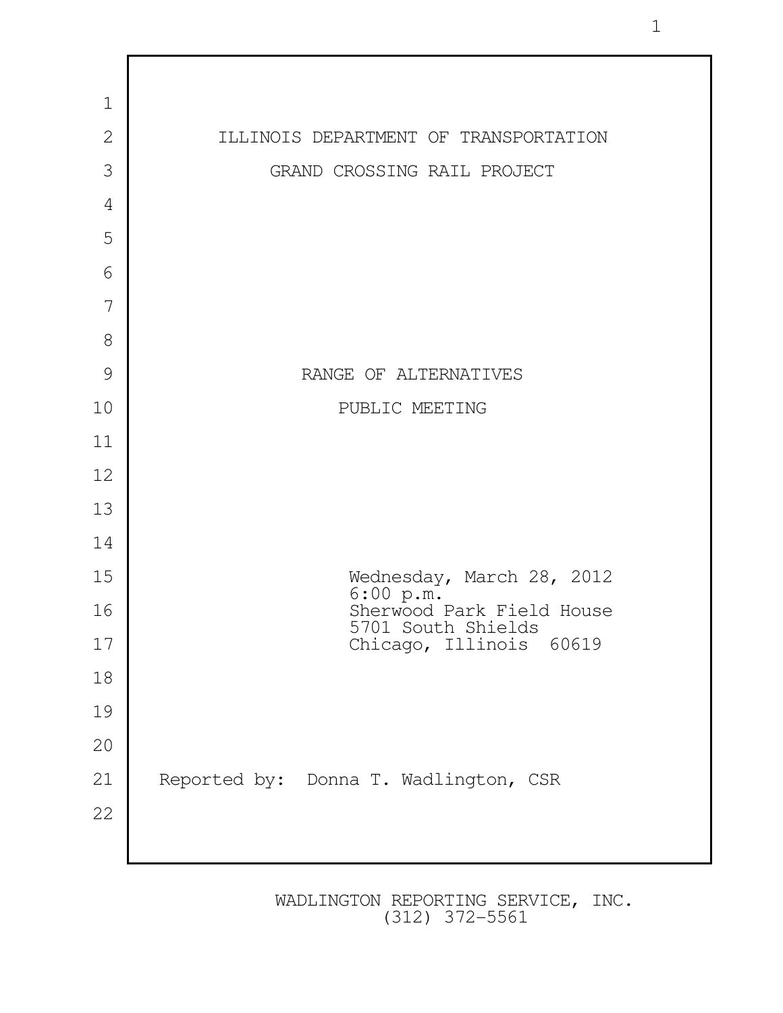

1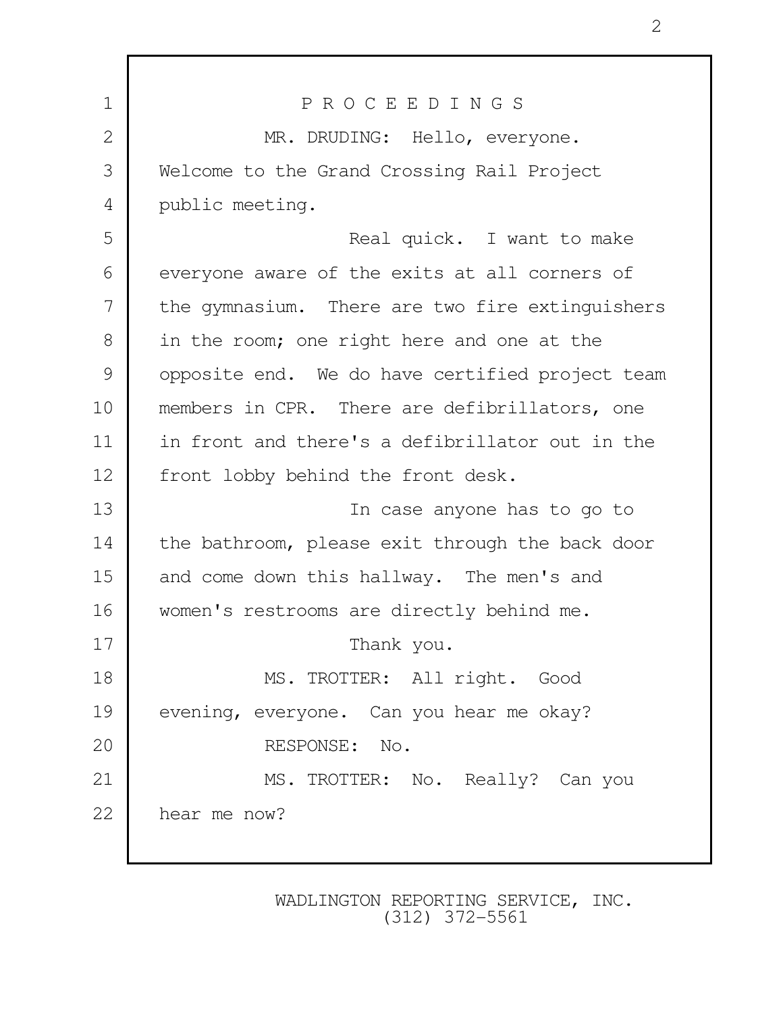1 P R O C E E D I N G S 2 MR. DRUDING: Hello, everyone. 3 Welcome to the Grand Crossing Rail Project 4 public meeting. 5 Real quick. I want to make 6 everyone aware of the exits at all corners of 7 the gymnasium. There are two fire extinguishers 8 in the room; one right here and one at the 9 opposite end. We do have certified project team 10 members in CPR. There are defibrillators, one 11 in front and there's a defibrillator out in the 12 front lobby behind the front desk. 13 In case anyone has to go to 14 the bathroom, please exit through the back door 15 and come down this hallway. The men's and 16 women's restrooms are directly behind me. 17 Thank you. 18 MS. TROTTER: All right. Good 19 evening, everyone. Can you hear me okay? 20 RESPONSE: No. 21 MS. TROTTER: No. Really? Can you 22 hear me now?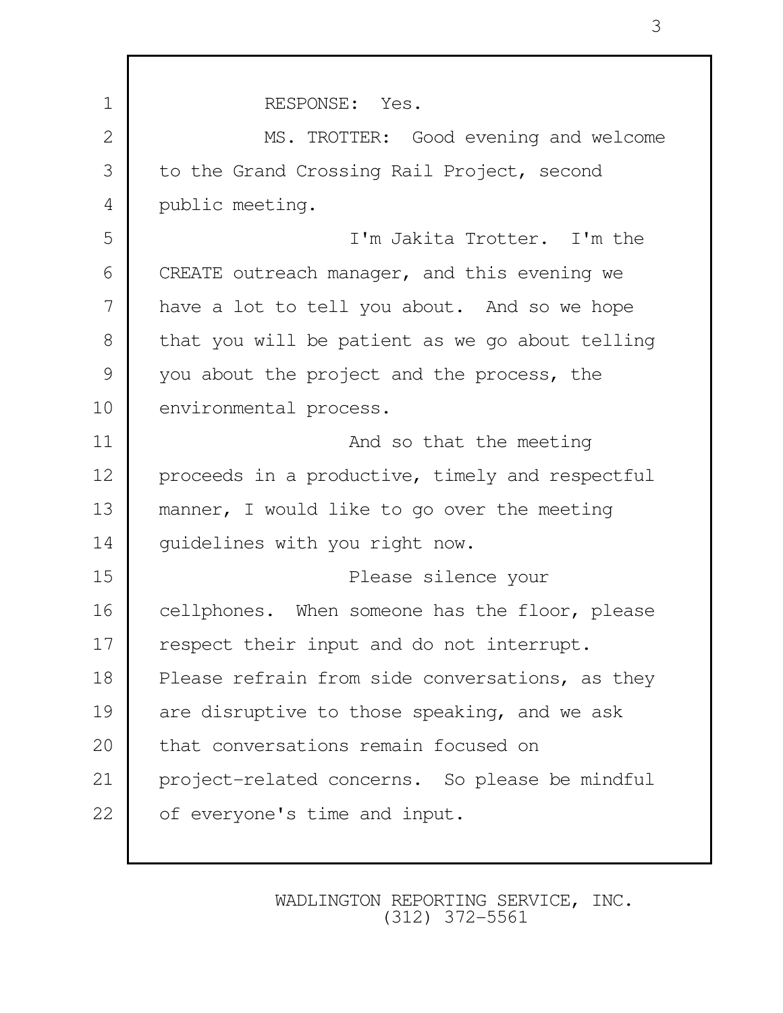1 RESPONSE: Yes. 2 MS. TROTTER: Good evening and welcome 3 to the Grand Crossing Rail Project, second 4 public meeting. 5 I'm Jakita Trotter. I'm the 6 CREATE outreach manager, and this evening we 7 have a lot to tell you about. And so we hope 8 that you will be patient as we go about telling 9 you about the project and the process, the 10 environmental process. 11 And so that the meeting 12 | proceeds in a productive, timely and respectful 13 manner, I would like to go over the meeting 14 quidelines with you right now. 15 Please silence your 16 cellphones. When someone has the floor, please 17 respect their input and do not interrupt. 18 Please refrain from side conversations, as they 19 are disruptive to those speaking, and we ask 20 that conversations remain focused on 21 project-related concerns. So please be mindful 22 of everyone's time and input.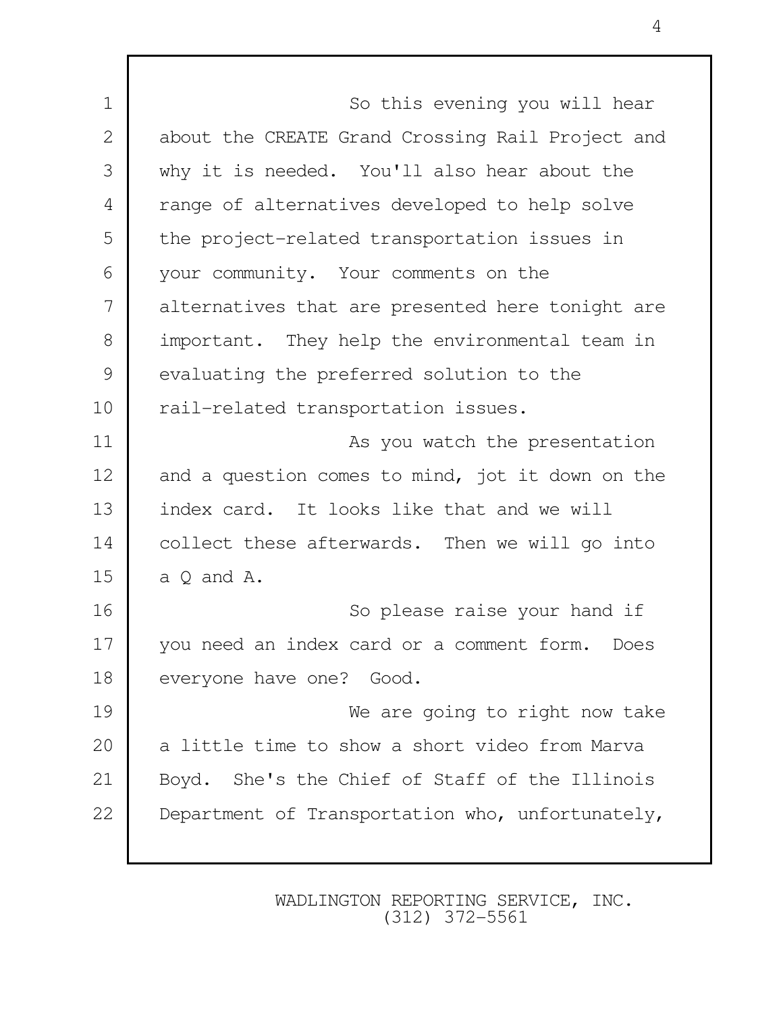| $\mathbf 1$   | So this evening you will hear                    |
|---------------|--------------------------------------------------|
| $\mathbf{2}$  | about the CREATE Grand Crossing Rail Project and |
| 3             | why it is needed. You'll also hear about the     |
| 4             | range of alternatives developed to help solve    |
| 5             | the project-related transportation issues in     |
| 6             | your community. Your comments on the             |
| 7             | alternatives that are presented here tonight are |
| 8             | important. They help the environmental team in   |
| $\mathcal{G}$ | evaluating the preferred solution to the         |
| 10            | rail-related transportation issues.              |
| 11            | As you watch the presentation                    |
| 12            | and a question comes to mind, jot it down on the |
| 13            | index card. It looks like that and we will       |
| 14            | collect these afterwards. Then we will go into   |
| 15            | $a \ Q$ and $A$ .                                |
| 16            | So please raise your hand if                     |
| 17            | you need an index card or a comment form. Does   |
| 18            | everyone have one? Good.                         |
| 19            | We are going to right now take                   |
| 20            | a little time to show a short video from Marva   |
| 21            | Boyd. She's the Chief of Staff of the Illinois   |
| 22            | Department of Transportation who, unfortunately, |
|               |                                                  |

Г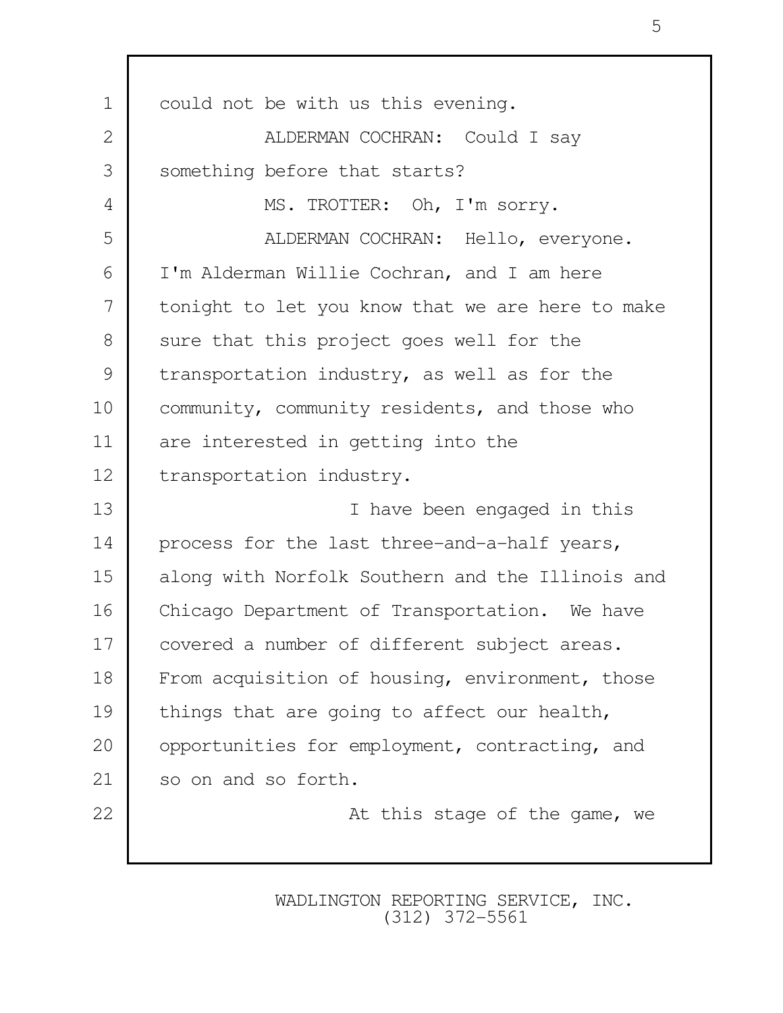| $\mathbf 1$   | could not be with us this evening.               |
|---------------|--------------------------------------------------|
| $\mathbf{2}$  | ALDERMAN COCHRAN: Could I say                    |
| 3             | something before that starts?                    |
| 4             | MS. TROTTER: Oh, I'm sorry.                      |
| 5             | ALDERMAN COCHRAN: Hello, everyone.               |
| 6             | I'm Alderman Willie Cochran, and I am here       |
| 7             | tonight to let you know that we are here to make |
| 8             | sure that this project goes well for the         |
| $\mathcal{G}$ | transportation industry, as well as for the      |
| 10            | community, community residents, and those who    |
| 11            | are interested in getting into the               |
| 12            | transportation industry.                         |
| 13            | I have been engaged in this                      |
| 14            | process for the last three-and-a-half years,     |
| 15            | along with Norfolk Southern and the Illinois and |
| 16            | Chicago Department of Transportation. We have    |
| 17            | covered a number of different subject areas.     |
| 18            | From acquisition of housing, environment, those  |
| 19            | things that are going to affect our health,      |
| 20            | opportunities for employment, contracting, and   |
| 21            | so on and so forth.                              |
| 22            | At this stage of the game, we                    |
|               |                                                  |

Г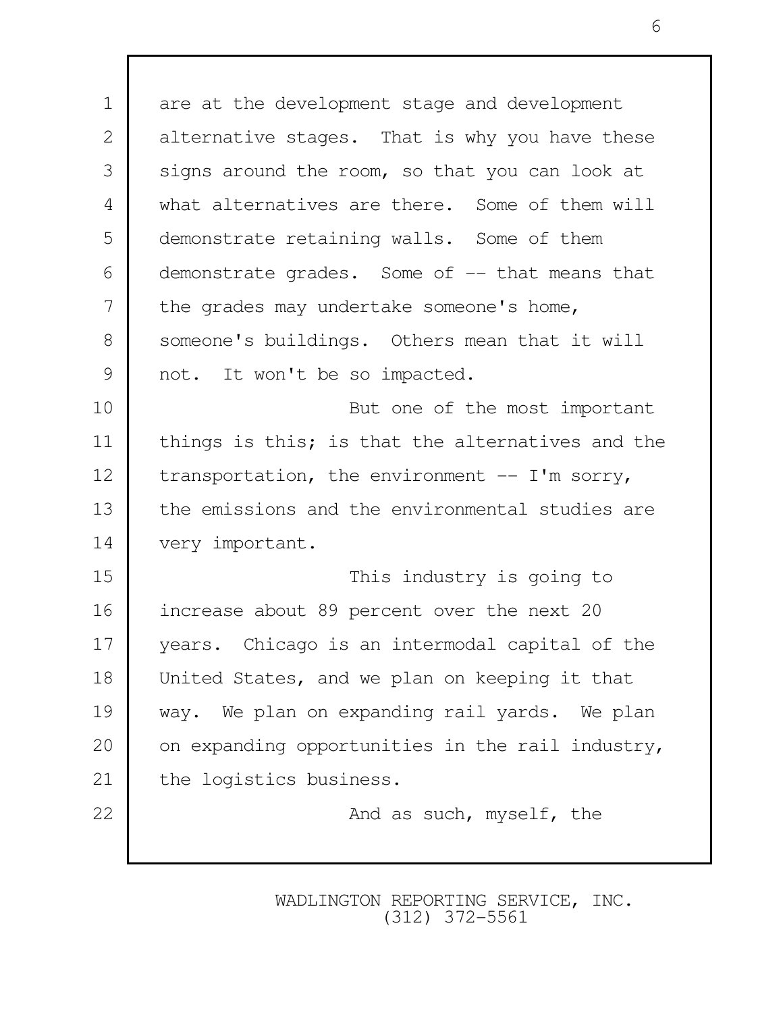1 are at the development stage and development 2 alternative stages. That is why you have these 3 signs around the room, so that you can look at 4 what alternatives are there. Some of them will 5 demonstrate retaining walls. Some of them 6 demonstrate grades. Some of -- that means that 7 the grades may undertake someone's home, 8 Someone's buildings. Others mean that it will 9 not. It won't be so impacted. 10 But one of the most important 11 things is this; is that the alternatives and the 12 transportation, the environment  $-$  I'm sorry, 13 the emissions and the environmental studies are 14 very important. 15 This industry is going to 16 increase about 89 percent over the next 20 17 years. Chicago is an intermodal capital of the 18 United States, and we plan on keeping it that 19 way. We plan on expanding rail yards. We plan 20 on expanding opportunities in the rail industry, 21 | the logistics business. 22 And as such, myself, the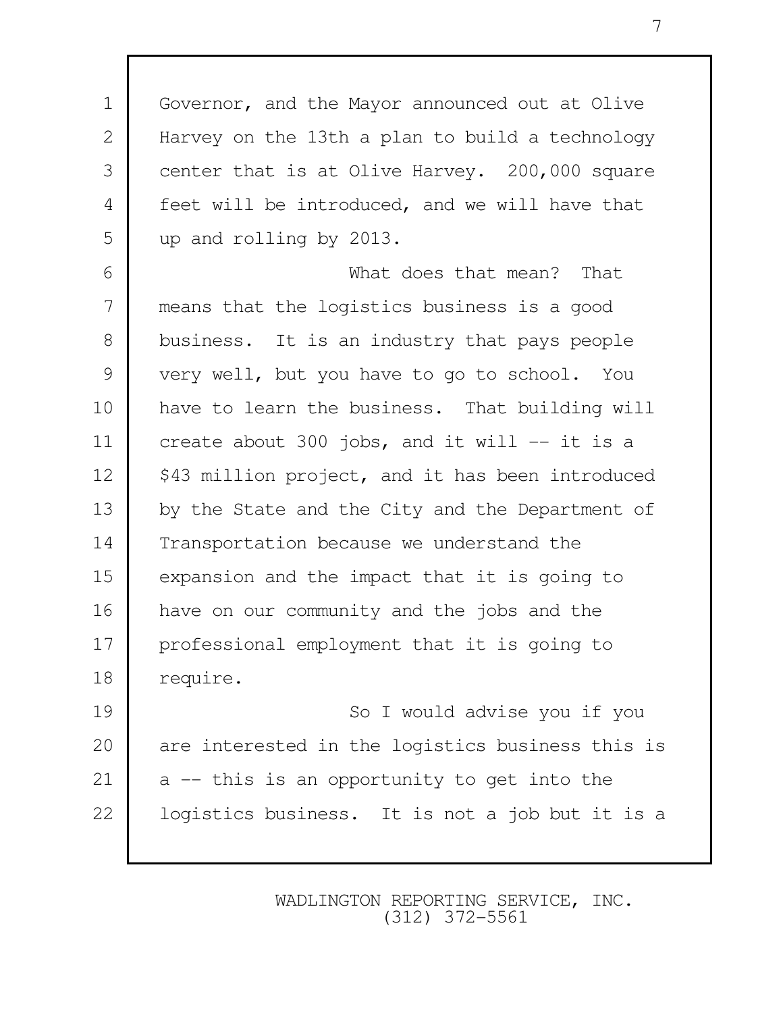1 Governor, and the Mayor announced out at Olive 2 Harvey on the 13th a plan to build a technology 3 center that is at Olive Harvey. 200,000 square 4 | feet will be introduced, and we will have that 5 up and rolling by 2013.

 6 What does that mean? That 7 means that the logistics business is a good 8 business. It is an industry that pays people 9 very well, but you have to go to school. You 10 have to learn the business. That building will 11 create about 300 jobs, and it will -- it is a 12 | \$43 million project, and it has been introduced 13 by the State and the City and the Department of 14 Transportation because we understand the 15 expansion and the impact that it is going to 16 have on our community and the jobs and the 17 professional employment that it is going to 18 require.

19 So I would advise you if you 20 are interested in the logistics business this is  $21$  a  $-$  this is an opportunity to get into the 22 | logistics business. It is not a job but it is a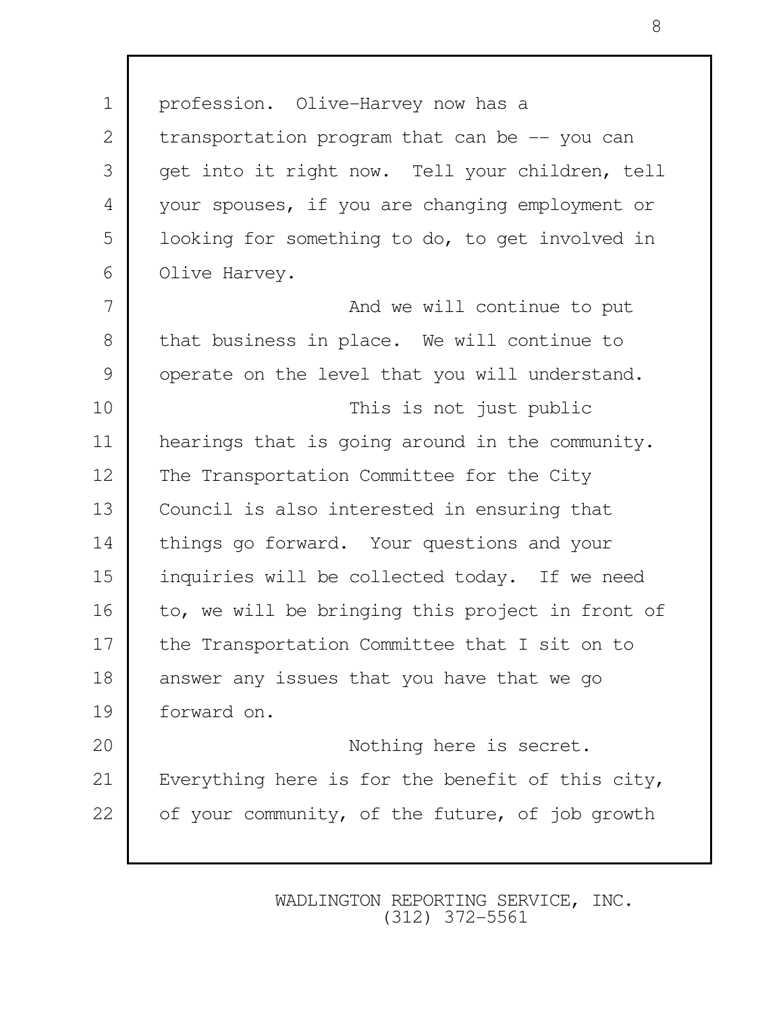1 | profession. Olive-Harvey now has a 2 transportation program that can be -- you can 3 get into it right now. Tell your children, tell 4 your spouses, if you are changing employment or 5 | looking for something to do, to get involved in 6 Olive Harvey. 7 and we will continue to put 8 that business in place. We will continue to 9 operate on the level that you will understand. 10 This is not just public 11 hearings that is going around in the community. 12 The Transportation Committee for the City 13 Council is also interested in ensuring that 14 things go forward. Your questions and your 15 inquiries will be collected today. If we need 16 to, we will be bringing this project in front of 17 the Transportation Committee that I sit on to 18 answer any issues that you have that we go 19 forward on. 20 Nothing here is secret. 21 Everything here is for the benefit of this city, 22 of your community, of the future, of job growth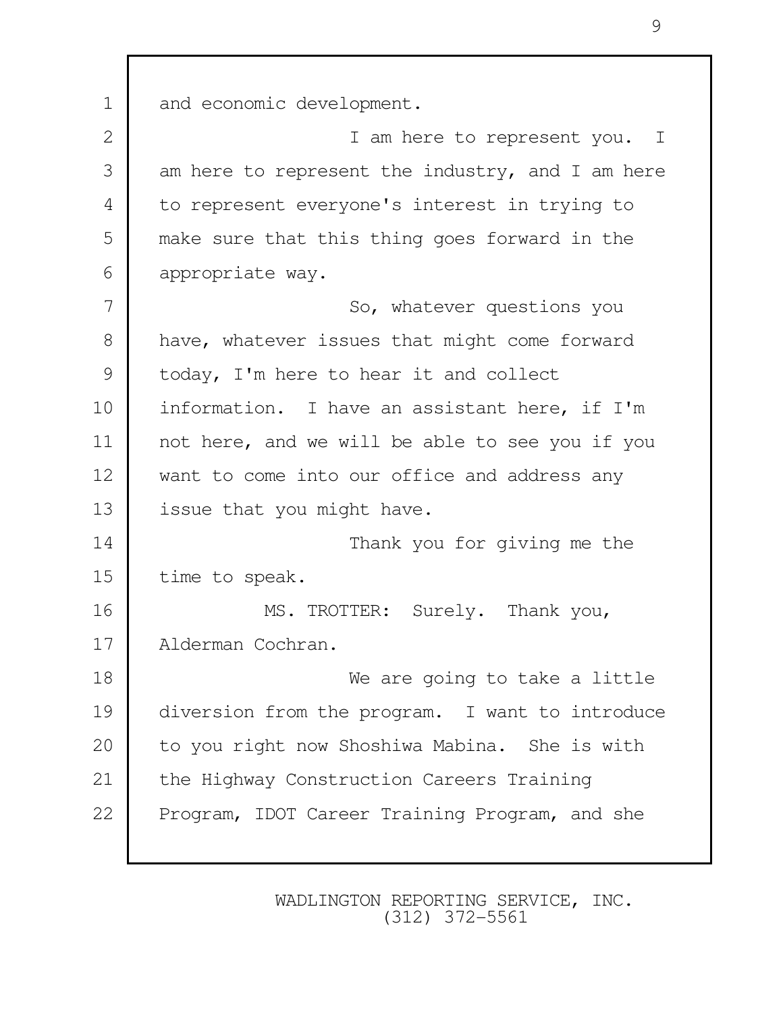1 and economic development. 2 | Contract T am here to represent you. I 3 am here to represent the industry, and I am here 4 to represent everyone's interest in trying to 5 make sure that this thing goes forward in the 6 appropriate way. 7 So, whatever questions you 8 have, whatever issues that might come forward 9 today, I'm here to hear it and collect 10 information. I have an assistant here, if I'm 11 not here, and we will be able to see you if you 12 want to come into our office and address any 13 issue that you might have. 14 Thank you for giving me the 15 time to speak. 16 MS. TROTTER: Surely. Thank you, 17 Alderman Cochran. 18 We are going to take a little 19 diversion from the program. I want to introduce 20 to you right now Shoshiwa Mabina. She is with 21 the Highway Construction Careers Training 22 Program, IDOT Career Training Program, and she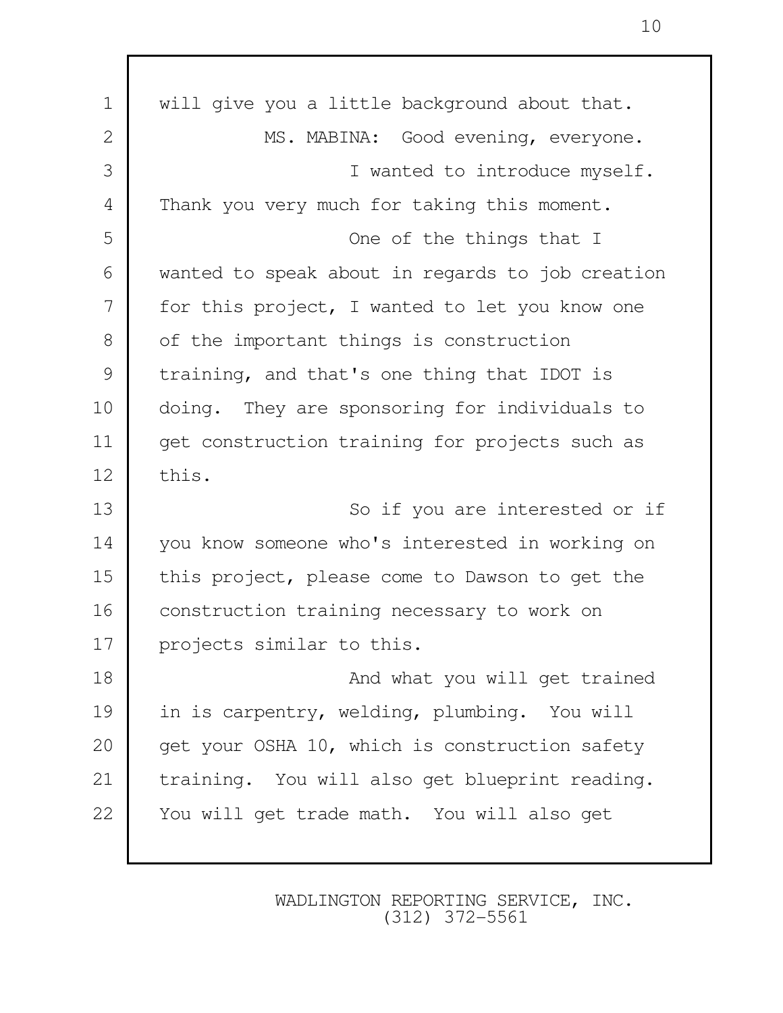| $\mathbf 1$ | will give you a little background about that.    |
|-------------|--------------------------------------------------|
| 2           | MS. MABINA: Good evening, everyone.              |
| 3           | I wanted to introduce myself.                    |
| 4           | Thank you very much for taking this moment.      |
| 5           | One of the things that I                         |
| 6           | wanted to speak about in regards to job creation |
| 7           | for this project, I wanted to let you know one   |
| 8           | of the important things is construction          |
| 9           | training, and that's one thing that IDOT is      |
| 10          | doing. They are sponsoring for individuals to    |
| 11          | get construction training for projects such as   |
| 12          | this.                                            |
| 13          | So if you are interested or if                   |
| 14          | you know someone who's interested in working on  |
| 15          | this project, please come to Dawson to get the   |
| 16          | construction training necessary to work on       |
| 17          | projects similar to this.                        |
| 18          | And what you will get trained                    |
| 19          | in is carpentry, welding, plumbing. You will     |
| 20          | get your OSHA 10, which is construction safety   |
| 21          | training. You will also get blueprint reading.   |
| 22          | You will get trade math. You will also get       |
|             |                                                  |

Г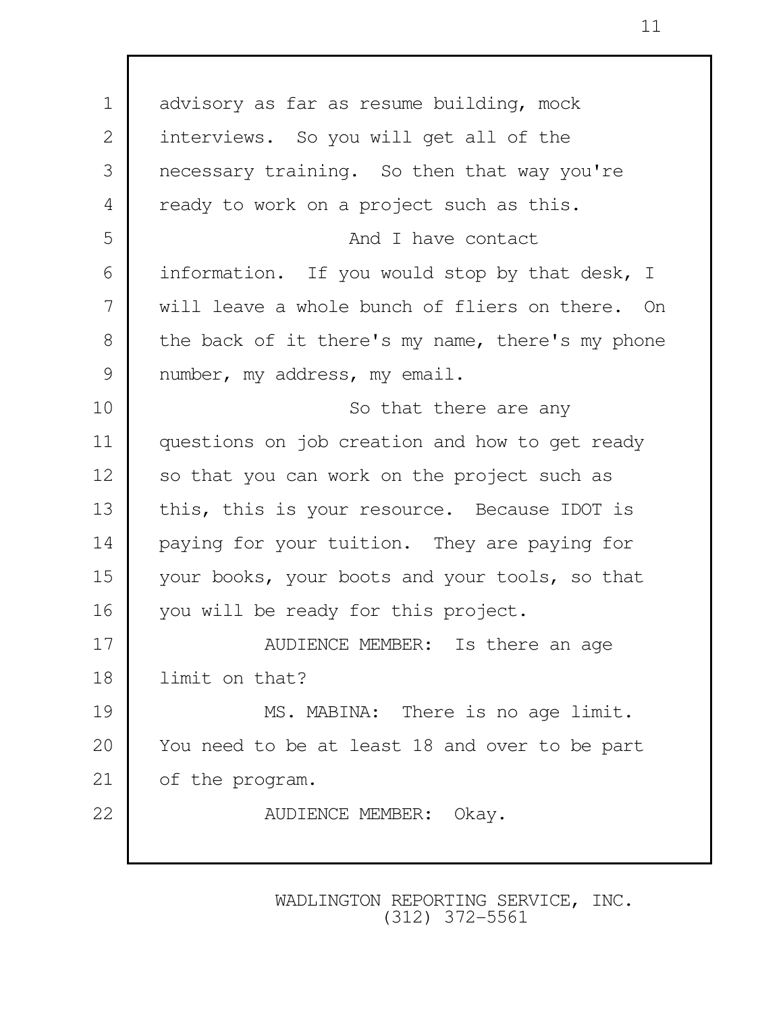| $\mathbf 1$    | advisory as far as resume building, mock         |
|----------------|--------------------------------------------------|
| 2              | interviews. So you will get all of the           |
| 3              | necessary training. So then that way you're      |
| $\overline{4}$ | ready to work on a project such as this.         |
| 5              | And I have contact                               |
| 6              | information. If you would stop by that desk, I   |
| 7              | will leave a whole bunch of fliers on there. On  |
| 8              | the back of it there's my name, there's my phone |
| 9              | number, my address, my email.                    |
| 10             | So that there are any                            |
| 11             | questions on job creation and how to get ready   |
| 12             | so that you can work on the project such as      |
| 13             | this, this is your resource. Because IDOT is     |
| 14             | paying for your tuition. They are paying for     |
| 15             | your books, your boots and your tools, so that   |
| 16             | you will be ready for this project.              |
| 17             | AUDIENCE MEMBER: Is there an age                 |
| 18             | limit on that?                                   |
| 19             | MS. MABINA: There is no age limit.               |
| 20             | You need to be at least 18 and over to be part   |
| 21             | of the program.                                  |
| 22             | AUDIENCE MEMBER: Okay.                           |
|                |                                                  |

 $\overline{\phantom{a}}$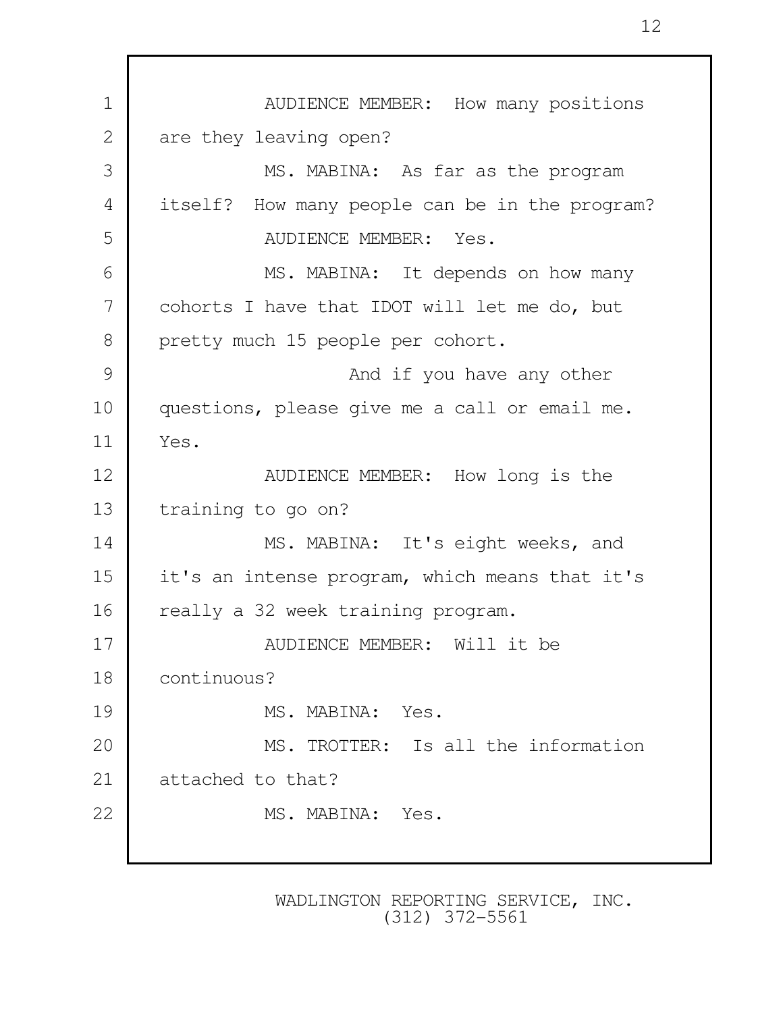1 NUDIENCE MEMBER: How many positions 2 are they leaving open? 3 MS. MABINA: As far as the program 4 itself? How many people can be in the program? 5 AUDIENCE MEMBER: Yes. 6 MS. MABINA: It depends on how many 7 cohorts I have that IDOT will let me do, but 8 pretty much 15 people per cohort. 9 And if you have any other 10 questions, please give me a call or email me. 11 Yes. 12 **AUDIENCE MEMBER:** How long is the 13 training to go on? 14 MS. MABINA: It's eight weeks, and 15 it's an intense program, which means that it's 16 really a 32 week training program. 17 AUDIENCE MEMBER: Will it be 18 continuous? 19 MS. MABINA: Yes. 20 MS. TROTTER: Is all the information 21 attached to that? 22 MS. MABINA: Yes.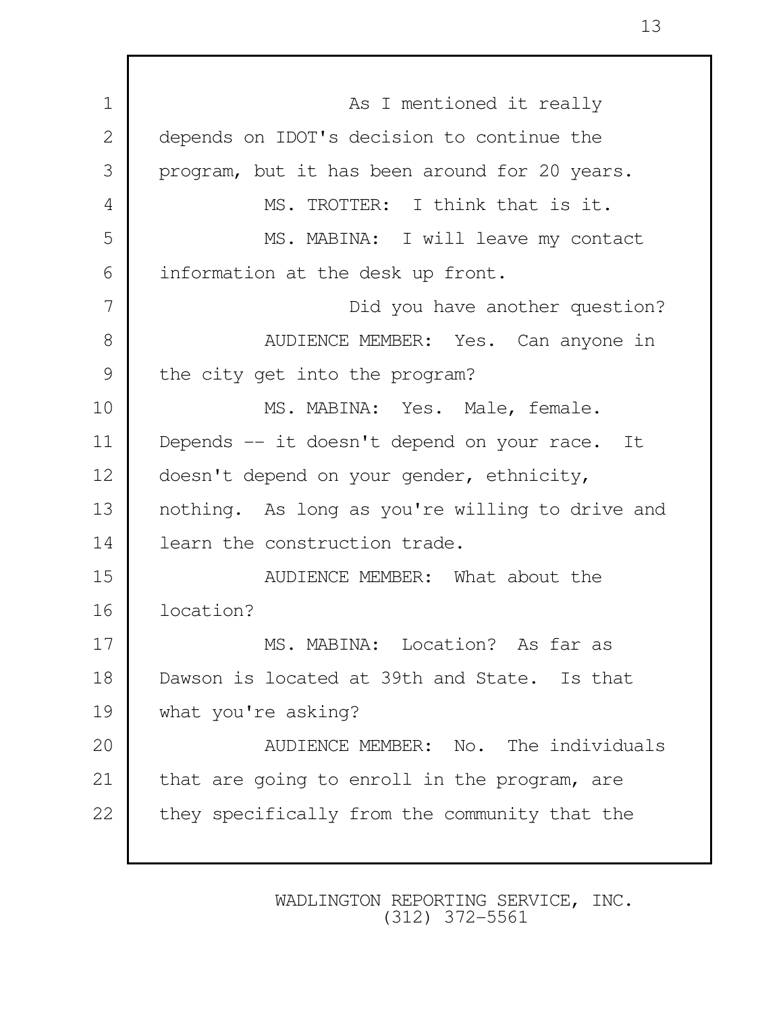1 as I mentioned it really 2 depends on IDOT's decision to continue the 3 program, but it has been around for 20 years. 4 MS. TROTTER: I think that is it. 5 MS. MABINA: I will leave my contact 6 information at the desk up front. 7 | Contract Times Did you have another question? 8 | AUDIENCE MEMBER: Yes. Can anyone in 9 the city get into the program? 10 MS. MABINA: Yes. Male, female. 11 Depends -- it doesn't depend on your race. It 12 doesn't depend on your gender, ethnicity, 13 nothing. As long as you're willing to drive and 14 learn the construction trade. 15 AUDIENCE MEMBER: What about the 16 location? 17 MS. MABINA: Location? As far as 18 Dawson is located at 39th and State. Is that 19 what you're asking? 20 **AUDIENCE MEMBER:** No. The individuals 21 that are going to enroll in the program, are 22 they specifically from the community that the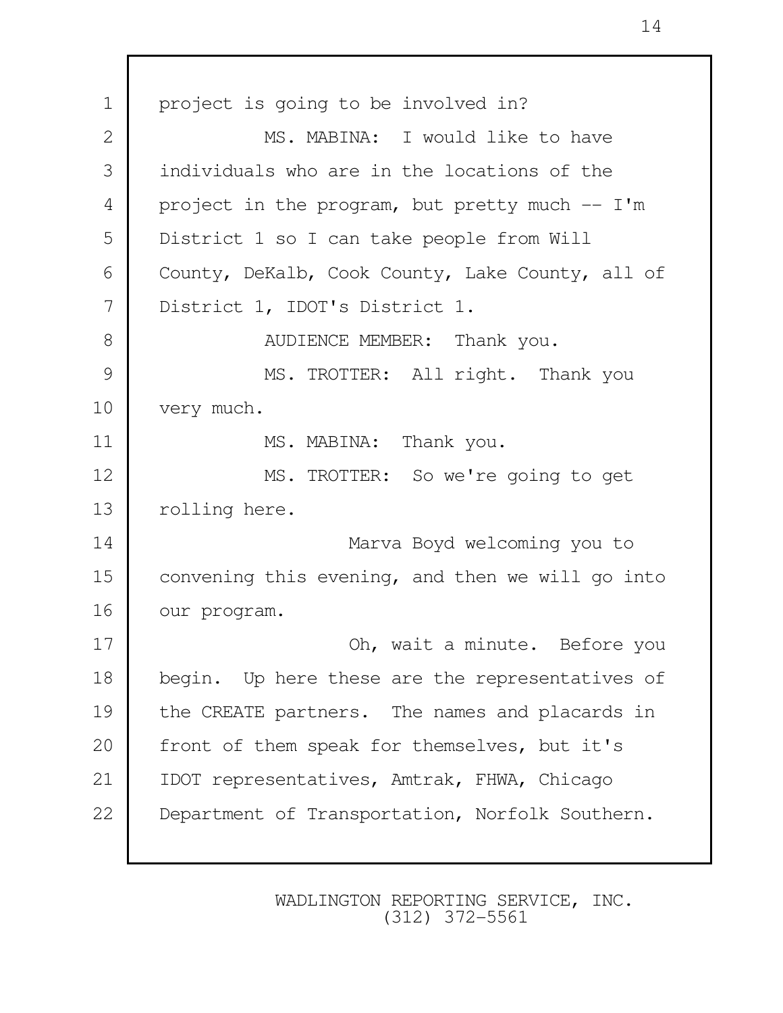1 project is going to be involved in? 2 MS. MABINA: I would like to have 3 individuals who are in the locations of the 4 project in the program, but pretty much -- I'm 5 District 1 so I can take people from Will 6 County, DeKalb, Cook County, Lake County, all of 7 District 1, IDOT's District 1. 8 | AUDIENCE MEMBER: Thank you. 9 MS. TROTTER: All right. Thank you 10 very much. 11 MS. MABINA: Thank you. 12 MS. TROTTER: So we're going to get 13 | rolling here. 14 Marva Boyd welcoming you to 15 convening this evening, and then we will go into 16 our program. 17 Oh, wait a minute. Before you 18 begin. Up here these are the representatives of 19 the CREATE partners. The names and placards in 20 front of them speak for themselves, but it's 21 IDOT representatives, Amtrak, FHWA, Chicago 22 Department of Transportation, Norfolk Southern.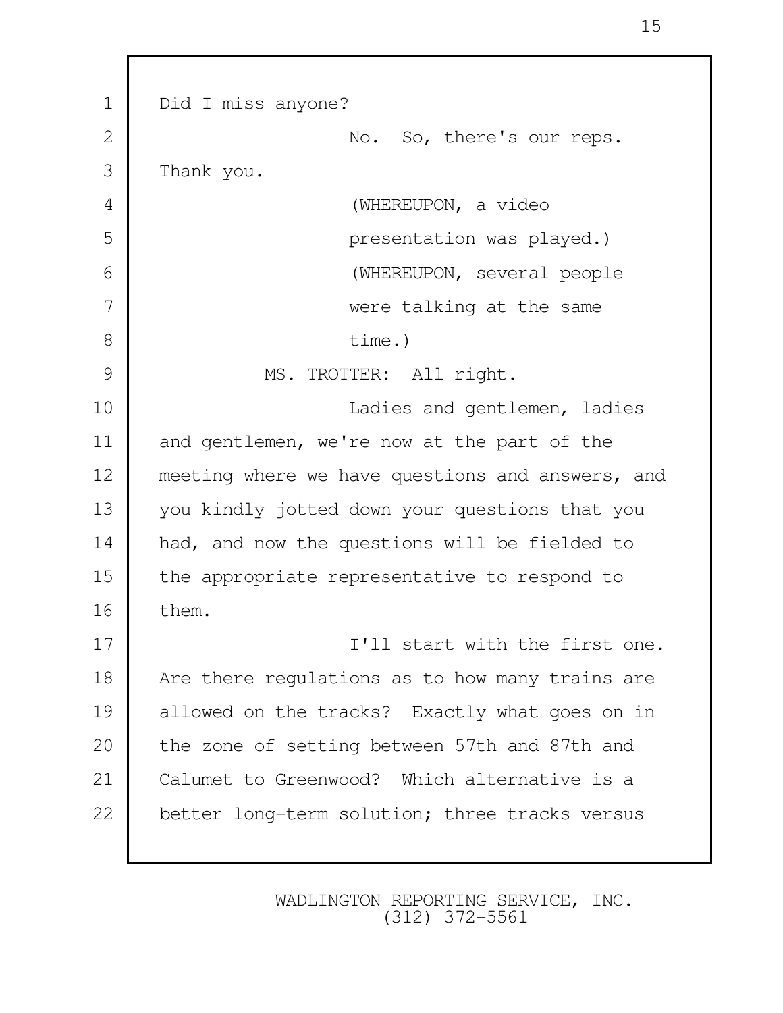1 Did I miss anyone? 2 No. So, there's our reps. 3 Thank you. 4 (WHEREUPON, a video 5 presentation was played.) 6 (WHEREUPON, several people 7 were talking at the same 8 time.) 9 MS. TROTTER: All right. 10 Ladies and gentlemen, ladies 11 and gentlemen, we're now at the part of the 12 meeting where we have questions and answers, and 13 you kindly jotted down your questions that you 14 had, and now the questions will be fielded to 15 the appropriate representative to respond to 16 them. 17 I'll start with the first one. 18 Are there requlations as to how many trains are 19 allowed on the tracks? Exactly what goes on in 20 the zone of setting between 57th and 87th and 21 Calumet to Greenwood? Which alternative is a 22 better long-term solution; three tracks versus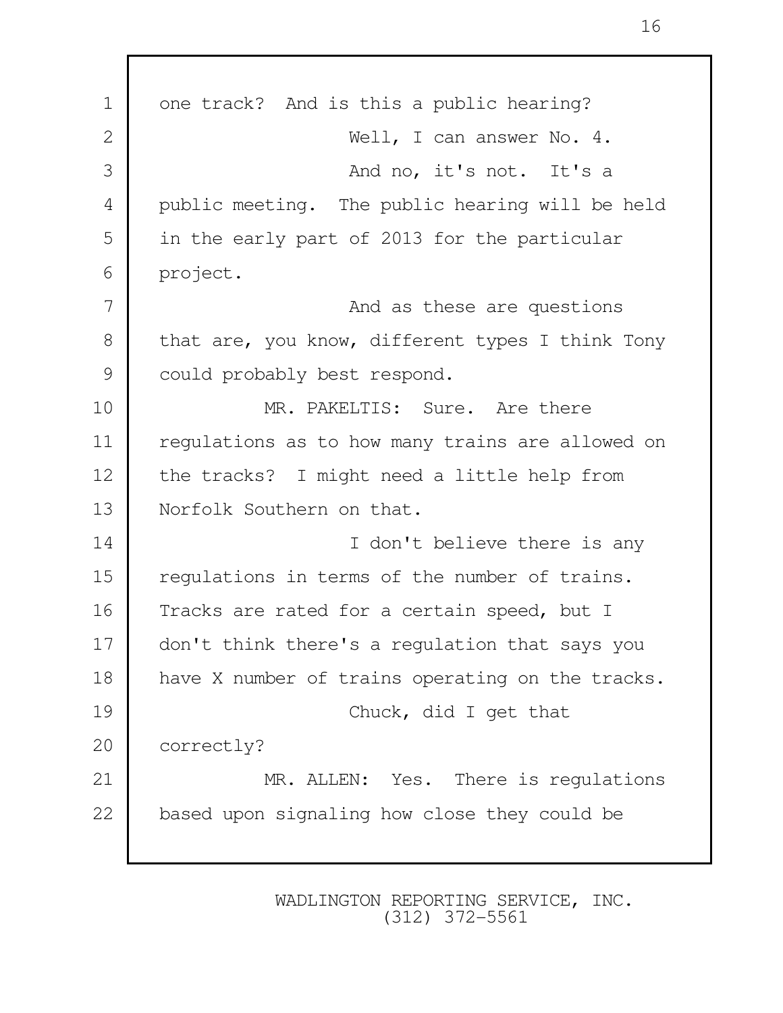1 one track? And is this a public hearing? 2 Well, I can answer No. 4. 3 And no, it's not. It's a 4 public meeting. The public hearing will be held 5 in the early part of 2013 for the particular 6 project. 7 and as these are questions 8 that are, you know, different types I think Tony 9 could probably best respond. 10 MR. PAKELTIS: Sure. Are there 11 regulations as to how many trains are allowed on 12 the tracks? I might need a little help from 13 Norfolk Southern on that. 14 I don't believe there is any 15 regulations in terms of the number of trains. 16 Tracks are rated for a certain speed, but I 17 | don't think there's a regulation that says you 18 have X number of trains operating on the tracks. 19 Chuck, did I get that 20 correctly? 21 MR. ALLEN: Yes. There is regulations 22 based upon signaling how close they could be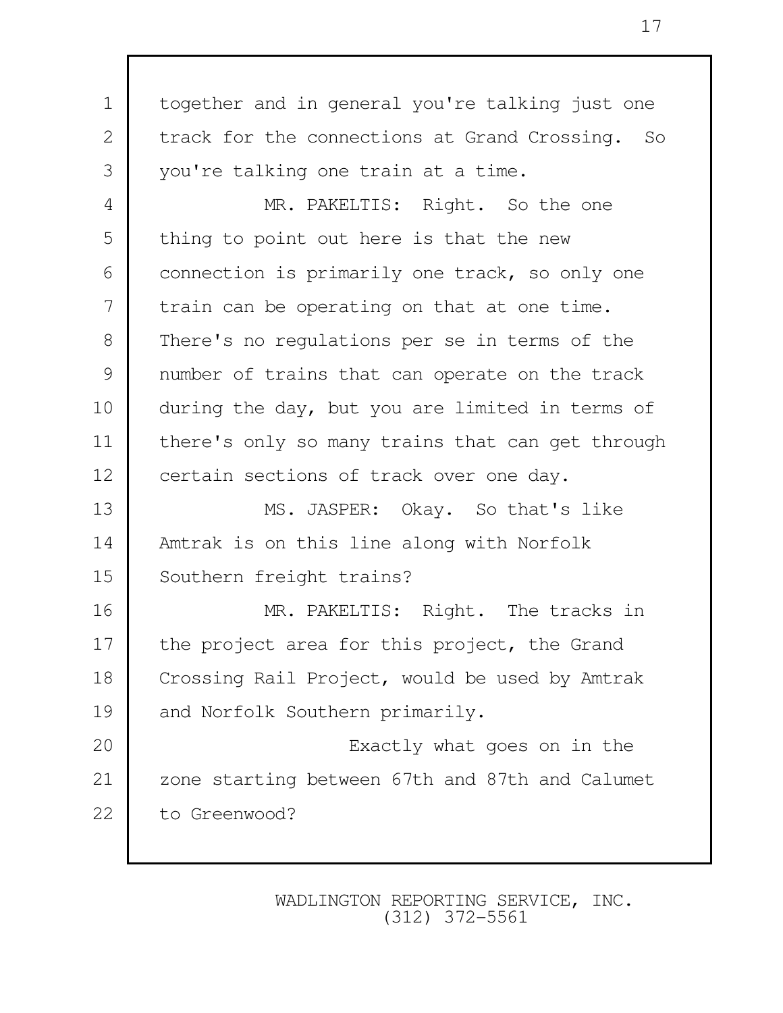1 together and in general you're talking just one 2 track for the connections at Grand Crossing. So 3 you're talking one train at a time.

4 MR. PAKELTIS: Right. So the one 5 thing to point out here is that the new 6 connection is primarily one track, so only one 7 train can be operating on that at one time. 8 There's no regulations per se in terms of the 9 number of trains that can operate on the track 10 during the day, but you are limited in terms of 11 | there's only so many trains that can get through 12 certain sections of track over one day.

13 MS. JASPER: Okay. So that's like 14 Amtrak is on this line along with Norfolk 15 Southern freight trains?

16 MR. PAKELTIS: Right. The tracks in 17 the project area for this project, the Grand 18 Crossing Rail Project, would be used by Amtrak 19 and Norfolk Southern primarily.

20 Exactly what goes on in the 21 zone starting between 67th and 87th and Calumet 22 to Greenwood?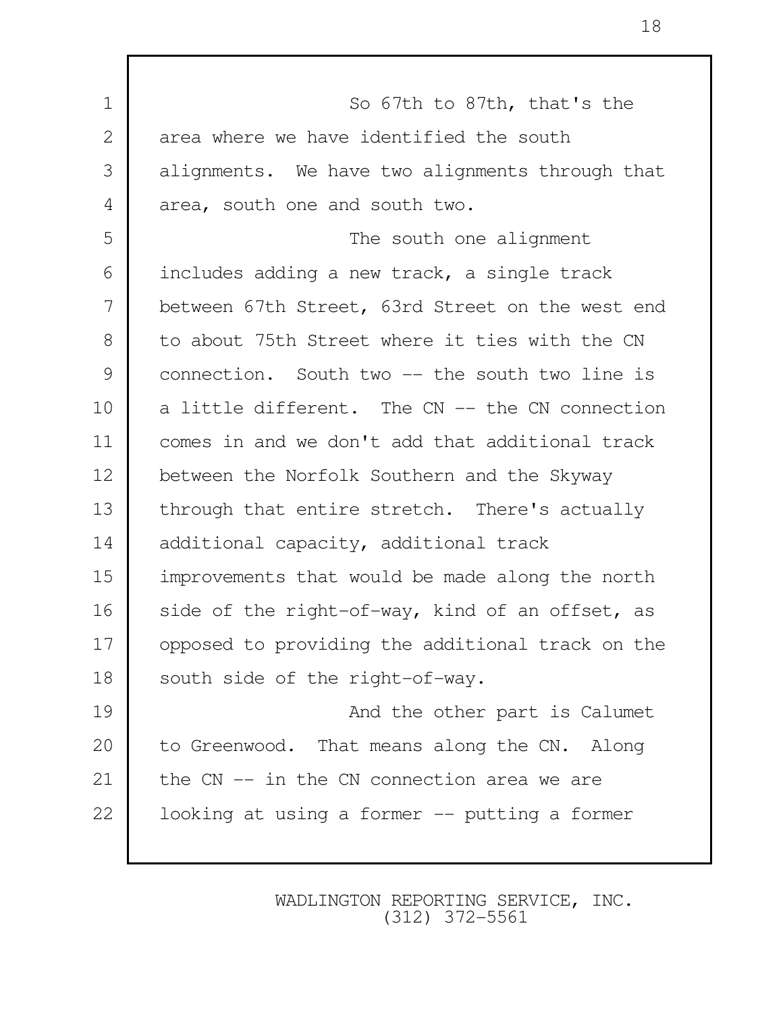| $\mathbf 1$    | So 67th to 87th, that's the                      |
|----------------|--------------------------------------------------|
| $\mathbf{2}$   | area where we have identified the south          |
| 3              | alignments. We have two alignments through that  |
| $\overline{4}$ | area, south one and south two.                   |
| 5              | The south one alignment                          |
| 6              | includes adding a new track, a single track      |
| 7              | between 67th Street, 63rd Street on the west end |
| 8              | to about 75th Street where it ties with the CN   |
| 9              | connection. South two -- the south two line is   |
| 10             | a little different. The CN -- the CN connection  |
| 11             | comes in and we don't add that additional track  |
| 12             | between the Norfolk Southern and the Skyway      |
| 13             | through that entire stretch. There's actually    |
| 14             | additional capacity, additional track            |
| 15             | improvements that would be made along the north  |
| 16             | side of the right-of-way, kind of an offset, as  |
| 17             | opposed to providing the additional track on the |
| 18             | south side of the right-of-way.                  |
| 19             | And the other part is Calumet                    |
| 20             | to Greenwood. That means along the CN. Along     |
| 21             | the CN -- in the CN connection area we are       |
| 22             | looking at using a former -- putting a former    |
|                |                                                  |

T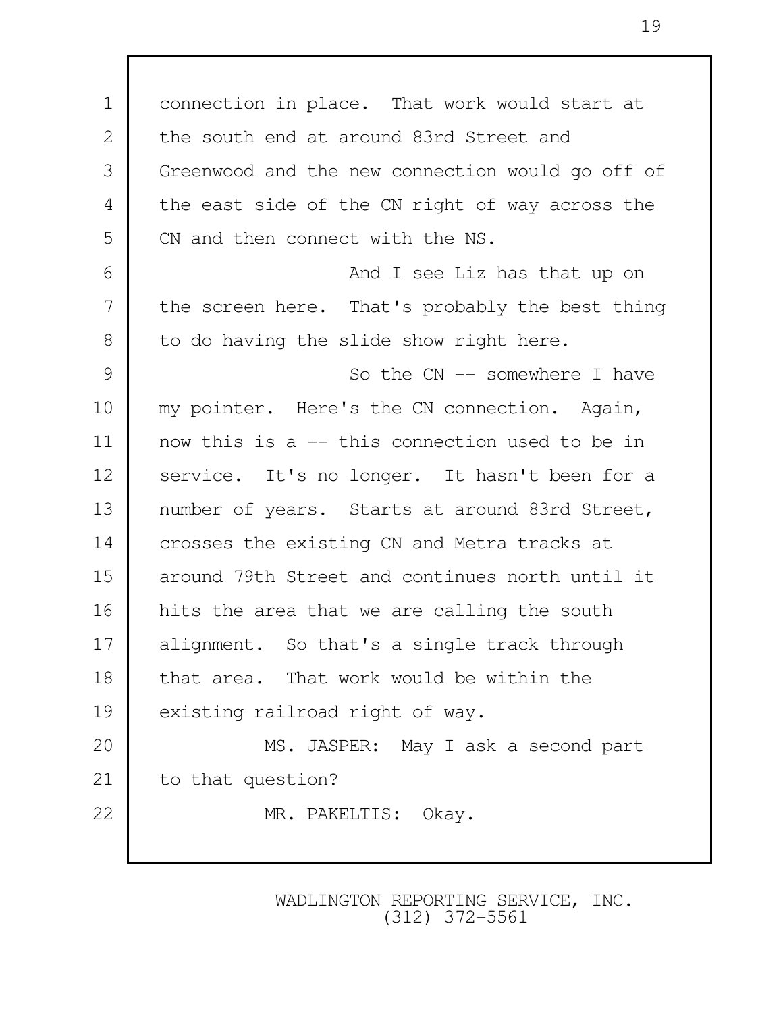1 connection in place. That work would start at 2 the south end at around 83rd Street and 3 Greenwood and the new connection would go off of 4 the east side of the CN right of way across the 5 CN and then connect with the NS. 6 and I see Liz has that up on 7 the screen here. That's probably the best thing 8 to do having the slide show right here. 9 So the CN -- somewhere I have 10 my pointer. Here's the CN connection. Again, 11 now this is a -- this connection used to be in 12 service. It's no longer. It hasn't been for a 13 | number of years. Starts at around 83rd Street, 14 crosses the existing CN and Metra tracks at 15 around 79th Street and continues north until it 16 hits the area that we are calling the south 17 alignment. So that's a single track through 18 that area. That work would be within the 19 existing railroad right of way. 20 MS. JASPER: May I ask a second part 21 to that question? 22 MR. PAKELTIS: Okay.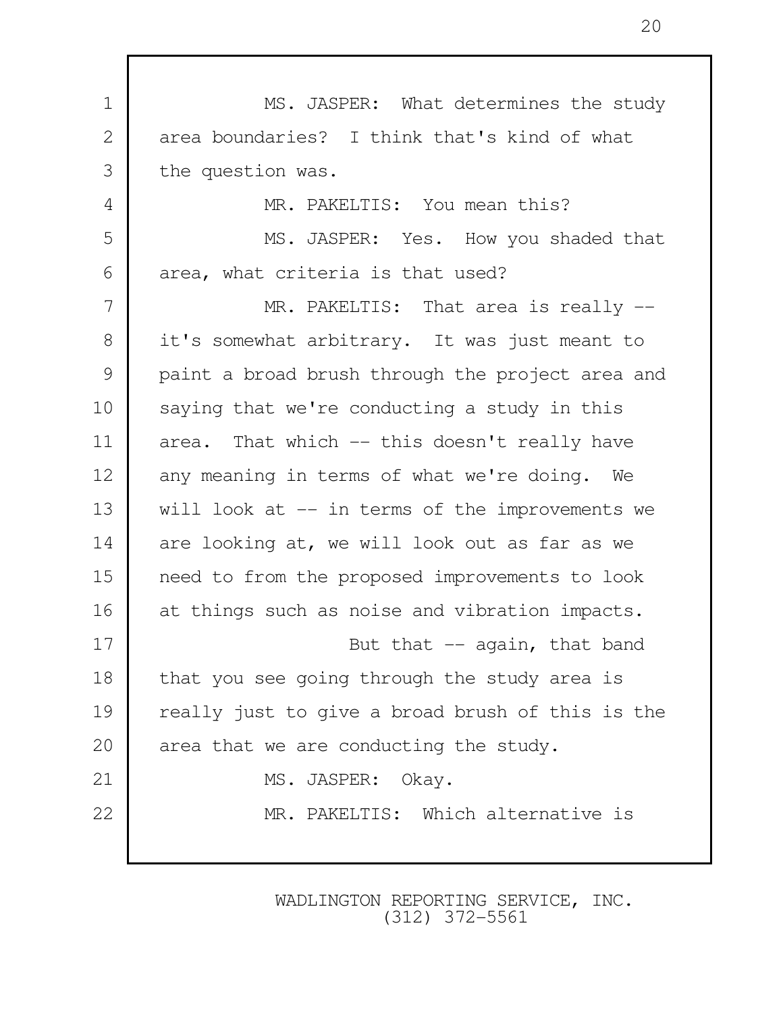1 MS. JASPER: What determines the study 2 area boundaries? I think that's kind of what 3 the question was. 4 MR. PAKELTIS: You mean this? 5 MS. JASPER: Yes. How you shaded that 6 area, what criteria is that used? 7 | MR. PAKELTIS: That area is really --8 it's somewhat arbitrary. It was just meant to 9 paint a broad brush through the project area and 10 saying that we're conducting a study in this 11 area. That which -- this doesn't really have 12 any meaning in terms of what we're doing. We 13 will look at -- in terms of the improvements we 14 are looking at, we will look out as far as we 15 need to from the proposed improvements to look 16 at things such as noise and vibration impacts. 17 But that -- again, that band 18 that you see going through the study area is 19 really just to give a broad brush of this is the 20 area that we are conducting the study. 21 MS. JASPER: Okay. 22 MR. PAKELTIS: Which alternative is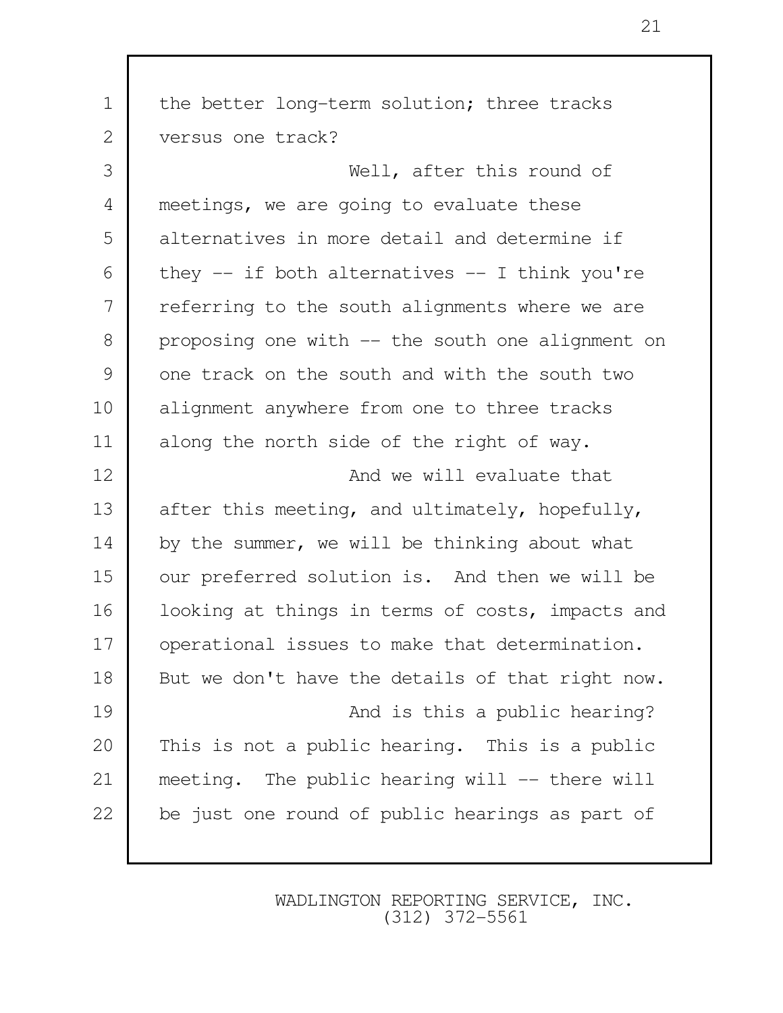1 the better long-term solution; three tracks 2 versus one track? 3 Well, after this round of 4 meetings, we are going to evaluate these 5 alternatives in more detail and determine if 6 they  $-$  if both alternatives  $-$  I think you're 7 | referring to the south alignments where we are 8 proposing one with -- the south one alignment on 9 one track on the south and with the south two 10 alignment anywhere from one to three tracks 11 along the north side of the right of way. 12 **And we will evaluate that** 13 after this meeting, and ultimately, hopefully, 14 by the summer, we will be thinking about what 15 our preferred solution is. And then we will be 16 | looking at things in terms of costs, impacts and 17 operational issues to make that determination. 18 But we don't have the details of that right now. 19 **And is this a public hearing?** 20 This is not a public hearing. This is a public 21 meeting. The public hearing will -- there will 22 be just one round of public hearings as part of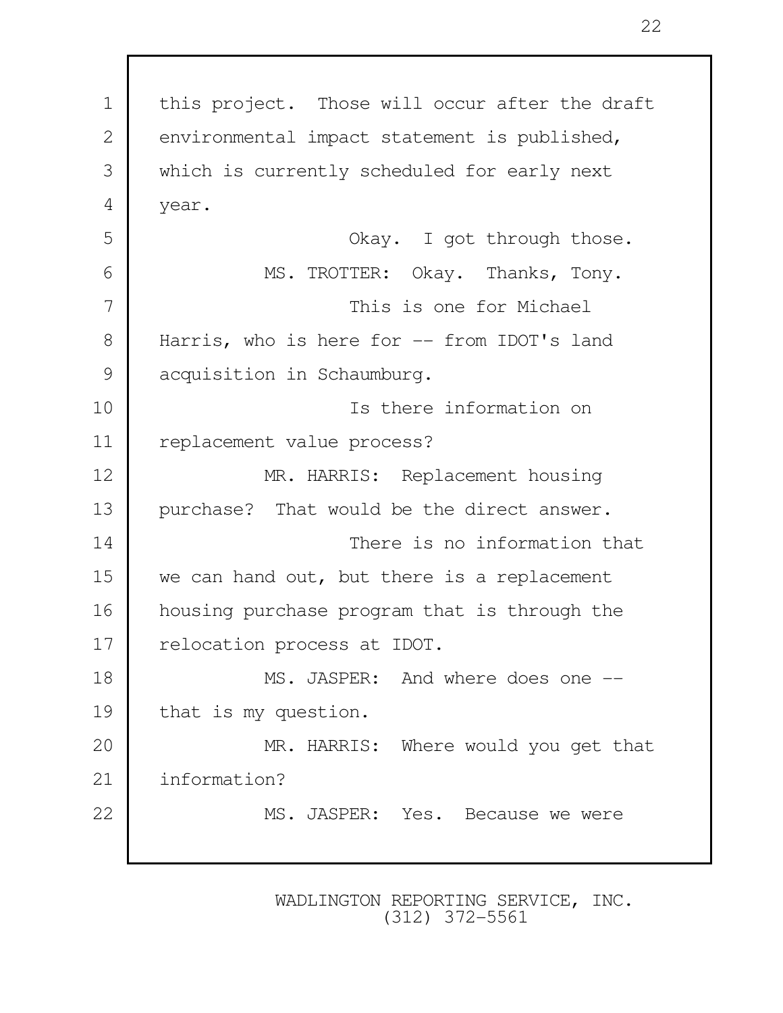1 | this project. Those will occur after the draft 2 environmental impact statement is published, 3 which is currently scheduled for early next 4 year. 5 | Chay. I got through those. 6 MS. TROTTER: Okay. Thanks, Tony. 7 **This is one for Michael** 8 | Harris, who is here for -- from IDOT's land 9 acquisition in Schaumburg. 10 Is there information on 11 replacement value process? 12 MR. HARRIS: Replacement housing 13 | purchase? That would be the direct answer. 14 There is no information that 15 we can hand out, but there is a replacement 16 housing purchase program that is through the 17 | relocation process at IDOT. 18 MS. JASPER: And where does one --19 that is my question. 20 MR. HARRIS: Where would you get that 21 **information?** 22 MS. JASPER: Yes. Because we were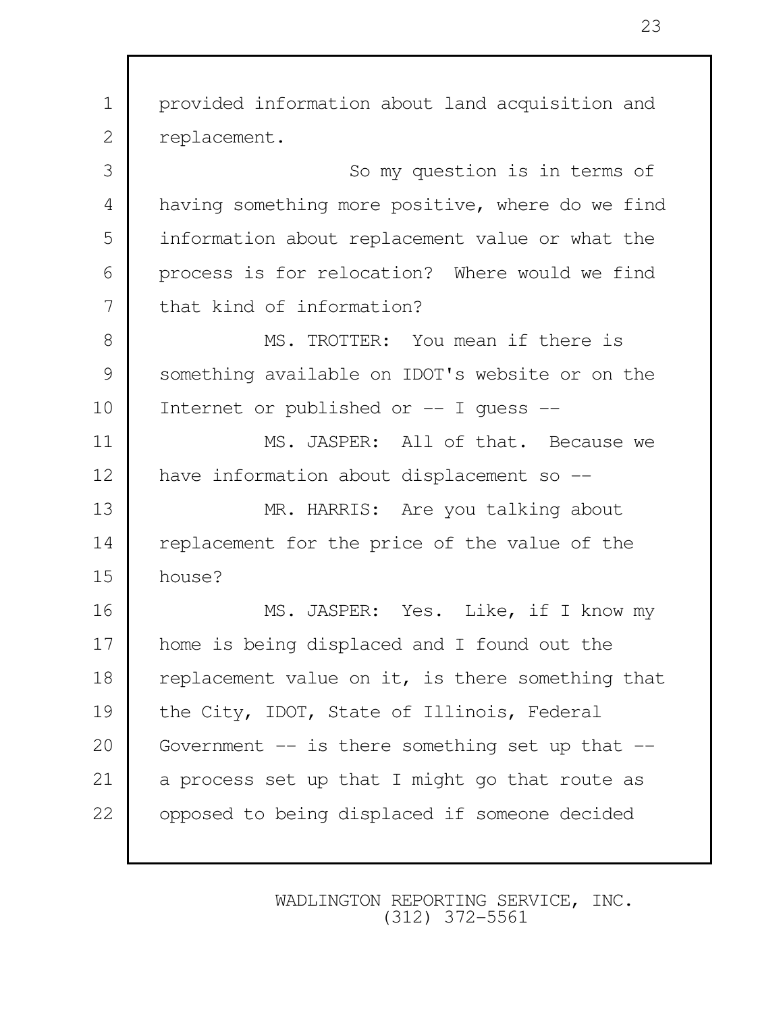| $\mathbf 1$    | provided information about land acquisition and   |
|----------------|---------------------------------------------------|
| $\mathbf{2}$   | replacement.                                      |
| 3              | So my question is in terms of                     |
| $\overline{4}$ | having something more positive, where do we find  |
| 5              | information about replacement value or what the   |
| 6              | process is for relocation? Where would we find    |
| 7              | that kind of information?                         |
| 8              | MS. TROTTER: You mean if there is                 |
| $\mathcal{G}$  | something available on IDOT's website or on the   |
| 10             | Internet or published or -- I guess --            |
| 11             | MS. JASPER: All of that. Because we               |
| 12             | have information about displacement so --         |
| 13             | MR. HARRIS: Are you talking about                 |
| 14             | replacement for the price of the value of the     |
| 15             | house?                                            |
| 16             | MS. JASPER: Yes. Like, if I know my               |
| 17             | home is being displaced and I found out the       |
| 18             | replacement value on it, is there something that  |
| 19             | the City, IDOT, State of Illinois, Federal        |
| 20             | Government $-$ is there something set up that $-$ |
| 21             | a process set up that I might go that route as    |
| 22             | opposed to being displaced if someone decided     |
|                |                                                   |

 $\mathbf l$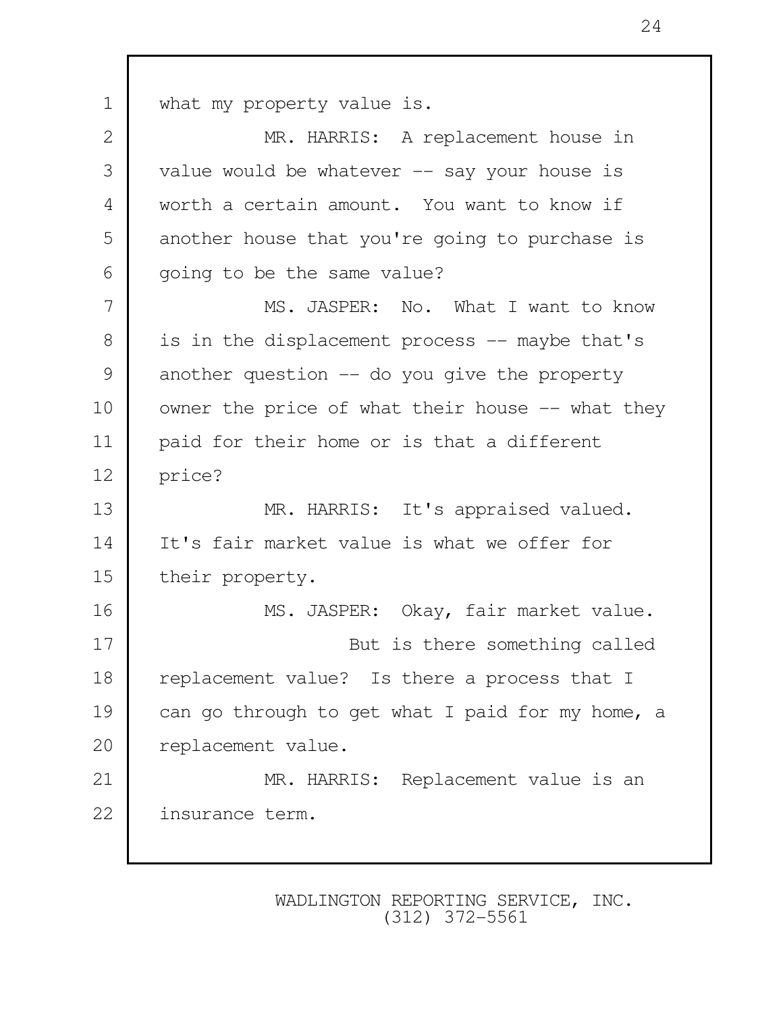1 what my property value is. 2 | MR. HARRIS: A replacement house in 3 value would be whatever -- say your house is 4 worth a certain amount. You want to know if 5 another house that you're going to purchase is 6 | going to be the same value? 7 MS. JASPER: No. What I want to know 8 is in the displacement process -- maybe that's 9 another question -- do you give the property 10 | owner the price of what their house -- what they 11 paid for their home or is that a different 12 price? 13 MR. HARRIS: It's appraised valued. 14 It's fair market value is what we offer for 15 their property. 16 MS. JASPER: Okay, fair market value. 17 But is there something called 18 replacement value? Is there a process that I 19 can go through to get what I paid for my home, a 20 replacement value. 21 MR. HARRIS: Replacement value is an 22 insurance term.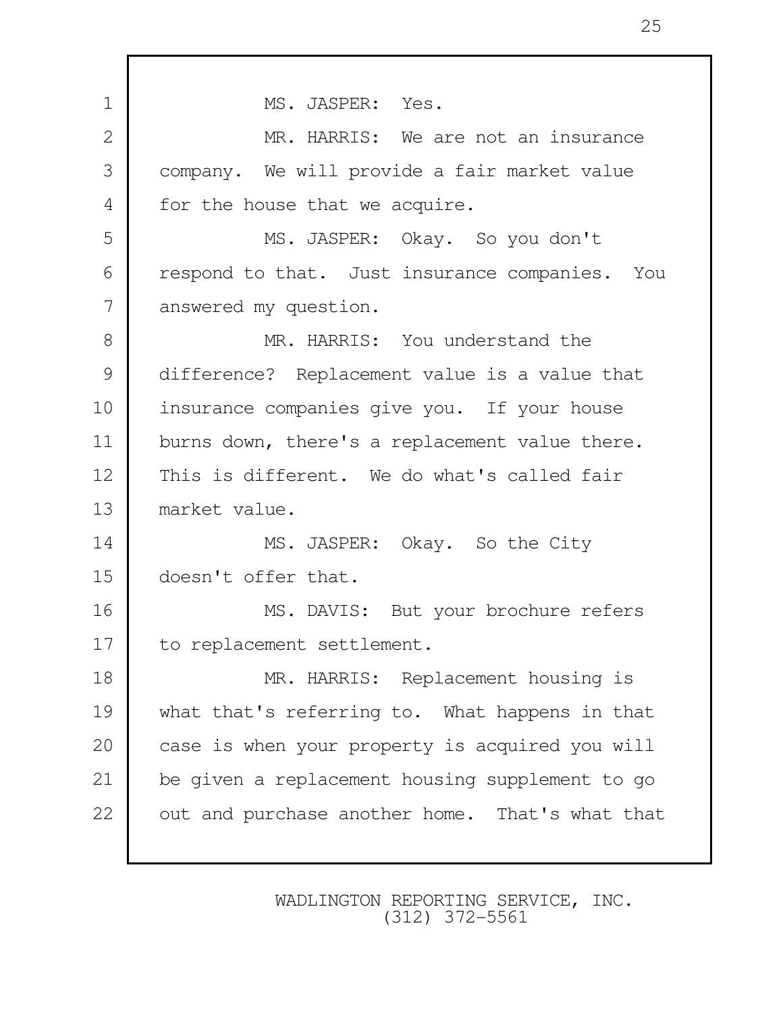1 MS. JASPER: Yes. 2 MR. HARRIS: We are not an insurance 3 company. We will provide a fair market value 4 for the house that we acquire. 5 MS. JASPER: Okay. So you don't 6 respond to that. Just insurance companies. You 7 answered my question. 8 MR. HARRIS: You understand the 9 difference? Replacement value is a value that 10 insurance companies give you. If your house 11 burns down, there's a replacement value there. 12 This is different. We do what's called fair 13 market value. 14 MS. JASPER: Okay. So the City 15 doesn't offer that. 16 MS. DAVIS: But your brochure refers 17 | to replacement settlement. 18 MR. HARRIS: Replacement housing is 19 what that's referring to. What happens in that 20 case is when your property is acquired you will 21 be given a replacement housing supplement to go 22 out and purchase another home. That's what that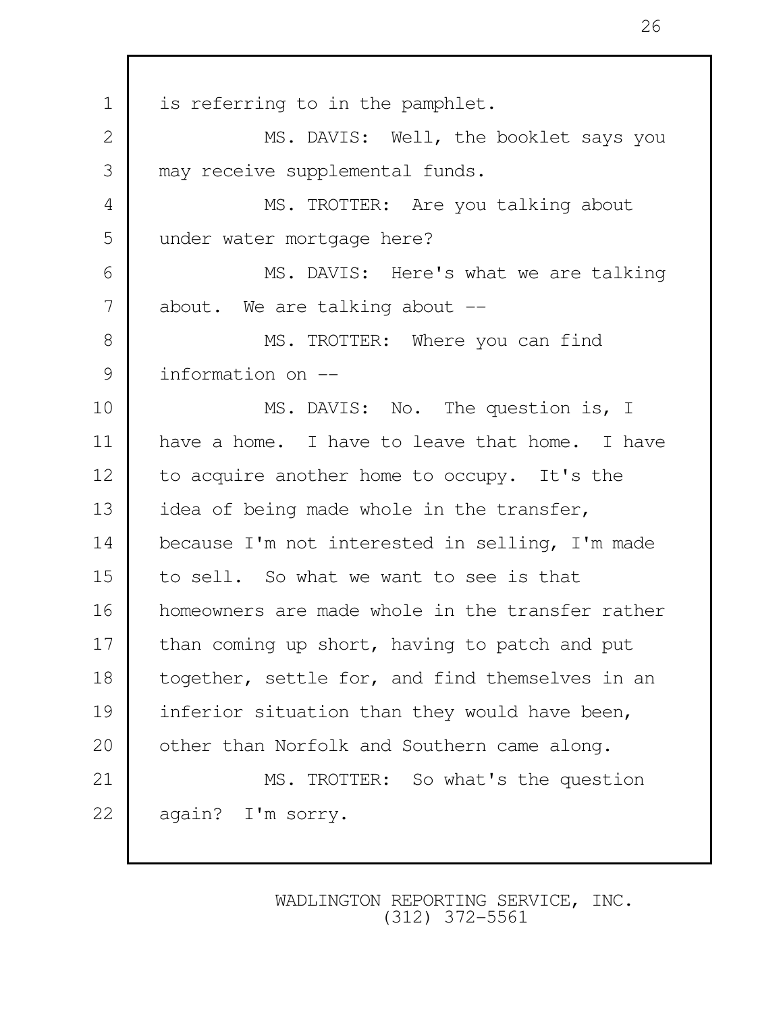1 is referring to in the pamphlet. 2 MS. DAVIS: Well, the booklet says you 3 may receive supplemental funds. 4 | MS. TROTTER: Are you talking about 5 under water mortgage here? 6 MS. DAVIS: Here's what we are talking 7 about. We are talking about --8 MS. TROTTER: Where you can find 9 | information on --10 MS. DAVIS: No. The question is, I 11 have a home. I have to leave that home. I have 12 to acquire another home to occupy. It's the 13 idea of being made whole in the transfer, 14 because I'm not interested in selling, I'm made 15 to sell. So what we want to see is that 16 homeowners are made whole in the transfer rather 17 than coming up short, having to patch and put 18 together, settle for, and find themselves in an 19 inferior situation than they would have been, 20 other than Norfolk and Southern came along. 21 MS. TROTTER: So what's the question 22 again? I'm sorry.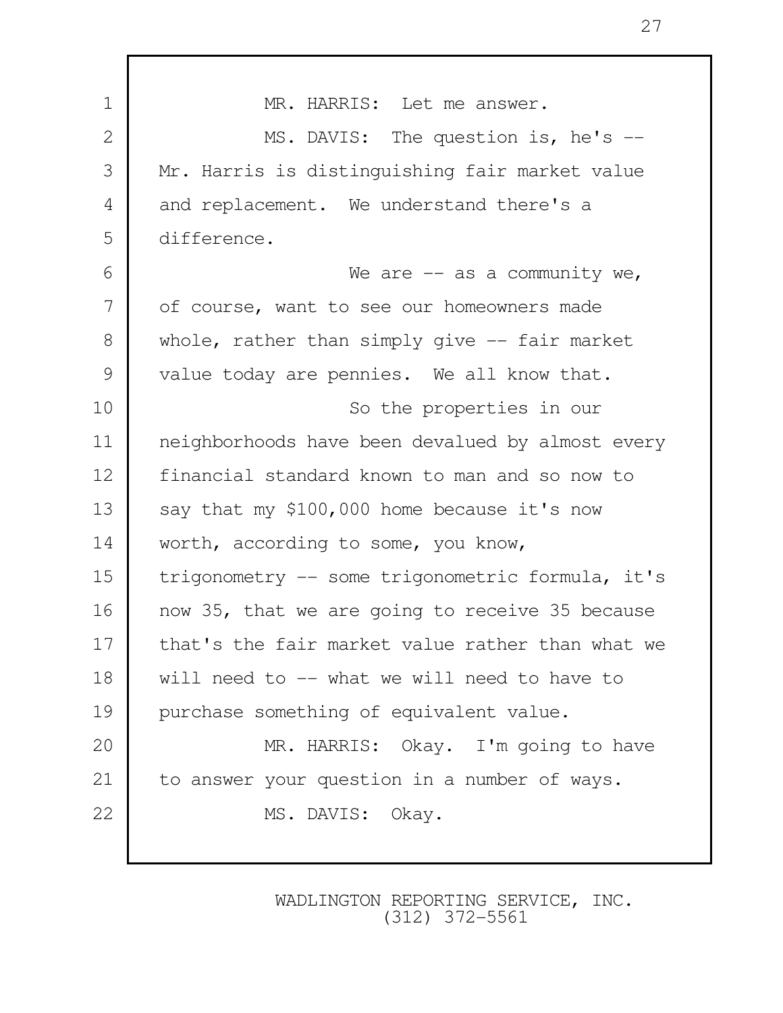| 1            | MR. HARRIS: Let me answer.                       |
|--------------|--------------------------------------------------|
| $\mathbf{2}$ | MS. DAVIS: The question is, he's --              |
| 3            | Mr. Harris is distinguishing fair market value   |
| 4            | and replacement. We understand there's a         |
| 5            | difference.                                      |
| 6            | We are $-$ as a community we,                    |
| 7            | of course, want to see our homeowners made       |
| 8            | whole, rather than simply give $-$ fair market   |
| 9            | value today are pennies. We all know that.       |
| 10           | So the properties in our                         |
| 11           | neighborhoods have been devalued by almost every |
| 12           | financial standard known to man and so now to    |
| 13           | say that my \$100,000 home because it's now      |
| 14           | worth, according to some, you know,              |
| 15           | trigonometry -- some trigonometric formula, it's |
| 16           | now 35, that we are going to receive 35 because  |
| 17           | that's the fair market value rather than what we |
| 18           | will need to -- what we will need to have to     |
| 19           | purchase something of equivalent value.          |
| 20           | MR. HARRIS: Okay. I'm going to have              |
| 21           | to answer your question in a number of ways.     |
| 22           | MS. DAVIS: Okay.                                 |
|              |                                                  |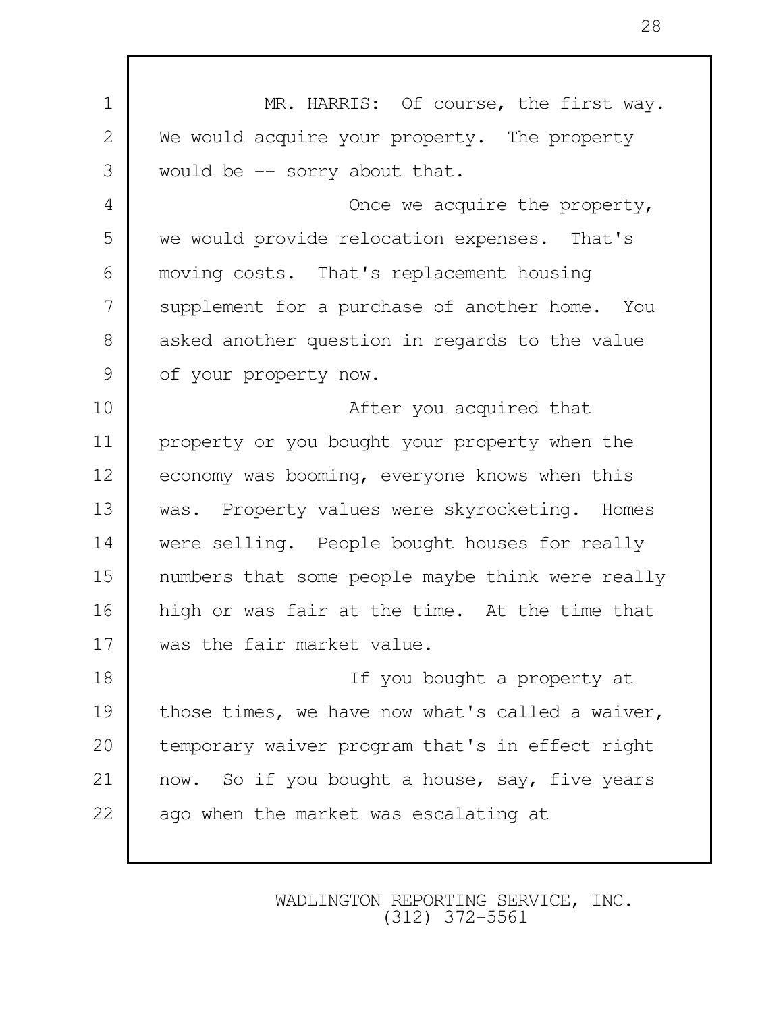1 MR. HARRIS: Of course, the first way. 2 We would acquire your property. The property 3 would be -- sorry about that. 4 **Once we acquire the property**, 5 we would provide relocation expenses. That's 6 moving costs. That's replacement housing 7 Supplement for a purchase of another home. You 8 asked another question in regards to the value 9 of your property now. 10 **After you acquired that** 11 property or you bought your property when the 12 economy was booming, everyone knows when this 13 | was. Property values were skyrocketing. Homes 14 | were selling. People bought houses for really 15 numbers that some people maybe think were really 16 high or was fair at the time. At the time that 17 was the fair market value. 18 If you bought a property at 19 those times, we have now what's called a waiver, 20 temporary waiver program that's in effect right 21 | now. So if you bought a house, say, five years 22 ago when the market was escalating at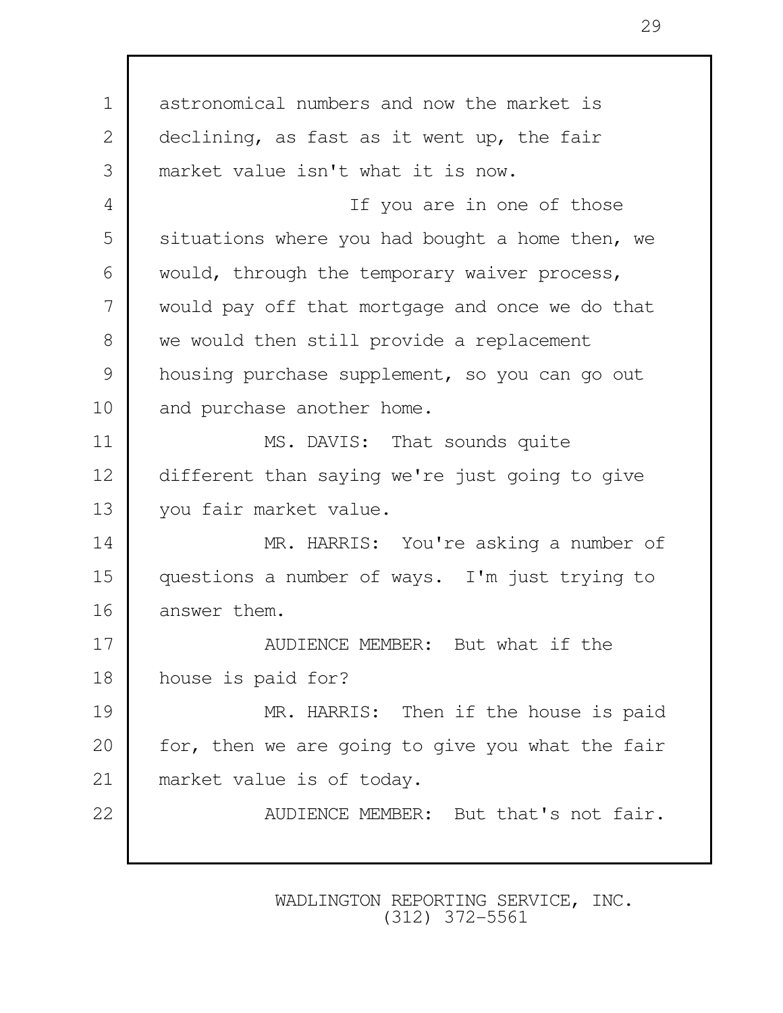| $\mathbf 1$    | astronomical numbers and now the market is       |
|----------------|--------------------------------------------------|
| $\overline{2}$ | declining, as fast as it went up, the fair       |
| 3              | market value isn't what it is now.               |
| 4              | If you are in one of those                       |
| 5              | situations where you had bought a home then, we  |
| 6              | would, through the temporary waiver process,     |
| 7              | would pay off that mortgage and once we do that  |
| 8              | we would then still provide a replacement        |
| $\mathcal{G}$  | housing purchase supplement, so you can go out   |
| 10             | and purchase another home.                       |
| 11             | MS. DAVIS: That sounds quite                     |
| 12             | different than saying we're just going to give   |
| 13             | you fair market value.                           |
| 14             | MR. HARRIS: You're asking a number of            |
| 15             | questions a number of ways. I'm just trying to   |
| 16             | answer them.                                     |
| 17             | AUDIENCE MEMBER: But what if the                 |
| 18             | house is paid for?                               |
| 19             | MR. HARRIS: Then if the house is paid            |
| 20             | for, then we are going to give you what the fair |
| 21             | market value is of today.                        |
| 22             | AUDIENCE MEMBER: But that's not fair.            |
|                |                                                  |

Г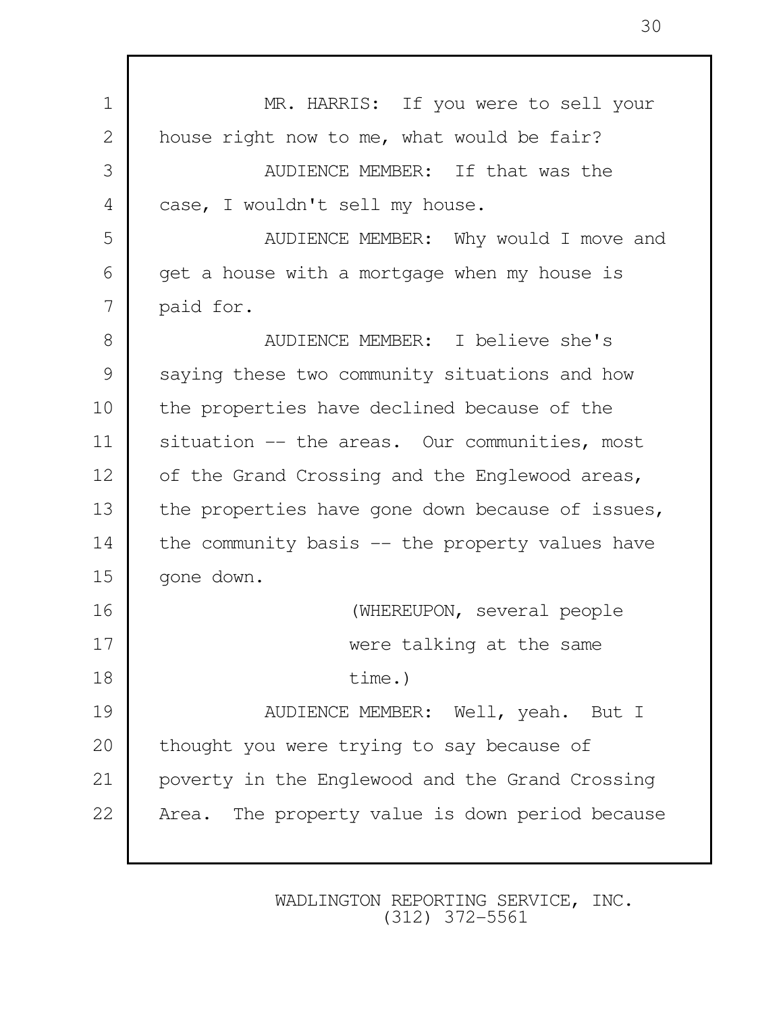1 MR. HARRIS: If you were to sell your 2 house right now to me, what would be fair? 3 AUDIENCE MEMBER: If that was the 4 case, I wouldn't sell my house. 5 AUDIENCE MEMBER: Why would I move and  $6$  get a house with a mortgage when my house is 7 paid for. 8 AUDIENCE MEMBER: I believe she's 9 saying these two community situations and how 10 the properties have declined because of the 11 situation -- the areas. Our communities, most 12 of the Grand Crossing and the Englewood areas, 13 the properties have gone down because of issues, 14 the community basis -- the property values have 15 | gone down. 16 **| NORTH CONTACT | CONTRACT CONTRACT (WHEREUPON, several people** 17 Were talking at the same 18 time.) 19 AUDIENCE MEMBER: Well, yeah. But I 20 thought you were trying to say because of 21 poverty in the Englewood and the Grand Crossing 22 Area. The property value is down period because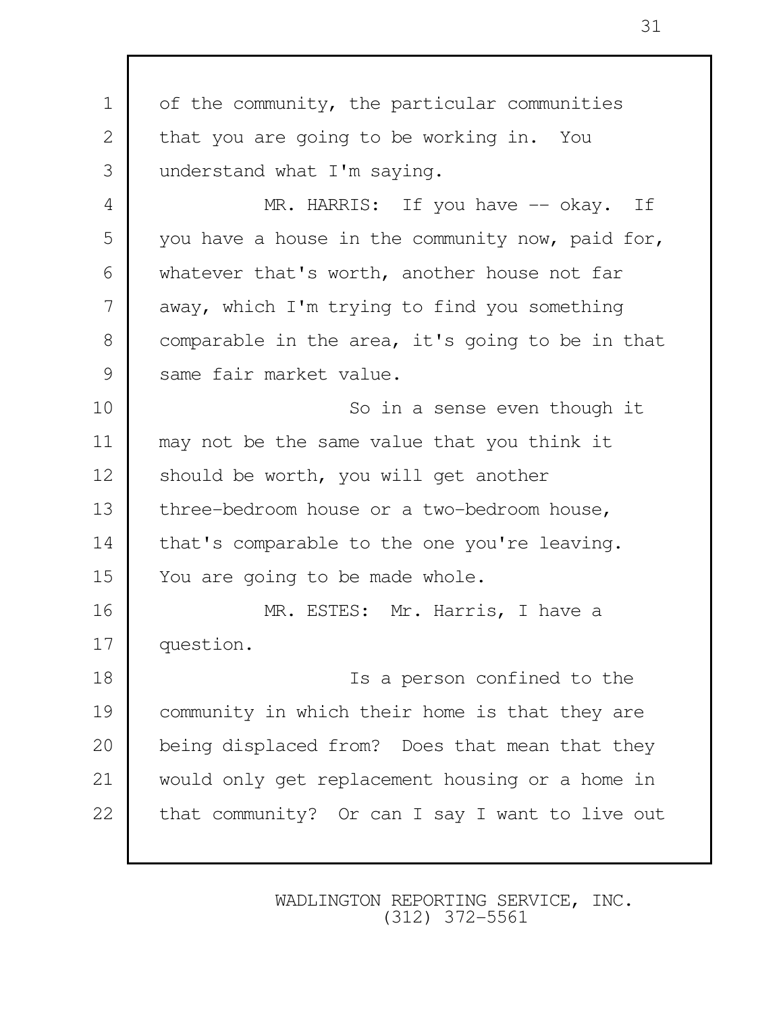1 of the community, the particular communities 2 that you are going to be working in. You 3 understand what I'm saying. 4 MR. HARRIS: If you have -- okay. If 5 you have a house in the community now, paid for, 6 whatever that's worth, another house not far 7 away, which I'm trying to find you something 8 comparable in the area, it's going to be in that 9 same fair market value. 10 So in a sense even though it 11 may not be the same value that you think it 12 Should be worth, you will get another 13 three-bedroom house or a two-bedroom house, 14 that's comparable to the one you're leaving. 15 You are going to be made whole. 16 MR. ESTES: Mr. Harris, I have a 17 question. 18 **Is a person confined to the** 19 community in which their home is that they are 20 being displaced from? Does that mean that they 21 would only get replacement housing or a home in 22 that community? Or can I say I want to live out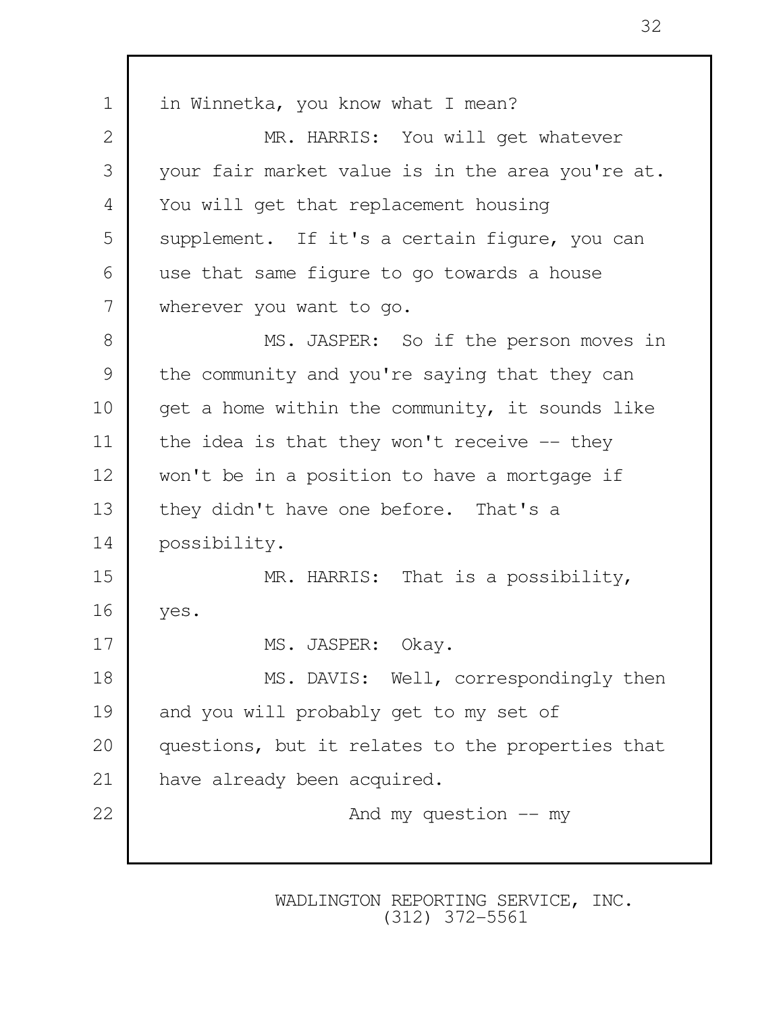1 in Winnetka, you know what I mean? 2 MR. HARRIS: You will get whatever 3 your fair market value is in the area you're at. 4 You will get that replacement housing 5 supplement. If it's a certain figure, you can 6 | use that same figure to go towards a house 7 wherever you want to go. 8 MS. JASPER: So if the person moves in 9 the community and you're saying that they can 10 | get a home within the community, it sounds like 11 the idea is that they won't receive -- they 12 won't be in a position to have a mortgage if 13 they didn't have one before. That's a 14 possibility. 15 MR. HARRIS: That is a possibility, 16 yes. 17 MS. JASPER: Okay. 18 MS. DAVIS: Well, correspondingly then 19 and you will probably get to my set of 20 questions, but it relates to the properties that 21 have already been acquired. 22 And my question  $-$  my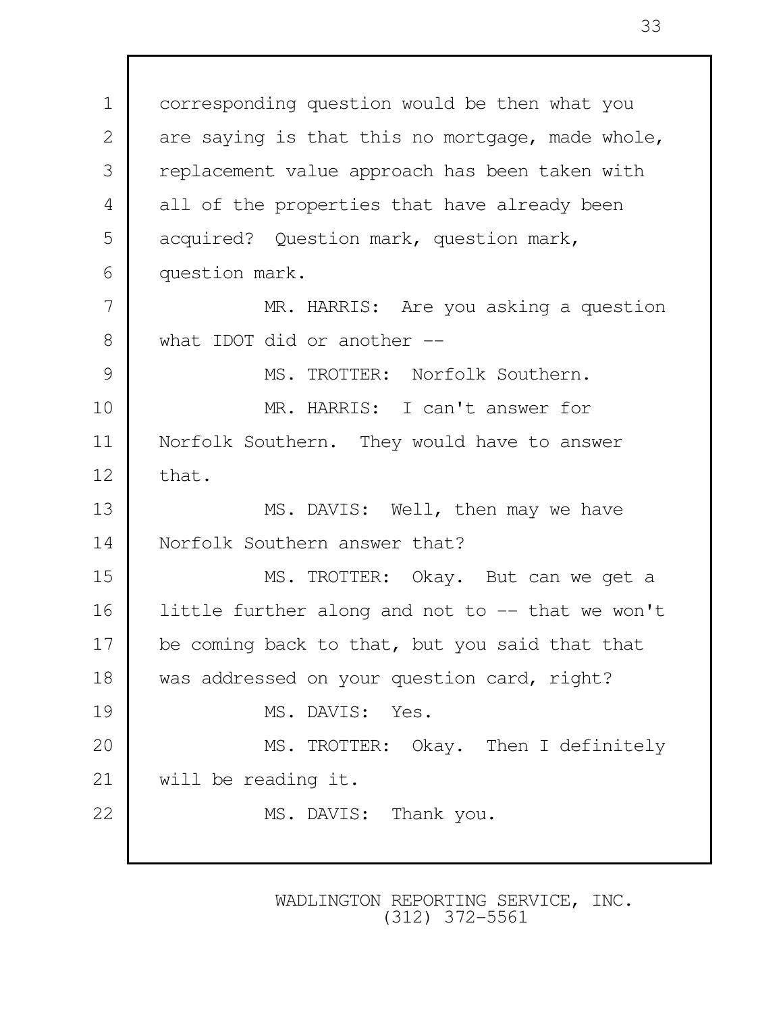1 corresponding question would be then what you 2 are saying is that this no mortgage, made whole, 3 replacement value approach has been taken with 4 all of the properties that have already been 5 acquired? Question mark, question mark, 6 question mark. 7 MR. HARRIS: Are you asking a question 8 what IDOT did or another --9 MS. TROTTER: Norfolk Southern. 10 MR. HARRIS: I can't answer for 11 Norfolk Southern. They would have to answer  $12$  that. 13 MS. DAVIS: Well, then may we have 14 Norfolk Southern answer that? 15 MS. TROTTER: Okay. But can we get a 16 little further along and not to -- that we won't 17 be coming back to that, but you said that that 18 was addressed on your question card, right? 19 MS. DAVIS: Yes. 20 MS. TROTTER: Okay. Then I definitely 21 will be reading it. 22 MS. DAVIS: Thank you.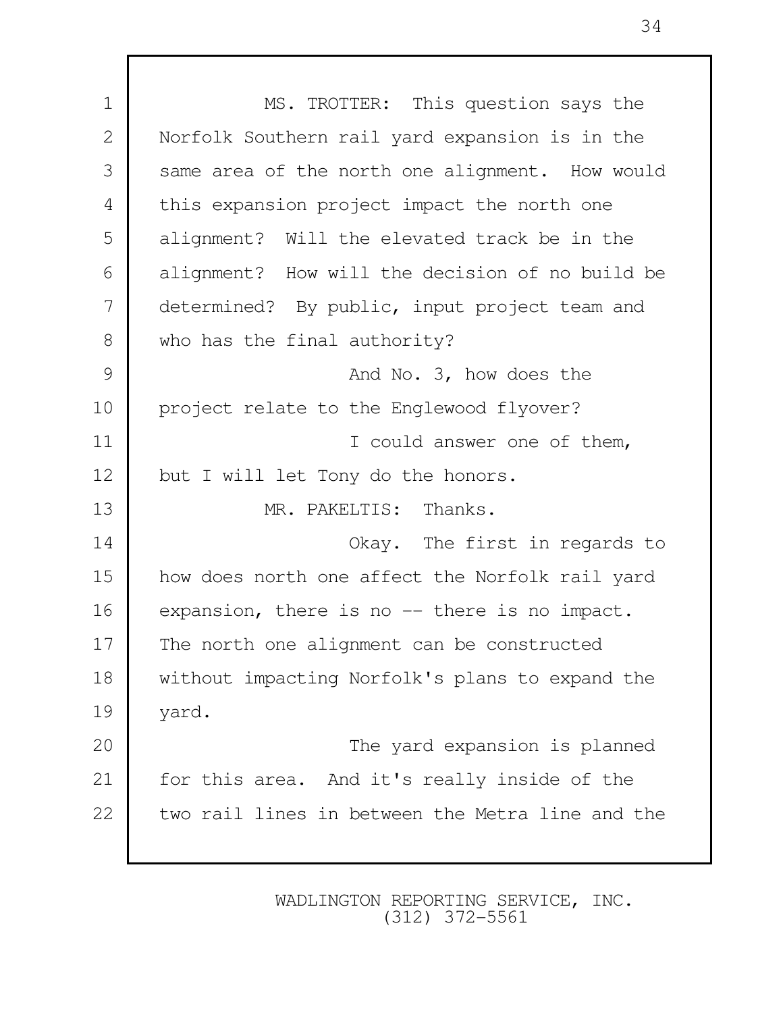1 MS. TROTTER: This question says the 2 Norfolk Southern rail yard expansion is in the 3 same area of the north one alignment. How would 4 this expansion project impact the north one 5 alignment? Will the elevated track be in the 6 alignment? How will the decision of no build be 7 determined? By public, input project team and 8 who has the final authority? 9 And No. 3, how does the 10 project relate to the Englewood flyover? 11 I could answer one of them, 12 but I will let Tony do the honors. 13 MR. PAKELTIS: Thanks. 14 Okay. The first in regards to 15 how does north one affect the Norfolk rail yard 16 expansion, there is no -- there is no impact. 17 The north one alignment can be constructed 18 without impacting Norfolk's plans to expand the 19 yard. 20 The yard expansion is planned 21 for this area. And it's really inside of the 22 two rail lines in between the Metra line and the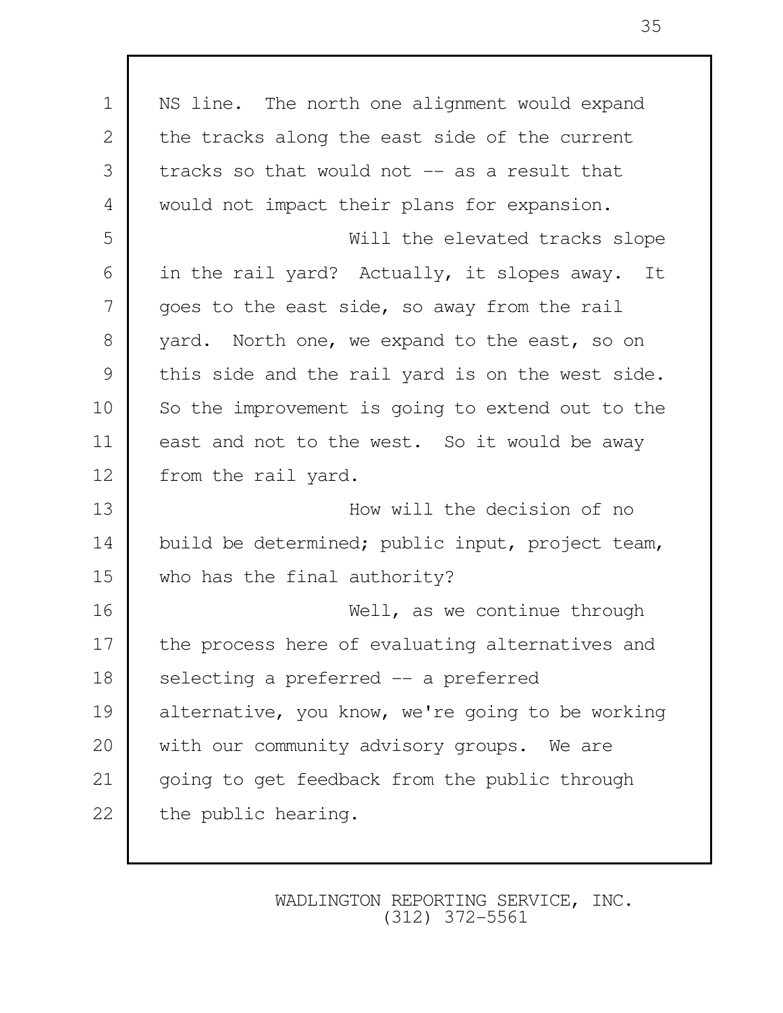| $\mathbf 1$  | NS line. The north one alignment would expand    |
|--------------|--------------------------------------------------|
| $\mathbf{2}$ | the tracks along the east side of the current    |
| 3            | tracks so that would not -- as a result that     |
| 4            | would not impact their plans for expansion.      |
| 5            | Will the elevated tracks slope                   |
| 6            | in the rail yard? Actually, it slopes away. It   |
| 7            | goes to the east side, so away from the rail     |
| 8            | yard. North one, we expand to the east, so on    |
| 9            | this side and the rail yard is on the west side. |
| 10           | So the improvement is going to extend out to the |
| 11           | east and not to the west. So it would be away    |
| 12           | from the rail yard.                              |
| 13           | How will the decision of no                      |
| 14           | build be determined; public input, project team, |
| 15           | who has the final authority?                     |
| 16           | Well, as we continue through                     |
| 17           | the process here of evaluating alternatives and  |
| 18           | selecting a preferred -- a preferred             |
| 19           | alternative, you know, we're going to be working |
| 20           | with our community advisory groups. We are       |
| 21           | going to get feedback from the public through    |
| 22           | the public hearing.                              |
|              |                                                  |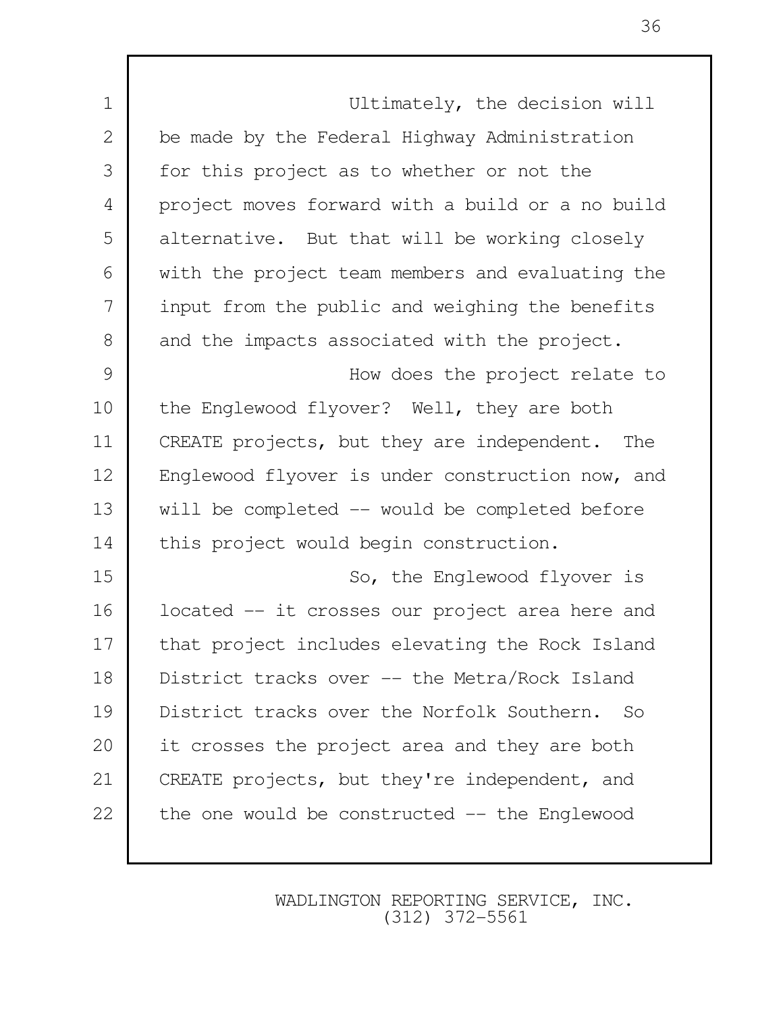| $\mathbf 1$    | Ultimately, the decision will                    |
|----------------|--------------------------------------------------|
| $\mathbf{2}$   | be made by the Federal Highway Administration    |
| 3              | for this project as to whether or not the        |
| $\overline{4}$ | project moves forward with a build or a no build |
| 5              | alternative. But that will be working closely    |
| 6              | with the project team members and evaluating the |
| 7              | input from the public and weighing the benefits  |
| $8\,$          | and the impacts associated with the project.     |
| 9              | How does the project relate to                   |
| 10             | the Englewood flyover? Well, they are both       |
| 11             | CREATE projects, but they are independent. The   |
| 12             | Englewood flyover is under construction now, and |
| 13             | will be completed -- would be completed before   |
| 14             | this project would begin construction.           |
| 15             | So, the Englewood flyover is                     |
| 16             | located -- it crosses our project area here and  |
| 17             | that project includes elevating the Rock Island  |
| 18             | District tracks over -- the Metra/Rock Island    |
| 19             | District tracks over the Norfolk Southern.<br>So |
| 20             | it crosses the project area and they are both    |
| 21             | CREATE projects, but they're independent, and    |
| 22             | the one would be constructed $-$ the Englewood   |
|                |                                                  |

Г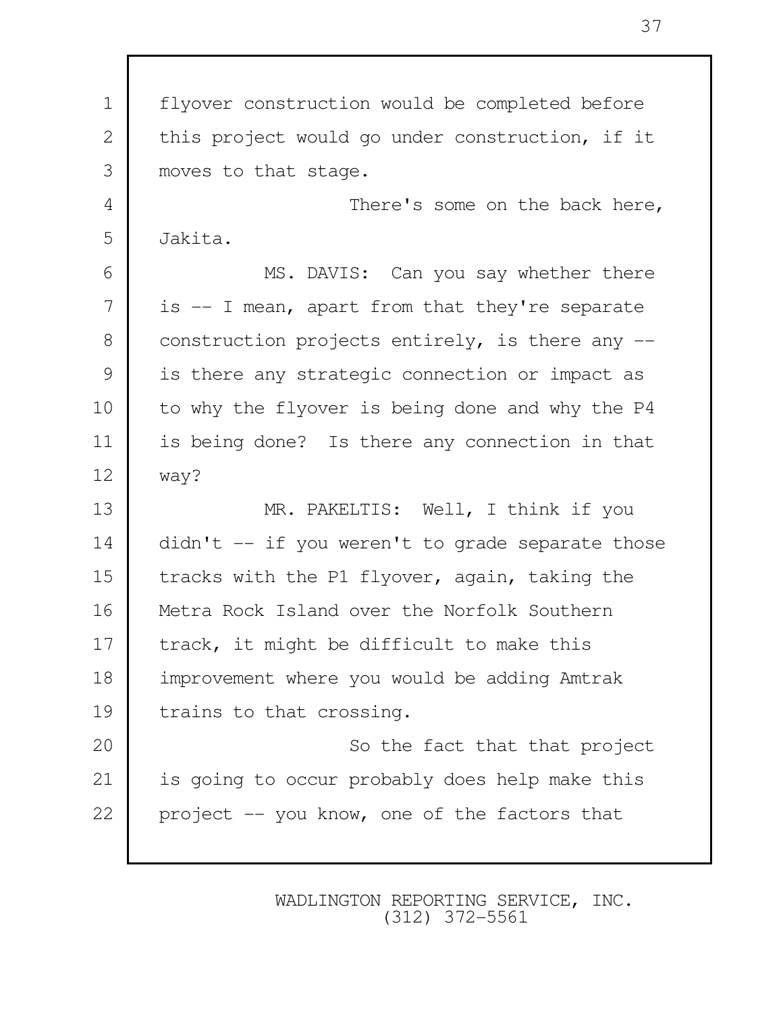1 flyover construction would be completed before 2 this project would go under construction, if it 3 moves to that stage. 4 There's some on the back here, 5 Jakita. 6 MS. DAVIS: Can you say whether there  $7$  is  $-$  I mean, apart from that they're separate 8 construction projects entirely, is there any  $-$ 9 is there any strategic connection or impact as 10 to why the flyover is being done and why the P4 11 is being done? Is there any connection in that 12 way? 13 MR. PAKELTIS: Well, I think if you 14 didn't -- if you weren't to grade separate those 15 tracks with the P1 flyover, again, taking the 16 Metra Rock Island over the Norfolk Southern 17 track, it might be difficult to make this 18 improvement where you would be adding Amtrak 19 trains to that crossing. 20 So the fact that that project 21 is going to occur probably does help make this 22 project  $-$  you know, one of the factors that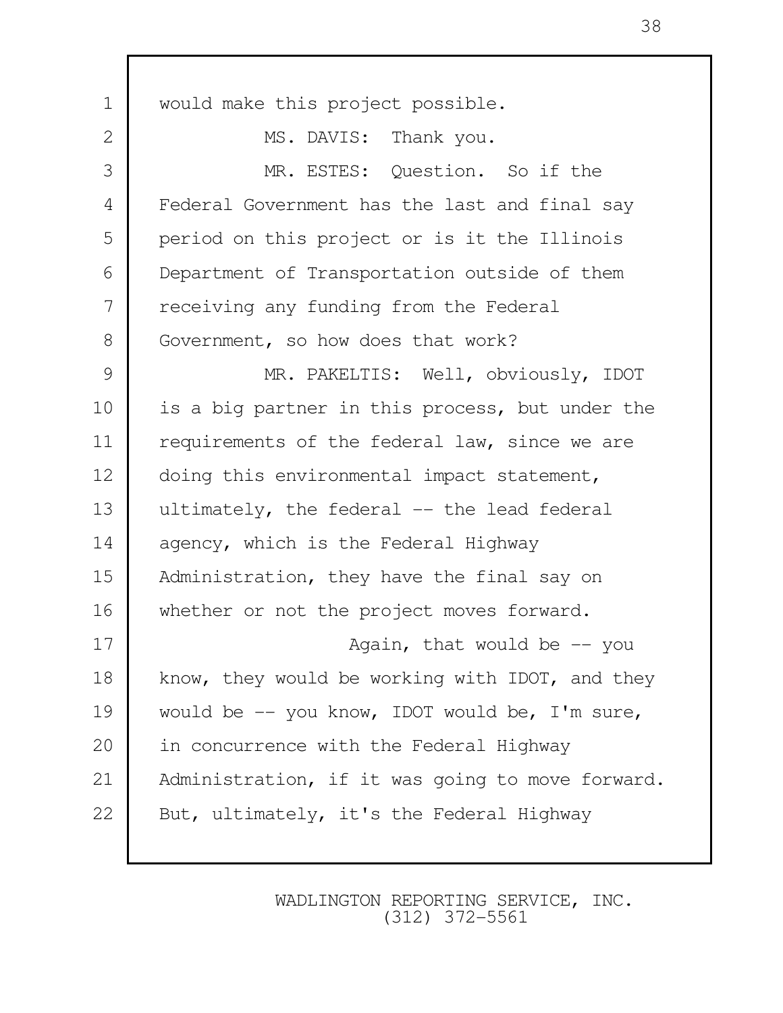1 would make this project possible. 2 MS. DAVIS: Thank you. 3 MR. ESTES: Question. So if the 4 Federal Government has the last and final say 5 period on this project or is it the Illinois 6 Department of Transportation outside of them 7 | receiving any funding from the Federal 8 Government, so how does that work? 9 MR. PAKELTIS: Well, obviously, IDOT 10 is a big partner in this process, but under the 11 requirements of the federal law, since we are 12 doing this environmental impact statement, 13 ultimately, the federal -- the lead federal 14 agency, which is the Federal Highway 15 Administration, they have the final say on 16 whether or not the project moves forward. 17 Again, that would be -- you 18 know, they would be working with IDOT, and they 19 would be -- you know, IDOT would be, I'm sure, 20 in concurrence with the Federal Highway 21 Administration, if it was going to move forward. 22 But, ultimately, it's the Federal Highway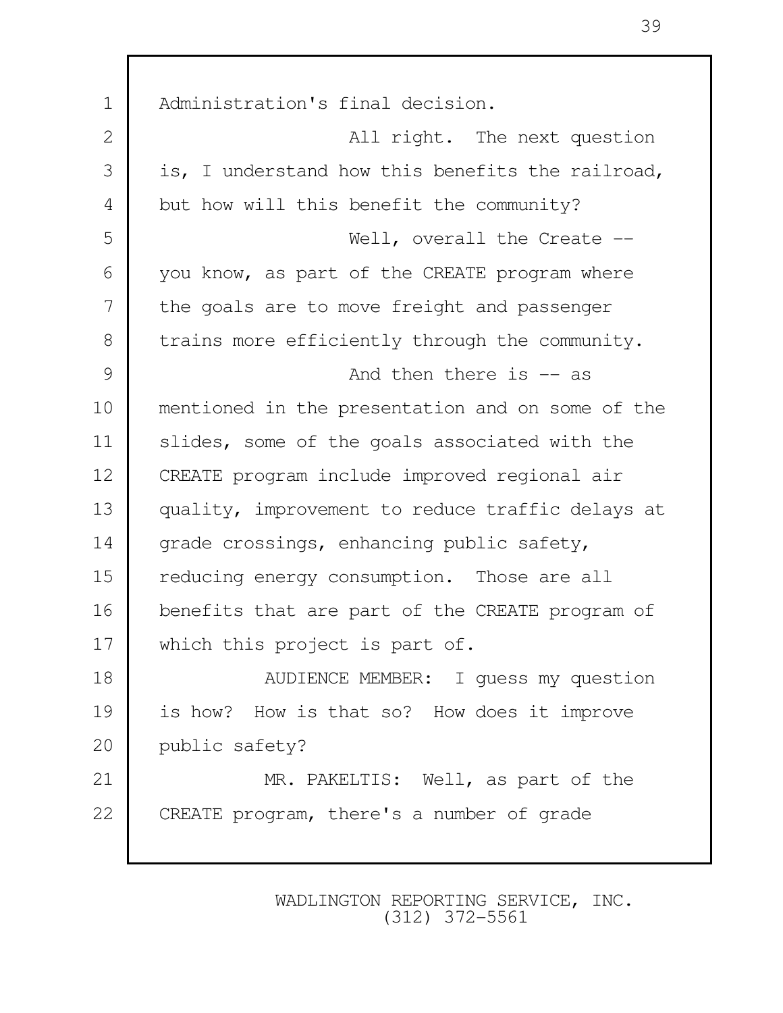1 | Administration's final decision. 2 all right. The next question 3 is, I understand how this benefits the railroad, 4 but how will this benefit the community? 5 Well, overall the Create -- 6 you know, as part of the CREATE program where 7 the goals are to move freight and passenger 8 trains more efficiently through the community. 9 and then there is  $-$  as 10 mentioned in the presentation and on some of the 11 slides, some of the goals associated with the 12 CREATE program include improved regional air 13 quality, improvement to reduce traffic delays at 14 grade crossings, enhancing public safety, 15 reducing energy consumption. Those are all 16 benefits that are part of the CREATE program of 17 | which this project is part of. 18 AUDIENCE MEMBER: I quess my question 19 is how? How is that so? How does it improve 20 public safety? 21 MR. PAKELTIS: Well, as part of the 22 CREATE program, there's a number of grade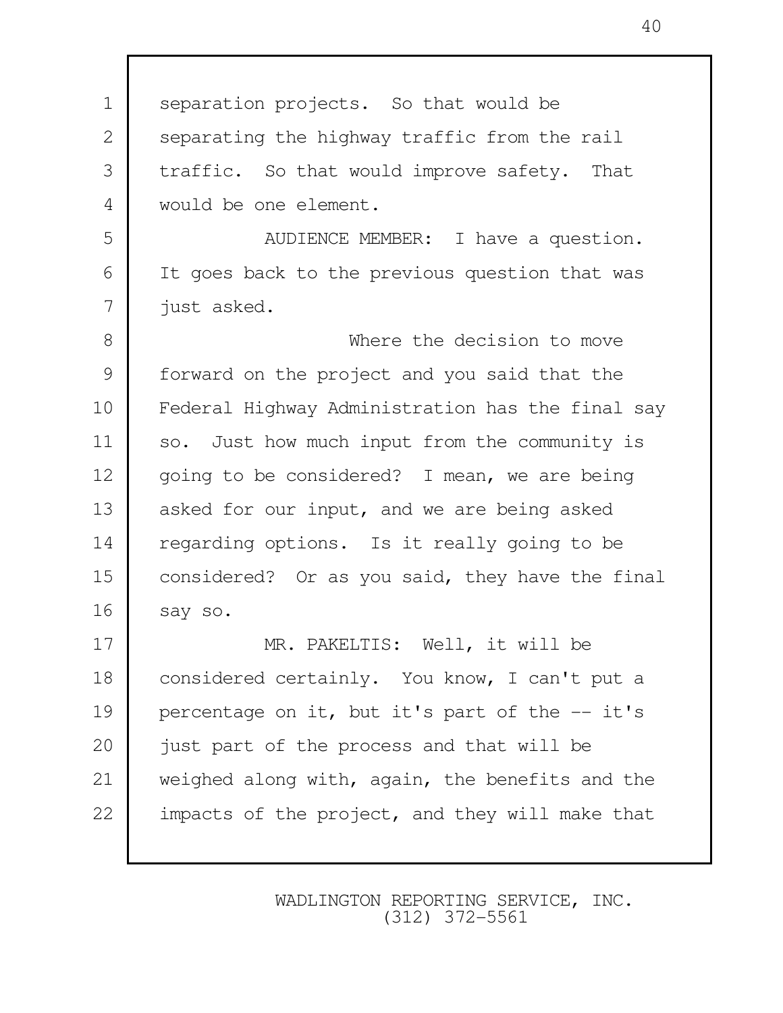1 separation projects. So that would be 2 separating the highway traffic from the rail 3 traffic. So that would improve safety. That 4 would be one element. 5 AUDIENCE MEMBER: I have a question. 6 I It goes back to the previous question that was 7 *just asked.*  8 Where the decision to move 9 forward on the project and you said that the 10 Federal Highway Administration has the final say 11 so. Just how much input from the community is 12 | going to be considered? I mean, we are being 13 asked for our input, and we are being asked 14 regarding options. Is it really going to be 15 considered? Or as you said, they have the final 16 say so. 17 MR. PAKELTIS: Well, it will be 18 considered certainly. You know, I can't put a 19 percentage on it, but it's part of the -- it's 20 just part of the process and that will be 21 weighed along with, again, the benefits and the 22 impacts of the project, and they will make that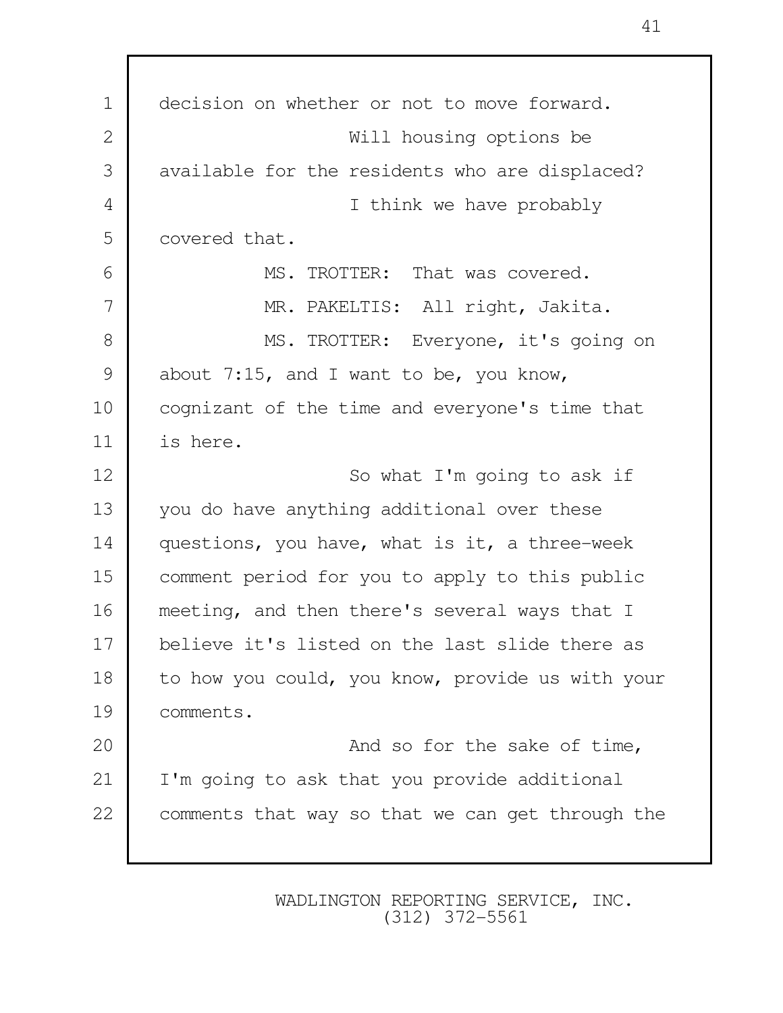1 decision on whether or not to move forward. 2 Will housing options be 3 available for the residents who are displaced? 4 | Chink we have probably 5 covered that. 6 MS. TROTTER: That was covered. 7 MR. PAKELTIS: All right, Jakita. 8 | MS. TROTTER: Everyone, it's going on 9 about 7:15, and I want to be, you know, 10 cognizant of the time and everyone's time that 11 is here. 12 So what I'm going to ask if 13 you do have anything additional over these 14 questions, you have, what is it, a three-week 15 comment period for you to apply to this public 16 meeting, and then there's several ways that I 17 believe it's listed on the last slide there as 18 to how you could, you know, provide us with your 19 comments. 20 And so for the sake of time, 21 I'm going to ask that you provide additional 22 comments that way so that we can get through the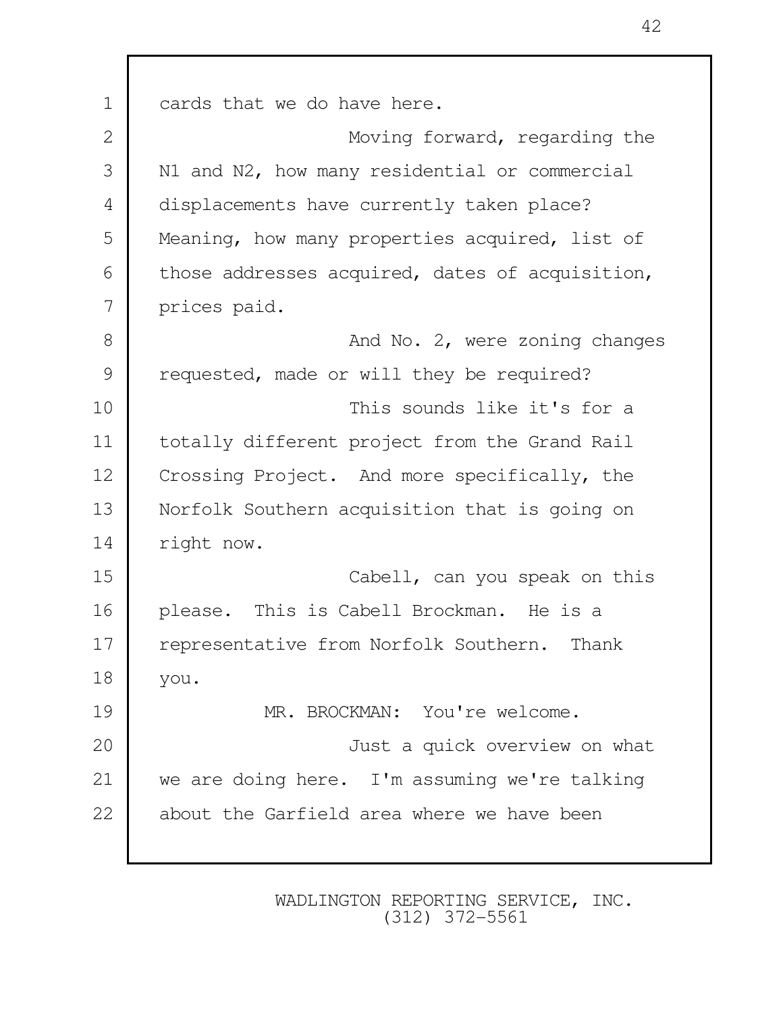1 cards that we do have here. 2 | Moving forward, regarding the 3 N1 and N2, how many residential or commercial 4 displacements have currently taken place? 5 Meaning, how many properties acquired, list of 6 those addresses acquired, dates of acquisition, 7 prices paid. 8 And No. 2, were zoning changes 9 | requested, made or will they be required? 10 This sounds like it's for a 11 totally different project from the Grand Rail 12 Crossing Project. And more specifically, the 13 Norfolk Southern acquisition that is going on 14 right now. 15 Cabell, can you speak on this 16 please. This is Cabell Brockman. He is a 17 representative from Norfolk Southern. Thank 18 you. 19 MR. BROCKMAN: You're welcome. 20 Just a quick overview on what 21 we are doing here. I'm assuming we're talking 22 about the Garfield area where we have been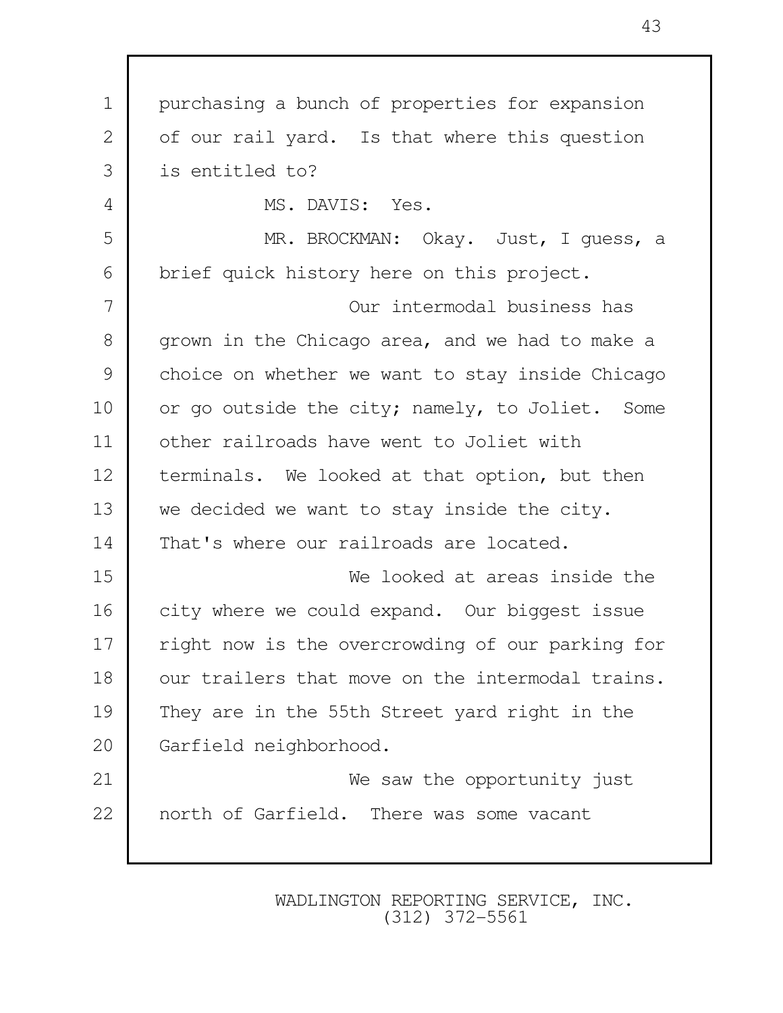1 purchasing a bunch of properties for expansion 2 | of our rail yard. Is that where this question 3 is entitled to? 4 MS. DAVIS: Yes. 5 MR. BROCKMAN: Okay. Just, I guess, a 6 brief quick history here on this project. 7 Our intermodal business has 8 grown in the Chicago area, and we had to make a 9 | choice on whether we want to stay inside Chicago 10 or go outside the city; namely, to Joliet. Some 11 other railroads have went to Joliet with 12 terminals. We looked at that option, but then 13 we decided we want to stay inside the city. 14 That's where our railroads are located. 15 We looked at areas inside the 16 city where we could expand. Our biggest issue 17 right now is the overcrowding of our parking for 18 our trailers that move on the intermodal trains. 19 They are in the 55th Street yard right in the 20 Garfield neighborhood. 21 We saw the opportunity just 22 north of Garfield. There was some vacant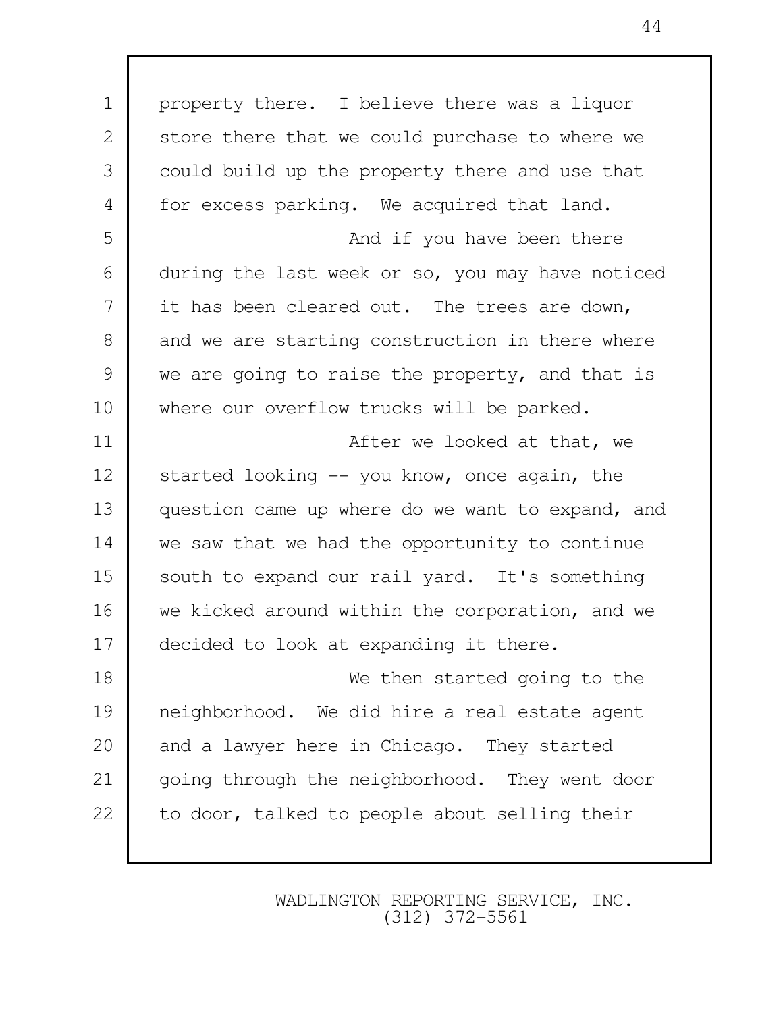1 property there. I believe there was a liquor 2 store there that we could purchase to where we 3 could build up the property there and use that 4 for excess parking. We acquired that land. 5 and if you have been there 6 during the last week or so, you may have noticed 7 it has been cleared out. The trees are down, 8 and we are starting construction in there where 9 we are going to raise the property, and that is 10 where our overflow trucks will be parked. 11 after we looked at that, we 12 started looking -- you know, once again, the 13 question came up where do we want to expand, and 14 we saw that we had the opportunity to continue 15 south to expand our rail yard. It's something 16 we kicked around within the corporation, and we 17 decided to look at expanding it there. 18 We then started going to the 19 neighborhood. We did hire a real estate agent 20 and a lawyer here in Chicago. They started 21 | going through the neighborhood. They went door 22 to door, talked to people about selling their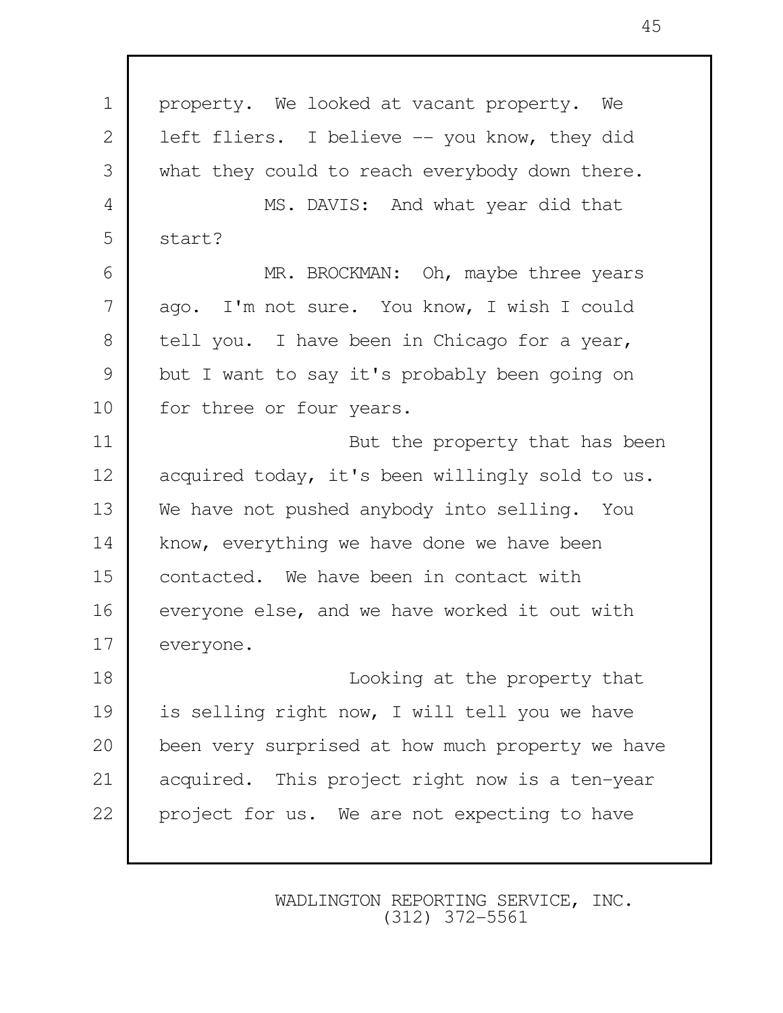1 | property. We looked at vacant property. We 2 | left fliers. I believe -- you know, they did 3 what they could to reach everybody down there. 4 MS. DAVIS: And what year did that 5 start? 6 MR. BROCKMAN: Oh, maybe three years 7 ago. I'm not sure. You know, I wish I could 8 tell you. I have been in Chicago for a year, 9 but I want to say it's probably been going on 10 | for three or four years. 11 But the property that has been 12 acquired today, it's been willingly sold to us. 13 We have not pushed anybody into selling. You 14 know, everything we have done we have been 15 contacted. We have been in contact with 16 everyone else, and we have worked it out with 17 everyone. 18 **I** Looking at the property that 19 is selling right now, I will tell you we have 20 been very surprised at how much property we have 21 acquired. This project right now is a ten-year 22 project for us. We are not expecting to have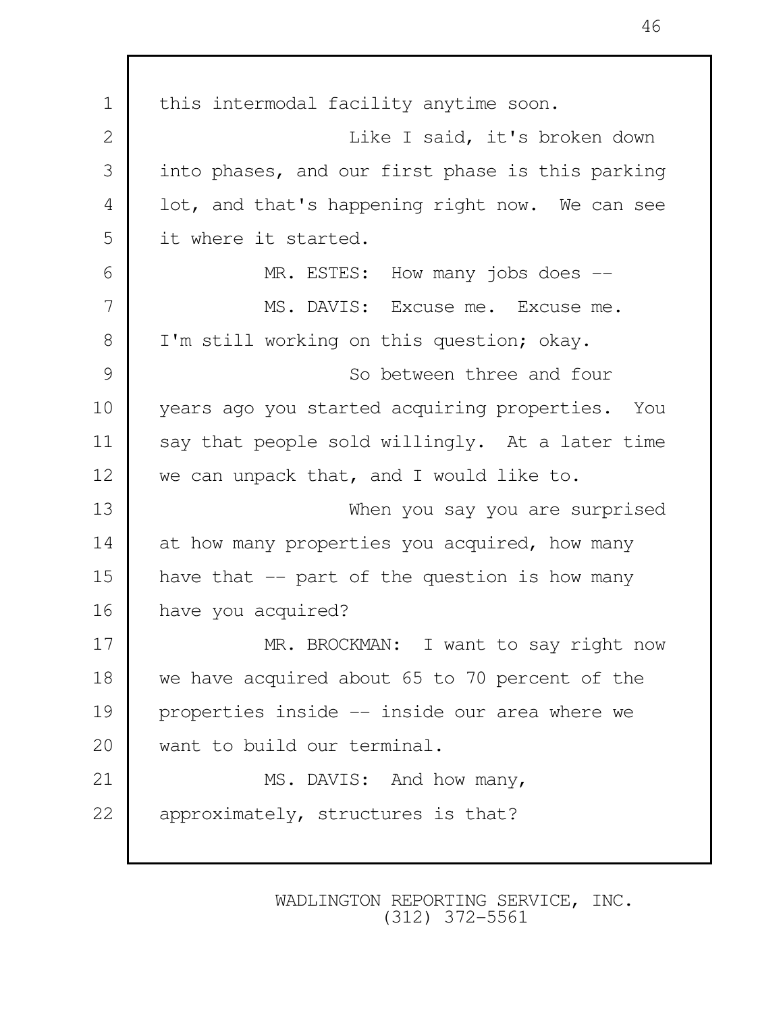1 | this intermodal facility anytime soon. 2 | Charlotte Like I said, it's broken down 3 into phases, and our first phase is this parking 4 | lot, and that's happening right now. We can see 5 it where it started. 6 MR. ESTES: How many jobs does -- 7 MS. DAVIS: Excuse me. Excuse me. 8 I I'm still working on this question; okay. 9 So between three and four 10 years ago you started acquiring properties. You 11 say that people sold willingly. At a later time 12 we can unpack that, and I would like to. 13 When you say you are surprised 14 at how many properties you acquired, how many 15 have that -- part of the question is how many 16 have you acquired? 17 MR. BROCKMAN: I want to say right now 18 we have acquired about 65 to 70 percent of the 19 properties inside -- inside our area where we 20 want to build our terminal. 21 MS. DAVIS: And how many, 22 approximately, structures is that?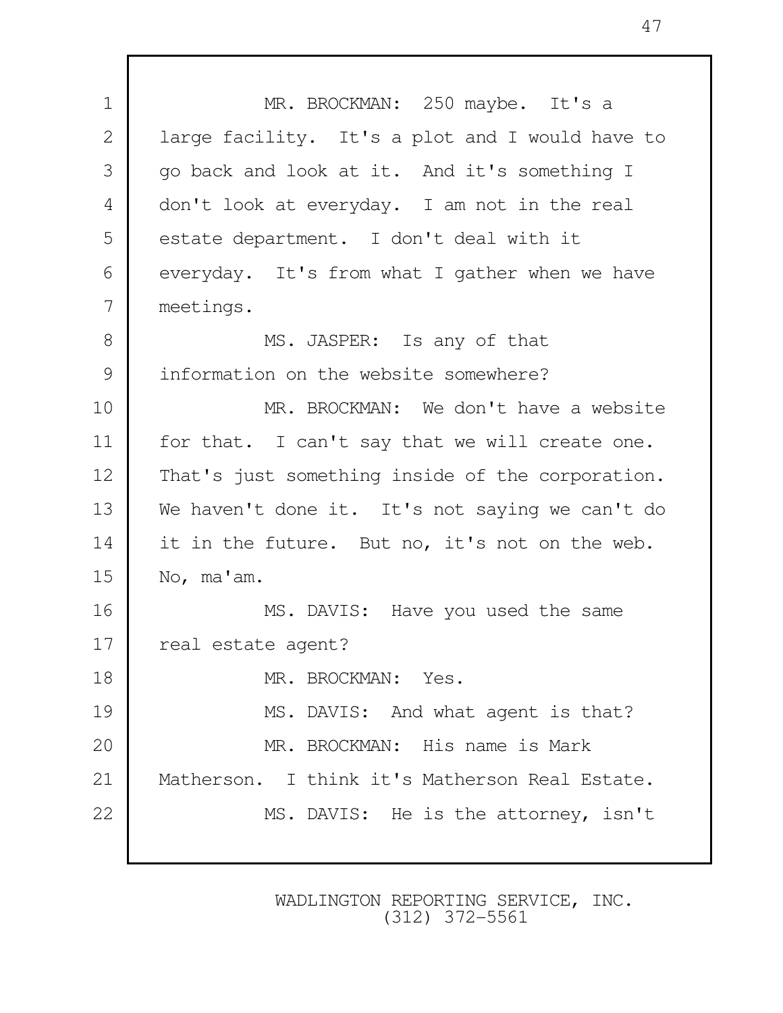1 MR. BROCKMAN: 250 maybe. It's a 2 | large facility. It's a plot and I would have to 3 go back and look at it. And it's something I 4 don't look at everyday. I am not in the real 5 estate department. I don't deal with it 6 everyday. It's from what I gather when we have 7 meetings. 8 MS. JASPER: Is any of that 9 information on the website somewhere? 10 MR. BROCKMAN: We don't have a website 11 for that. I can't say that we will create one. 12 That's just something inside of the corporation. 13 We haven't done it. It's not saying we can't do 14 it in the future. But no, it's not on the web. 15 No, ma'am. 16 MS. DAVIS: Have you used the same 17 real estate agent? 18 MR. BROCKMAN: Yes. 19 MS. DAVIS: And what agent is that? 20 MR. BROCKMAN: His name is Mark 21 Matherson. I think it's Matherson Real Estate. 22 MS. DAVIS: He is the attorney, isn't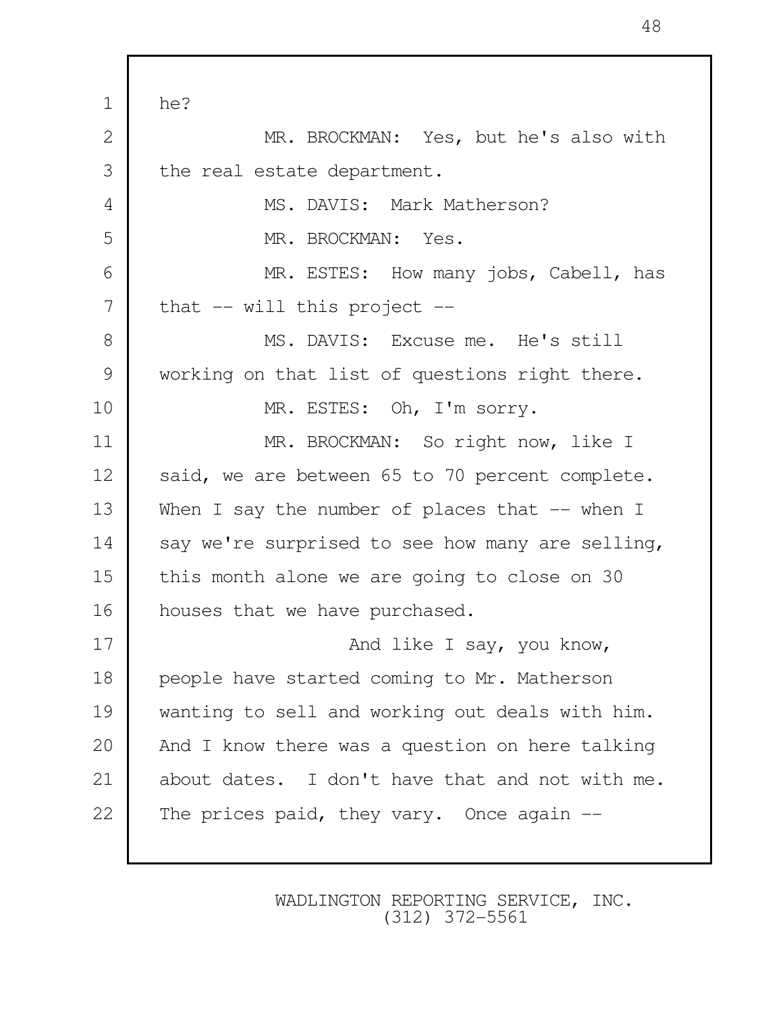1 he? 2 MR. BROCKMAN: Yes, but he's also with 3 the real estate department. 4 | MS. DAVIS: Mark Matherson? 5 MR. BROCKMAN: Yes. 6 MR. ESTES: How many jobs, Cabell, has  $7$  that  $-$  will this project  $-$ 8 MS. DAVIS: Excuse me. He's still 9 working on that list of questions right there. 10 MR. ESTES: Oh, I'm sorry. 11 MR. BROCKMAN: So right now, like I 12 said, we are between 65 to 70 percent complete. 13 When I say the number of places that -- when I 14 say we're surprised to see how many are selling, 15 this month alone we are going to close on 30 16 | houses that we have purchased. 17 And like I say, you know, 18 people have started coming to Mr. Matherson 19 wanting to sell and working out deals with him. 20 And I know there was a question on here talking 21 about dates. I don't have that and not with me. 22 The prices paid, they vary. Once again --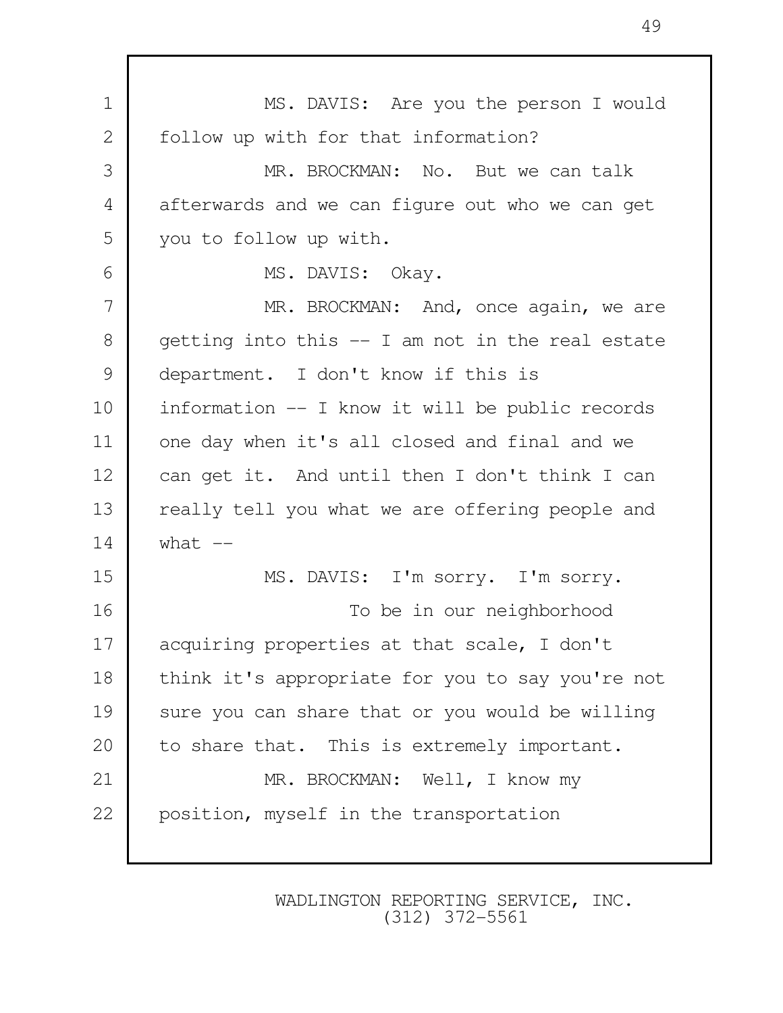| $\mathbf 1$  | MS. DAVIS: Are you the person I would            |
|--------------|--------------------------------------------------|
| $\mathbf{2}$ | follow up with for that information?             |
| 3            | MR. BROCKMAN: No. But we can talk                |
| 4            | afterwards and we can figure out who we can get  |
| 5            | you to follow up with.                           |
| 6            | MS. DAVIS: Okay.                                 |
| 7            | MR. BROCKMAN: And, once again, we are            |
| 8            | getting into this -- I am not in the real estate |
| 9            | department. I don't know if this is              |
| 10           | information -- I know it will be public records  |
| 11           | one day when it's all closed and final and we    |
| 12           | can get it. And until then I don't think I can   |
| 13           | really tell you what we are offering people and  |
| 14           | what $--$                                        |
| 15           | MS. DAVIS: I'm sorry. I'm sorry.                 |
| 16           | To be in our neighborhood                        |
| 17           | acquiring properties at that scale, I don't      |
| 18           | think it's appropriate for you to say you're not |
| 19           | sure you can share that or you would be willing  |
| 20           | to share that. This is extremely important.      |
| 21           | MR. BROCKMAN: Well, I know my                    |
| 22           | position, myself in the transportation           |
|              |                                                  |

Г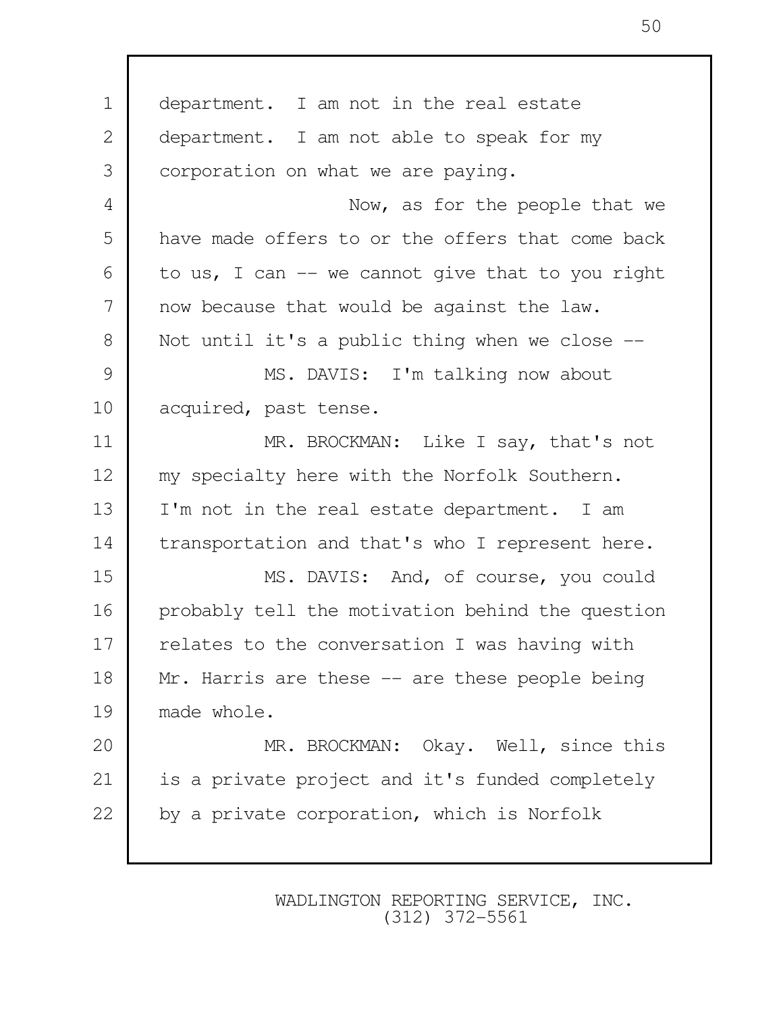1 department. I am not in the real estate 2 department. I am not able to speak for my 3 corporation on what we are paying. 4 Now, as for the people that we 5 have made offers to or the offers that come back 6 to us, I can  $-$  we cannot give that to you right 7 now because that would be against the law. 8 Not until it's a public thing when we close --9 MS. DAVIS: I'm talking now about 10 acquired, past tense. 11 MR. BROCKMAN: Like I say, that's not 12 my specialty here with the Norfolk Southern. 13 I'm not in the real estate department. I am 14 transportation and that's who I represent here. 15 MS. DAVIS: And, of course, you could 16 probably tell the motivation behind the question 17 relates to the conversation I was having with 18 Mr. Harris are these -- are these people being 19 made whole. 20 MR. BROCKMAN: Okay. Well, since this 21 is a private project and it's funded completely 22 by a private corporation, which is Norfolk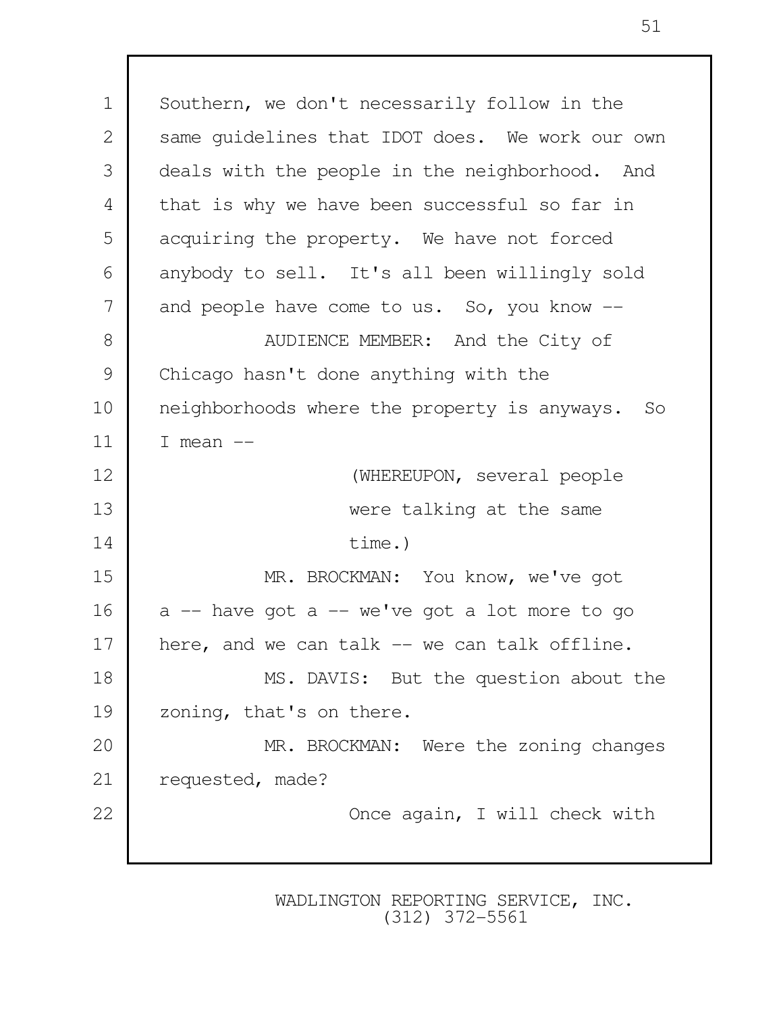1 Southern, we don't necessarily follow in the 2 same quidelines that IDOT does. We work our own 3 deals with the people in the neighborhood. And 4 that is why we have been successful so far in 5 acquiring the property. We have not forced 6 anybody to sell. It's all been willingly sold 7 and people have come to us. So, you know --8 NUDIENCE MEMBER: And the City of 9 Chicago hasn't done anything with the 10 neighborhoods where the property is anyways. So  $11 \mid I$  mean  $-$ 12 **CONTROLLET (WHEREUPON, several people** 13 were talking at the same 14 time.) 15 MR. BROCKMAN: You know, we've got  $16$  a -- have got a -- we've got a lot more to go 17 here, and we can talk -- we can talk offline. 18 MS. DAVIS: But the question about the 19 zoning, that's on there. 20 MR. BROCKMAN: Were the zoning changes 21 requested, made? 22 Check with Once again, I will check with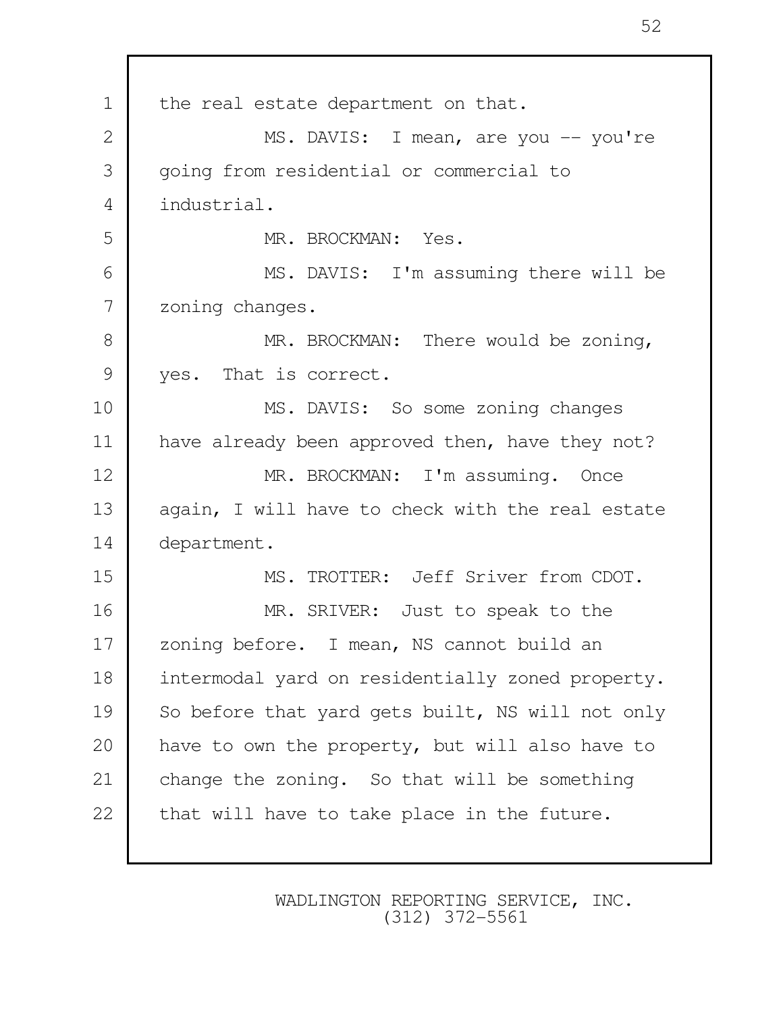1 the real estate department on that. 2 | MS. DAVIS: I mean, are you -- you're 3 | going from residential or commercial to 4 industrial. 5 MR. BROCKMAN: Yes. 6 MS. DAVIS: I'm assuming there will be 7 zoning changes. 8 MR. BROCKMAN: There would be zoning, 9 ves. That is correct. 10 MS. DAVIS: So some zoning changes 11 have already been approved then, have they not? 12 MR. BROCKMAN: I'm assuming. Once 13 again, I will have to check with the real estate 14 department. 15 MS. TROTTER: Jeff Sriver from CDOT. 16 MR. SRIVER: Just to speak to the 17 | zoning before. I mean, NS cannot build an 18 intermodal yard on residentially zoned property. 19 So before that yard gets built, NS will not only 20 have to own the property, but will also have to 21 change the zoning. So that will be something 22 that will have to take place in the future.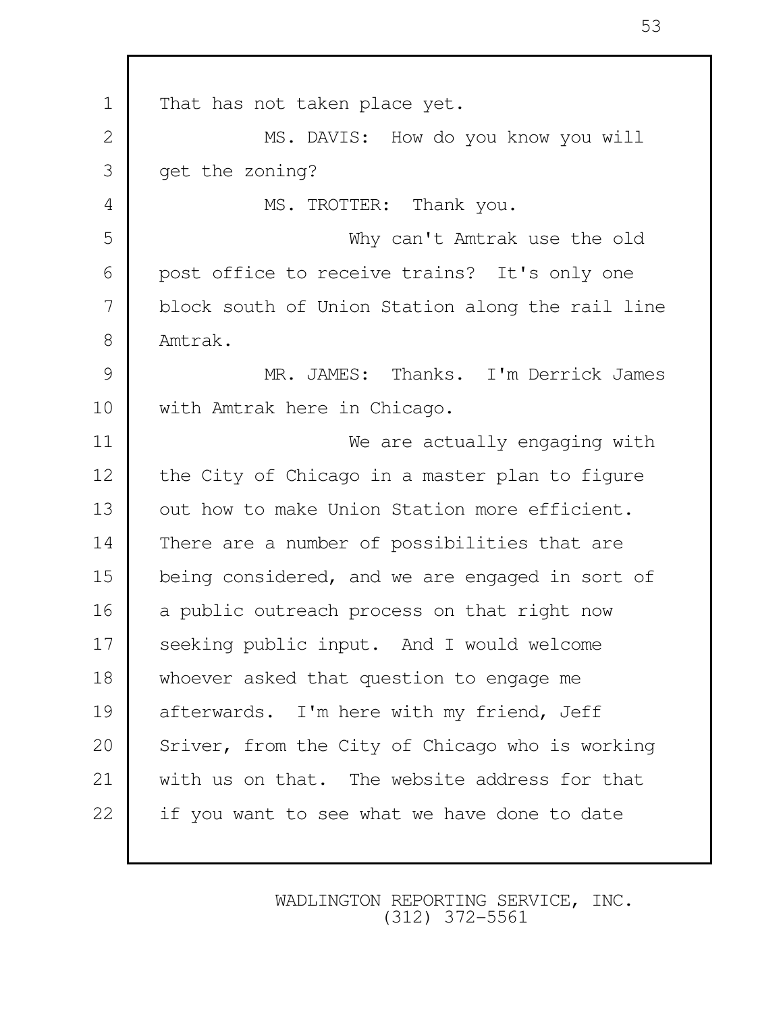1 That has not taken place yet. 2 MS. DAVIS: How do you know you will 3 get the zoning? 4 MS. TROTTER: Thank you. 5 Why can't Amtrak use the old 6 post office to receive trains? It's only one 7 block south of Union Station along the rail line 8 Amtrak. 9 MR. JAMES: Thanks. I'm Derrick James 10 | with Amtrak here in Chicago. 11 We are actually engaging with 12 the City of Chicago in a master plan to figure 13 out how to make Union Station more efficient. 14 There are a number of possibilities that are 15 being considered, and we are engaged in sort of 16 a public outreach process on that right now 17 seeking public input. And I would welcome 18 whoever asked that question to engage me 19 afterwards. I'm here with my friend, Jeff 20 Sriver, from the City of Chicago who is working 21 with us on that. The website address for that 22 if you want to see what we have done to date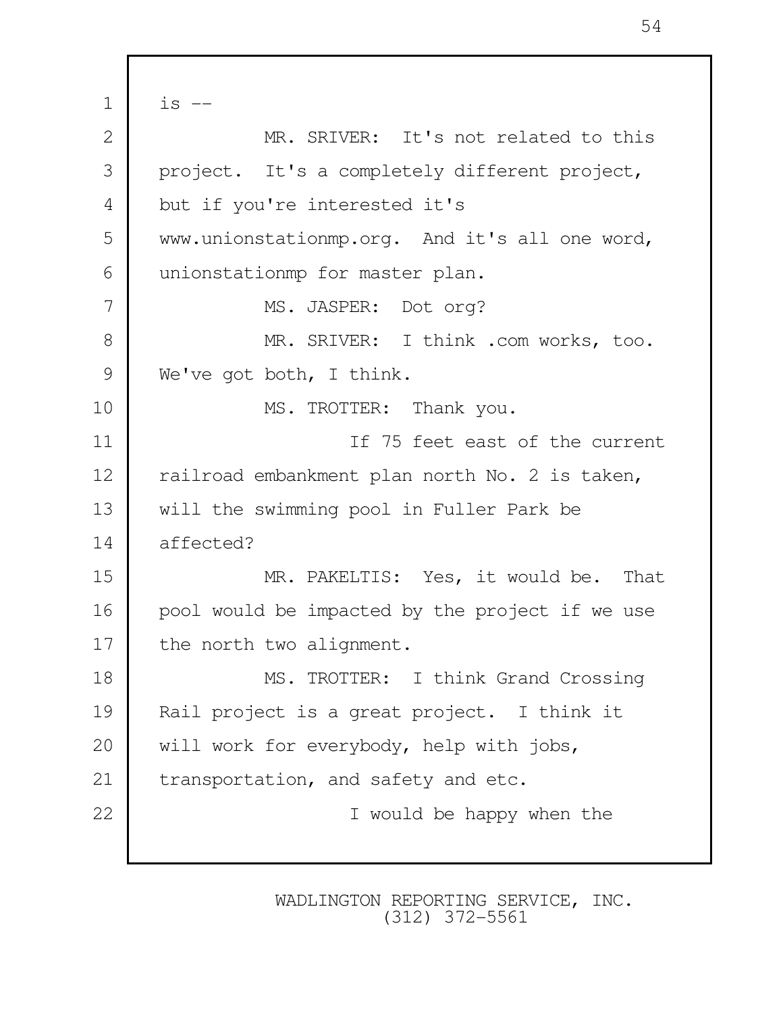$1 \mid$  is  $-$ 2 MR. SRIVER: It's not related to this 3 project. It's a completely different project, 4 but if you're interested it's 5 www.unionstationmp.org. And it's all one word, 6 unionstationmp for master plan. 7 MS. JASPER: Dot org? 8 MR. SRIVER: I think .com works, too. 9 We've got both, I think. 10 MS. TROTTER: Thank you. 11 If 75 feet east of the current 12 railroad embankment plan north No. 2 is taken, 13 will the swimming pool in Fuller Park be 14 affected? 15 MR. PAKELTIS: Yes, it would be. That 16 | pool would be impacted by the project if we use 17 the north two alignment. 18 MS. TROTTER: I think Grand Crossing 19 Rail project is a great project. I think it 20 will work for everybody, help with jobs, 21 transportation, and safety and etc. 22 I would be happy when the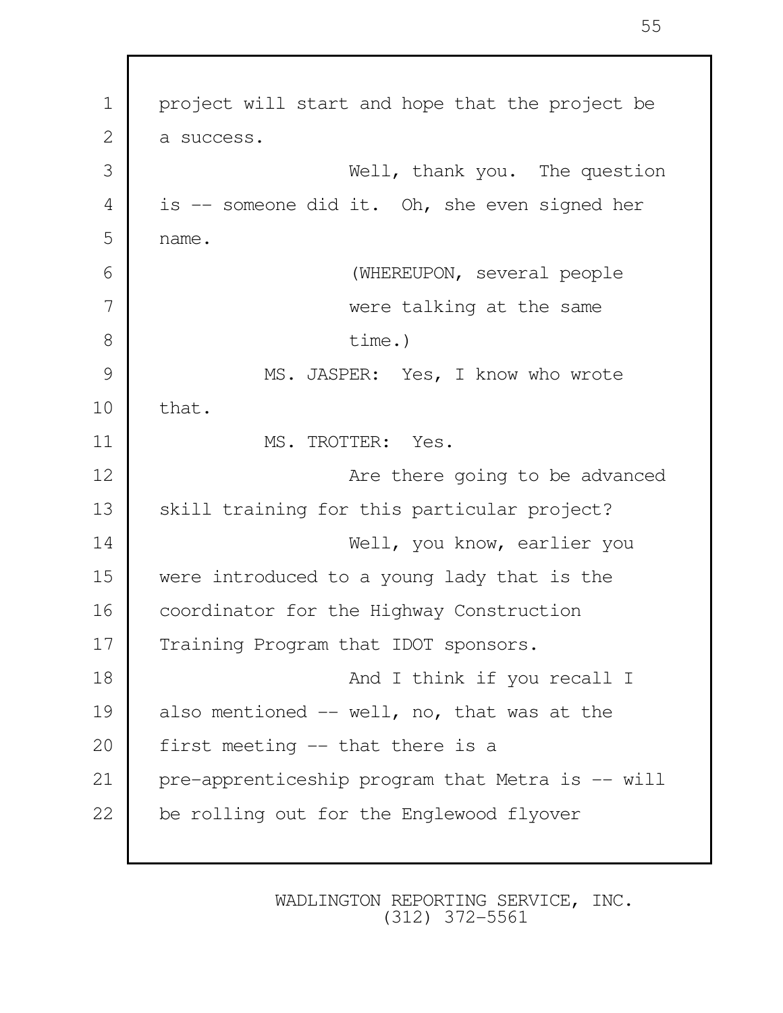| $\mathbf 1$    | project will start and hope that the project be  |
|----------------|--------------------------------------------------|
| $\mathbf{2}$   | a success.                                       |
| 3              | Well, thank you. The question                    |
| $\overline{4}$ | is -- someone did it. Oh, she even signed her    |
| 5              | name.                                            |
| 6              | (WHEREUPON, several people                       |
| 7              | were talking at the same                         |
| 8              | time.)                                           |
| $\mathcal{G}$  | MS. JASPER: Yes, I know who wrote                |
| 10             | that.                                            |
| 11             | MS. TROTTER: Yes.                                |
| 12             | Are there going to be advanced                   |
| 13             | skill training for this particular project?      |
| 14             | Well, you know, earlier you                      |
| 15             | were introduced to a young lady that is the      |
| 16             | coordinator for the Highway Construction         |
| 17             | Training Program that IDOT sponsors.             |
| 18             | And I think if you recall I                      |
| 19             | also mentioned -- well, no, that was at the      |
| 20             | first meeting -- that there is a                 |
| 21             | pre-apprenticeship program that Metra is -- will |
| 22             | be rolling out for the Englewood flyover         |
|                |                                                  |

Г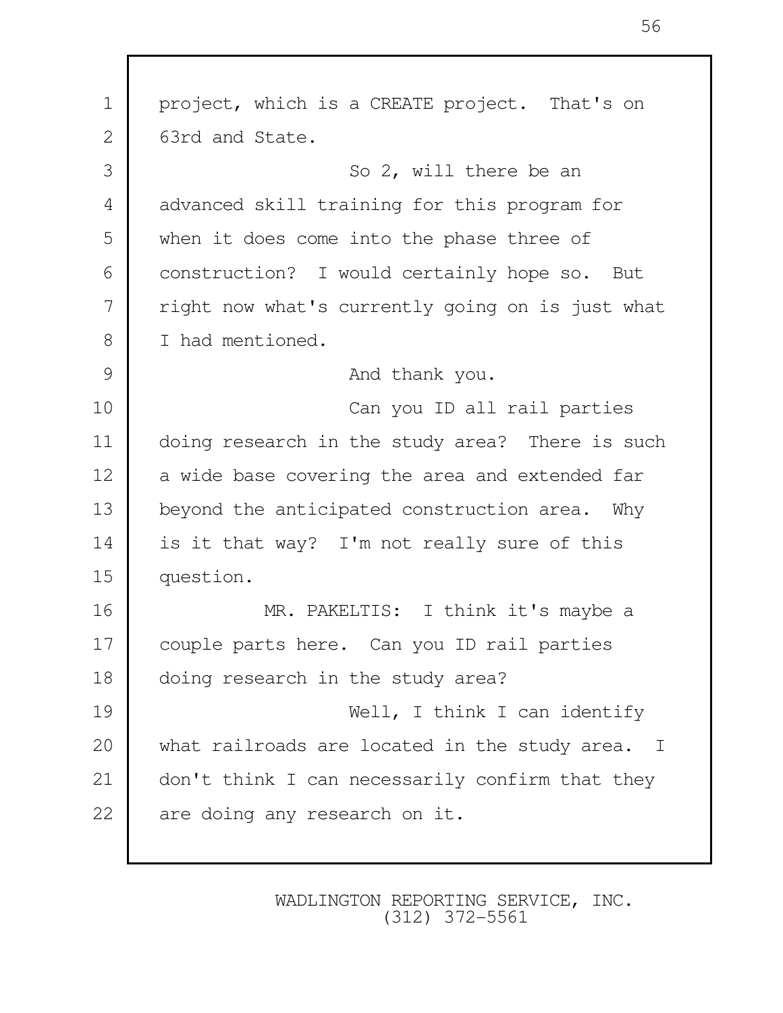1 project, which is a CREATE project. That's on 2 63rd and State. 3 So 2, will there be an 4 advanced skill training for this program for 5 when it does come into the phase three of 6 construction? I would certainly hope so. But 7 | right now what's currently going on is just what 8 I had mentioned. 9 And thank you. 10 Can you ID all rail parties 11 doing research in the study area? There is such 12 a wide base covering the area and extended far 13 beyond the anticipated construction area. Why 14 is it that way? I'm not really sure of this 15 question. 16 MR. PAKELTIS: I think it's maybe a 17 couple parts here. Can you ID rail parties 18 doing research in the study area? 19 Well, I think I can identify 20 what railroads are located in the study area. I 21 don't think I can necessarily confirm that they 22 are doing any research on it.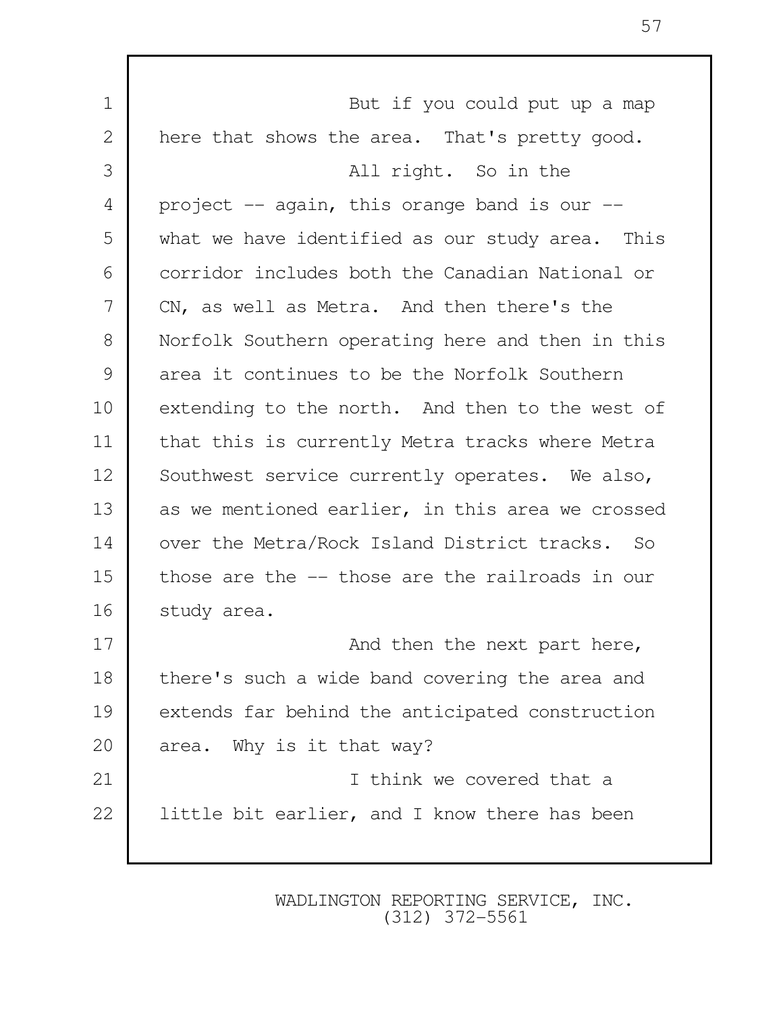| $\mathbf 1$ | But if you could put up a map                    |
|-------------|--------------------------------------------------|
| 2           | here that shows the area. That's pretty good.    |
| 3           | All right. So in the                             |
| 4           | project -- again, this orange band is our --     |
| 5           | what we have identified as our study area. This  |
| 6           | corridor includes both the Canadian National or  |
| 7           | CN, as well as Metra. And then there's the       |
| 8           | Norfolk Southern operating here and then in this |
| 9           | area it continues to be the Norfolk Southern     |
| 10          | extending to the north. And then to the west of  |
| 11          | that this is currently Metra tracks where Metra  |
| 12          | Southwest service currently operates. We also,   |
| 13          | as we mentioned earlier, in this area we crossed |
| 14          | over the Metra/Rock Island District tracks. So   |
| 15          | those are the -- those are the railroads in our  |
| 16          | study area.                                      |
| 17          | And then the next part here,                     |
| $18\,$      | there's such a wide band covering the area and   |
| 19          | extends far behind the anticipated construction  |
| 20          | area. Why is it that way?                        |
| 21          | I think we covered that a                        |
| 22          | little bit earlier, and I know there has been    |
|             |                                                  |

П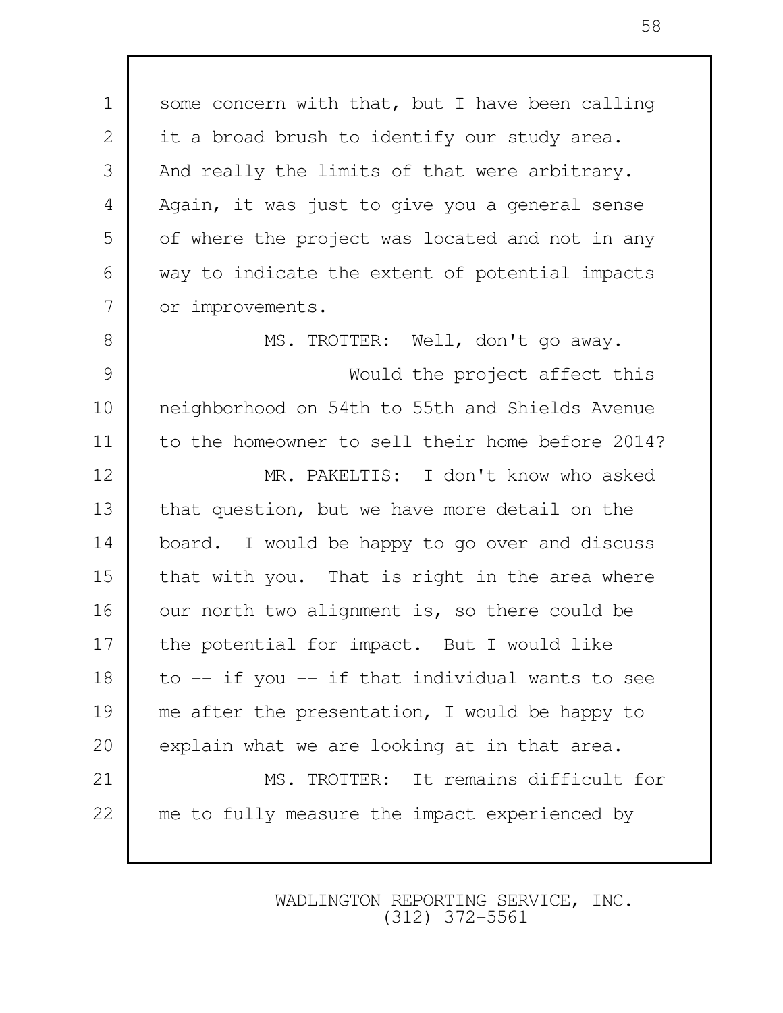1 some concern with that, but I have been calling 2 it a broad brush to identify our study area. 3 And really the limits of that were arbitrary. 4 | Again, it was just to give you a general sense 5 of where the project was located and not in any 6 way to indicate the extent of potential impacts 7 or improvements. 8 MS. TROTTER: Well, don't go away. 9 Would the project affect this 10 neighborhood on 54th to 55th and Shields Avenue 11 to the homeowner to sell their home before 2014? 12 MR. PAKELTIS: I don't know who asked 13 that question, but we have more detail on the 14 board. I would be happy to go over and discuss 15 that with you. That is right in the area where 16 | our north two alignment is, so there could be 17 the potential for impact. But I would like 18 to  $-$  if you  $-$  if that individual wants to see 19 me after the presentation, I would be happy to 20 explain what we are looking at in that area. 21 | MS. TROTTER: It remains difficult for 22 me to fully measure the impact experienced by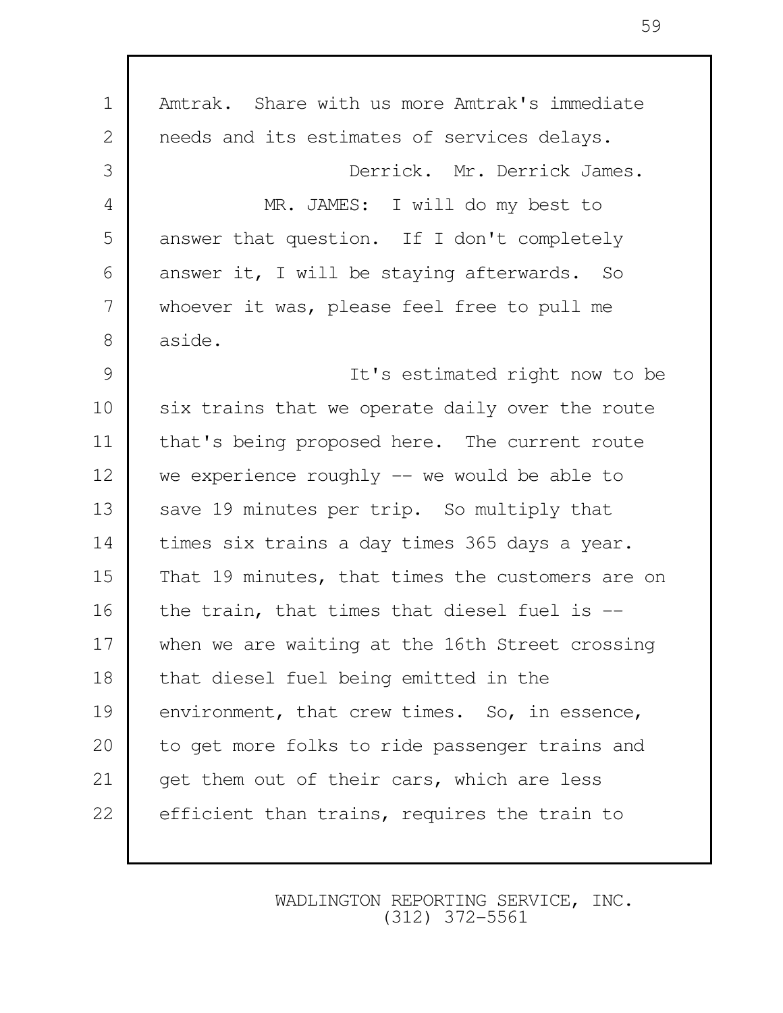1 Amtrak. Share with us more Amtrak's immediate 2 needs and its estimates of services delays. 3 Derrick. Mr. Derrick James. 4 MR. JAMES: I will do my best to 5 answer that question. If I don't completely 6 answer it, I will be staying afterwards. So 7 whoever it was, please feel free to pull me 8 aside. 9 It's estimated right now to be 10 six trains that we operate daily over the route 11 that's being proposed here. The current route 12 we experience roughly -- we would be able to 13 save 19 minutes per trip. So multiply that 14 times six trains a day times 365 days a year. 15 That 19 minutes, that times the customers are on  $16$  the train, that times that diesel fuel is  $-$ 17 when we are waiting at the 16th Street crossing 18 that diesel fuel being emitted in the 19 environment, that crew times. So, in essence, 20 to get more folks to ride passenger trains and 21 | get them out of their cars, which are less 22 efficient than trains, requires the train to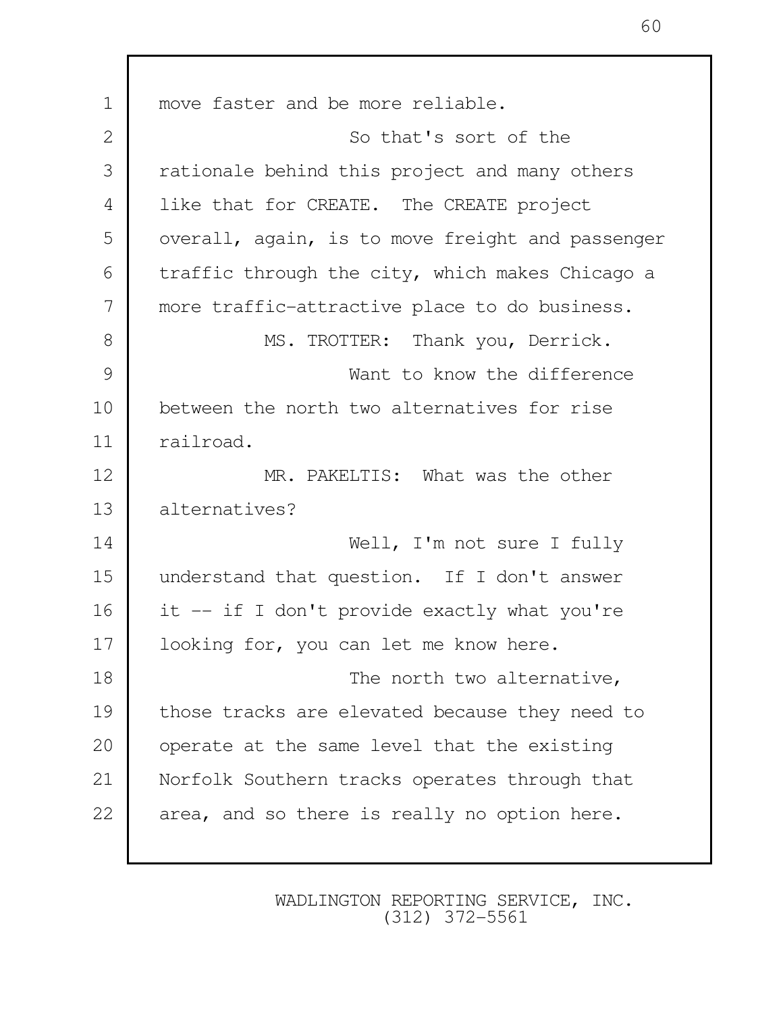1 move faster and be more reliable. 2 So that's sort of the 3 Textionale behind this project and many others 4 like that for CREATE. The CREATE project 5 | overall, again, is to move freight and passenger 6 traffic through the city, which makes Chicago a 7 more traffic-attractive place to do business. 8 MS. TROTTER: Thank you, Derrick. 9 Want to know the difference 10 between the north two alternatives for rise 11 railroad. 12 MR. PAKELTIS: What was the other 13 alternatives? 14 Well, I'm not sure I fully 15 understand that question. If I don't answer 16 it -- if I don't provide exactly what you're 17 | looking for, you can let me know here. 18 The north two alternative, 19 those tracks are elevated because they need to 20 operate at the same level that the existing 21 Norfolk Southern tracks operates through that 22 area, and so there is really no option here.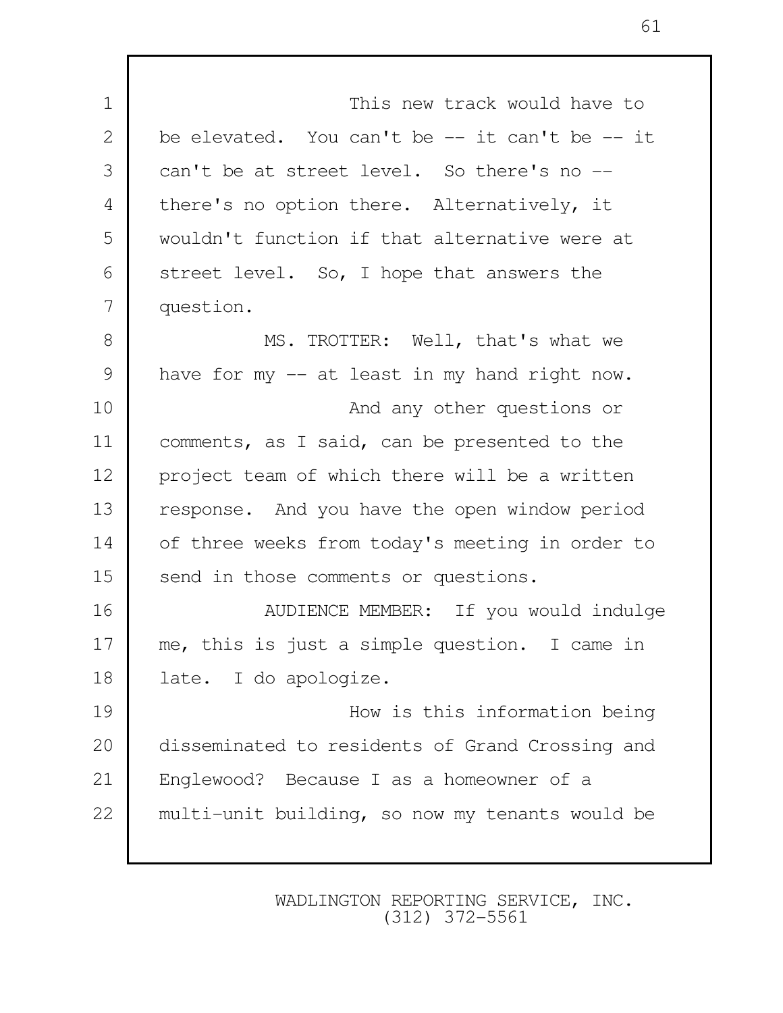1 I This new track would have to 2 be elevated. You can't be -- it can't be -- it 3 can't be at street level. So there's no -- 4 there's no option there. Alternatively, it 5 wouldn't function if that alternative were at 6 Street level. So, I hope that answers the 7 question. 8 MS. TROTTER: Well, that's what we 9 have for my -- at least in my hand right now. 10 **And any other questions or** 11 comments, as I said, can be presented to the 12 project team of which there will be a written 13 response. And you have the open window period 14 of three weeks from today's meeting in order to 15 send in those comments or questions. 16 NUDIENCE MEMBER: If you would indulge 17 me, this is just a simple question. I came in 18 late. I do apologize. 19 How is this information being 20 disseminated to residents of Grand Crossing and 21 Englewood? Because I as a homeowner of a 22 multi-unit building, so now my tenants would be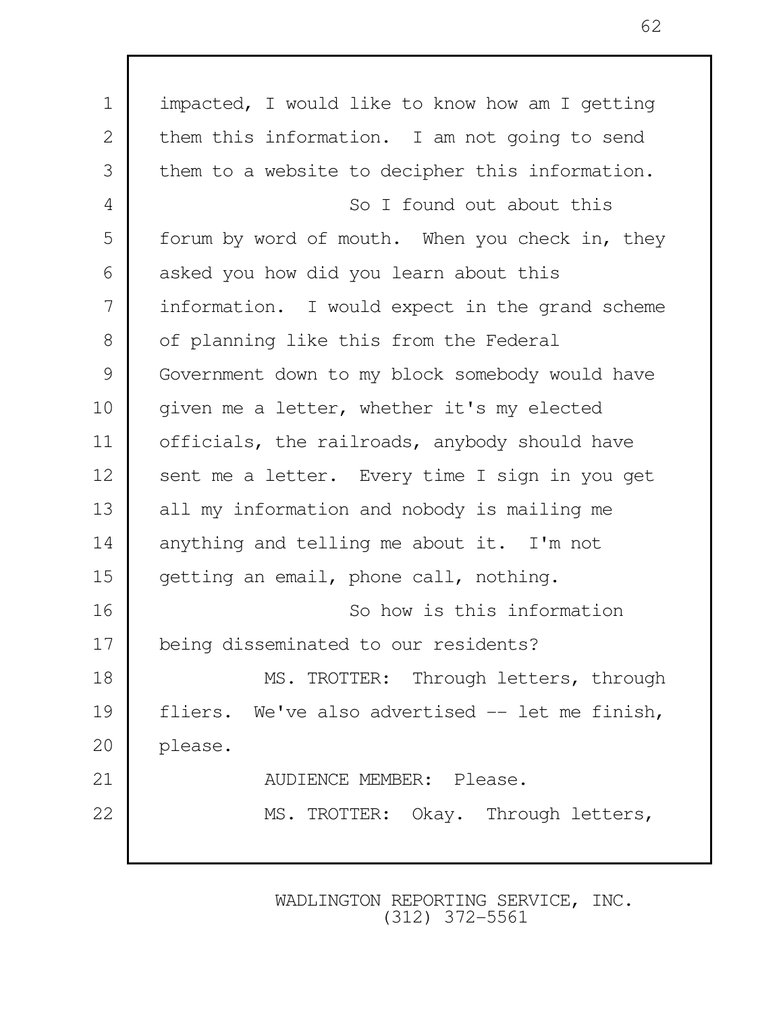| impacted, I would like to know how am I getting |
|-------------------------------------------------|
| them this information. I am not going to send   |
| them to a website to decipher this information. |
| So I found out about this                       |
| forum by word of mouth. When you check in, they |
| asked you how did you learn about this          |
| information. I would expect in the grand scheme |
| of planning like this from the Federal          |
| Government down to my block somebody would have |
| given me a letter, whether it's my elected      |
| officials, the railroads, anybody should have   |
| sent me a letter. Every time I sign in you get  |
| all my information and nobody is mailing me     |
| anything and telling me about it. I'm not       |
| getting an email, phone call, nothing.          |
| So how is this information                      |
| being disseminated to our residents?            |
| MS. TROTTER: Through letters, through           |
| fliers. We've also advertised -- let me finish, |
| please.                                         |
| AUDIENCE MEMBER: Please.                        |
| MS. TROTTER: Okay. Through letters,             |
|                                                 |
|                                                 |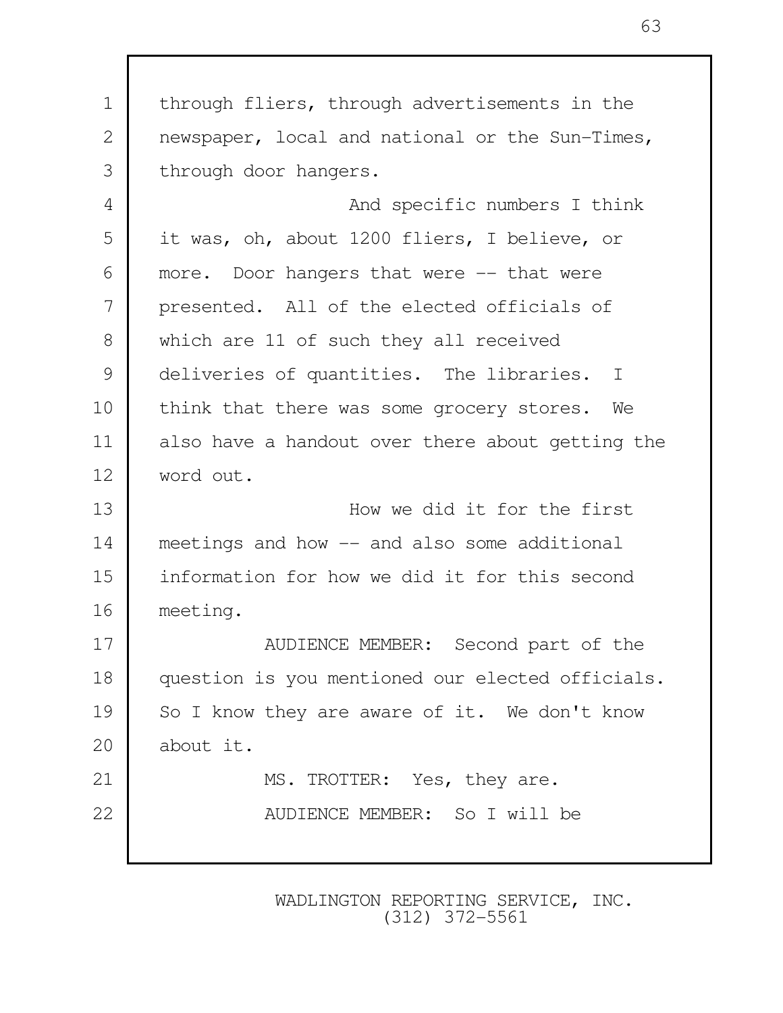1 through fliers, through advertisements in the 2 newspaper, local and national or the Sun-Times, 3 through door hangers. 4 | And specific numbers I think 5 it was, oh, about 1200 fliers, I believe, or 6 more. Door hangers that were -- that were 7 presented. All of the elected officials of 8 which are 11 of such they all received 9 deliveries of quantities. The libraries. I 10 think that there was some grocery stores. We 11 also have a handout over there about getting the 12 word out. 13 How we did it for the first 14 meetings and how -- and also some additional 15 information for how we did it for this second 16 meeting. 17 NUDIENCE MEMBER: Second part of the 18 question is you mentioned our elected officials. 19 So I know they are aware of it. We don't know 20 about it. 21 MS. TROTTER: Yes, they are. 22 No. 22 No. 22 No. 22 No. 22 No. 22 No. 22 No. 22 No. 22 No. 22 No. 22 No. 22 No. 22 No. 22 No. 22 No. 22 No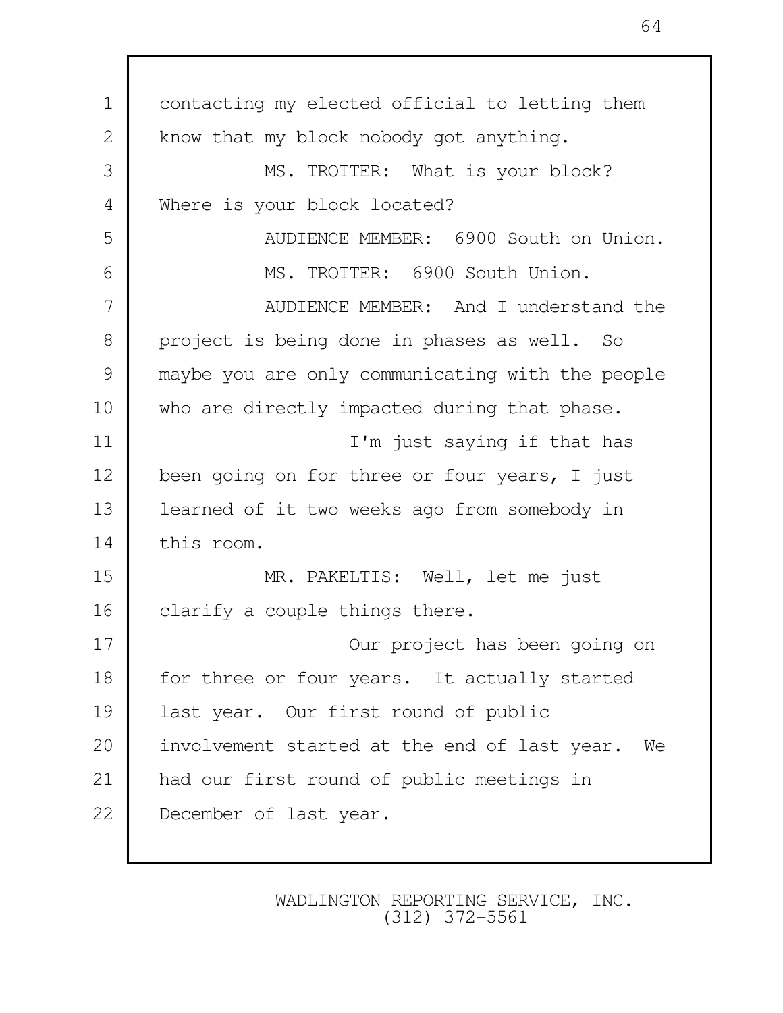1 contacting my elected official to letting them 2 know that my block nobody got anything. 3 MS. TROTTER: What is your block? 4 Where is your block located? 5 AUDIENCE MEMBER: 6900 South on Union. 6 MS. TROTTER: 6900 South Union. 7 AUDIENCE MEMBER: And I understand the 8 project is being done in phases as well. So 9 maybe you are only communicating with the people 10 who are directly impacted during that phase. 11 I'm just saying if that has 12 been going on for three or four years, I just 13 learned of it two weeks ago from somebody in 14 this room. 15 MR. PAKELTIS: Well, let me just 16 | clarify a couple things there. 17 Our project has been going on 18 for three or four years. It actually started 19 last year. Our first round of public 20 involvement started at the end of last year. We 21 had our first round of public meetings in 22 December of last year.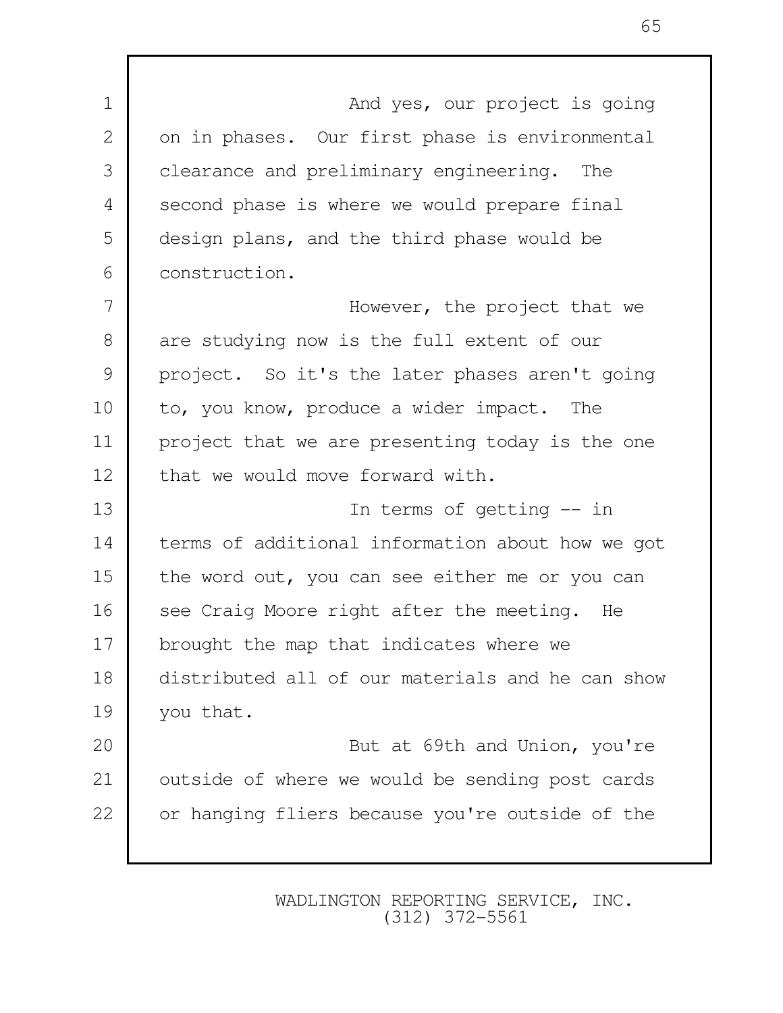1 and yes, our project is going 2 on in phases. Our first phase is environmental 3 clearance and preliminary engineering. The 4 second phase is where we would prepare final 5 design plans, and the third phase would be 6 construction. 7 | Mowever, the project that we 8 are studying now is the full extent of our 9 project. So it's the later phases aren't going 10 to, you know, produce a wider impact. The 11 project that we are presenting today is the one 12 that we would move forward with. 13 In terms of getting  $-$  in 14 terms of additional information about how we got 15 the word out, you can see either me or you can 16 see Craig Moore right after the meeting. He 17 brought the map that indicates where we 18 distributed all of our materials and he can show 19 you that. 20 **But at 69th and Union, you're** 21 outside of where we would be sending post cards 22 or hanging fliers because you're outside of the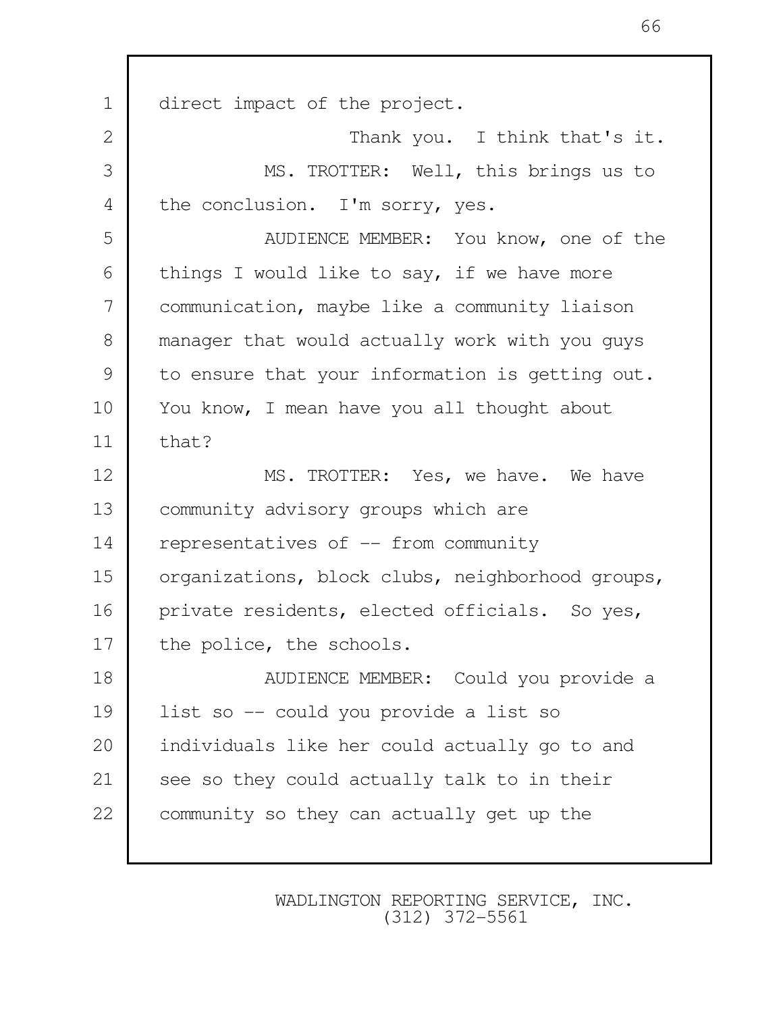1 direct impact of the project. 2 Thank you. I think that's it. 3 MS. TROTTER: Well, this brings us to 4 the conclusion. I'm sorry, yes. 5 AUDIENCE MEMBER: You know, one of the 6 things I would like to say, if we have more 7 communication, maybe like a community liaison 8 manager that would actually work with you guys 9 to ensure that your information is getting out. 10 You know, I mean have you all thought about 11 that? 12 MS. TROTTER: Yes, we have. We have 13 community advisory groups which are 14 representatives of -- from community 15 organizations, block clubs, neighborhood groups, 16 private residents, elected officials. So yes, 17 the police, the schools. 18 AUDIENCE MEMBER: Could you provide a 19 list so -- could you provide a list so 20 individuals like her could actually go to and 21 see so they could actually talk to in their 22 community so they can actually get up the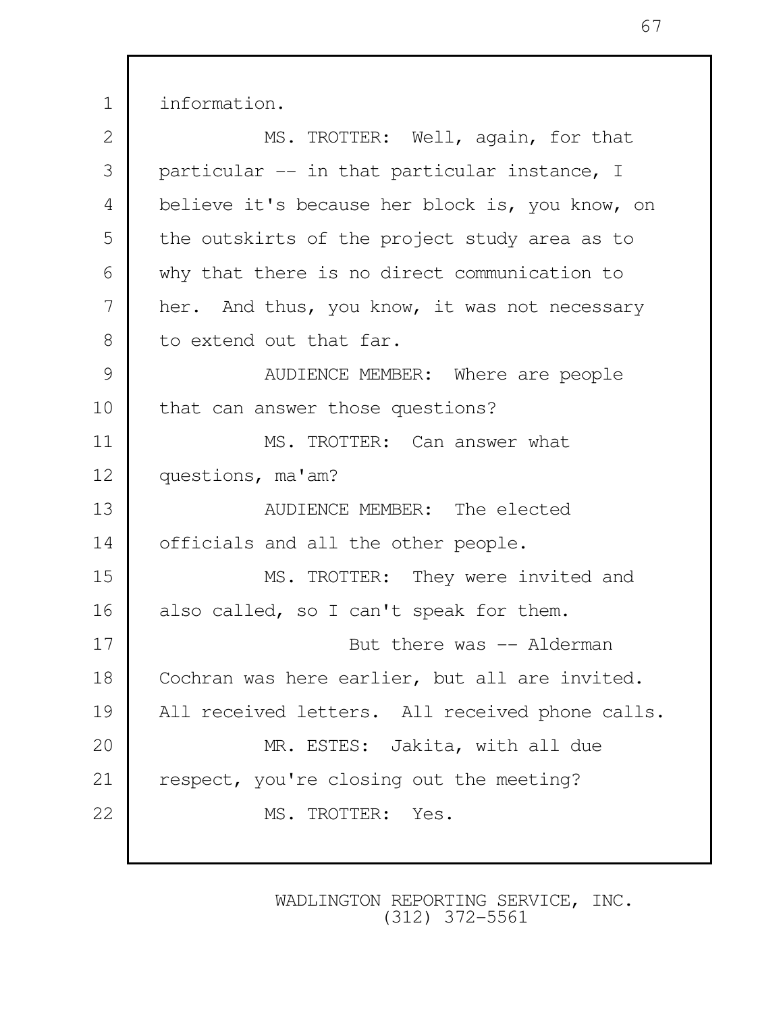1 information.

| 2  | MS. TROTTER: Well, again, for that              |
|----|-------------------------------------------------|
| 3  | particular -- in that particular instance, I    |
| 4  | believe it's because her block is, you know, on |
| 5  | the outskirts of the project study area as to   |
| 6  | why that there is no direct communication to    |
| 7  | her. And thus, you know, it was not necessary   |
| 8  | to extend out that far.                         |
| 9  | AUDIENCE MEMBER: Where are people               |
| 10 | that can answer those questions?                |
| 11 | MS. TROTTER: Can answer what                    |
| 12 | questions, ma'am?                               |
| 13 | AUDIENCE MEMBER: The elected                    |
| 14 | officials and all the other people.             |
| 15 | MS. TROTTER: They were invited and              |
| 16 | also called, so I can't speak for them.         |
| 17 | But there was -- Alderman                       |
| 18 | Cochran was here earlier, but all are invited.  |
| 19 | All received letters. All received phone calls. |
| 20 | MR. ESTES: Jakita, with all due                 |
| 21 | respect, you're closing out the meeting?        |
| 22 | MS. TROTTER: Yes.                               |
|    |                                                 |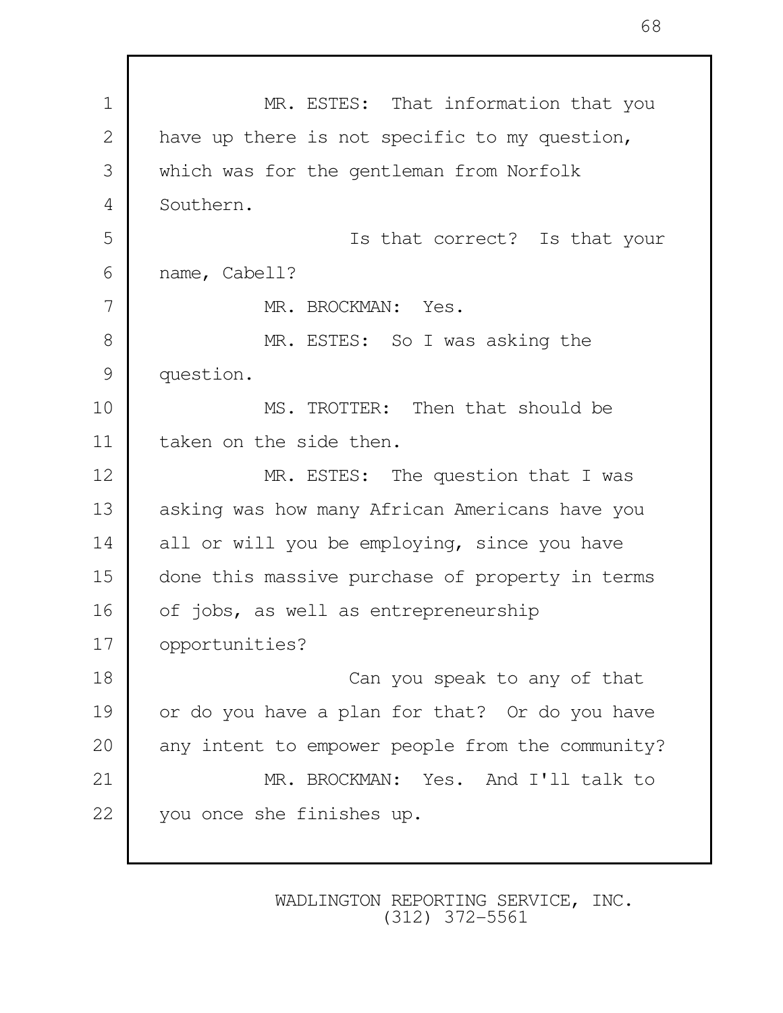1 MR. ESTES: That information that you 2 have up there is not specific to my question, 3 which was for the gentleman from Norfolk 4 Southern. 5 Is that correct? Is that your 6 name, Cabell? 7 MR. BROCKMAN: Yes. 8 MR. ESTES: So I was asking the 9 question. 10 MS. TROTTER: Then that should be 11 taken on the side then. 12 MR. ESTES: The question that I was 13 asking was how many African Americans have you 14 all or will you be employing, since you have 15 done this massive purchase of property in terms 16 of jobs, as well as entrepreneurship 17 opportunities? 18 Can you speak to any of that 19 or do you have a plan for that? Or do you have 20 any intent to empower people from the community? 21 MR. BROCKMAN: Yes. And I'll talk to 22 you once she finishes up.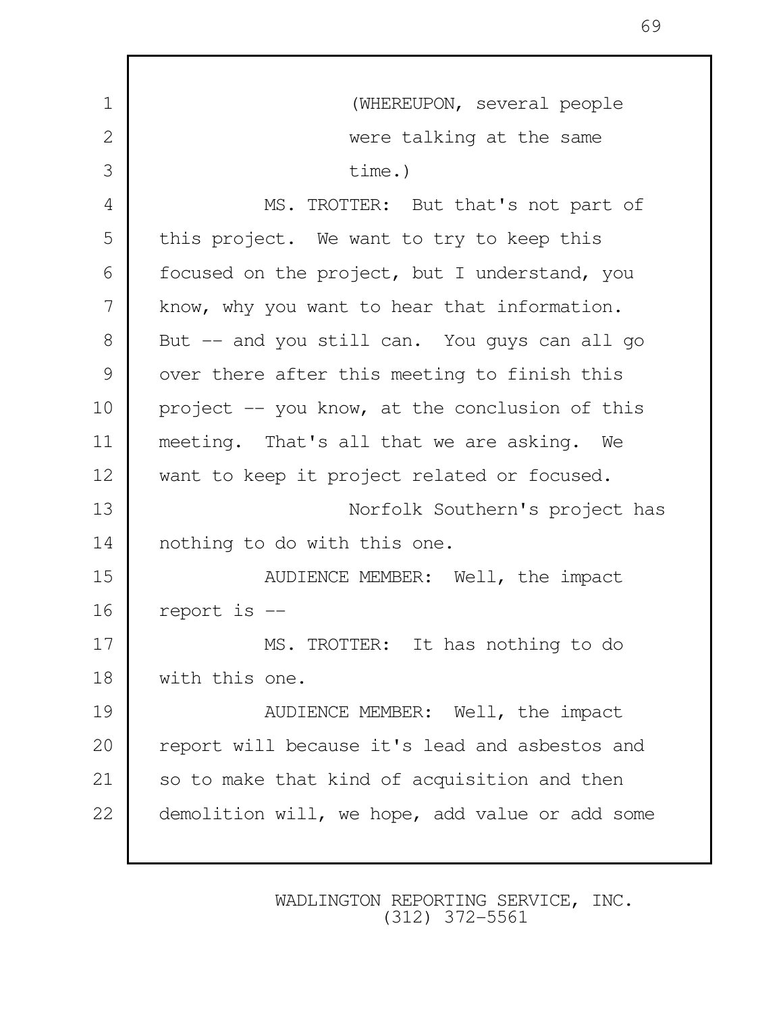| $\mathbf 1$    | (WHEREUPON, several people                      |
|----------------|-------------------------------------------------|
| $\overline{2}$ | were talking at the same                        |
| 3              | time.)                                          |
| 4              | MS. TROTTER: But that's not part of             |
| 5              | this project. We want to try to keep this       |
| 6              | focused on the project, but I understand, you   |
| 7              | know, why you want to hear that information.    |
| 8              | But -- and you still can. You guys can all go   |
| 9              | over there after this meeting to finish this    |
| 10             | project -- you know, at the conclusion of this  |
| 11             | meeting. That's all that we are asking. We      |
| 12             | want to keep it project related or focused.     |
| 13             | Norfolk Southern's project has                  |
| 14             | nothing to do with this one.                    |
| 15             | AUDIENCE MEMBER: Well, the impact               |
| 16             | report is --                                    |
| 17             | MS. TROTTER: It has nothing to do               |
| 18             | with this one.                                  |
| 19             | AUDIENCE MEMBER: Well, the impact               |
| 20             | report will because it's lead and asbestos and  |
| 21             | so to make that kind of acquisition and then    |
| 22             | demolition will, we hope, add value or add some |
|                |                                                 |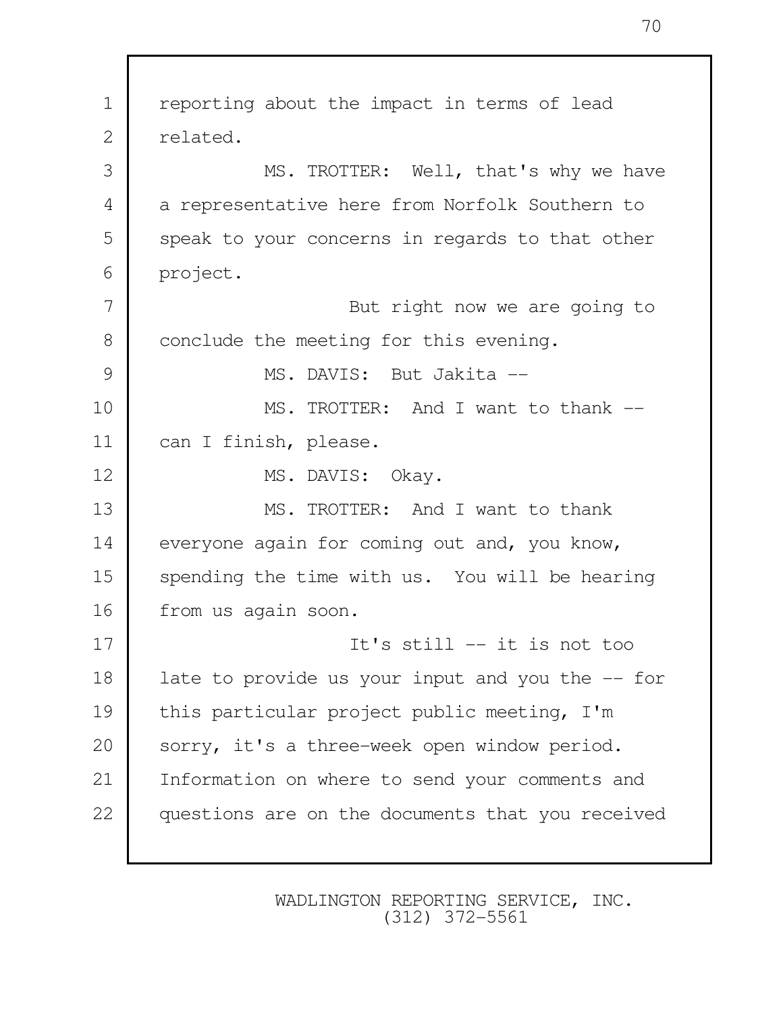| $\mathbf 1$ | reporting about the impact in terms of lead      |
|-------------|--------------------------------------------------|
| 2           | related.                                         |
| 3           | MS. TROTTER: Well, that's why we have            |
| 4           | a representative here from Norfolk Southern to   |
| 5           | speak to your concerns in regards to that other  |
| 6           | project.                                         |
| 7           | But right now we are going to                    |
| 8           | conclude the meeting for this evening.           |
| 9           | MS. DAVIS: But Jakita --                         |
| 10          | MS. TROTTER: And I want to thank --              |
| 11          | can I finish, please.                            |
| 12          | MS. DAVIS: Okay.                                 |
| 13          | MS. TROTTER: And I want to thank                 |
| 14          | everyone again for coming out and, you know,     |
| 15          | spending the time with us. You will be hearing   |
| 16          | from us again soon.                              |
| 17          | It's still $--$ it is not too                    |
| 18          | late to provide us your input and you the -- for |
| 19          | this particular project public meeting, I'm      |
| 20          | sorry, it's a three-week open window period.     |
| 21          | Information on where to send your comments and   |
| 22          | questions are on the documents that you received |
|             |                                                  |
|             |                                                  |

Г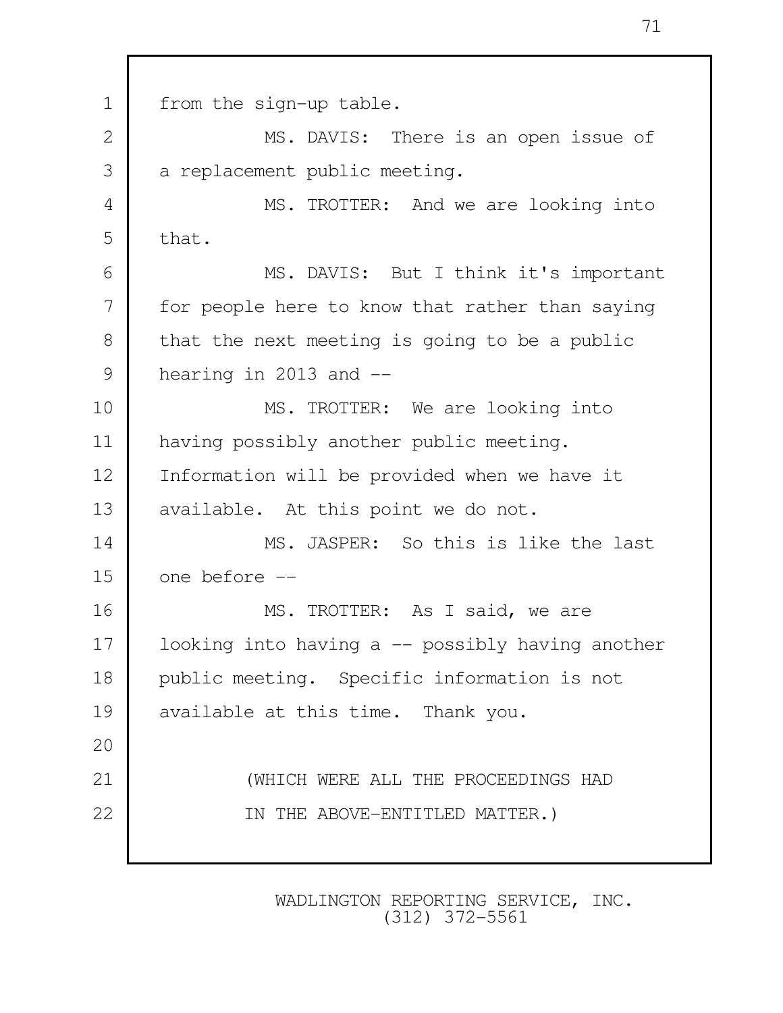1 from the sign-up table. 2 MS. DAVIS: There is an open issue of 3 a replacement public meeting. 4 MS. TROTTER: And we are looking into  $5$  that. 6 MS. DAVIS: But I think it's important 7 for people here to know that rather than saying 8 that the next meeting is going to be a public 9 hearing in 2013 and  $-$ 10 MS. TROTTER: We are looking into 11 | having possibly another public meeting. 12 Information will be provided when we have it 13 available. At this point we do not. 14 MS. JASPER: So this is like the last 15 one before -- 16 MS. TROTTER: As I said, we are 17 looking into having a -- possibly having another 18 public meeting. Specific information is not 19 available at this time. Thank you. 20 21 (WHICH WERE ALL THE PROCEEDINGS HAD 22 IN THE ABOVE-ENTITLED MATTER.)

> WADLINGTON REPORTING SERVICE, INC. (312) 372-5561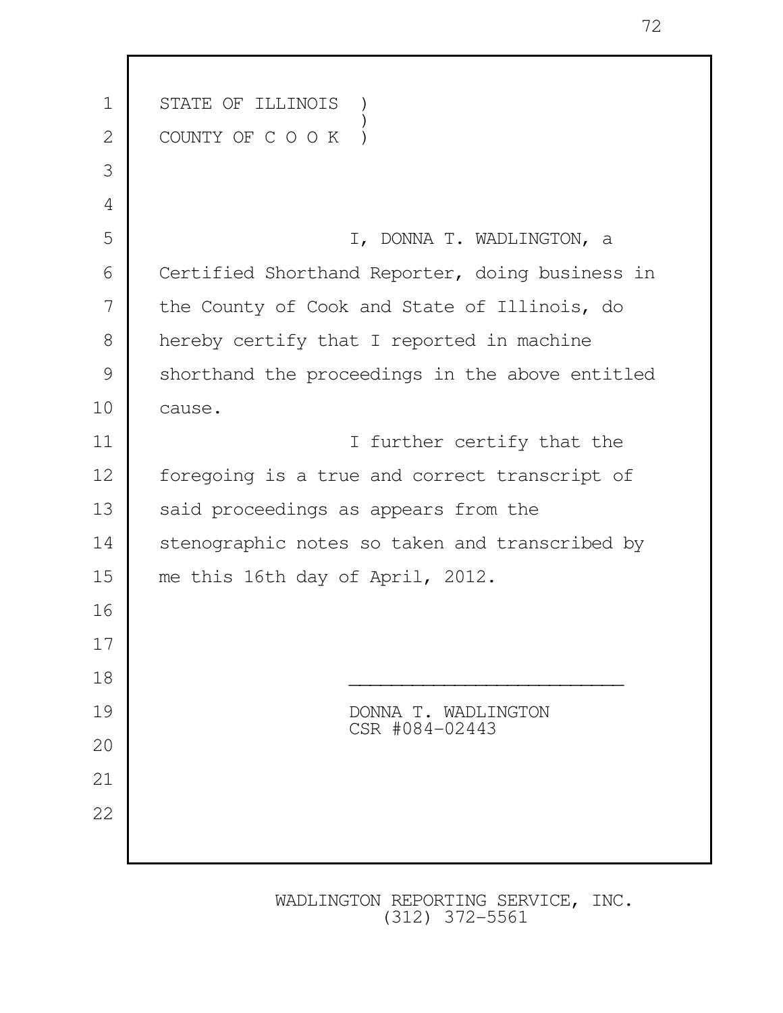| $\mathbf 1$  | STATE OF ILLINOIS                               |
|--------------|-------------------------------------------------|
| $\mathbf{2}$ | COUNTY OF C O O K                               |
| 3            |                                                 |
| 4            |                                                 |
| 5            | I, DONNA T. WADLINGTON, a                       |
| 6            | Certified Shorthand Reporter, doing business in |
| 7            | the County of Cook and State of Illinois, do    |
| 8            | hereby certify that I reported in machine       |
| 9            | shorthand the proceedings in the above entitled |
| 10           | cause.                                          |
| 11           | I further certify that the                      |
| 12           | foregoing is a true and correct transcript of   |
| 13           | said proceedings as appears from the            |
| 14           | stenographic notes so taken and transcribed by  |
| 15           | me this 16th day of April, 2012.                |
| 16           |                                                 |
| 17           |                                                 |
| 18           |                                                 |
| 19           | DONNA T. WADLINGTON<br>CSR #084-02443           |
| 20           |                                                 |
| 21           |                                                 |
| 22           |                                                 |
|              |                                                 |

WADLINGTON REPORTING SERVICE, INC. (312) 372-5561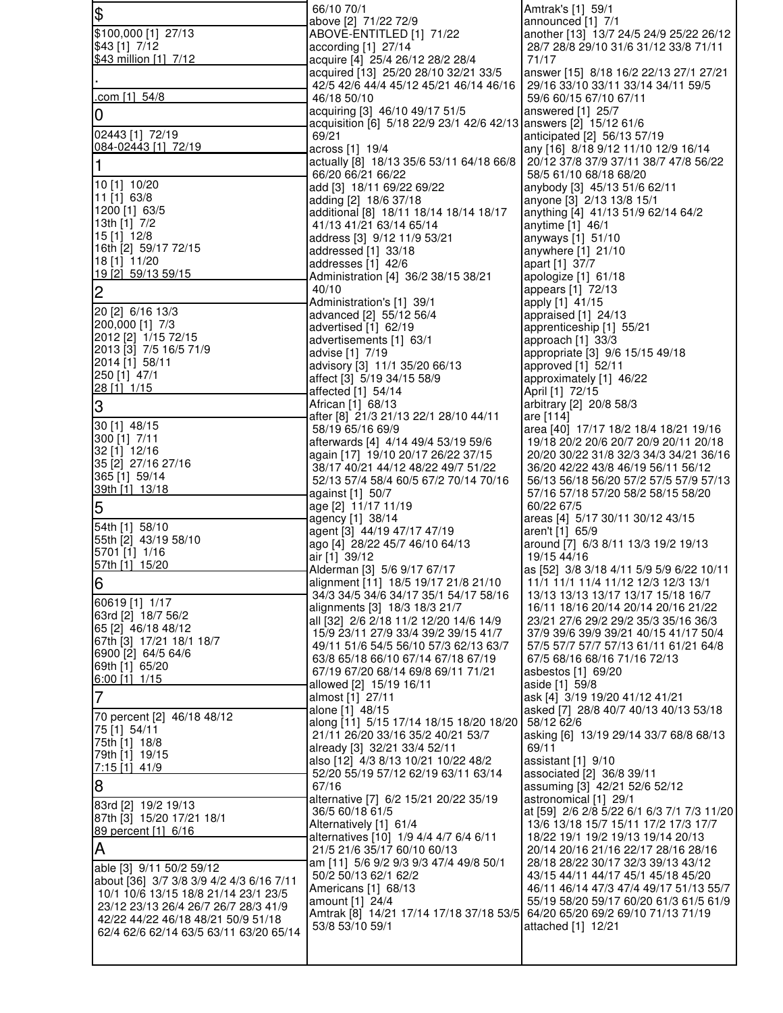| \$                                                                           | 66/10 70/1                                                                   | Amtrak's [1] 59/1                                                                |
|------------------------------------------------------------------------------|------------------------------------------------------------------------------|----------------------------------------------------------------------------------|
|                                                                              | above [2] 71/22 72/9                                                         | announced [1] 7/1                                                                |
| \$100,000 [1] 27/13<br>\$43 [1] 7/12                                         | ABOVE-ENTITLED [1] 71/22<br>according $[1]$ 27/14                            | another [13] 13/7 24/5 24/9 25/22 26/12<br>28/7 28/8 29/10 31/6 31/12 33/8 71/11 |
| \$43 million [1] 7/12                                                        | acquire [4] 25/4 26/12 28/2 28/4                                             | 71/17                                                                            |
|                                                                              | acquired [13] 25/20 28/10 32/21 33/5                                         | answer [15] 8/18 16/2 22/13 27/1 27/21                                           |
| .com [1] 54/8                                                                | 42/5 42/6 44/4 45/12 45/21 46/14 46/16                                       | 29/16 33/10 33/11 33/14 34/11 59/5                                               |
|                                                                              | 46/18 50/10<br>acquiring [3] 46/10 49/17 51/5                                | 59/6 60/15 67/10 67/11<br>answered [1] 25/7                                      |
| 0                                                                            | acquisition [6] 5/18 22/9 23/1 42/6 42/13                                    | answers [2] 15/12 61/6                                                           |
| 02443 [1] 72/19                                                              | 69/21                                                                        | anticipated [2] 56/13 57/19                                                      |
| 084-02443 [1] 72/19                                                          | across [1] 19/4<br>actually [8] 18/13 35/6 53/11 64/18 66/8                  | any [16] 8/18 9/12 11/10 12/9 16/14<br>20/12 37/8 37/9 37/11 38/7 47/8 56/22     |
|                                                                              | 66/20 66/21 66/22                                                            | 58/5 61/10 68/18 68/20                                                           |
| 10 [1] 10/20                                                                 | add [3] 18/11 69/22 69/22                                                    | anybody [3] 45/13 51/6 62/11                                                     |
| 11 [1] 63/8<br>1200 [1] 63/5                                                 | adding [2] 18/6 37/18                                                        | anyone [3] 2/13 13/8 15/1                                                        |
| 13th [1] 7/2                                                                 | additional [8] 18/11 18/14 18/14 18/17<br>41/13 41/21 63/14 65/14            | anything [4] 41/13 51/9 62/14 64/2<br>anytime [1] 46/1                           |
| 15 [1] 12/8                                                                  | address [3] 9/12 11/9 53/21                                                  | anyways [1] 51/10                                                                |
| 16th [2] 59/17 72/15                                                         | addressed [1] 33/18                                                          | anywhere [1] 21/10                                                               |
| 18 [1] 11/20<br>19 [2] 59/13 59/15                                           | addresses [1] 42/6<br>Administration [4] 36/2 38/15 38/21                    | apart [1] 37/7<br>apologize [1] 61/18                                            |
| 2                                                                            | 40/10                                                                        | appears [1] 72/13                                                                |
|                                                                              | Administration's [1] 39/1                                                    | apply [1] 41/15                                                                  |
| 20 [2] 6/16 13/3<br>200,000 [1] 7/3                                          | advanced [2] 55/12 56/4                                                      | appraised [1] 24/13                                                              |
| 2012 [2] 1/15 72/15                                                          | advertised [1] 62/19<br>advertisements [1] 63/1                              | apprenticeship [1] 55/21<br>approach [1] 33/3                                    |
| 2013 [3] 7/5 16/5 71/9                                                       | advise [1] 7/19                                                              | appropriate [3] 9/6 15/15 49/18                                                  |
| 2014 [1] 58/11                                                               | advisory [3] 11/1 35/20 66/13                                                | approved [1] 52/11                                                               |
| 250 [1] 47/1<br>28 [1] 1/15                                                  | affect [3] 5/19 34/15 58/9                                                   | approximately [1] 46/22                                                          |
| 3                                                                            | affected [1] 54/14<br>African [1] 68/13                                      | April [1] 72/15<br>arbitrary [2] 20/8 58/3                                       |
|                                                                              | after [8] 21/3 21/13 22/1 28/10 44/11                                        | are [114]                                                                        |
| 30 [1] 48/15<br>300 [1] 7/11                                                 | 58/19 65/16 69/9                                                             | area [40] 17/17 18/2 18/4 18/21 19/16                                            |
| 32 [1] 12/16                                                                 | afterwards [4] 4/14 49/4 53/19 59/6<br>again [17] 19/10 20/17 26/22 37/15    | 19/18 20/2 20/6 20/7 20/9 20/11 20/18<br>20/20 30/22 31/8 32/3 34/3 34/21 36/16  |
| 35 [2] 27/16 27/16                                                           | 38/17 40/21 44/12 48/22 49/7 51/22                                           | 36/20 42/22 43/8 46/19 56/11 56/12                                               |
| 365 [1] 59/14                                                                | 52/13 57/4 58/4 60/5 67/2 70/14 70/16                                        | 56/13 56/18 56/20 57/2 57/5 57/9 57/13                                           |
| 39th [1] 13/18                                                               | against [1] 50/7                                                             | 57/16 57/18 57/20 58/2 58/15 58/20                                               |
| 5                                                                            | age [2] 11/17 11/19<br>agency [1] 38/14                                      | 60/22 67/5<br>areas [4] 5/17 30/11 30/12 43/15                                   |
| 54th [1] 58/10                                                               | agent [3] 44/19 47/17 47/19                                                  | aren't [1] 65/9                                                                  |
| 55th [2] 43/19 58/10<br>5701 [1] 1/16                                        | ago [4] 28/22 45/7 46/10 64/13                                               | around [7] 6/3 8/11 13/3 19/2 19/13                                              |
| 57th [1] 15/20                                                               | air [1] 39/12<br>Alderman [3] 5/6 9/17 67/17                                 | 19/15 44/16<br>as [52] 3/8 3/18 4/11 5/9 5/9 6/22 10/11                          |
| 6                                                                            | alignment [11] 18/5 19/17 21/8 21/10                                         | 11/1 11/1 11/4 11/12 12/3 12/3 13/1                                              |
| 60619 [1] 1/17                                                               | 34/3 34/5 34/6 34/17 35/1 54/17 58/16                                        | 13/13 13/13 13/17 13/17 15/18 16/7                                               |
| 63rd [2] 18/7 56/2                                                           | alignments [3] 18/3 18/3 21/7<br>all [32] 2/6 2/18 11/2 12/20 14/6 14/9      | 16/11 18/16 20/14 20/14 20/16 21/22<br>23/21 27/6 29/2 29/2 35/3 35/16 36/3      |
| 65 [2] 46/18 48/12                                                           | 15/9 23/11 27/9 33/4 39/2 39/15 41/7                                         | 37/9 39/6 39/9 39/21 40/15 41/17 50/4                                            |
| 67th [3] 17/21 18/1 18/7<br>6900 [2] 64/5 64/6                               | 49/11 51/6 54/5 56/10 57/3 62/13 63/7                                        | 57/5 57/7 57/7 57/13 61/11 61/21 64/8                                            |
| 69th [1] 65/20                                                               | 63/8 65/18 66/10 67/14 67/18 67/19                                           | 67/5 68/16 68/16 71/16 72/13                                                     |
| $6:00$ [1] $1/15$                                                            | 67/19 67/20 68/14 69/8 69/11 71/21<br>allowed [2] 15/19 16/11                | asbestos [1] 69/20<br>aside [1] 59/8                                             |
| 7                                                                            | almost [1] 27/11                                                             | ask [4] 3/19 19/20 41/12 41/21                                                   |
| 70 percent [2] 46/18 48/12                                                   | alone [1] 48/15                                                              | asked [7] 28/8 40/7 40/13 40/13 53/18                                            |
| 75 [1] 54/11                                                                 | along [11] 5/15 17/14 18/15 18/20 18/20<br>21/11 26/20 33/16 35/2 40/21 53/7 | 58/12 62/6<br>asking [6] 13/19 29/14 33/7 68/8 68/13                             |
| 75th [1] 18/8                                                                | already [3] 32/21 33/4 52/11                                                 | 69/11                                                                            |
| 79th [1] 19/15<br>7:15 [1] 41/9                                              | also [12] 4/3 8/13 10/21 10/22 48/2                                          | assistant [1] 9/10                                                               |
|                                                                              | 52/20 55/19 57/12 62/19 63/11 63/14                                          | associated [2] 36/8 39/11                                                        |
| 8                                                                            | 67/16<br>alternative [7] 6/2 15/21 20/22 35/19                               | assuming [3] 42/21 52/6 52/12<br>astronomical [1] 29/1                           |
| 83rd [2] 19/2 19/13<br>87th [3] 15/20 17/21 18/1                             | 36/5 60/18 61/5                                                              | at [59] 2/6 2/8 5/22 6/1 6/3 7/1 7/3 11/20                                       |
| 89 percent [1] 6/16                                                          | Alternatively [1] 61/4                                                       | 13/6 13/18 15/7 15/11 17/2 17/3 17/7                                             |
| A                                                                            | alternatives [10] 1/9 4/4 4/7 6/4 6/11<br>21/5 21/6 35/17 60/10 60/13        | 18/22 19/1 19/2 19/13 19/14 20/13<br>20/14 20/16 21/16 22/17 28/16 28/16         |
|                                                                              | am [11] 5/6 9/2 9/3 9/3 47/4 49/8 50/1                                       | 28/18 28/22 30/17 32/3 39/13 43/12                                               |
| able [3] 9/11 50/2 59/12<br>about [36] 3/7 3/8 3/9 4/2 4/3 6/16 7/11         | 50/2 50/13 62/1 62/2                                                         | 43/15 44/11 44/17 45/1 45/18 45/20                                               |
| 10/1 10/6 13/15 18/8 21/14 23/1 23/5                                         | Americans [1] 68/13                                                          | 46/11 46/14 47/3 47/4 49/17 51/13 55/7                                           |
| 23/12 23/13 26/4 26/7 26/7 28/3 41/9                                         | amount [1] 24/4<br>Amtrak [8] 14/21 17/14 17/18 37/18 53/5                   | 55/19 58/20 59/17 60/20 61/3 61/5 61/9<br>64/20 65/20 69/2 69/10 71/13 71/19     |
| 42/22 44/22 46/18 48/21 50/9 51/18<br>62/4 62/6 62/14 63/5 63/11 63/20 65/14 | 53/8 53/10 59/1                                                              | attached [1] 12/21                                                               |
|                                                                              |                                                                              |                                                                                  |
|                                                                              |                                                                              |                                                                                  |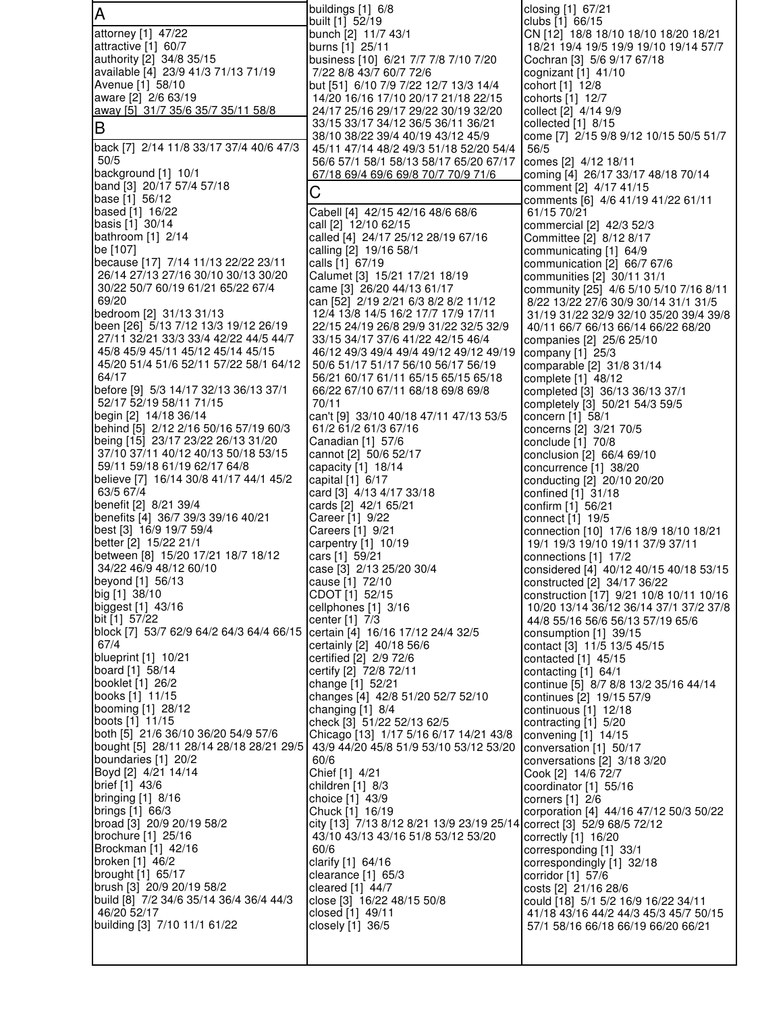| A                                                                              | buildings [1] 6/8<br>built [1] 52/19                                             | closing [1] 67/21<br>clubs [1] 66/15                                         |
|--------------------------------------------------------------------------------|----------------------------------------------------------------------------------|------------------------------------------------------------------------------|
| attorney [1] 47/22                                                             | bunch [2] 11/7 43/1                                                              | CN [12] 18/8 18/10 18/10 18/20 18/21                                         |
| attractive [1] 60/7                                                            | burns [1] 25/11                                                                  | 18/21 19/4 19/5 19/9 19/10 19/14 57/7                                        |
| authority [2] 34/8 35/15                                                       | business [10]  6/21 7/7 7/8 7/10 7/20                                            | Cochran [3] 5/6 9/17 67/18                                                   |
| available [4] 23/9 41/3 71/13 71/19<br>Avenue [1] 58/10                        | 7/22 8/8 43/7 60/7 72/6<br>but [51] 6/10 7/9 7/22 12/7 13/3 14/4                 | cognizant $[1]$ 41/10<br>cohort [1] 12/8                                     |
| aware [2] 2/6 63/19                                                            | 14/20 16/16 17/10 20/17 21/18 22/15                                              | cohorts [1] 12/7                                                             |
| <u>away [5] 31/7 35/6 35/7 35/11 58/8</u>                                      | 24/17 25/16 29/17 29/22 30/19 32/20                                              | collect [2] 4/14 9/9                                                         |
| B                                                                              | 33/15 33/17 34/12 36/5 36/11 36/21                                               | collected [1] 8/15                                                           |
| back [7] 2/14 11/8 33/17 37/4 40/6 47/3                                        | 38/10 38/22 39/4 40/19 43/12 45/9<br>45/11 47/14 48/2 49/3 51/18 52/20 54/4      | come [7] 2/15 9/8 9/12 10/15 50/5 51/7<br>56/5                               |
| 50/5                                                                           | 56/6 57/1 58/1 58/13 58/17 65/20 67/17                                           | comes [2] 4/12 18/11                                                         |
| background [1] 10/1                                                            | 67/18 69/4 69/6 69/8 70/7 70/9 71/6                                              | coming [4] 26/17 33/17 48/18 70/14                                           |
| band [3] 20/17 57/4 57/18                                                      | С                                                                                | comment [2] 4/17 41/15                                                       |
| base [1] 56/12<br>based [1] 16/22                                              | Cabell [4] 42/15 42/16 48/6 68/6                                                 | comments [6] 4/6 41/19 41/22 61/11<br>61/15 70/21                            |
| basis [1] 30/14                                                                | call [2] 12/10 62/15                                                             | commercial [2] 42/3 52/3                                                     |
| bathroom [1] 2/14                                                              | called [4] 24/17 25/12 28/19 67/16                                               | Committee [2] 8/12 8/17                                                      |
| be [107]                                                                       | calling [2] 19/16 58/1                                                           | communicating [1] 64/9                                                       |
| because [17] 7/14 11/13 22/22 23/11<br>26/14 27/13 27/16 30/10 30/13 30/20     | calls [1] 67/19<br>Calumet [3] 15/21 17/21 18/19                                 | communication [2] 66/7 67/6                                                  |
| 30/22 50/7 60/19 61/21 65/22 67/4                                              | came [3] 26/20 44/13 61/17                                                       | communities [2] 30/11 31/1<br>community [25] 4/6 5/10 5/10 7/16 8/11         |
| 69/20                                                                          | can [52]  2/19 2/21 6/3 8/2 8/2 11/12                                            | 8/22 13/22 27/6 30/9 30/14 31/1 31/5                                         |
| bedroom [2] 31/13 31/13                                                        | 12/4 13/8 14/5 16/2 17/7 17/9 17/11                                              | 31/19 31/22 32/9 32/10 35/20 39/4 39/8                                       |
| been [26] 5/13 7/12 13/3 19/12 26/19<br>27/11 32/21 33/3 33/4 42/22 44/5 44/7  | 22/15 24/19 26/8 29/9 31/22 32/5 32/9<br>33/15 34/17 37/6 41/22 42/15 46/4       | 40/11 66/7 66/13 66/14 66/22 68/20                                           |
| 45/8 45/9 45/11 45/12 45/14 45/15                                              | 46/12 49/3 49/4 49/4 49/12 49/12 49/19                                           | companies [2] 25/6 25/10<br>company $[1]$ 25/3                               |
| 45/20 51/4 51/6 52/11 57/22 58/1 64/12                                         | 50/6 51/17 51/17 56/10 56/17 56/19                                               | comparable [2] 31/8 31/14                                                    |
| 64/17                                                                          | 56/21 60/17 61/11 65/15 65/15 65/18                                              | complete [1] 48/12                                                           |
| before [9] 5/3 14/17 32/13 36/13 37/1<br>52/17 52/19 58/11 71/15               | 66/22 67/10 67/11 68/18 69/8 69/8<br>70/11                                       | completed [3] 36/13 36/13 37/1                                               |
| begin [2] 14/18 36/14                                                          | can't [9] 33/10 40/18 47/11 47/13 53/5                                           | completely [3] 50/21 54/3 59/5<br>concern [1] 58/1                           |
| behind [5] 2/12 2/16 50/16 57/19 60/3                                          | 61/2 61/2 61/3 67/16                                                             | concerns [2] 3/21 70/5                                                       |
| being [15] 23/17 23/22 26/13 31/20                                             | Canadian [1] 57/6                                                                | conclude [1] 70/8                                                            |
| 37/10 37/11 40/12 40/13 50/18 53/15<br>59/11 59/18 61/19 62/17 64/8            | cannot [2] 50/6 52/17<br>capacity $[1]$ 18/14                                    | conclusion [2] 66/4 69/10<br>concurrence [1] 38/20                           |
| believe [7] 16/14 30/8 41/17 44/1 45/2                                         | capital [1] 6/17                                                                 | conducting [2] 20/10 20/20                                                   |
| 63/5 67/4                                                                      | card [3] 4/13 4/17 33/18                                                         | confined $[1]$ 31/18                                                         |
| benefit [2] 8/21 39/4<br>benefits [4] 36/7 39/3 39/16 40/21                    | cards [2] 42/1 65/21<br>Career [1] 9/22                                          | confirm [1] 56/21                                                            |
| best [3] 16/9 19/7 59/4                                                        | Careers [1] 9/21                                                                 | connect [1] 19/5<br>connection [10] 17/6 18/9 18/10 18/21                    |
| better [2] 15/22 21/1                                                          | carpentry [1] 10/19                                                              | 19/1 19/3 19/10 19/11 37/9 37/11                                             |
| between [8] 15/20 17/21 18/7 18/12                                             | cars [1] 59/21                                                                   | connections [1] 17/2                                                         |
| 34/22 46/9 48/12 60/10<br>beyond [1] 56/13                                     | case [3] 2/13 25/20 30/4<br>cause [1] 72/10                                      | considered [4] 40/12 40/15 40/18 53/15<br>constructed [2] 34/17 36/22        |
| big [1] 38/10                                                                  | CDOT [1] 52/15                                                                   | construction [17] 9/21 10/8 10/11 10/16                                      |
| biggest [1] 43/16                                                              | cellphones [1] 3/16                                                              | 10/20 13/14 36/12 36/14 37/1 37/2 37/8                                       |
| bit [1] 57/22<br>block [7] 53/7 62/9 64/2 64/3 64/4 66/15                      | center [1] 7/3<br>certain [4] 16/16 17/12 24/4 32/5                              | 44/8 55/16 56/6 56/13 57/19 65/6<br>consumption [1] 39/15                    |
| 67/4                                                                           | certainly [2] 40/18 56/6                                                         | contact [3] 11/5 13/5 45/15                                                  |
| blueprint [1] 10/21                                                            | certified [2] 2/9 72/6                                                           | contacted [1] 45/15                                                          |
| board [1] 58/14<br>booklet [1] 26/2                                            | certify [2] 72/8 72/11                                                           | contacting [1] 64/1                                                          |
| books [1] 11/15                                                                | change [1] 52/21<br>changes [4] 42/8 51/20 52/7 52/10                            | continue [5] 8/7 8/8 13/2 35/16 44/14<br>continues [2] 19/15 57/9            |
| booming [1] 28/12                                                              | changing [1] 8/4                                                                 | continuous [1] 12/18                                                         |
| boots [1] 11/15                                                                | check [3] 51/22 52/13 62/5                                                       | contracting [1] 5/20                                                         |
| both [5] 21/6 36/10 36/20 54/9 57/6<br>bought [5] 28/11 28/14 28/18 28/21 29/5 | Chicago [13] 1/17 5/16 6/17 14/21 43/8<br>43/9 44/20 45/8 51/9 53/10 53/12 53/20 | convening $[1]$ 14/15<br>conversation [1] 50/17                              |
| boundaries [1] 20/2                                                            | 60/6                                                                             | conversations [2] 3/18 3/20                                                  |
| Boyd [2] 4/21 14/14                                                            | Chief [1] 4/21                                                                   | Cook [2] 14/6 72/7                                                           |
| brief [1] 43/6<br>bringing [1] 8/16                                            | children [1] 8/3                                                                 | coordinator [1] 55/16                                                        |
| brings [1] 66/3                                                                | choice [1] 43/9<br>Chuck [1] 16/19                                               | corners [1] 2/6<br>corporation [4] 44/16 47/12 50/3 50/22                    |
| broad [3] 20/9 20/19 58/2                                                      | city [13] 7/13 8/12 8/21 13/9 23/19 25/14                                        | correct [3] 52/9 68/5 72/12                                                  |
| brochure [1] 25/16                                                             | 43/10 43/13 43/16 51/8 53/12 53/20                                               | correctly [1] 16/20                                                          |
| Brockman [1] 42/16<br>broken [1] 46/2                                          | 60/6<br>clarify [1] 64/16                                                        | corresponding [1] 33/1<br>correspondingly [1] 32/18                          |
| brought [1] 65/17                                                              | clearance [1] 65/3                                                               | corridor [1] 57/6                                                            |
| brush [3] 20/9 20/19 58/2                                                      | cleared [1] 44/7                                                                 | costs [2] 21/16 28/6                                                         |
| build [8] 7/2 34/6 35/14 36/4 36/4 44/3<br>46/20 52/17                         | close [3] 16/22 48/15 50/8<br>closed [1] 49/11                                   | could [18] 5/1 5/2 16/9 16/22 34/11<br>41/18 43/16 44/2 44/3 45/3 45/7 50/15 |
| building [3] 7/10 11/1 61/22                                                   | closely [1] 36/5                                                                 | 57/1 58/16 66/18 66/19 66/20 66/21                                           |
|                                                                                |                                                                                  |                                                                              |
|                                                                                |                                                                                  |                                                                              |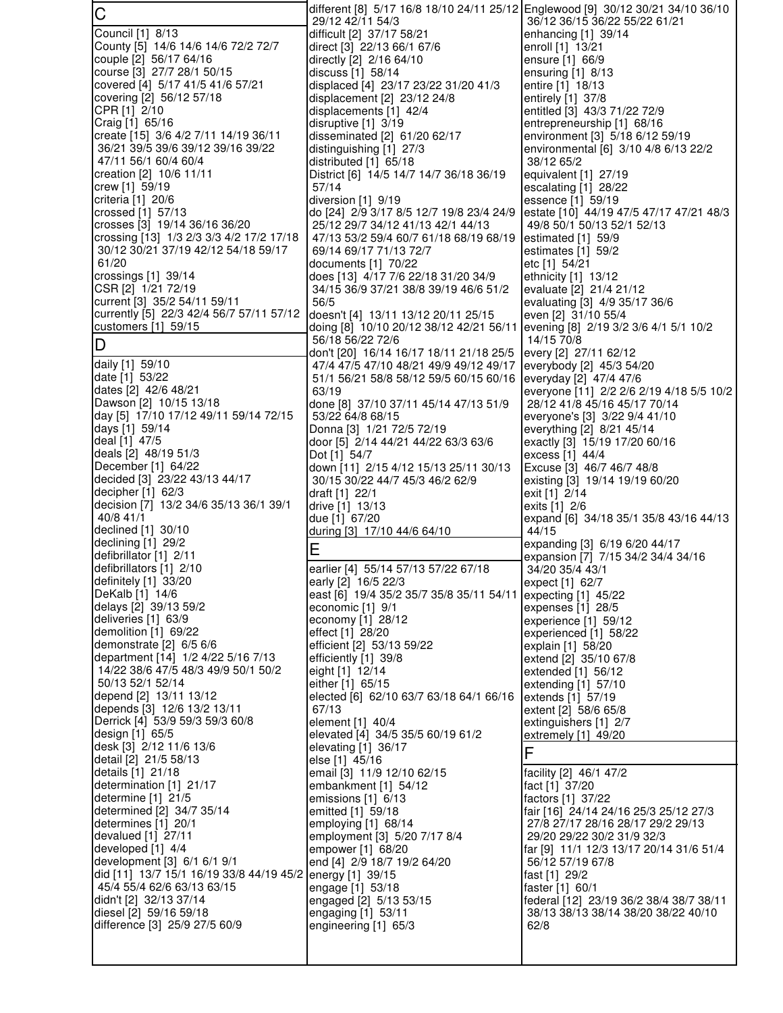| $\mathsf C$                                                               | 29/12 42/11 54/3                                                            | different [8] 5/17 16/8 18/10 24/11 25/12 Englewood [9] 30/12 30/21 34/10 36/10<br>36/12 36/15 36/22 55/22 61/21 |
|---------------------------------------------------------------------------|-----------------------------------------------------------------------------|------------------------------------------------------------------------------------------------------------------|
| Council [1] 8/13                                                          | difficult [2] 37/17 58/21                                                   | enhancing [1] 39/14                                                                                              |
| County [5] 14/6 14/6 14/6 72/2 72/7                                       | direct [3] 22/13 66/1 67/6                                                  | enroll [1] 13/21                                                                                                 |
| couple [2] 56/17 64/16                                                    | directly [2] 2/16 64/10                                                     | ensure [1] 66/9                                                                                                  |
| course [3] 27/7 28/1 50/15                                                | discuss [1] 58/14                                                           | ensuring [1] 8/13                                                                                                |
| covered [4] 5/17 41/5 41/6 57/21                                          | displaced [4] 23/17 23/22 31/20 41/3                                        | entire [1] 18/13                                                                                                 |
| covering [2] 56/12 57/18                                                  | displacement [2] 23/12 24/8                                                 | entirely [1] 37/8                                                                                                |
| CPR [1] 2/10                                                              | displacements [1] 42/4                                                      | entitled [3] 43/3 71/22 72/9                                                                                     |
| Craig [1] 65/16<br>create [15] 3/6 4/2 7/11 14/19 36/11                   | disruptive $[1]$ 3/19<br>disseminated [2] 61/20 62/17                       | entrepreneurship [1] 68/16                                                                                       |
| 36/21 39/5 39/6 39/12 39/16 39/22                                         | distinguishing [1] 27/3                                                     | environment [3] 5/18 6/12 59/19<br>environmental [6] 3/10 4/8 6/13 22/2                                          |
| 47/11 56/1 60/4 60/4                                                      | distributed [1] 65/18                                                       | 38/12 65/2                                                                                                       |
| creation [2] 10/6 11/11                                                   | District [6] 14/5 14/7 14/7 36/18 36/19                                     | equivalent $[1]$ 27/19                                                                                           |
| crew [1] 59/19                                                            | 57/14                                                                       | escalating $[1]$ 28/22                                                                                           |
| criteria [1] 20/6                                                         | diversion [1] 9/19                                                          | essence [1] 59/19                                                                                                |
| crossed [1] 57/13                                                         | do [24] 2/9 3/17 8/5 12/7 19/8 23/4 24/9                                    | estate [10] 44/19 47/5 47/17 47/21 48/3                                                                          |
| crosses [3] 19/14 36/16 36/20<br>crossing [13] 1/3 2/3 3/3 4/2 17/2 17/18 | 25/12 29/7 34/12 41/13 42/1 44/13<br>47/13 53/2 59/4 60/7 61/18 68/19 68/19 | 49/8 50/1 50/13 52/1 52/13<br>estimated $[1]$ 59/9                                                               |
| 30/12 30/21 37/19 42/12 54/18 59/17                                       | 69/14 69/17 71/13 72/7                                                      | estimates $[1]$ 59/2                                                                                             |
| 61/20                                                                     | documents [1] 70/22                                                         | etc [1] 54/21                                                                                                    |
| crossings $[1]$ 39/14                                                     | does [13] 4/17 7/6 22/18 31/20 34/9                                         | ethnicity [1] 13/12                                                                                              |
| CSR [2] 1/21 72/19                                                        | 34/15 36/9 37/21 38/8 39/19 46/6 51/2                                       | evaluate [2] 21/4 21/12                                                                                          |
| current [3] 35/2 54/11 59/11                                              | 56/5                                                                        | evaluating [3] 4/9 35/17 36/6                                                                                    |
| currently [5] 22/3 42/4 56/7 57/11 57/12                                  | doesn't [4] 13/11 13/12 20/11 25/15                                         | even [2] 31/10 55/4                                                                                              |
| customers $[1]$ 59/15                                                     | doing [8] 10/10 20/12 38/12 42/21 56/11                                     | evening [8] 2/19 3/2 3/6 4/1 5/1 10/2<br>14/15 70/8                                                              |
| D                                                                         | 56/18 56/22 72/6<br>don't [20] 16/14 16/17 18/11 21/18 25/5                 | every [2] 27/11 62/12                                                                                            |
| daily [1] 59/10                                                           | 47/4 47/5 47/10 48/21 49/9 49/12 49/17                                      | everybody [2] 45/3 54/20                                                                                         |
| date [1] 53/22                                                            | 51/1 56/21 58/8 58/12 59/5 60/15 60/16                                      | everyday [2] 47/4 47/6                                                                                           |
| dates [2] 42/6 48/21                                                      | 63/19                                                                       | everyone [11] 2/2 2/6 2/19 4/18 5/5 10/2                                                                         |
| Dawson [2] 10/15 13/18                                                    | done [8] 37/10 37/11 45/14 47/13 51/9                                       | 28/12 41/8 45/16 45/17 70/14                                                                                     |
| day [5] 17/10 17/12 49/11 59/14 72/15                                     | 53/22 64/8 68/15                                                            | everyone's [3] 3/22 9/4 41/10                                                                                    |
| days [1] 59/14                                                            | Donna [3] 1/21 72/5 72/19                                                   | everything [2] 8/21 45/14                                                                                        |
| deal [1] 47/5<br>deals [2] 48/19 51/3                                     | door [5] 2/14 44/21 44/22 63/3 63/6<br>Dot [1] 54/7                         | exactly [3] 15/19 17/20 60/16<br>excess [1] 44/4                                                                 |
| December [1] 64/22                                                        | down [11] 2/15 4/12 15/13 25/11 30/13                                       | Excuse [3] 46/7 46/7 48/8                                                                                        |
| decided [3] 23/22 43/13 44/17                                             | 30/15 30/22 44/7 45/3 46/2 62/9                                             | existing [3] 19/14 19/19 60/20                                                                                   |
| decipher $[1]$ 62/3                                                       | draft [1] 22/1                                                              | exit [1] 2/14                                                                                                    |
| decision [7] 13/2 34/6 35/13 36/1 39/1                                    | drive [1] 13/13                                                             | exits [1] 2/6                                                                                                    |
| 40/8 41/1                                                                 | due [1] 67/20                                                               | expand [6] 34/18 35/1 35/8 43/16 44/13                                                                           |
| declined [1] 30/10<br>declining [1] 29/2                                  | during [3] 17/10 44/6 64/10                                                 | 44/15                                                                                                            |
|                                                                           |                                                                             |                                                                                                                  |
|                                                                           | Е                                                                           | expanding [3] 6/19 6/20 44/17                                                                                    |
| defibrillator [1] 2/11                                                    |                                                                             | expansion [7] 7/15 34/2 34/4 34/16                                                                               |
| defibrillators [1] 2/10<br>definitely [1] 33/20                           | earlier [4] 55/14 57/13 57/22 67/18<br>early [2] 16/5 22/3                  | 34/20 35/4 43/1                                                                                                  |
| DeKalb [1] 14/6                                                           | east [6] 19/4 35/2 35/7 35/8 35/11 54/11   expecting [1] 45/22              | expect [1] 62/7                                                                                                  |
| delays [2] 39/13 59/2                                                     | economic $[1]$ 9/1                                                          | expenses [1] 28/5                                                                                                |
| deliveries [1] 63/9                                                       | economy [1] 28/12                                                           | experience [1] 59/12                                                                                             |
| demolition [1] 69/22                                                      | effect [1] 28/20                                                            | experienced [1] 58/22                                                                                            |
| demonstrate [2] 6/5 6/6                                                   | efficient [2] 53/13 59/22                                                   | explain [1] 58/20                                                                                                |
| department [14] 1/2 4/22 5/16 7/13<br>14/22 38/6 47/5 48/3 49/9 50/1 50/2 | efficiently [1] 39/8                                                        | extend [2] 35/10 67/8                                                                                            |
| 50/13 52/1 52/14                                                          | eight [1] 12/14<br>either [1] 65/15                                         | extended [1] 56/12<br>extending [1] 57/10                                                                        |
| depend [2] 13/11 13/12                                                    | elected [6] 62/10 63/7 63/18 64/1 66/16                                     | extends [1] 57/19                                                                                                |
| depends [3] 12/6 13/2 13/11                                               | 67/13                                                                       | extent [2] 58/6 65/8                                                                                             |
| Derrick [4] 53/9 59/3 59/3 60/8                                           | element [1] 40/4                                                            | extinguishers [1] 2/7                                                                                            |
| design [1] 65/5                                                           | elevated [4] 34/5 35/5 60/19 61/2                                           | extremely [1] 49/20                                                                                              |
| desk [3] 2/12 11/6 13/6                                                   | elevating [1] 36/17                                                         | F                                                                                                                |
| detail [2] 21/5 58/13<br>details [1] 21/18                                | else [1] 45/16                                                              |                                                                                                                  |
| determination [1] 21/17                                                   | email [3] 11/9 12/10 62/15<br>embankment [1] 54/12                          | facility [2] 46/1 47/2<br>fact [1] 37/20                                                                         |
| determine [1] 21/5                                                        | emissions [1] 6/13                                                          | factors [1] 37/22                                                                                                |
| determined [2] 34/7 35/14                                                 | emitted [1] 59/18                                                           | fair [16] 24/14 24/16 25/3 25/12 27/3                                                                            |
| determines [1] 20/1                                                       | employing [1] 68/14                                                         | 27/8 27/17 28/16 28/17 29/2 29/13                                                                                |
| devalued [1] 27/11                                                        | employment [3] 5/20 7/17 8/4                                                | 29/20 29/22 30/2 31/9 32/3                                                                                       |
| developed [1] 4/4                                                         | empower [1] 68/20                                                           | far [9] 11/1 12/3 13/17 20/14 31/6 51/4                                                                          |
| development [3] 6/1 6/1 9/1<br>did [11] 13/7 15/1 16/19 33/8 44/19 45/2   | end [4] 2/9 18/7 19/2 64/20<br>energy [1] 39/15                             | 56/12 57/19 67/8                                                                                                 |
| 45/4 55/4 62/6 63/13 63/15                                                | engage [1] 53/18                                                            | fast [1] 29/2<br>faster [1] 60/1                                                                                 |
| didn't [2] 32/13 37/14                                                    | engaged [2] 5/13 53/15                                                      | federal [12] 23/19 36/2 38/4 38/7 38/11                                                                          |
| diesel [2] 59/16 59/18                                                    | engaging [1] 53/11                                                          | 38/13 38/13 38/14 38/20 38/22 40/10                                                                              |
| difference [3] 25/9 27/5 60/9                                             | engineering [1] 65/3                                                        | 62/8                                                                                                             |
|                                                                           |                                                                             |                                                                                                                  |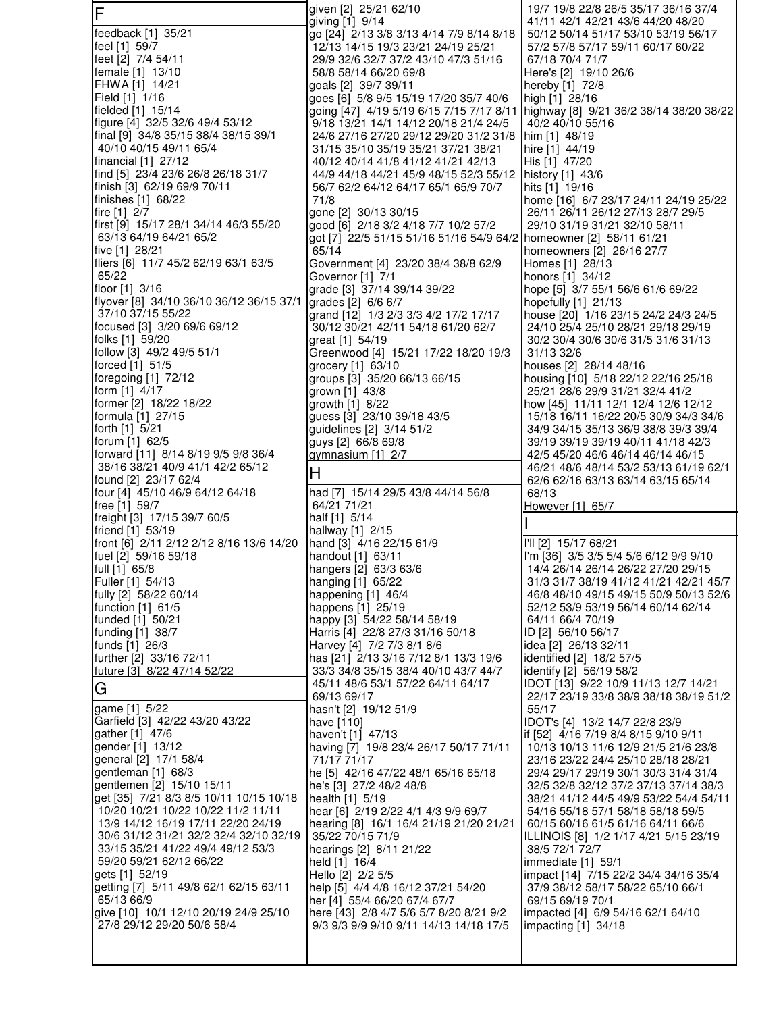| lF                                                                       | given [2] 25/21 62/10                                                              | 19/7 19/8 22/8 26/5 35/17 36/16 37/4<br>41/11 42/1 42/21 43/6 44/20 48/20      |
|--------------------------------------------------------------------------|------------------------------------------------------------------------------------|--------------------------------------------------------------------------------|
| feedback [1] 35/21                                                       | giving [1] 9/14<br>go [24] 2/13 3/8 3/13 4/14 7/9 8/14 8/18                        | 50/12 50/14 51/17 53/10 53/19 56/17                                            |
| feel [1] 59/7                                                            | 12/13 14/15 19/3 23/21 24/19 25/21                                                 | 57/2 57/8 57/17 59/11 60/17 60/22                                              |
| feet [2] 7/4 54/11                                                       | 29/9 32/6 32/7 37/2 43/10 47/3 51/16                                               | 67/18 70/4 71/7                                                                |
| female [1] 13/10                                                         | 58/8 58/14 66/20 69/8                                                              | Here's [2] 19/10 26/6                                                          |
| FHWA [1] 14/21                                                           | goals [2] 39/7 39/11                                                               | hereby [1] 72/8                                                                |
| Field [1] 1/16<br>fielded [1] 15/14                                      | goes [6] 5/8 9/5 15/19 17/20 35/7 40/6<br>going [47] 4/19 5/19 6/15 7/15 7/17 8/11 | high [1] 28/16<br>highway [8] 9/21 36/2 38/14 38/20 38/22                      |
| figure [4] 32/5 32/6 49/4 53/12                                          | 9/18 13/21 14/1 14/12 20/18 21/4 24/5                                              | 40/2 40/10 55/16                                                               |
| final [9] 34/8 35/15 38/4 38/15 39/1                                     | 24/6 27/16 27/20 29/12 29/20 31/2 31/8                                             | him [1] 48/19                                                                  |
| 40/10 40/15 49/11 65/4                                                   | 31/15 35/10 35/19 35/21 37/21 38/21                                                | hire [1] 44/19                                                                 |
| financial [1] 27/12<br>find [5] 23/4 23/6 26/8 26/18 31/7                | 40/12 40/14 41/8 41/12 41/21 42/13<br>44/9 44/18 44/21 45/9 48/15 52/3 55/12       | His [1] 47/20                                                                  |
| finish [3] 62/19 69/9 70/11                                              | 56/7 62/2 64/12 64/17 65/1 65/9 70/7                                               | history [1] 43/6<br>hits [1] 19/16                                             |
| finishes [1] 68/22                                                       | 71/8                                                                               | home [16] 6/7 23/17 24/11 24/19 25/22                                          |
| fire $[1]$ 2/7                                                           | gone [2] 30/13 30/15                                                               | 26/11 26/11 26/12 27/13 28/7 29/5                                              |
| first [9] 15/17 28/1 34/14 46/3 55/20                                    | good [6] 2/18 3/2 4/18 7/7 10/2 57/2                                               | 29/10 31/19 31/21 32/10 58/11                                                  |
| 63/13 64/19 64/21 65/2<br>five [1] 28/21                                 | got [7] 22/5 51/15 51/16 51/16 54/9 64/2   homeowner [2] 58/11 61/21<br>65/14      |                                                                                |
| fliers [6] 11/7 45/2 62/19 63/1 63/5                                     | Government [4] 23/20 38/4 38/8 62/9                                                | homeowners [2] 26/16 27/7<br>Homes [1] 28/13                                   |
| 65/22                                                                    | Governor [1] 7/1                                                                   | honors [1] 34/12                                                               |
| floor [1] 3/16                                                           | grade [3] 37/14 39/14 39/22                                                        | hope [5] 3/7 55/1 56/6 61/6 69/22                                              |
| flyover [8] 34/10 36/10 36/12 36/15 37/1                                 | grades [2] 6/6 6/7                                                                 | hopefully [1] 21/13                                                            |
| 37/10 37/15 55/22<br>focused [3] 3/20 69/6 69/12                         | grand [12] 1/3 2/3 3/3 4/2 17/2 17/17<br>30/12 30/21 42/11 54/18 61/20 62/7        | house [20] 1/16 23/15 24/2 24/3 24/5<br>24/10 25/4 25/10 28/21 29/18 29/19     |
| folks [1] 59/20                                                          | great [1] 54/19                                                                    | 30/2 30/4 30/6 30/6 31/5 31/6 31/13                                            |
| follow [3] 49/2 49/5 51/1                                                | Greenwood [4] 15/21 17/22 18/20 19/3                                               | 31/13 32/6                                                                     |
| forced $[1]$ 51/5                                                        | grocery [1] 63/10                                                                  | houses [2]  28/14 48/16                                                        |
| foregoing [1] 72/12                                                      | groups [3] 35/20 66/13 66/15                                                       | housing [10] 5/18 22/12 22/16 25/18                                            |
| form [1] 4/17<br>former [2] 18/22 18/22                                  | grown [1] 43/8<br>growth [1] 8/22                                                  | 25/21 28/6 29/9 31/21 32/4 41/2<br>how [45] 11/11 12/1 12/4 12/6 12/12         |
| formula [1] 27/15                                                        | guess [3] 23/10 39/18 43/5                                                         | 15/18 16/11 16/22 20/5 30/9 34/3 34/6                                          |
| forth [1] 5/21                                                           | guidelines [2] 3/14 51/2                                                           | 34/9 34/15 35/13 36/9 38/8 39/3 39/4                                           |
| forum $[1]$ 62/5                                                         | guys [2] 66/8 69/8                                                                 | 39/19 39/19 39/19 40/11 41/18 42/3                                             |
| forward [11] 8/14 8/19 9/5 9/8 36/4<br>38/16 38/21 40/9 41/1 42/2 65/12  | gymnasium [1] 2/7                                                                  | 42/5 45/20 46/6 46/14 46/14 46/15<br>46/21 48/6 48/14 53/2 53/13 61/19 62/1    |
|                                                                          | $\mathsf{H}$                                                                       |                                                                                |
|                                                                          |                                                                                    |                                                                                |
| found [2] 23/17 62/4<br>four [4] 45/10 46/9 64/12 64/18                  | had [7] 15/14 29/5 43/8 44/14 56/8                                                 | 62/6 62/16 63/13 63/14 63/15 65/14<br>68/13                                    |
| free [1] 59/7                                                            | 64/21 71/21                                                                        | However [1] 65/7                                                               |
| freight [3] 17/15 39/7 60/5                                              | half [1] 5/14                                                                      |                                                                                |
| friend [1] 53/19                                                         | hallway [1] 2/15                                                                   |                                                                                |
| front [6] 2/11 2/12 2/12 8/16 13/6 14/20                                 | hand [3] 4/16 22/15 61/9                                                           | I'll [2] 15/17 68/21                                                           |
| fuel [2] 59/16 59/18<br>full [1] 65/8                                    | handout [1] 63/11<br>hangers [2] 63/3 63/6                                         | I'm [36] 3/5 3/5 5/4 5/6 6/12 9/9 9/10<br>14/4 26/14 26/14 26/22 27/20 29/15   |
| Fuller [1] 54/13                                                         | hanging [1] 65/22                                                                  | 31/3 31/7 38/19 41/12 41/21 42/21 45/7                                         |
| fully [2] 58/22 60/14                                                    | happening [1] 46/4                                                                 | 46/8 48/10 49/15 49/15 50/9 50/13 52/6                                         |
| function $[1]$ 61/5                                                      | happens [1] 25/19<br>happy [3] 54/22 58/14 58/19                                   | 52/12 53/9 53/19 56/14 60/14 62/14<br>64/11 66/4 70/19                         |
| funded [1] 50/21<br>funding [1] 38/7                                     | Harris [4] 22/8 27/3 31/16 50/18                                                   | ID [2] 56/10 56/17                                                             |
| funds [1] 26/3                                                           | Harvey [4] 7/2 7/3 8/1 8/6                                                         | idea [2] 26/13 32/11                                                           |
| further [2] 33/16 72/11                                                  | has [21]  2/13 3/16 7/12 8/1 13/3 19/6                                             | identified [2] 18/2 57/5                                                       |
| future [3] 8/22 47/14 52/22                                              | 33/3 34/8 35/15 38/4 40/10 43/7 44/7                                               | identify [2] 56/19 58/2                                                        |
| G                                                                        | 45/11 48/6 53/1 57/22 64/11 64/17<br>69/13 69/17                                   | IDOT [13] 9/22 10/9 11/13 12/7 14/21<br>22/17 23/19 33/8 38/9 38/18 38/19 51/2 |
| game [1] 5/22                                                            | hasn't [2] 19/12 51/9                                                              | 55/17                                                                          |
| Garfield [3] 42/22 43/20 43/22                                           | have [110]                                                                         | IDOT's [4] 13/2 14/7 22/8 23/9                                                 |
| gather [1] 47/6                                                          | haven't [1] 47/13                                                                  | if [52] 4/16 7/19 8/4 8/15 9/10 9/11                                           |
| gender [1] 13/12                                                         | having [7] 19/8 23/4 26/17 50/17 71/11<br>71/17 71/17                              | 10/13 10/13 11/6 12/9 21/5 21/6 23/8<br>23/16 23/22 24/4 25/10 28/18 28/21     |
| general [2] 17/1 58/4<br>gentleman [1] 68/3                              | he [5] 42/16 47/22 48/1 65/16 65/18                                                | 29/4 29/17 29/19 30/1 30/3 31/4 31/4                                           |
| gentlemen [2] 15/10 15/11                                                | he's [3] 27/2 48/2 48/8                                                            | 32/5 32/8 32/12 37/2 37/13 37/14 38/3                                          |
| get [35] 7/21 8/3 8/5 10/11 10/15 10/18                                  | health [1] 5/19                                                                    | 38/21 41/12 44/5 49/9 53/22 54/4 54/11                                         |
| 10/20 10/21 10/22 10/22 11/2 11/11<br>13/9 14/12 16/19 17/11 22/20 24/19 | hear [6] 2/19 2/22 4/1 4/3 9/9 69/7                                                | 54/16 55/18 57/1 58/18 58/18 59/5                                              |
| 30/6 31/12 31/21 32/2 32/4 32/10 32/19                                   | hearing [8] 16/1 16/4 21/19 21/20 21/21<br>35/22 70/15 71/9                        | 60/15 60/16 61/5 61/16 64/11 66/6<br>ILLINOIS [8] 1/2 1/17 4/21 5/15 23/19     |
| 33/15 35/21 41/22 49/4 49/12 53/3                                        | hearings [2] 8/11 21/22                                                            | 38/5 72/1 72/7                                                                 |
| 59/20 59/21 62/12 66/22                                                  | held [1] 16/4                                                                      | immediate [1] 59/1                                                             |
| gets [1] 52/19                                                           | Hello [2] 2/2 5/5                                                                  | impact [14] 7/15 22/2 34/4 34/16 35/4                                          |
| getting [7] 5/11 49/8 62/1 62/15 63/11<br>65/13 66/9                     | help [5] 4/4 4/8 16/12 37/21 54/20<br>her [4] 55/4 66/20 67/4 67/7                 | 37/9 38/12 58/17 58/22 65/10 66/1<br>69/15 69/19 70/1                          |
| give [10] 10/1 12/10 20/19 24/9 25/10                                    | here [43] 2/8 4/7 5/6 5/7 8/20 8/21 9/2                                            | impacted [4] 6/9 54/16 62/1 64/10                                              |
| 27/8 29/12 29/20 50/6 58/4                                               | 9/3 9/3 9/9 9/10 9/11 14/13 14/18 17/5                                             | impacting $[1]$ 34/18                                                          |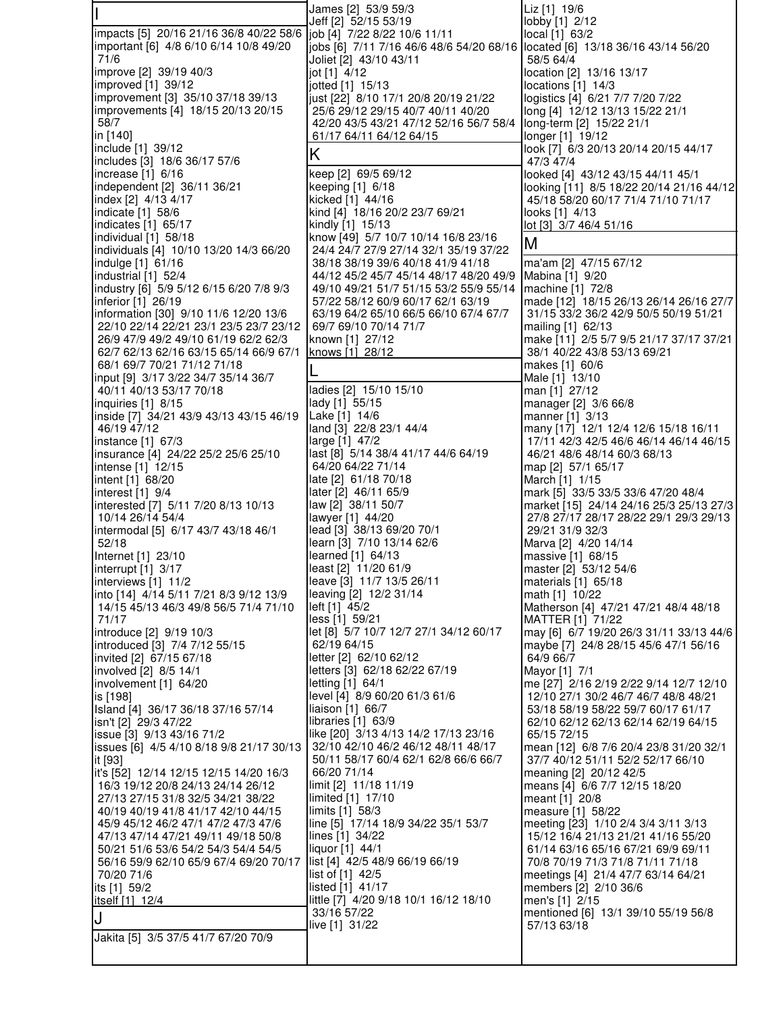|                                                                             | James [2] 53/9 59/3<br>Jeff [2] 52/15 53/19                                      | Liz [1] 19/6<br>lobby [1] 2/12                                                 |
|-----------------------------------------------------------------------------|----------------------------------------------------------------------------------|--------------------------------------------------------------------------------|
| impacts [5] 20/16 21/16 36/8 40/22 58/6                                     | job [4] 7/22 8/22 10/6 11/11                                                     | local [1] 63/2                                                                 |
| important [6] 4/8 6/10 6/14 10/8 49/20                                      | jobs [6] 7/11 7/16 46/6 48/6 54/20 68/16  located [6] 13/18 36/16 43/14 56/20    |                                                                                |
| 71/6                                                                        | Joliet [2] 43/10 43/11                                                           | 58/5 64/4                                                                      |
| improve [2] 39/19 40/3                                                      | jot [1] 4/12                                                                     | location [2] 13/16 13/17                                                       |
| improved [1] 39/12                                                          | jotted [1] 15/13                                                                 | locations $[1]$ 14/3                                                           |
| improvement [3] 35/10 37/18 39/13<br>improvements [4] 18/15 20/13 20/15     | just [22] 8/10 17/1 20/8 20/19 21/22<br>25/6 29/12 29/15 40/7 40/11 40/20        | logistics [4] 6/21 7/7 7/20 7/22<br>long [4] 12/12 13/13 15/22 21/1            |
| 58/7                                                                        | 42/20 43/5 43/21 47/12 52/16 56/7 58/4                                           | long-term [2] 15/22 21/1                                                       |
| in [140]                                                                    | 61/17 64/11 64/12 64/15                                                          | longer [1] 19/12                                                               |
| include [1] 39/12                                                           | K                                                                                | look [7] 6/3 20/13 20/14 20/15 44/17                                           |
| includes [3] 18/6 36/17 57/6                                                |                                                                                  | 47/3 47/4                                                                      |
| increase $[1]$ 6/16                                                         | keep [2] 69/5 69/12                                                              | looked [4] 43/12 43/15 44/11 45/1                                              |
| independent [2] 36/11 36/21<br>index [2] 4/13 4/17                          | keeping [1] 6/18<br>kicked [1] 44/16                                             | looking [11] 8/5 18/22 20/14 21/16 44/12<br>45/18 58/20 60/17 71/4 71/10 71/17 |
| indicate [1] 58/6                                                           | kind [4] 18/16 20/2 23/7 69/21                                                   | looks [1] 4/13                                                                 |
| indicates $[1]$ 65/17                                                       | kindly [1] 15/13                                                                 | lot [3] 3/7 46/4 51/16                                                         |
| individual [1] 58/18                                                        | know [49] 5/7 10/7 10/14 16/8 23/16                                              | M                                                                              |
| individuals [4] 10/10 13/20 14/3 66/20                                      | 24/4 24/7 27/9 27/14 32/1 35/19 37/22                                            |                                                                                |
| indulge [1] 61/16                                                           | 38/18 38/19 39/6 40/18 41/9 41/18                                                | ma'am [2] 47/15 67/12                                                          |
| industrial [1] 52/4<br>industry [6] 5/9 5/12 6/15 6/20 7/8 9/3              | 44/12 45/2 45/7 45/14 48/17 48/20 49/9<br>49/10 49/21 51/7 51/15 53/2 55/9 55/14 | Mabina [1] 9/20<br>machine [1] 72/8                                            |
| inferior [1] 26/19                                                          | 57/22 58/12 60/9 60/17 62/1 63/19                                                | made [12] 18/15 26/13 26/14 26/16 27/7                                         |
| information [30] 9/10 11/6 12/20 13/6                                       | 63/19 64/2 65/10 66/5 66/10 67/4 67/7                                            | 31/15 33/2 36/2 42/9 50/5 50/19 51/21                                          |
| 22/10 22/14 22/21 23/1 23/5 23/7 23/12                                      | 69/7 69/10 70/14 71/7                                                            | mailing [1] 62/13                                                              |
| 26/9 47/9 49/2 49/10 61/19 62/2 62/3                                        | known [1] 27/12                                                                  | make [11] 2/5 5/7 9/5 21/17 37/17 37/21                                        |
| 62/7 62/13 62/16 63/15 65/14 66/9 67/1                                      | knows [1] 28/12                                                                  | 38/1 40/22 43/8 53/13 69/21                                                    |
| 68/1 69/7 70/21 71/12 71/18<br>input [9] 3/17 3/22 34/7 35/14 36/7          |                                                                                  | makes [1] 60/6<br>Male [1] 13/10                                               |
| 40/11 40/13 53/17 70/18                                                     | ladies [2] 15/10 15/10                                                           | man [1] 27/12                                                                  |
| inquiries [1] 8/15                                                          | lady [1] 55/15                                                                   | manager [2] 3/6 66/8                                                           |
| inside [7] 34/21 43/9 43/13 43/15 46/19                                     | Lake [1] 14/6                                                                    | manner [1] 3/13                                                                |
| 46/19 47/12                                                                 | land [3] 22/8 23/1 44/4                                                          | many [17] 12/1 12/4 12/6 15/18 16/11                                           |
| instance [1] 67/3                                                           | large [1] 47/2<br>last [8] 5/14 38/4 41/17 44/6 64/19                            | 17/11 42/3 42/5 46/6 46/14 46/14 46/15                                         |
| insurance [4] 24/22 25/2 25/6 25/10<br>intense [1] 12/15                    | 64/20 64/22 71/14                                                                | 46/21 48/6 48/14 60/3 68/13<br>map [2] 57/1 65/17                              |
| intent [1] 68/20                                                            | late [2] 61/18 70/18                                                             | March [1] 1/15                                                                 |
| interest $[1]$ 9/4                                                          | later [2] 46/11 65/9                                                             | mark [5] 33/5 33/5 33/6 47/20 48/4                                             |
| interested [7] 5/11 7/20 8/13 10/13                                         | law [2] 38/11 50/7                                                               | market [15] 24/14 24/16 25/3 25/13 27/3                                        |
| 10/14 26/14 54/4                                                            | lawyer [1] 44/20                                                                 | 27/8 27/17 28/17 28/22 29/1 29/3 29/13                                         |
| intermodal [5] 6/17 43/7 43/18 46/1<br>52/18                                | lead [3] 38/13 69/20 70/1<br>learn [3] 7/10 13/14 62/6                           | 29/21 31/9 32/3<br>Marva [2] 4/20 14/14                                        |
| Internet [1] 23/10                                                          | learned [1] 64/13                                                                | massive [1] 68/15                                                              |
| interrupt $[1]$ 3/17                                                        | least [2] 11/20 61/9                                                             | master [2] 53/12 54/6                                                          |
| interviews [1] 11/2                                                         | leave [3] 11/7 13/5 26/11                                                        | materials [1] 65/18                                                            |
| into [14] 4/14 5/11 7/21 8/3 9/12 13/9                                      | leaving [2] 12/2 31/14                                                           | math [1] 10/22                                                                 |
| 14/15 45/13 46/3 49/8 56/5 71/4 71/10<br>71/17                              | left [1] 45/2<br>less [1] 59/21                                                  | Matherson [4] 47/21 47/21 48/4 48/18<br>MATTER [1] 71/22                       |
| introduce [2] 9/19 10/3                                                     | let [8] 5/7 10/7 12/7 27/1 34/12 60/17                                           | may [6] 6/7 19/20 26/3 31/11 33/13 44/6                                        |
| introduced [3] 7/4 7/12 55/15                                               | 62/19 64/15                                                                      | maybe [7] 24/8 28/15 45/6 47/1 56/16                                           |
| invited [2] 67/15 67/18                                                     | letter [2] 62/10 62/12                                                           | 64/9 66/7                                                                      |
| involved [2] 8/5 14/1                                                       | letters [3] 62/18 62/22 67/19                                                    | Mayor [1] 7/1                                                                  |
| involvement [1] 64/20                                                       | letting $[1]$ 64/1<br>level [4] 8/9 60/20 61/3 61/6                              | me [27] 2/16 2/19 2/22 9/14 12/7 12/10                                         |
| is [198]<br>Island [4] 36/17 36/18 37/16 57/14                              | liaison $[1]$ 66/7                                                               | 12/10 27/1 30/2 46/7 46/7 48/8 48/21<br>53/18 58/19 58/22 59/7 60/17 61/17     |
| isn't [2] 29/3 47/22                                                        | libraries [1] 63/9                                                               | 62/10 62/12 62/13 62/14 62/19 64/15                                            |
| issue [3] 9/13 43/16 71/2                                                   | like [20] 3/13 4/13 14/2 17/13 23/16                                             | 65/15 72/15                                                                    |
| issues [6] 4/5 4/10 8/18 9/8 21/17 30/13                                    | 32/10 42/10 46/2 46/12 48/11 48/17                                               | mean [12] 6/8 7/6 20/4 23/8 31/20 32/1                                         |
| it [93]                                                                     | 50/11 58/17 60/4 62/1 62/8 66/6 66/7                                             | 37/7 40/12 51/11 52/2 52/17 66/10                                              |
| it's [52] 12/14 12/15 12/15 14/20 16/3<br>16/3 19/12 20/8 24/13 24/14 26/12 | 66/20 71/14<br>limit [2] 11/18 11/19                                             | meaning [2] 20/12 42/5<br>means [4] 6/6 7/7 12/15 18/20                        |
| 27/13 27/15 31/8 32/5 34/21 38/22                                           | limited [1] 17/10                                                                | meant [1] 20/8                                                                 |
| 40/19 40/19 41/8 41/17 42/10 44/15                                          | limits $[1]$ 58/3                                                                | measure [1] 58/22                                                              |
| 45/9 45/12 46/2 47/1 47/2 47/3 47/6                                         | line [5] 17/14 18/9 34/22 35/1 53/7                                              | meeting [23] 1/10 2/4 3/4 3/11 3/13                                            |
| 47/13 47/14 47/21 49/11 49/18 50/8                                          | lines [1] 34/22                                                                  | 15/12 16/4 21/13 21/21 41/16 55/20                                             |
| 50/21 51/6 53/6 54/2 54/3 54/4 54/5                                         | liquor [1] 44/1                                                                  | 61/14 63/16 65/16 67/21 69/9 69/11                                             |
| 56/16 59/9 62/10 65/9 67/4 69/20 70/17<br>70/20 71/6                        | list [4] 42/5 48/9 66/19 66/19<br>list of [1] 42/5                               | 70/8 70/19 71/3 71/8 71/11 71/18<br>meetings [4] 21/4 47/7 63/14 64/21         |
| its [1] 59/2                                                                | listed [1] 41/17                                                                 | members [2] 2/10 36/6                                                          |
| itself [1] 12/4                                                             | little [7] 4/20 9/18 10/1 16/12 18/10                                            | men's [1] 2/15                                                                 |
| J                                                                           | 33/16 57/22                                                                      | mentioned [6] 13/1 39/10 55/19 56/8                                            |
|                                                                             | live [1] 31/22                                                                   | 57/13 63/18                                                                    |
| Jakita [5] 3/5 37/5 41/7 67/20 70/9                                         |                                                                                  |                                                                                |
|                                                                             |                                                                                  |                                                                                |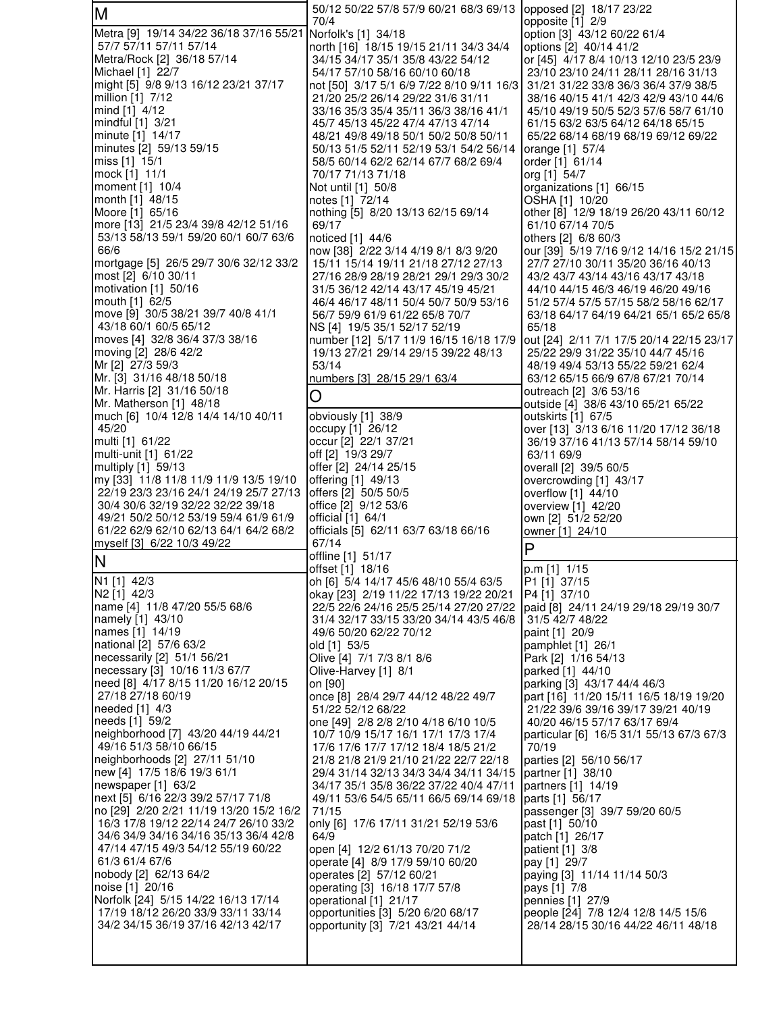| M                                                                                                                                                                                                                                                                                                                                                                                                                                                                                                                                                                                                                                                                                                                                                                                                                                                                                                                      | 50/12 50/22 57/8 57/9 60/21 68/3 69/13 opposed [2] 18/17 23/22                                                                                                                                                                                                                                                                                                                                                                                                                                                                                                                                                                                                                                                                                                                                                                                                                                                                                                                                                                                 |                                                                                                                                                                                                                                                                                                                                                                                                                                                                                                                                                                                                                                                                                                                                                                                                                                                                                                                                                                                                                                                                                                                                                                  |
|------------------------------------------------------------------------------------------------------------------------------------------------------------------------------------------------------------------------------------------------------------------------------------------------------------------------------------------------------------------------------------------------------------------------------------------------------------------------------------------------------------------------------------------------------------------------------------------------------------------------------------------------------------------------------------------------------------------------------------------------------------------------------------------------------------------------------------------------------------------------------------------------------------------------|------------------------------------------------------------------------------------------------------------------------------------------------------------------------------------------------------------------------------------------------------------------------------------------------------------------------------------------------------------------------------------------------------------------------------------------------------------------------------------------------------------------------------------------------------------------------------------------------------------------------------------------------------------------------------------------------------------------------------------------------------------------------------------------------------------------------------------------------------------------------------------------------------------------------------------------------------------------------------------------------------------------------------------------------|------------------------------------------------------------------------------------------------------------------------------------------------------------------------------------------------------------------------------------------------------------------------------------------------------------------------------------------------------------------------------------------------------------------------------------------------------------------------------------------------------------------------------------------------------------------------------------------------------------------------------------------------------------------------------------------------------------------------------------------------------------------------------------------------------------------------------------------------------------------------------------------------------------------------------------------------------------------------------------------------------------------------------------------------------------------------------------------------------------------------------------------------------------------|
| Metra [9] 19/14 34/22 36/18 37/16 55/21 Norfolk's [1] 34/18<br>57/7 57/11 57/11 57/14<br>Metra/Rock [2] 36/18 57/14<br>Michael [1] 22/7<br>might [5] 9/8 9/13 16/12 23/21 37/17<br>million [1] 7/12<br>mind [1] 4/12<br>mindful $[1]$ 3/21<br>minute [1] 14/17<br>minutes [2] 59/13 59/15<br>miss [1] 15/1<br>mock [1] 11/1<br>moment [1] 10/4<br>month [1] 48/15<br>Moore [1] 65/16<br>more [13] 21/5 23/4 39/8 42/12 51/16<br>53/13 58/13 59/1 59/20 60/1 60/7 63/6<br>66/6<br>mortgage [5] 26/5 29/7 30/6 32/12 33/2<br>most [2] 6/10 30/11<br>motivation [1] 50/16<br>mouth [1] 62/5<br>move [9] 30/5 38/21 39/7 40/8 41/1<br>43/18 60/1 60/5 65/12<br>moves [4] 32/8 36/4 37/3 38/16<br>moving [2] 28/6 42/2<br>Mr [2] 27/3 59/3<br>Mr. [3] 31/16 48/18 50/18<br>Mr. Harris [2] 31/16 50/18<br>Mr. Matherson [1] 48/18<br>much [6] 10/4 12/8 14/4 14/10 40/11<br>45/20<br>multi [1] 61/22<br>multi-unit [1] 61/22 | 70/4<br>north [16] 18/15 19/15 21/11 34/3 34/4<br>34/15 34/17 35/1 35/8 43/22 54/12<br>54/17 57/10 58/16 60/10 60/18<br>not [50] 3/17 5/1 6/9 7/22 8/10 9/11 16/3<br>21/20 25/2 26/14 29/22 31/6 31/11<br>33/16 35/3 35/4 35/11 36/3 38/16 41/1<br>45/7 45/13 45/22 47/4 47/13 47/14<br>48/21 49/8 49/18 50/1 50/2 50/8 50/11<br>50/13 51/5 52/11 52/19 53/1 54/2 56/14<br>58/5 60/14 62/2 62/14 67/7 68/2 69/4<br>70/17 71/13 71/18<br>Not until [1] 50/8<br>notes [1] 72/14<br>nothing [5] 8/20 13/13 62/15 69/14<br>69/17<br>noticed [1] 44/6<br>now [38] 2/22 3/14 4/19 8/1 8/3 9/20<br>15/11 15/14 19/11 21/18 27/12 27/13<br>27/16 28/9 28/19 28/21 29/1 29/3 30/2<br>31/5 36/12 42/14 43/17 45/19 45/21<br>46/4 46/17 48/11 50/4 50/7 50/9 53/16<br>56/7 59/9 61/9 61/22 65/8 70/7<br>NS [4] 19/5 35/1 52/17 52/19<br>number [12] 5/17 11/9 16/15 16/18 17/9<br>19/13 27/21 29/14 29/15 39/22 48/13<br>53/14<br>numbers [3] 28/15 29/1 63/4<br>O<br>obviously [1] 38/9<br>occupy [1] 26/12<br>occur [2] 22/1 37/21<br>off [2] 19/3 29/7 | opposite [1] 2/9<br>option [3] 43/12 60/22 61/4<br>options [2] 40/14 41/2<br>or [45] 4/17 8/4 10/13 12/10 23/5 23/9<br>23/10 23/10 24/11 28/11 28/16 31/13<br>31/21 31/22 33/8 36/3 36/4 37/9 38/5<br>38/16 40/15 41/1 42/3 42/9 43/10 44/6<br>45/10 49/19 50/5 52/3 57/6 58/7 61/10<br>61/15 63/2 63/5 64/12 64/18 65/15<br>65/22 68/14 68/19 68/19 69/12 69/22<br>orange [1] 57/4<br>order [1] 61/14<br>org [1] 54/7<br>organizations [1] 66/15<br>OSHA [1] 10/20<br>other [8] 12/9 18/19 26/20 43/11 60/12<br>61/10 67/14 70/5<br>others [2] 6/8 60/3<br>our [39] 5/19 7/16 9/12 14/16 15/2 21/15<br>27/7 27/10 30/11 35/20 36/16 40/13<br>43/2 43/7 43/14 43/16 43/17 43/18<br>44/10 44/15 46/3 46/19 46/20 49/16<br>51/2 57/4 57/5 57/15 58/2 58/16 62/17<br>63/18 64/17 64/19 64/21 65/1 65/2 65/8<br>65/18<br>out [24] 2/11 7/1 17/5 20/14 22/15 23/17<br>25/22 29/9 31/22 35/10 44/7 45/16<br>48/19 49/4 53/13 55/22 59/21 62/4<br>63/12 65/15 66/9 67/8 67/21 70/14<br>outreach [2] 3/6 53/16<br>outside [4] 38/6 43/10 65/21 65/22<br>outskirts [1] 67/5<br>over [13] 3/13 6/16 11/20 17/12 36/18<br>36/19 37/16 41/13 57/14 58/14 59/10<br>63/11 69/9 |
| multiply [1] 59/13<br>my [33] 11/8 11/8 11/9 11/9 13/5 19/10<br>22/19 23/3 23/16 24/1 24/19 25/7 27/13<br>30/4 30/6 32/19 32/22 32/22 39/18<br>49/21 50/2 50/12 53/19 59/4 61/9 61/9<br>61/22 62/9 62/10 62/13 64/1 64/2 68/2<br>myself [3] 6/22 10/3 49/22                                                                                                                                                                                                                                                                                                                                                                                                                                                                                                                                                                                                                                                            | offer [2] 24/14 25/15<br>offering [1] 49/13<br>offers [2] 50/5 50/5<br>office [2] 9/12 53/6<br>official $[1]$ 64/1<br>officials [5] 62/11 63/7 63/18 66/16<br>67/14                                                                                                                                                                                                                                                                                                                                                                                                                                                                                                                                                                                                                                                                                                                                                                                                                                                                            | overall [2] 39/5 60/5<br>overcrowding [1] 43/17<br>overflow [1] 44/10<br>overview [1] 42/20<br>own [2] 51/2 52/20<br>owner [1] 24/10                                                                                                                                                                                                                                                                                                                                                                                                                                                                                                                                                                                                                                                                                                                                                                                                                                                                                                                                                                                                                             |
| N                                                                                                                                                                                                                                                                                                                                                                                                                                                                                                                                                                                                                                                                                                                                                                                                                                                                                                                      | offline [1] 51/17                                                                                                                                                                                                                                                                                                                                                                                                                                                                                                                                                                                                                                                                                                                                                                                                                                                                                                                                                                                                                              | P                                                                                                                                                                                                                                                                                                                                                                                                                                                                                                                                                                                                                                                                                                                                                                                                                                                                                                                                                                                                                                                                                                                                                                |
| N1 [1] 42/3<br>N2 [1] 42/3<br>name [4] 11/8 47/20 55/5 68/6<br>namely [1] 43/10<br>names [1] 14/19<br>national [2] 57/6 63/2<br>necessarily [2] 51/1 56/21<br>necessary [3] 10/16 11/3 67/7<br>need [8] 4/17 8/15 11/20 16/12 20/15<br>27/18 27/18 60/19<br>needed [1] 4/3<br>needs [1] 59/2<br>neighborhood [7] 43/20 44/19 44/21<br>49/16 51/3 58/10 66/15<br>neighborhoods [2] 27/11 51/10<br>new [4] 17/5 18/6 19/3 61/1<br>newspaper [1] 63/2<br>next [5] 6/16 22/3 39/2 57/17 71/8<br>no [29] 2/20 2/21 11/19 13/20 15/2 16/2<br>16/3 17/8 19/12 22/14 24/7 26/10 33/2<br>34/6 34/9 34/16 34/16 35/13 36/4 42/8<br>47/14 47/15 49/3 54/12 55/19 60/22<br>61/3 61/4 67/6<br>nobody [2] 62/13 64/2<br>noise [1] 20/16<br>Norfolk [24] 5/15 14/22 16/13 17/14<br>17/19 18/12 26/20 33/9 33/11 33/14<br>34/2 34/15 36/19 37/16 42/13 42/17                                                                           | offset [1] 18/16<br>oh [6] 5/4 14/17 45/6 48/10 55/4 63/5<br>okay [23] 2/19 11/22 17/13 19/22 20/21<br>22/5 22/6 24/16 25/5 25/14 27/20 27/22<br>31/4 32/17 33/15 33/20 34/14 43/5 46/8<br>49/6 50/20 62/22 70/12<br>old [1] 53/5<br>Olive [4] 7/1 7/3 8/1 8/6<br>Olive-Harvey [1] 8/1<br>on [90]<br>once [8] 28/4 29/7 44/12 48/22 49/7<br>51/22 52/12 68/22<br>one [49] 2/8 2/8 2/10 4/18 6/10 10/5<br>10/7 10/9 15/17 16/1 17/1 17/3 17/4<br>17/6 17/6 17/7 17/12 18/4 18/5 21/2<br>21/8 21/8 21/9 21/10 21/22 22/7 22/18<br>29/4 31/14 32/13 34/3 34/4 34/11 34/15<br>34/17 35/1 35/8 36/22 37/22 40/4 47/11<br>49/11 53/6 54/5 65/11 66/5 69/14 69/18<br>71/15<br>only [6] 17/6 17/11 31/21 52/19 53/6<br>64/9<br>open [4] 12/2 61/13 70/20 71/2<br>operate [4] 8/9 17/9 59/10 60/20<br>operates [2] 57/12 60/21<br>operating [3] 16/18 17/7 57/8<br>operational [1] 21/17<br>opportunities [3] 5/20 6/20 68/17<br>opportunity [3] 7/21 43/21 44/14                                                                                       | p.m [1] 1/15<br>P1 [1] 37/15<br>P4 [1] 37/10<br>paid [8] 24/11 24/19 29/18 29/19 30/7<br>31/5 42/7 48/22<br>paint [1] 20/9<br>pamphlet [1] 26/1<br>Park [2] 1/16 54/13<br>parked [1] 44/10<br>parking [3] 43/17 44/4 46/3<br>part [16] 11/20 15/11 16/5 18/19 19/20<br>21/22 39/6 39/16 39/17 39/21 40/19<br>40/20 46/15 57/17 63/17 69/4<br>particular [6] 16/5 31/1 55/13 67/3 67/3<br>70/19<br>parties [2] 56/10 56/17<br>partner [1] 38/10<br>partners [1] 14/19<br>parts [1] 56/17<br>passenger [3] 39/7 59/20 60/5<br>past [1] 50/10<br>patch [1] 26/17<br>patient [1] 3/8<br>pay [1] 29/7<br>paying [3] 11/14 11/14 50/3<br>pays [1] 7/8<br>pennies [1] 27/9<br>people [24] 7/8 12/4 12/8 14/5 15/6<br>28/14 28/15 30/16 44/22 46/11 48/18                                                                                                                                                                                                                                                                                                                                                                                                                |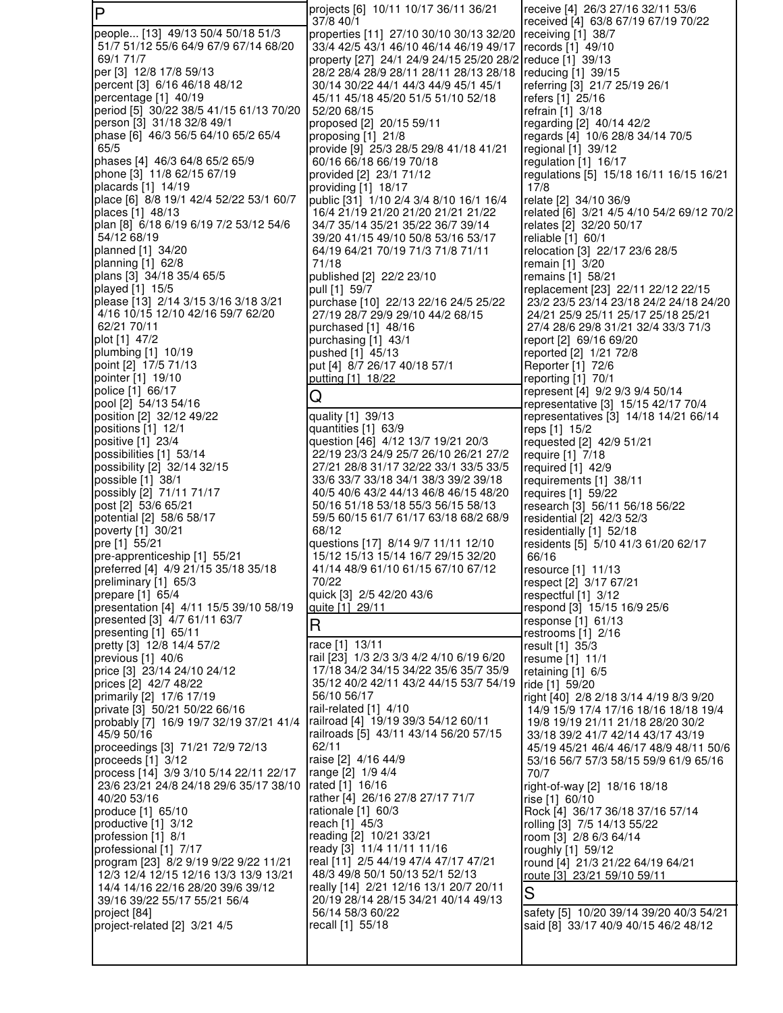| P                                                               | projects [6] 10/11 10/17 36/11 36/21<br>37/8 40/1                                 | receive [4] 26/3 27/16 32/11 53/6<br>received [4] 63/8 67/19 67/19 70/22     |
|-----------------------------------------------------------------|-----------------------------------------------------------------------------------|------------------------------------------------------------------------------|
| people [13] 49/13 50/4 50/18 51/3                               | properties [11] 27/10 30/10 30/13 32/20                                           | receiving $[1]$ 38/7                                                         |
| 51/7 51/12 55/6 64/9 67/9 67/14 68/20                           | 33/4 42/5 43/1 46/10 46/14 46/19 49/17                                            | records [1] 49/10                                                            |
| 69/1 71/7                                                       | property [27] 24/1 24/9 24/15 25/20 28/2                                          | reduce [1] 39/13                                                             |
| per [3] 12/8 17/8 59/13                                         | 28/2 28/4 28/9 28/11 28/11 28/13 28/18                                            | reducing [1] 39/15                                                           |
| percent [3] 6/16 46/18 48/12                                    | 30/14 30/22 44/1 44/3 44/9 45/1 45/1                                              | referring [3] 21/7 25/19 26/1                                                |
| percentage [1] 40/19<br>period [5] 30/22 38/5 41/15 61/13 70/20 | 45/11 45/18 45/20 51/5 51/10 52/18<br>52/20 68/15                                 | refers [1] 25/16<br>refrain [1] 3/18                                         |
| person [3] 31/18 32/8 49/1                                      | proposed [2] 20/15 59/11                                                          | regarding [2] 40/14 42/2                                                     |
| phase [6] 46/3 56/5 64/10 65/2 65/4                             | proposing $[1]$ 21/8                                                              | regards [4] 10/6 28/8 34/14 70/5                                             |
| 65/5                                                            | provide [9] 25/3 28/5 29/8 41/18 41/21                                            | regional [1] 39/12                                                           |
| phases [4] 46/3 64/8 65/2 65/9                                  | 60/16 66/18 66/19 70/18                                                           | regulation [1] 16/17                                                         |
| phone [3] 11/8 62/15 67/19                                      | provided [2] 23/1 71/12                                                           | regulations [5] 15/18 16/11 16/15 16/21                                      |
| placards [1] 14/19<br>place [6] 8/8 19/1 42/4 52/22 53/1 60/7   | providing $[1]$ 18/17<br>public [31] 1/10 2/4 3/4 8/10 16/1 16/4                  | 17/8<br>relate [2] 34/10 36/9                                                |
| places [1] 48/13                                                | 16/4 21/19 21/20 21/20 21/21 21/22                                                | related [6] 3/21 4/5 4/10 54/2 69/12 70/2                                    |
| plan [8] 6/18 6/19 6/19 7/2 53/12 54/6                          | 34/7 35/14 35/21 35/22 36/7 39/14                                                 | relates [2] 32/20 50/17                                                      |
| 54/12 68/19                                                     | 39/20 41/15 49/10 50/8 53/16 53/17                                                | reliable [1] 60/1                                                            |
| planned [1] 34/20                                               | 64/19 64/21 70/19 71/3 71/8 71/11                                                 | relocation [3] 22/17 23/6 28/5                                               |
| planning [1] 62/8                                               | 71/18                                                                             | remain [1] 3/20                                                              |
| plans [3] 34/18 35/4 65/5                                       | published [2] 22/2 23/10                                                          | remains [1] 58/21                                                            |
| played [1] 15/5<br>please [13] 2/14 3/15 3/16 3/18 3/21         | pull [1] 59/7                                                                     | replacement [23] 22/11 22/12 22/15<br>23/2 23/5 23/14 23/18 24/2 24/18 24/20 |
| 4/16 10/15 12/10 42/16 59/7 62/20                               | purchase [10] 22/13 22/16 24/5 25/22<br>27/19 28/7 29/9 29/10 44/2 68/15          | 24/21 25/9 25/11 25/17 25/18 25/21                                           |
| 62/21 70/11                                                     | purchased [1] 48/16                                                               | 27/4 28/6 29/8 31/21 32/4 33/3 71/3                                          |
| plot [1] 47/2                                                   | purchasing [1] 43/1                                                               | report [2] 69/16 69/20                                                       |
| plumbing [1] 10/19                                              | pushed [1] 45/13                                                                  | reported [2] 1/21 72/8                                                       |
| point [2] 17/5 71/13                                            | put [4] 8/7 26/17 40/18 57/1                                                      | Reporter [1] 72/6                                                            |
| pointer [1] 19/10                                               | putting [1] 18/22                                                                 | reporting [1] 70/1                                                           |
| police [1] 66/17<br>pool [2] 54/13 54/16                        | Q                                                                                 | represent [4] 9/2 9/3 9/4 50/14                                              |
| position [2] 32/12 49/22                                        | quality [1] 39/13                                                                 | representative [3] 15/15 42/17 70/4<br>representatives [3] 14/18 14/21 66/14 |
| positions $[1]$ 12/1                                            | quantities [1] 63/9                                                               | reps [1] 15/2                                                                |
| positive [1] 23/4                                               | question [46] 4/12 13/7 19/21 20/3                                                | requested [2] 42/9 51/21                                                     |
| possibilities [1] 53/14                                         | 22/19 23/3 24/9 25/7 26/10 26/21 27/2                                             | require [1] 7/18                                                             |
| possibility [2] 32/14 32/15                                     | 27/21 28/8 31/17 32/22 33/1 33/5 33/5                                             | required $[1]$ 42/9                                                          |
| possible [1] 38/1<br>possibly [2] 71/11 71/17                   | 33/6 33/7 33/18 34/1 38/3 39/2 39/18<br>40/5 40/6 43/2 44/13 46/8 46/15 48/20     | requirements [1] 38/11                                                       |
| post [2] 53/6 65/21                                             | 50/16 51/18 53/18 55/3 56/15 58/13                                                | requires [1] 59/22<br>research [3] 56/11 56/18 56/22                         |
| potential [2] 58/6 58/17                                        | 59/5 60/15 61/7 61/17 63/18 68/2 68/9                                             | residential [2] 42/3 52/3                                                    |
| poverty [1] 30/21                                               | 68/12                                                                             | residentially [1] 52/18                                                      |
| pre [1] 55/21                                                   | questions [17] 8/14 9/7 11/11 12/10                                               | residents [5] 5/10 41/3 61/20 62/17                                          |
| pre-apprenticeship [1] 55/21                                    | 15/12 15/13 15/14 16/7 29/15 32/20                                                | 66/16                                                                        |
| preferred [4] 4/9 21/15 35/18 35/18<br>preliminary [1] 65/3     | 41/14 48/9 61/10 61/15 67/10 67/12<br>70/22                                       | resource [1] 11/13                                                           |
| prepare [1] 65/4                                                | quick [3] 2/5 42/20 43/6                                                          | respect [2] 3/17 67/21<br>respectful [1] 3/12                                |
| presentation [4] 4/11 15/5 39/10 58/19                          | quite [1] 29/11                                                                   | respond [3] 15/15 16/9 25/6                                                  |
| presented [3] 4/7 61/11 63/7                                    | R                                                                                 | response [1] 61/13                                                           |
| presenting [1] 65/11                                            |                                                                                   | restrooms [1] 2/16                                                           |
| pretty [3] 12/8 14/4 57/2                                       | race [1] 13/11                                                                    | result [1] 35/3                                                              |
| previous $[1]$ 40/6<br>price [3] 23/14 24/10 24/12              | rail [23] 1/3 2/3 3/3 4/2 4/10 6/19 6/20<br>17/18 34/2 34/15 34/22 35/6 35/7 35/9 | resume [1] 11/1                                                              |
| prices [2] 42/7 48/22                                           | 35/12 40/2 42/11 43/2 44/15 53/7 54/19                                            | retaining [1] 6/5<br>ride [1] 59/20                                          |
| primarily [2] 17/6 17/19                                        | 56/10 56/17                                                                       | right [40] 2/8 2/18 3/14 4/19 8/3 9/20                                       |
| private [3] 50/21 50/22 66/16                                   | rail-related [1] 4/10                                                             | 14/9 15/9 17/4 17/16 18/16 18/18 19/4                                        |
| probably [7] 16/9 19/7 32/19 37/21 41/4                         | railroad [4] 19/19 39/3 54/12 60/11                                               | 19/8 19/19 21/11 21/18 28/20 30/2                                            |
| 45/9 50/16                                                      | railroads [5] 43/11 43/14 56/20 57/15                                             | 33/18 39/2 41/7 42/14 43/17 43/19                                            |
| proceedings [3] 71/21 72/9 72/13<br>proceeds $[1]$ 3/12         | 62/11<br>raise [2] 4/16 44/9                                                      | 45/19 45/21 46/4 46/17 48/9 48/11 50/6                                       |
| process [14] 3/9 3/10 5/14 22/11 22/17                          | range [2] 1/9 4/4                                                                 | 53/16 56/7 57/3 58/15 59/9 61/9 65/16<br>70/7                                |
| 23/6 23/21 24/8 24/18 29/6 35/17 38/10                          | rated $[1]$ 16/16                                                                 | right-of-way [2] 18/16 18/18                                                 |
| 40/20 53/16                                                     | rather [4] 26/16 27/8 27/17 71/7                                                  | rise [1] 60/10                                                               |
| produce [1] 65/10                                               | rationale $[1]$ 60/3                                                              | Rock [4] 36/17 36/18 37/16 57/14                                             |
| productive [1] 3/12                                             | reach [1] 45/3                                                                    | rolling [3] 7/5 14/13 55/22                                                  |
| profession [1] 8/1                                              | reading [2] 10/21 33/21<br>ready [3] 11/4 11/11 11/16                             | room [3] 2/8 6/3 64/14                                                       |
| professional [1] 7/17<br>program [23] 8/2 9/19 9/22 9/22 11/21  | real [11] 2/5 44/19 47/4 47/17 47/21                                              | roughly [1] 59/12<br>round [4] 21/3 21/22 64/19 64/21                        |
| 12/3 12/4 12/15 12/16 13/3 13/9 13/21                           | 48/3 49/8 50/1 50/13 52/1 52/13                                                   | route [3] 23/21 59/10 59/11                                                  |
| 14/4 14/16 22/16 28/20 39/6 39/12                               | really [14] 2/21 12/16 13/1 20/7 20/11                                            | S                                                                            |
| 39/16 39/22 55/17 55/21 56/4                                    | 20/19 28/14 28/15 34/21 40/14 49/13                                               |                                                                              |
| project [84]                                                    | 56/14 58/3 60/22                                                                  | safety [5] 10/20 39/14 39/20 40/3 54/21                                      |
| project-related [2] 3/21 4/5                                    | recall [1] 55/18                                                                  | said [8] 33/17 40/9 40/15 46/2 48/12                                         |
|                                                                 |                                                                                   |                                                                              |
|                                                                 |                                                                                   |                                                                              |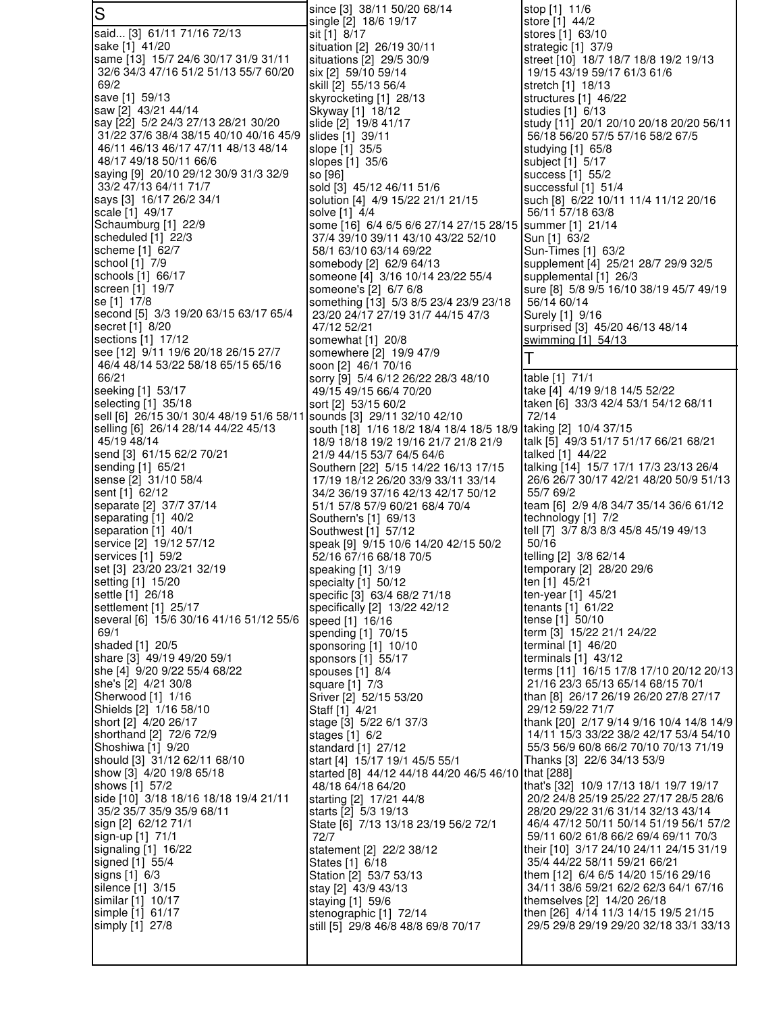| $\overline{S}$                                                         | since [3] 38/11 50/20 68/14<br>single [2] 18/6 19/17                       | stop [1] 11/6<br>store [1] 44/2                                                    |
|------------------------------------------------------------------------|----------------------------------------------------------------------------|------------------------------------------------------------------------------------|
| said [3] 61/11 71/16 72/13                                             | sit [1] 8/17                                                               | stores [1] 63/10                                                                   |
| sake [1] 41/20                                                         | situation [2] 26/19 30/11                                                  | strategic [1] 37/9                                                                 |
| same [13] 15/7 24/6 30/17 31/9 31/11                                   | situations [2] 29/5 30/9                                                   | street [10] 18/7 18/7 18/8 19/2 19/13                                              |
| 32/6 34/3 47/16 51/2 51/13 55/7 60/20                                  | six [2] 59/10 59/14                                                        | 19/15 43/19 59/17 61/3 61/6                                                        |
| 69/2                                                                   | skill [2] 55/13 56/4                                                       | stretch [1] 18/13                                                                  |
| save [1] 59/13<br>saw [2] 43/21 44/14                                  | skyrocketing [1] 28/13<br>Skyway [1] 18/12                                 | structures [1] 46/22<br>studies [1] 6/13                                           |
| say [22] 5/2 24/3 27/13 28/21 30/20                                    | slide [2] 19/8 41/17                                                       | study [11] 20/1 20/10 20/18 20/20 56/11                                            |
| 31/22 37/6 38/4 38/15 40/10 40/16 45/9                                 | slides [1] 39/11                                                           | 56/18 56/20 57/5 57/16 58/2 67/5                                                   |
| 46/11 46/13 46/17 47/11 48/13 48/14                                    | slope [1] 35/5                                                             | studying $[1]$ 65/8                                                                |
| 48/17 49/18 50/11 66/6                                                 | slopes [1] 35/6                                                            | subject [1] 5/17                                                                   |
| saying [9] 20/10 29/12 30/9 31/3 32/9                                  | so [96]                                                                    | success $[1]$ 55/2                                                                 |
| 33/2 47/13 64/11 71/7<br>says [3] 16/17 26/2 34/1                      | sold [3] 45/12 46/11 51/6                                                  | successful [1] 51/4<br>such [8] 6/22 10/11 11/4 11/12 20/16                        |
| scale [1] 49/17                                                        | solution [4] 4/9 15/22 21/1 21/15<br>solve [1] 4/4                         | 56/11 57/18 63/8                                                                   |
| Schaumburg [1] 22/9                                                    | some [16] 6/4 6/5 6/6 27/14 27/15 28/15 Summer [1] 21/14                   |                                                                                    |
| scheduled [1] 22/3                                                     | 37/4 39/10 39/11 43/10 43/22 52/10                                         | Sun [1] 63/2                                                                       |
| scheme [1] 62/7                                                        | 58/1 63/10 63/14 69/22                                                     | Sun-Times [1] 63/2                                                                 |
| school [1] 7/9                                                         | somebody [2] 62/9 64/13                                                    | supplement [4] 25/21 28/7 29/9 32/5                                                |
| schools [1] 66/17<br>screen [1] 19/7                                   | someone [4] 3/16 10/14 23/22 55/4                                          | supplemental [1] 26/3                                                              |
| se [1] 17/8                                                            | someone's [2] 6/7 6/8<br>something [13] 5/3 8/5 23/4 23/9 23/18            | sure [8] 5/8 9/5 16/10 38/19 45/7 49/19<br>56/14 60/14                             |
| second [5] 3/3 19/20 63/15 63/17 65/4                                  | 23/20 24/17 27/19 31/7 44/15 47/3                                          | Surely [1] 9/16                                                                    |
| secret [1] 8/20                                                        | 47/12 52/21                                                                | surprised [3] 45/20 46/13 48/14                                                    |
| sections [1] 17/12                                                     | somewhat $[1]$ 20/8                                                        | swimming [1] 54/13                                                                 |
| see [12] 9/11 19/6 20/18 26/15 27/7                                    | somewhere [2] 19/9 47/9                                                    | Τ                                                                                  |
| 46/4 48/14 53/22 58/18 65/15 65/16<br>66/21                            | soon [2] 46/1 70/16                                                        |                                                                                    |
| seeking [1] 53/17                                                      | sorry [9] 5/4 6/12 26/22 28/3 48/10<br>49/15 49/15 66/4 70/20              | table [1] 71/1<br>take [4] 4/19 9/18 14/5 52/22                                    |
| selecting [1] 35/18                                                    | sort [2] 53/15 60/2                                                        | taken [6] 33/3 42/4 53/1 54/12 68/11                                               |
| sell [6] 26/15 30/1 30/4 48/19 51/6 58/11 sounds [3] 29/11 32/10 42/10 |                                                                            | 72/14                                                                              |
| selling [6] 26/14 28/14 44/22 45/13                                    | south [18] 1/16 18/2 18/4 18/4 18/5 18/9 taking [2] 10/4 37/15             |                                                                                    |
| 45/19 48/14                                                            | 18/9 18/18 19/2 19/16 21/7 21/8 21/9                                       | talk [5] 49/3 51/17 51/17 66/21 68/21                                              |
| send [3] 61/15 62/2 70/21                                              | 21/9 44/15 53/7 64/5 64/6                                                  | talked [1] 44/22                                                                   |
| sending [1] 65/21<br>sense [2] 31/10 58/4                              | Southern [22] 5/15 14/22 16/13 17/15<br>17/19 18/12 26/20 33/9 33/11 33/14 | talking [14] 15/7 17/1 17/3 23/13 26/4<br>26/6 26/7 30/17 42/21 48/20 50/9 51/13   |
| sent [1] 62/12                                                         | 34/2 36/19 37/16 42/13 42/17 50/12                                         | 55/7 69/2                                                                          |
| separate [2] 37/7 37/14                                                | 51/1 57/8 57/9 60/21 68/4 70/4                                             | team [6] 2/9 4/8 34/7 35/14 36/6 61/12                                             |
| separating [1] 40/2                                                    | Southern's [1] 69/13                                                       | technology $[1]$ 7/2                                                               |
| separation [1] 40/1                                                    | Southwest [1] 57/12                                                        | tell [7] 3/7 8/3 8/3 45/8 45/19 49/13                                              |
| service [2] 19/12 57/12<br>services [1] 59/2                           | speak [9] 9/15 10/6 14/20 42/15 50/2<br>52/16 67/16 68/18 70/5             | 50/16<br>telling [2] 3/8 62/14                                                     |
| set [3] 23/20 23/21 32/19                                              | speaking [1] 3/19                                                          | temporary [2] 28/20 29/6                                                           |
| setting [1] 15/20                                                      | specialty [1] 50/12                                                        | ten [1] 45/21                                                                      |
| settle [1] 26/18                                                       | specific [3] 63/4 68/2 71/18                                               | ten-year [1] 45/21                                                                 |
| settlement [1] 25/17                                                   | specifically [2] 13/22 42/12                                               | tenants [1] 61/22                                                                  |
| several [6] 15/6 30/16 41/16 51/12 55/6                                | speed [1] 16/16                                                            | tense [1] 50/10                                                                    |
| 69/1<br>shaded [1] 20/5                                                | spending [1] 70/15<br>sponsoring [1] 10/10                                 | term [3] 15/22 21/1 24/22<br>terminal [1] 46/20                                    |
| share [3] 49/19 49/20 59/1                                             | sponsors [1] 55/17                                                         | terminals $[1]$ 43/12                                                              |
| she [4] 9/20 9/22 55/4 68/22                                           | spouses [1] 8/4                                                            | terms [11] 16/15 17/8 17/10 20/12 20/13                                            |
| she's [2] 4/21 30/8                                                    | square [1] 7/3                                                             | 21/16 23/3 65/13 65/14 68/15 70/1                                                  |
| Sherwood [1] 1/16                                                      | Sriver [2] 52/15 53/20                                                     | than [8] 26/17 26/19 26/20 27/8 27/17                                              |
| Shields [2] 1/16 58/10                                                 | Staff [1] 4/21                                                             | 29/12 59/22 71/7                                                                   |
| short [2] 4/20 26/17<br>shorthand [2] 72/6 72/9                        | stage [3] 5/22 6/1 37/3<br>stages $[1]$ 6/2                                | thank [20] 2/17 9/14 9/16 10/4 14/8 14/9<br>14/11 15/3 33/22 38/2 42/17 53/4 54/10 |
| Shoshiwa [1] 9/20                                                      | standard [1] 27/12                                                         | 55/3 56/9 60/8 66/2 70/10 70/13 71/19                                              |
| should [3] 31/12 62/11 68/10                                           | start [4] 15/17 19/1 45/5 55/1                                             | Thanks [3] 22/6 34/13 53/9                                                         |
| show [3] 4/20 19/8 65/18                                               | started [8] 44/12 44/18 44/20 46/5 46/10 that [288]                        |                                                                                    |
| shows [1] 57/2                                                         | 48/18 64/18 64/20                                                          | that's [32] 10/9 17/13 18/1 19/7 19/17                                             |
| side [10] 3/18 18/16 18/18 19/4 21/11                                  | starting [2] 17/21 44/8                                                    | 20/2 24/8 25/19 25/22 27/17 28/5 28/6                                              |
| 35/2 35/7 35/9 35/9 68/11                                              | starts [2] 5/3 19/13                                                       | 28/20 29/22 31/6 31/14 32/13 43/14<br>46/4 47/12 50/11 50/14 51/19 56/1 57/2       |
| sign [2] 62/12 71/1<br>sign-up [1] 71/1                                | State [6] 7/13 13/18 23/19 56/2 72/1<br>72/7                               | 59/11 60/2 61/8 66/2 69/4 69/11 70/3                                               |
| signaling [1] 16/22                                                    | statement [2] 22/2 38/12                                                   | their [10] 3/17 24/10 24/11 24/15 31/19                                            |
| signed [1] 55/4                                                        | States [1] 6/18                                                            | 35/4 44/22 58/11 59/21 66/21                                                       |
| signs [1] 6/3                                                          | Station [2] 53/7 53/13                                                     | them [12] 6/4 6/5 14/20 15/16 29/16                                                |
| silence [1] 3/15                                                       | stay [2] 43/9 43/13                                                        | 34/11 38/6 59/21 62/2 62/3 64/1 67/16                                              |
| similar [1] 10/17<br>simple [1] 61/17                                  | staying [1] 59/6<br>stenographic [1] 72/14                                 | themselves [2] 14/20 26/18<br>then [26] 4/14 11/3 14/15 19/5 21/15                 |
| simply [1] 27/8                                                        | still [5] 29/8 46/8 48/8 69/8 70/17                                        | 29/5 29/8 29/19 29/20 32/18 33/1 33/13                                             |
|                                                                        |                                                                            |                                                                                    |
|                                                                        |                                                                            |                                                                                    |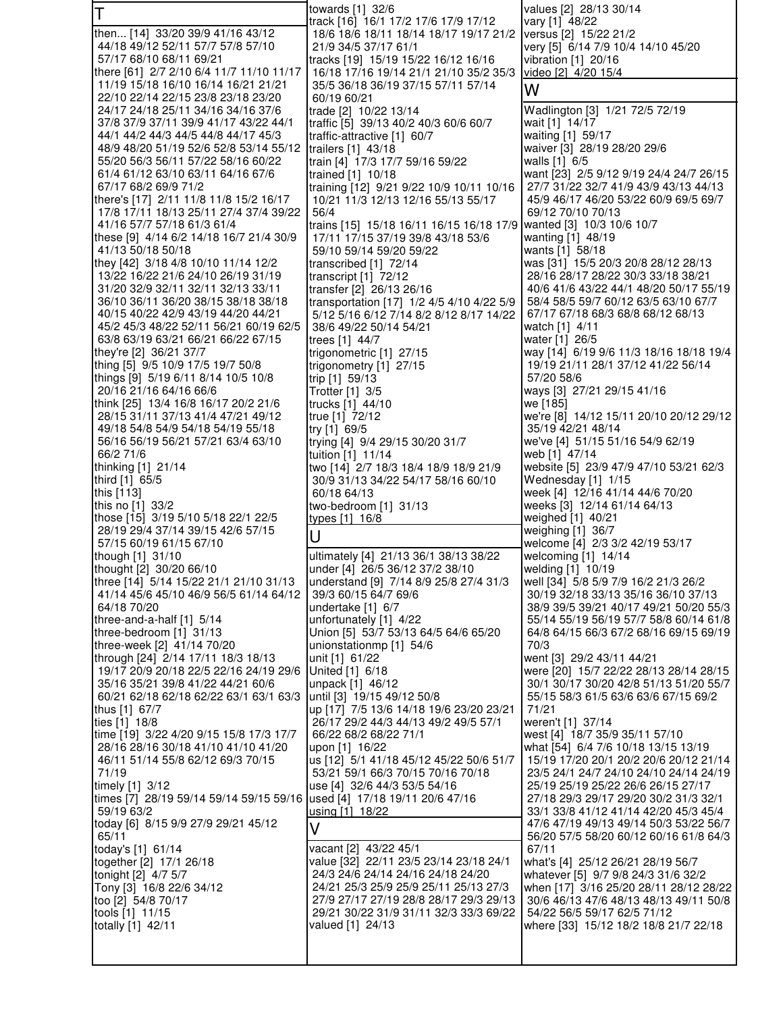| İΤ                                                                                                                                                                                                                                                     | towards $[1]$ 32/6<br>track [16] 16/1 17/2 17/6 17/9 17/12                      | values [2] 28/13 30/14                                                         |
|--------------------------------------------------------------------------------------------------------------------------------------------------------------------------------------------------------------------------------------------------------|---------------------------------------------------------------------------------|--------------------------------------------------------------------------------|
| then [14] 33/20 39/9 41/16 43/12                                                                                                                                                                                                                       | 18/6 18/6 18/11 18/14 18/17 19/17 21/2                                          | vary [1] 48/22<br>versus [2] 15/22 21/2                                        |
| 44/18 49/12 52/11 57/7 57/8 57/10                                                                                                                                                                                                                      | 21/9 34/5 37/17 61/1                                                            | very [5] 6/14 7/9 10/4 14/10 45/20                                             |
| 57/17 68/10 68/11 69/21                                                                                                                                                                                                                                | tracks [19] 15/19 15/22 16/12 16/16                                             | vibration $[1]$ 20/16                                                          |
| there [61] 2/7 2/10 6/4 11/7 11/10 11/17                                                                                                                                                                                                               | 16/18 17/16 19/14 21/1 21/10 35/2 35/3                                          | video [2] 4/20 15/4                                                            |
| 11/19 15/18 16/10 16/14 16/21 21/21                                                                                                                                                                                                                    | 35/5 36/18 36/19 37/15 57/11 57/14                                              | W                                                                              |
| 22/10 22/14 22/15 23/8 23/18 23/20                                                                                                                                                                                                                     | 60/19 60/21                                                                     | Wadlington [3] 1/21 72/5 72/19                                                 |
| 24/17 24/18 25/11 34/16 34/16 37/6<br>37/8 37/9 37/11 39/9 41/17 43/22 44/1                                                                                                                                                                            | trade [2] 10/22 13/14<br>traffic [5] 39/13 40/2 40/3 60/6 60/7                  | wait [1] 14/17                                                                 |
| 44/1 44/2 44/3 44/5 44/8 44/17 45/3                                                                                                                                                                                                                    | traffic-attractive [1] 60/7                                                     | waiting [1] 59/17                                                              |
| 48/9 48/20 51/19 52/6 52/8 53/14 55/12                                                                                                                                                                                                                 | trailers [1] 43/18                                                              | waiver [3] 28/19 28/20 29/6                                                    |
| 55/20 56/3 56/11 57/22 58/16 60/22                                                                                                                                                                                                                     | train [4] 17/3 17/7 59/16 59/22                                                 | walls [1] 6/5                                                                  |
| 61/4 61/12 63/10 63/11 64/16 67/6                                                                                                                                                                                                                      | trained [1] 10/18                                                               | want [23] 2/5 9/12 9/19 24/4 24/7 26/15                                        |
| 67/17 68/2 69/9 71/2                                                                                                                                                                                                                                   | training [12] 9/21 9/22 10/9 10/11 10/16                                        | 27/7 31/22 32/7 41/9 43/9 43/13 44/13<br>45/9 46/17 46/20 53/22 60/9 69/5 69/7 |
| there's [17] 2/11 11/8 11/8 15/2 16/17<br>17/8 17/11 18/13 25/11 27/4 37/4 39/22                                                                                                                                                                       | 10/21 11/3 12/13 12/16 55/13 55/17<br>56/4                                      | 69/12 70/10 70/13                                                              |
| 41/16 57/7 57/18 61/3 61/4                                                                                                                                                                                                                             | trains [15] 15/18 16/11 16/15 16/18 17/9 wanted [3] 10/3 10/6 10/7              |                                                                                |
| these [9] 4/14 6/2 14/18 16/7 21/4 30/9                                                                                                                                                                                                                | 17/11 17/15 37/19 39/8 43/18 53/6                                               | wanting [1] 48/19                                                              |
| 41/13 50/18 50/18                                                                                                                                                                                                                                      | 59/10 59/14 59/20 59/22                                                         | wants [1] 58/18                                                                |
| they [42] 3/18 4/8 10/10 11/14 12/2                                                                                                                                                                                                                    | transcribed $[1]$ 72/14                                                         | was [31] 15/5 20/3 20/8 28/12 28/13                                            |
| 13/22 16/22 21/6 24/10 26/19 31/19<br>31/20 32/9 32/11 32/11 32/13 33/11                                                                                                                                                                               | transcript $[1]$ 72/12                                                          | 28/16 28/17 28/22 30/3 33/18 38/21<br>40/6 41/6 43/22 44/1 48/20 50/17 55/19   |
| 36/10 36/11 36/20 38/15 38/18 38/18                                                                                                                                                                                                                    | transfer [2] 26/13 26/16<br>transportation [17] 1/2 4/5 4/10 4/22 5/9           | 58/4 58/5 59/7 60/12 63/5 63/10 67/7                                           |
| 40/15 40/22 42/9 43/19 44/20 44/21                                                                                                                                                                                                                     | 5/12 5/16 6/12 7/14 8/2 8/12 8/17 14/22                                         | 67/17 67/18 68/3 68/8 68/12 68/13                                              |
| 45/2 45/3 48/22 52/11 56/21 60/19 62/5                                                                                                                                                                                                                 | 38/6 49/22 50/14 54/21                                                          | watch [1] 4/11                                                                 |
| 63/8 63/19 63/21 66/21 66/22 67/15                                                                                                                                                                                                                     | trees [1] 44/7                                                                  | water [1] 26/5                                                                 |
| they're [2] 36/21 37/7                                                                                                                                                                                                                                 | trigonometric [1] 27/15                                                         | way [14] 6/19 9/6 11/3 18/16 18/18 19/4                                        |
| thing [5] 9/5 10/9 17/5 19/7 50/8<br>things [9] 5/19 6/11 8/14 10/5 10/8                                                                                                                                                                               | trigonometry [1] 27/15<br>trip [1] 59/13                                        | 19/19 21/11 28/1 37/12 41/22 56/14<br>57/20 58/6                               |
| 20/16 21/16 64/16 66/6                                                                                                                                                                                                                                 | Trotter [1] 3/5                                                                 | ways [3] 27/21 29/15 41/16                                                     |
| think [25] 13/4 16/8 16/17 20/2 21/6                                                                                                                                                                                                                   | trucks [1] 44/10                                                                | we [185]                                                                       |
| 28/15 31/11 37/13 41/4 47/21 49/12                                                                                                                                                                                                                     | true [1] 72/12                                                                  | we're [8] 14/12 15/11 20/10 20/12 29/12                                        |
| 49/18 54/8 54/9 54/18 54/19 55/18                                                                                                                                                                                                                      | try [1] 69/5                                                                    | 35/19 42/21 48/14                                                              |
| 56/16 56/19 56/21 57/21 63/4 63/10<br>66/2 71/6                                                                                                                                                                                                        | trying [4] 9/4 29/15 30/20 31/7                                                 | we've [4] 51/15 51/16 54/9 62/19                                               |
| thinking [1] 21/14                                                                                                                                                                                                                                     | tuition [1] 11/14<br>two [14] 2/7 18/3 18/4 18/9 18/9 21/9                      | web [1] 47/14<br>website [5] 23/9 47/9 47/10 53/21 62/3                        |
| third [1] 65/5                                                                                                                                                                                                                                         | 30/9 31/13 34/22 54/17 58/16 60/10                                              | Wednesday [1] 1/15                                                             |
|                                                                                                                                                                                                                                                        |                                                                                 |                                                                                |
|                                                                                                                                                                                                                                                        | 60/18 64/13                                                                     | week [4] 12/16 41/14 44/6 70/20                                                |
|                                                                                                                                                                                                                                                        | two-bedroom [1] 31/13                                                           | weeks [3] 12/14 61/14 64/13                                                    |
|                                                                                                                                                                                                                                                        | types [1] 16/8                                                                  | weighed [1] 40/21                                                              |
| this [113]<br>this no [1] 33/2<br>those [15] 3/19 5/10 5/18 22/1 22/5<br>28/19 29/4 37/14 39/15 42/6 57/15                                                                                                                                             | U                                                                               | weighing [1] 36/7                                                              |
| 57/15 60/19 61/15 67/10                                                                                                                                                                                                                                |                                                                                 | welcome [4] 2/3 3/2 42/19 53/17<br>welcoming $[1]$ 14/14                       |
| though [1] 31/10<br>thought [2] 30/20 66/10                                                                                                                                                                                                            | ultimately [4] 21/13 36/1 38/13 38/22<br>under [4] 26/5 36/12 37/2 38/10        | welding [1] 10/19                                                              |
|                                                                                                                                                                                                                                                        | understand [9] 7/14 8/9 25/8 27/4 31/3                                          | well [34] 5/8 5/9 7/9 16/2 21/3 26/2                                           |
|                                                                                                                                                                                                                                                        | 39/3 60/15 64/7 69/6                                                            | 30/19 32/18 33/13 35/16 36/10 37/13                                            |
| three [14] 5/14 15/22 21/1 21/10 31/13<br>41/14 45/6 45/10 46/9 56/5 61/14 64/12<br>64/18 70/20                                                                                                                                                        | undertake [1] 6/7                                                               | 38/9 39/5 39/21 40/17 49/21 50/20 55/3                                         |
| three-and-a-half [1] 5/14                                                                                                                                                                                                                              | unfortunately [1] 4/22                                                          | 55/14 55/19 56/19 57/7 58/8 60/14 61/8                                         |
|                                                                                                                                                                                                                                                        | Union [5] 53/7 53/13 64/5 64/6 65/20<br>unionstationmp [1] 54/6                 | 64/8 64/15 66/3 67/2 68/16 69/15 69/19<br>70/3                                 |
|                                                                                                                                                                                                                                                        | unit [1] 61/22                                                                  | went [3] 29/2 43/11 44/21                                                      |
| 19/17 20/9 20/18 22/5 22/16 24/19 29/6                                                                                                                                                                                                                 | United [1] 6/18                                                                 | were [20] 15/7 22/22 28/13 28/14 28/15                                         |
|                                                                                                                                                                                                                                                        | unpack [1] 46/12                                                                | 30/1 30/17 30/20 42/8 51/13 51/20 55/7                                         |
| 60/21 62/18 62/18 62/22 63/1 63/1 63/3                                                                                                                                                                                                                 | until [3] 19/15 49/12 50/8                                                      | 55/15 58/3 61/5 63/6 63/6 67/15 69/2                                           |
|                                                                                                                                                                                                                                                        | up [17] 7/5 13/6 14/18 19/6 23/20 23/21<br>26/17 29/2 44/3 44/13 49/2 49/5 57/1 | 71/21<br>weren't [1] 37/14                                                     |
|                                                                                                                                                                                                                                                        | 66/22 68/2 68/22 71/1                                                           | west [4] 18/7 35/9 35/11 57/10                                                 |
| 28/16 28/16 30/18 41/10 41/10 41/20                                                                                                                                                                                                                    | upon [1] 16/22                                                                  | what [54] 6/4 7/6 10/18 13/15 13/19                                            |
| three-bedroom $[1]$ 31/13<br>three-week [2] 41/14 70/20<br>through [24] 2/14 17/11 18/3 18/13<br>35/16 35/21 39/8 41/22 44/21 60/6<br>thus [1] 67/7<br>ties [1] 18/8<br>time [19] 3/22 4/20 9/15 15/8 17/3 17/7<br>  46/11 51/14 55/8 62/12 69/3 70/15 | us [12] 5/1 41/18 45/12 45/22 50/6 51/7                                         | 15/19 17/20 20/1 20/2 20/6 20/12 21/14                                         |
| 71/19                                                                                                                                                                                                                                                  | 53/21 59/1 66/3 70/15 70/16 70/18                                               | 23/5 24/1 24/7 24/10 24/10 24/14 24/19                                         |
|                                                                                                                                                                                                                                                        | use [4] 32/6 44/3 53/5 54/16                                                    | 25/19 25/19 25/22 26/6 26/15 27/17<br>27/18 29/3 29/17 29/20 30/2 31/3 32/1    |
| 59/19 63/2                                                                                                                                                                                                                                             | used [4] 17/18 19/11 20/6 47/16<br>using [1] 18/22                              | 33/1 33/8 41/12 41/14 42/20 45/3 45/4                                          |
|                                                                                                                                                                                                                                                        | V                                                                               | 47/6 47/19 49/13 49/14 50/3 53/22 56/7                                         |
|                                                                                                                                                                                                                                                        |                                                                                 | 56/20 57/5 58/20 60/12 60/16 61/8 64/3                                         |
|                                                                                                                                                                                                                                                        | vacant [2] 43/22 45/1                                                           | 67/11                                                                          |
|                                                                                                                                                                                                                                                        | value [32] 22/11 23/5 23/14 23/18 24/1<br>24/3 24/6 24/14 24/16 24/18 24/20     | what's [4] 25/12 26/21 28/19 56/7<br>whatever [5] 9/7 9/8 24/3 31/6 32/2       |
|                                                                                                                                                                                                                                                        | 24/21 25/3 25/9 25/9 25/11 25/13 27/3                                           | when [17] 3/16 25/20 28/11 28/12 28/22                                         |
|                                                                                                                                                                                                                                                        | 27/9 27/17 27/19 28/8 28/17 29/3 29/13                                          | 30/6 46/13 47/6 48/13 48/13 49/11 50/8                                         |
| timely [1] 3/12<br>times [7] 28/19 59/14 59/14 59/15 59/16<br>today [6] 8/15 9/9 27/9 29/21 45/12<br>65/11<br>today's [1] 61/14<br>together [2] 17/1 26/18<br>tonight [2] 4/7 5/7<br>Tony [3] 16/8 22/6 34/12<br>too [2] 54/8 70/17<br>tools [1] 11/15 | 29/21 30/22 31/9 31/11 32/3 33/3 69/22                                          | 54/22 56/5 59/17 62/5 71/12                                                    |
| totally [1] 42/11                                                                                                                                                                                                                                      | valued [1] 24/13                                                                | where [33] 15/12 18/2 18/8 21/7 22/18                                          |
|                                                                                                                                                                                                                                                        |                                                                                 |                                                                                |